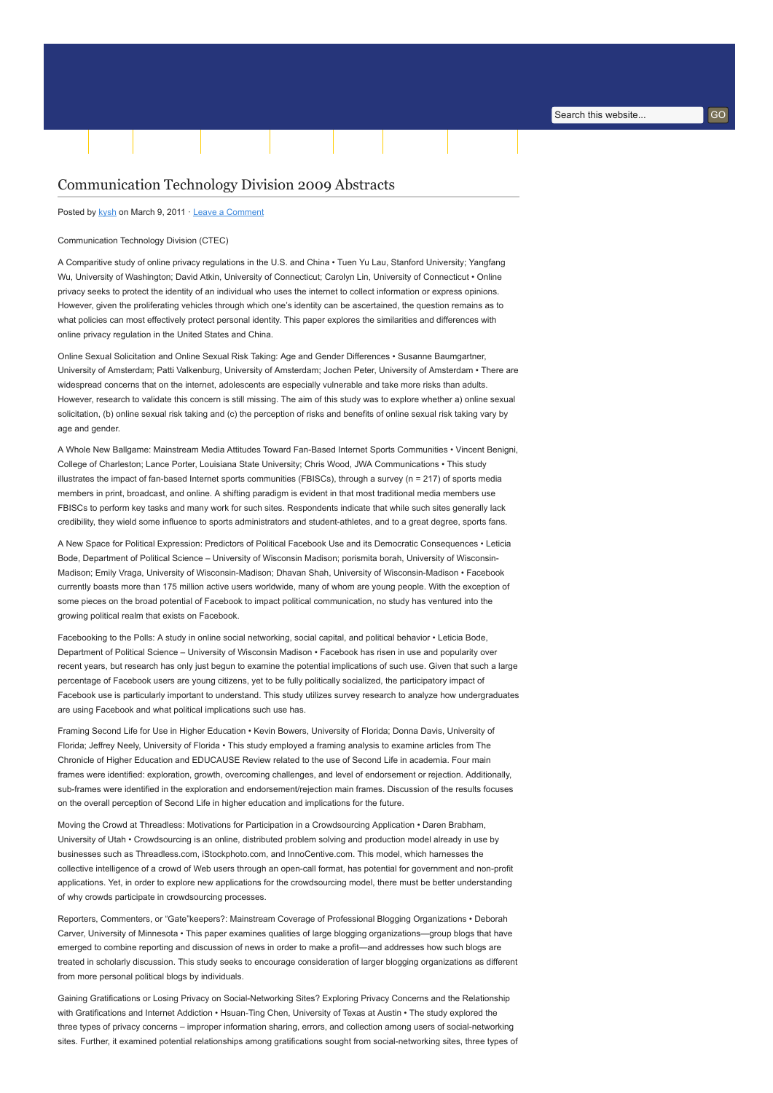# [Communication Technology Division 2009 Abstracts](http://www.aejmc.org/home/2011/03/ctec-2009-abstracts/)

Posted by [kysh](http://www.aejmc.org/home/author/kyshiab/) on March 9, 2011 · [Leave a Comment](http://www.aejmc.org/home/2011/03/ctec-2009-abstracts/#respond)

#### Communication Technology Division (CTEC)

A Comparitive study of online privacy regulations in the U.S. and China • Tuen Yu Lau, Stanford University; Yangfang Wu, University of Washington; David Atkin, University of Connecticut; Carolyn Lin, University of Connecticut • Online privacy seeks to protect the identity of an individual who uses the internet to collect information or express opinions. However, given the proliferating vehicles through which one's identity can be ascertained, the question remains as to what policies can most effectively protect personal identity. This paper explores the similarities and differences with online privacy regulation in the United States and China.

[Home](http://www.aejmc.org/home) [About](http://www.aejmc.org/home/about/) [Scholarship](http://www.aejmc.org/home/scholarship/) [Publications](http://www.aejmc.org/home/publications/) [Resources](http://www.aejmc.org/home/resources/) [Events](http://www.aejmc.org/home/events/) [Advertising](http://www.aejmc.org/home/advertising/) [Membership](http://www.aejmc.org/home/membership/) Tuesday, 2 January 2018

Online Sexual Solicitation and Online Sexual Risk Taking: Age and Gender Differences • Susanne Baumgartner, University of Amsterdam; Patti Valkenburg, University of Amsterdam; Jochen Peter, University of Amsterdam • There are widespread concerns that on the internet, adolescents are especially vulnerable and take more risks than adults. However, research to validate this concern is still missing. The aim of this study was to explore whether a) online sexual solicitation, (b) online sexual risk taking and (c) the perception of risks and benefits of online sexual risk taking vary by age and gender.

A Whole New Ballgame: Mainstream Media Attitudes Toward Fan-Based Internet Sports Communities • Vincent Benigni, College of Charleston; Lance Porter, Louisiana State University; Chris Wood, JWA Communications • This study illustrates the impact of fan-based Internet sports communities (FBISCs), through a survey (n = 217) of sports media members in print, broadcast, and online. A shifting paradigm is evident in that most traditional media members use FBISCs to perform key tasks and many work for such sites. Respondents indicate that while such sites generally lack credibility, they wield some influence to sports administrators and student-athletes, and to a great degree, sports fans.

A New Space for Political Expression: Predictors of Political Facebook Use and its Democratic Consequences • Leticia Bode, Department of Political Science – University of Wisconsin Madison; porismita borah, University of Wisconsin-Madison; Emily Vraga, University of Wisconsin-Madison; Dhavan Shah, University of Wisconsin-Madison • Facebook currently boasts more than 175 million active users worldwide, many of whom are young people. With the exception of some pieces on the broad potential of Facebook to impact political communication, no study has ventured into the growing political realm that exists on Facebook.

Facebooking to the Polls: A study in online social networking, social capital, and political behavior • Leticia Bode, Department of Political Science – University of Wisconsin Madison • Facebook has risen in use and popularity over recent years, but research has only just begun to examine the potential implications of such use. Given that such a large percentage of Facebook users are young citizens, yet to be fully politically socialized, the participatory impact of Facebook use is particularly important to understand. This study utilizes survey research to analyze how undergraduates are using Facebook and what political implications such use has.

Framing Second Life for Use in Higher Education • Kevin Bowers, University of Florida; Donna Davis, University of Florida; Jeffrey Neely, University of Florida • This study employed a framing analysis to examine articles from The Chronicle of Higher Education and EDUCAUSE Review related to the use of Second Life in academia. Four main frames were identified: exploration, growth, overcoming challenges, and level of endorsement or rejection. Additionally, sub-frames were identified in the exploration and endorsement/rejection main frames. Discussion of the results focuses on the overall perception of Second Life in higher education and implications for the future.

Moving the Crowd at Threadless: Motivations for Participation in a Crowdsourcing Application • Daren Brabham, University of Utah • Crowdsourcing is an online, distributed problem solving and production model already in use by businesses such as Threadless.com, iStockphoto.com, and InnoCentive.com. This model, which harnesses the collective intelligence of a crowd of Web users through an open-call format, has potential for government and non-profit applications. Yet, in order to explore new applications for the crowdsourcing model, there must be better understanding of why crowds participate in crowdsourcing processes.

Reporters, Commenters, or "Gate"keepers?: Mainstream Coverage of Professional Blogging Organizations • Deborah Carver, University of Minnesota • This paper examines qualities of large blogging organizations—group blogs that have emerged to combine reporting and discussion of news in order to make a profit—and addresses how such blogs are treated in scholarly discussion. This study seeks to encourage consideration of larger blogging organizations as different from more personal political blogs by individuals.

Gaining Gratifications or Losing Privacy on Social-Networking Sites? Exploring Privacy Concerns and the Relationship with Gratifications and Internet Addiction • Hsuan-Ting Chen, University of Texas at Austin • The study explored the three types of privacy concerns – improper information sharing, errors, and collection among users of social-networking sites. Further, it examined potential relationships among gratifications sought from social-networking sites, three types of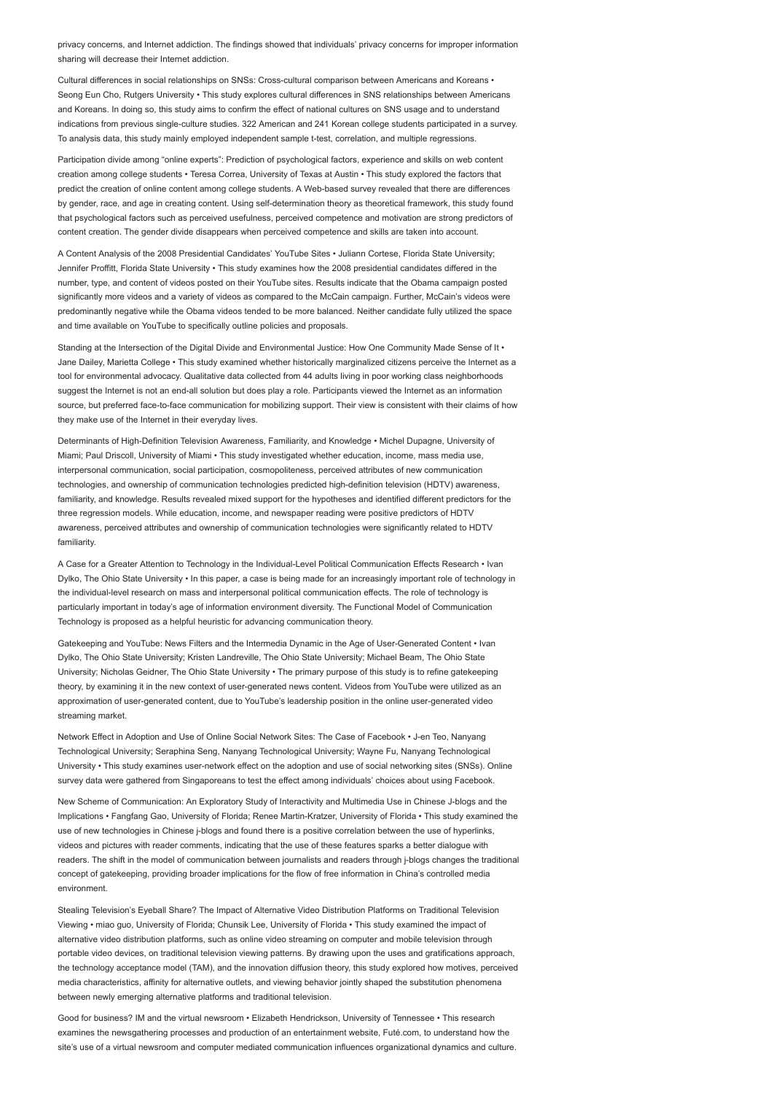privacy concerns, and Internet addiction. The findings showed that individuals' privacy concerns for improper information sharing will decrease their Internet addiction.

Cultural differences in social relationships on SNSs: Cross-cultural comparison between Americans and Koreans • Seong Eun Cho, Rutgers University • This study explores cultural differences in SNS relationships between Americans and Koreans. In doing so, this study aims to confirm the effect of national cultures on SNS usage and to understand indications from previous single-culture studies. 322 American and 241 Korean college students participated in a survey. To analysis data, this study mainly employed independent sample t-test, correlation, and multiple regressions.

Participation divide among "online experts": Prediction of psychological factors, experience and skills on web content creation among college students • Teresa Correa, University of Texas at Austin • This study explored the factors that predict the creation of online content among college students. A Web-based survey revealed that there are differences by gender, race, and age in creating content. Using self-determination theory as theoretical framework, this study found that psychological factors such as perceived usefulness, perceived competence and motivation are strong predictors of content creation. The gender divide disappears when perceived competence and skills are taken into account.

A Content Analysis of the 2008 Presidential Candidates' YouTube Sites • Juliann Cortese, Florida State University; Jennifer Proffitt, Florida State University • This study examines how the 2008 presidential candidates differed in the number, type, and content of videos posted on their YouTube sites. Results indicate that the Obama campaign posted significantly more videos and a variety of videos as compared to the McCain campaign. Further, McCain's videos were predominantly negative while the Obama videos tended to be more balanced. Neither candidate fully utilized the space and time available on YouTube to specifically outline policies and proposals.

Standing at the Intersection of the Digital Divide and Environmental Justice: How One Community Made Sense of It • Jane Dailey, Marietta College • This study examined whether historically marginalized citizens perceive the Internet as a tool for environmental advocacy. Qualitative data collected from 44 adults living in poor working class neighborhoods suggest the Internet is not an end-all solution but does play a role. Participants viewed the Internet as an information source, but preferred face-to-face communication for mobilizing support. Their view is consistent with their claims of how they make use of the Internet in their everyday lives.

Determinants of High-Definition Television Awareness, Familiarity, and Knowledge • Michel Dupagne, University of Miami; Paul Driscoll, University of Miami • This study investigated whether education, income, mass media use, interpersonal communication, social participation, cosmopoliteness, perceived attributes of new communication technologies, and ownership of communication technologies predicted high-definition television (HDTV) awareness, familiarity, and knowledge. Results revealed mixed support for the hypotheses and identified different predictors for the three regression models. While education, income, and newspaper reading were positive predictors of HDTV awareness, perceived attributes and ownership of communication technologies were significantly related to HDTV familiarity.

A Case for a Greater Attention to Technology in the Individual-Level Political Communication Effects Research • Ivan Dylko, The Ohio State University • In this paper, a case is being made for an increasingly important role of technology in the individual-level research on mass and interpersonal political communication effects. The role of technology is particularly important in today's age of information environment diversity. The Functional Model of Communication Technology is proposed as a helpful heuristic for advancing communication theory.

Gatekeeping and YouTube: News Filters and the Intermedia Dynamic in the Age of User-Generated Content • Ivan Dylko, The Ohio State University; Kristen Landreville, The Ohio State University; Michael Beam, The Ohio State University; Nicholas Geidner, The Ohio State University • The primary purpose of this study is to refine gatekeeping theory, by examining it in the new context of user-generated news content. Videos from YouTube were utilized as an approximation of user-generated content, due to YouTube's leadership position in the online user-generated video streaming market.

Network Effect in Adoption and Use of Online Social Network Sites: The Case of Facebook • J-en Teo, Nanyang Technological University; Seraphina Seng, Nanyang Technological University; Wayne Fu, Nanyang Technological University • This study examines user-network effect on the adoption and use of social networking sites (SNSs). Online survey data were gathered from Singaporeans to test the effect among individuals' choices about using Facebook.

New Scheme of Communication: An Exploratory Study of Interactivity and Multimedia Use in Chinese J-blogs and the Implications • Fangfang Gao, University of Florida; Renee Martin-Kratzer, University of Florida • This study examined the use of new technologies in Chinese j-blogs and found there is a positive correlation between the use of hyperlinks, videos and pictures with reader comments, indicating that the use of these features sparks a better dialogue with readers. The shift in the model of communication between journalists and readers through j-blogs changes the traditional concept of gatekeeping, providing broader implications for the flow of free information in China's controlled media environment.

Stealing Television's Eyeball Share? The Impact of Alternative Video Distribution Platforms on Traditional Television Viewing • miao guo, University of Florida; Chunsik Lee, University of Florida • This study examined the impact of alternative video distribution platforms, such as online video streaming on computer and mobile television through portable video devices, on traditional television viewing patterns. By drawing upon the uses and gratifications approach, the technology acceptance model (TAM), and the innovation diffusion theory, this study explored how motives, perceived media characteristics, affinity for alternative outlets, and viewing behavior jointly shaped the substitution phenomena between newly emerging alternative platforms and traditional television.

Good for business? IM and the virtual newsroom • Elizabeth Hendrickson, University of Tennessee • This research examines the newsgathering processes and production of an entertainment website, Futé.com, to understand how the site's use of a virtual newsroom and computer mediated communication influences organizational dynamics and culture.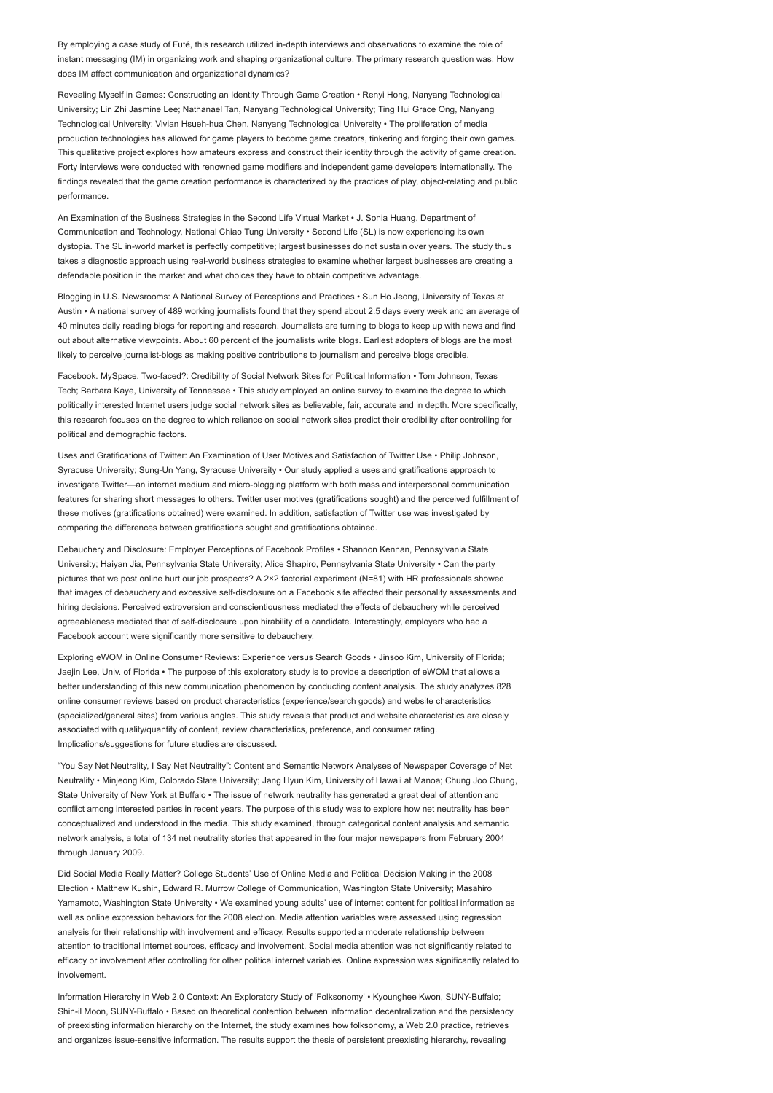By employing a case study of Futé, this research utilized in-depth interviews and observations to examine the role of instant messaging (IM) in organizing work and shaping organizational culture. The primary research question was: How does IM affect communication and organizational dynamics?

Revealing Myself in Games: Constructing an Identity Through Game Creation • Renyi Hong, Nanyang Technological University; Lin Zhi Jasmine Lee; Nathanael Tan, Nanyang Technological University; Ting Hui Grace Ong, Nanyang Technological University; Vivian Hsueh-hua Chen, Nanyang Technological University • The proliferation of media production technologies has allowed for game players to become game creators, tinkering and forging their own games. This qualitative project explores how amateurs express and construct their identity through the activity of game creation. Forty interviews were conducted with renowned game modifiers and independent game developers internationally. The findings revealed that the game creation performance is characterized by the practices of play, object-relating and public performance.

An Examination of the Business Strategies in the Second Life Virtual Market • J. Sonia Huang, Department of Communication and Technology, National Chiao Tung University • Second Life (SL) is now experiencing its own dystopia. The SL in-world market is perfectly competitive; largest businesses do not sustain over years. The study thus takes a diagnostic approach using real-world business strategies to examine whether largest businesses are creating a defendable position in the market and what choices they have to obtain competitive advantage.

Blogging in U.S. Newsrooms: A National Survey of Perceptions and Practices • Sun Ho Jeong, University of Texas at Austin • A national survey of 489 working journalists found that they spend about 2.5 days every week and an average of 40 minutes daily reading blogs for reporting and research. Journalists are turning to blogs to keep up with news and find out about alternative viewpoints. About 60 percent of the journalists write blogs. Earliest adopters of blogs are the most likely to perceive journalist-blogs as making positive contributions to journalism and perceive blogs credible.

Facebook. MySpace. Two-faced?: Credibility of Social Network Sites for Political Information • Tom Johnson, Texas Tech; Barbara Kaye, University of Tennessee • This study employed an online survey to examine the degree to which politically interested Internet users judge social network sites as believable, fair, accurate and in depth. More specifically, this research focuses on the degree to which reliance on social network sites predict their credibility after controlling for political and demographic factors.

Uses and Gratifications of Twitter: An Examination of User Motives and Satisfaction of Twitter Use • Philip Johnson, Syracuse University; Sung-Un Yang, Syracuse University • Our study applied a uses and gratifications approach to investigate Twitter—an internet medium and micro-blogging platform with both mass and interpersonal communication features for sharing short messages to others. Twitter user motives (gratifications sought) and the perceived fulfillment of these motives (gratifications obtained) were examined. In addition, satisfaction of Twitter use was investigated by comparing the differences between gratifications sought and gratifications obtained.

Debauchery and Disclosure: Employer Perceptions of Facebook Profiles • Shannon Kennan, Pennsylvania State University; Haiyan Jia, Pennsylvania State University; Alice Shapiro, Pennsylvania State University • Can the party pictures that we post online hurt our job prospects? A 2×2 factorial experiment (N=81) with HR professionals showed that images of debauchery and excessive self-disclosure on a Facebook site affected their personality assessments and hiring decisions. Perceived extroversion and conscientiousness mediated the effects of debauchery while perceived agreeableness mediated that of self-disclosure upon hirability of a candidate. Interestingly, employers who had a Facebook account were significantly more sensitive to debauchery.

Exploring eWOM in Online Consumer Reviews: Experience versus Search Goods • Jinsoo Kim, University of Florida; Jaejin Lee, Univ. of Florida • The purpose of this exploratory study is to provide a description of eWOM that allows a better understanding of this new communication phenomenon by conducting content analysis. The study analyzes 828 online consumer reviews based on product characteristics (experience/search goods) and website characteristics (specialized/general sites) from various angles. This study reveals that product and website characteristics are closely associated with quality/quantity of content, review characteristics, preference, and consumer rating. Implications/suggestions for future studies are discussed.

"You Say Net Neutrality, I Say Net Neutrality": Content and Semantic Network Analyses of Newspaper Coverage of Net Neutrality • Minjeong Kim, Colorado State University; Jang Hyun Kim, University of Hawaii at Manoa; Chung Joo Chung, State University of New York at Buffalo • The issue of network neutrality has generated a great deal of attention and conflict among interested parties in recent years. The purpose of this study was to explore how net neutrality has been conceptualized and understood in the media. This study examined, through categorical content analysis and semantic network analysis, a total of 134 net neutrality stories that appeared in the four major newspapers from February 2004 through January 2009.

Did Social Media Really Matter? College Students' Use of Online Media and Political Decision Making in the 2008 Election • Matthew Kushin, Edward R. Murrow College of Communication, Washington State University; Masahiro Yamamoto, Washington State University • We examined young adults' use of internet content for political information as well as online expression behaviors for the 2008 election. Media attention variables were assessed using regression analysis for their relationship with involvement and efficacy. Results supported a moderate relationship between attention to traditional internet sources, efficacy and involvement. Social media attention was not significantly related to efficacy or involvement after controlling for other political internet variables. Online expression was significantly related to involvement.

Information Hierarchy in Web 2.0 Context: An Exploratory Study of 'Folksonomy' • Kyounghee Kwon, SUNY-Buffalo; Shin-il Moon, SUNY-Buffalo • Based on theoretical contention between information decentralization and the persistency of preexisting information hierarchy on the Internet, the study examines how folksonomy, a Web 2.0 practice, retrieves and organizes issue-sensitive information. The results support the thesis of persistent preexisting hierarchy, revealing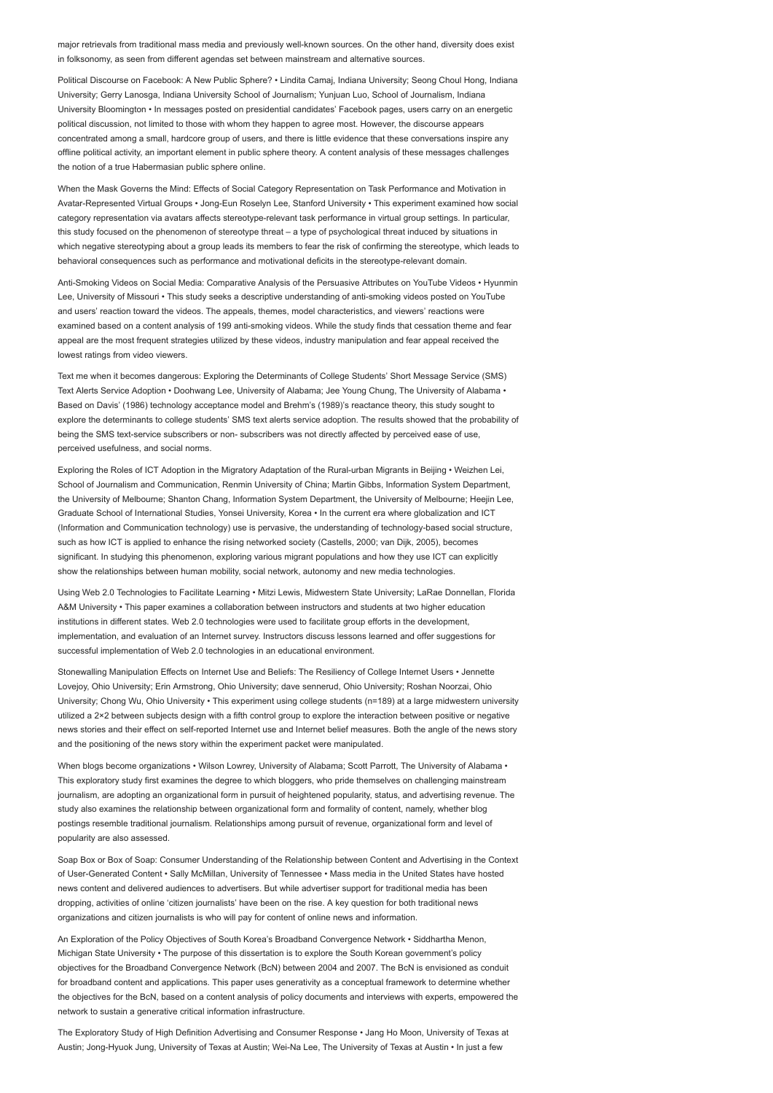major retrievals from traditional mass media and previously well-known sources. On the other hand, diversity does exist in folksonomy, as seen from different agendas set between mainstream and alternative sources.

Political Discourse on Facebook: A New Public Sphere? • Lindita Camaj, Indiana University; Seong Choul Hong, Indiana University; Gerry Lanosga, Indiana University School of Journalism; Yunjuan Luo, School of Journalism, Indiana University Bloomington • In messages posted on presidential candidates' Facebook pages, users carry on an energetic political discussion, not limited to those with whom they happen to agree most. However, the discourse appears concentrated among a small, hardcore group of users, and there is little evidence that these conversations inspire any offline political activity, an important element in public sphere theory. A content analysis of these messages challenges the notion of a true Habermasian public sphere online.

When the Mask Governs the Mind: Effects of Social Category Representation on Task Performance and Motivation in Avatar-Represented Virtual Groups • Jong-Eun Roselyn Lee, Stanford University • This experiment examined how social category representation via avatars affects stereotype-relevant task performance in virtual group settings. In particular, this study focused on the phenomenon of stereotype threat – a type of psychological threat induced by situations in which negative stereotyping about a group leads its members to fear the risk of confirming the stereotype, which leads to behavioral consequences such as performance and motivational deficits in the stereotype-relevant domain.

Anti-Smoking Videos on Social Media: Comparative Analysis of the Persuasive Attributes on YouTube Videos • Hyunmin Lee, University of Missouri • This study seeks a descriptive understanding of anti-smoking videos posted on YouTube and users' reaction toward the videos. The appeals, themes, model characteristics, and viewers' reactions were examined based on a content analysis of 199 anti-smoking videos. While the study finds that cessation theme and fear appeal are the most frequent strategies utilized by these videos, industry manipulation and fear appeal received the lowest ratings from video viewers.

Text me when it becomes dangerous: Exploring the Determinants of College Students' Short Message Service (SMS) Text Alerts Service Adoption • Doohwang Lee, University of Alabama; Jee Young Chung, The University of Alabama • Based on Davis' (1986) technology acceptance model and Brehm's (1989)'s reactance theory, this study sought to explore the determinants to college students' SMS text alerts service adoption. The results showed that the probability of being the SMS text-service subscribers or non- subscribers was not directly affected by perceived ease of use, perceived usefulness, and social norms.

Exploring the Roles of ICT Adoption in the Migratory Adaptation of the Rural-urban Migrants in Beijing • Weizhen Lei, School of Journalism and Communication, Renmin University of China; Martin Gibbs, Information System Department, the University of Melbourne; Shanton Chang, Information System Department, the University of Melbourne; Heejin Lee, Graduate School of International Studies, Yonsei University, Korea • In the current era where globalization and ICT (Information and Communication technology) use is pervasive, the understanding of technology-based social structure, such as how ICT is applied to enhance the rising networked society (Castells, 2000; van Dijk, 2005), becomes significant. In studying this phenomenon, exploring various migrant populations and how they use ICT can explicitly show the relationships between human mobility, social network, autonomy and new media technologies.

Using Web 2.0 Technologies to Facilitate Learning • Mitzi Lewis, Midwestern State University; LaRae Donnellan, Florida A&M University • This paper examines a collaboration between instructors and students at two higher education institutions in different states. Web 2.0 technologies were used to facilitate group efforts in the development, implementation, and evaluation of an Internet survey. Instructors discuss lessons learned and offer suggestions for successful implementation of Web 2.0 technologies in an educational environment.

Stonewalling Manipulation Effects on Internet Use and Beliefs: The Resiliency of College Internet Users • Jennette Lovejoy, Ohio University; Erin Armstrong, Ohio University; dave sennerud, Ohio University; Roshan Noorzai, Ohio University; Chong Wu, Ohio University • This experiment using college students (n=189) at a large midwestern university utilized a 2×2 between subjects design with a fifth control group to explore the interaction between positive or negative news stories and their effect on self-reported Internet use and Internet belief measures. Both the angle of the news story and the positioning of the news story within the experiment packet were manipulated.

When blogs become organizations • Wilson Lowrey, University of Alabama; Scott Parrott, The University of Alabama • This exploratory study first examines the degree to which bloggers, who pride themselves on challenging mainstream journalism, are adopting an organizational form in pursuit of heightened popularity, status, and advertising revenue. The study also examines the relationship between organizational form and formality of content, namely, whether blog postings resemble traditional journalism. Relationships among pursuit of revenue, organizational form and level of popularity are also assessed.

Soap Box or Box of Soap: Consumer Understanding of the Relationship between Content and Advertising in the Context of User-Generated Content • Sally McMillan, University of Tennessee • Mass media in the United States have hosted news content and delivered audiences to advertisers. But while advertiser support for traditional media has been dropping, activities of online 'citizen journalists' have been on the rise. A key question for both traditional news organizations and citizen journalists is who will pay for content of online news and information.

An Exploration of the Policy Objectives of South Korea's Broadband Convergence Network • Siddhartha Menon, Michigan State University • The purpose of this dissertation is to explore the South Korean government's policy objectives for the Broadband Convergence Network (BcN) between 2004 and 2007. The BcN is envisioned as conduit for broadband content and applications. This paper uses generativity as a conceptual framework to determine whether the objectives for the BcN, based on a content analysis of policy documents and interviews with experts, empowered the network to sustain a generative critical information infrastructure.

The Exploratory Study of High Definition Advertising and Consumer Response • Jang Ho Moon, University of Texas at Austin; Jong-Hyuok Jung, University of Texas at Austin; Wei-Na Lee, The University of Texas at Austin • In just a few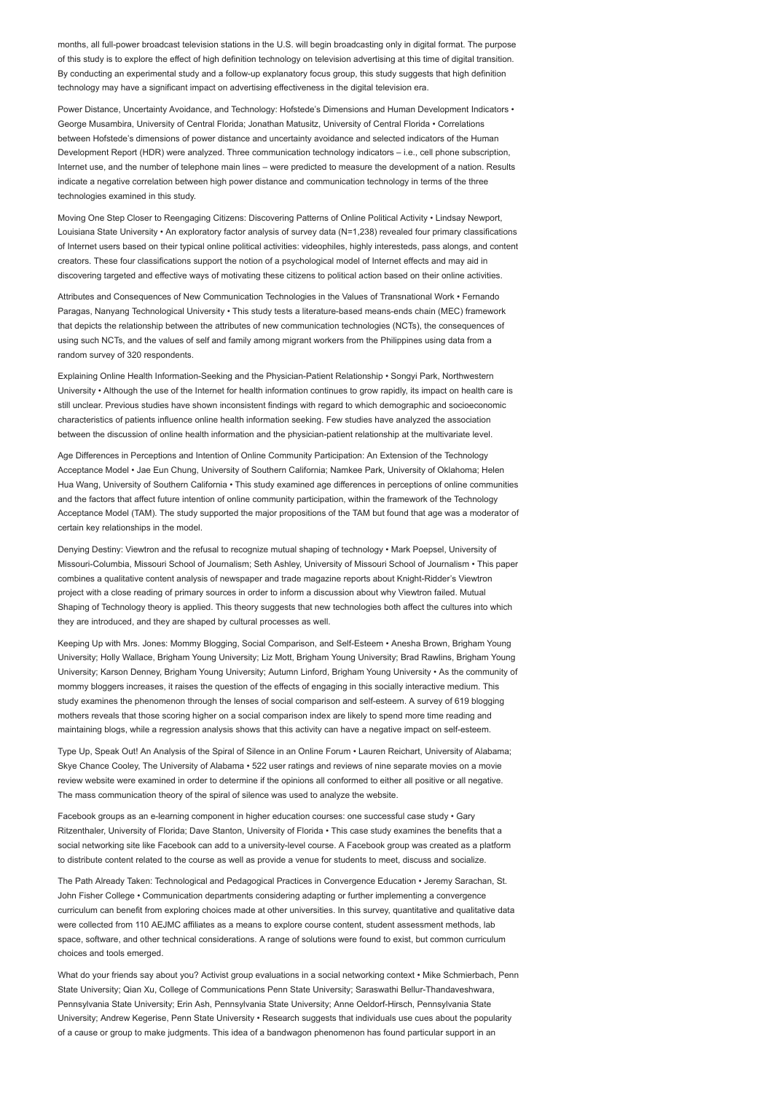months, all full-power broadcast television stations in the U.S. will begin broadcasting only in digital format. The purpose of this study is to explore the effect of high definition technology on television advertising at this time of digital transition. By conducting an experimental study and a follow-up explanatory focus group, this study suggests that high definition technology may have a significant impact on advertising effectiveness in the digital television era.

Power Distance, Uncertainty Avoidance, and Technology: Hofstede's Dimensions and Human Development Indicators • George Musambira, University of Central Florida; Jonathan Matusitz, University of Central Florida • Correlations between Hofstede's dimensions of power distance and uncertainty avoidance and selected indicators of the Human Development Report (HDR) were analyzed. Three communication technology indicators – i.e., cell phone subscription, Internet use, and the number of telephone main lines – were predicted to measure the development of a nation. Results indicate a negative correlation between high power distance and communication technology in terms of the three technologies examined in this study.

Moving One Step Closer to Reengaging Citizens: Discovering Patterns of Online Political Activity • Lindsay Newport, Louisiana State University • An exploratory factor analysis of survey data (N=1,238) revealed four primary classifications of Internet users based on their typical online political activities: videophiles, highly interesteds, pass alongs, and content creators. These four classifications support the notion of a psychological model of Internet effects and may aid in discovering targeted and effective ways of motivating these citizens to political action based on their online activities.

Attributes and Consequences of New Communication Technologies in the Values of Transnational Work • Fernando Paragas, Nanyang Technological University • This study tests a literature-based means-ends chain (MEC) framework that depicts the relationship between the attributes of new communication technologies (NCTs), the consequences of using such NCTs, and the values of self and family among migrant workers from the Philippines using data from a random survey of 320 respondents.

Explaining Online Health Information-Seeking and the Physician-Patient Relationship • Songyi Park, Northwestern University • Although the use of the Internet for health information continues to grow rapidly, its impact on health care is still unclear. Previous studies have shown inconsistent findings with regard to which demographic and socioeconomic characteristics of patients influence online health information seeking. Few studies have analyzed the association between the discussion of online health information and the physician-patient relationship at the multivariate level.

Age Differences in Perceptions and Intention of Online Community Participation: An Extension of the Technology Acceptance Model • Jae Eun Chung, University of Southern California; Namkee Park, University of Oklahoma; Helen Hua Wang, University of Southern California • This study examined age differences in perceptions of online communities and the factors that affect future intention of online community participation, within the framework of the Technology Acceptance Model (TAM). The study supported the major propositions of the TAM but found that age was a moderator of certain key relationships in the model.

Denying Destiny: Viewtron and the refusal to recognize mutual shaping of technology • Mark Poepsel, University of Missouri-Columbia, Missouri School of Journalism; Seth Ashley, University of Missouri School of Journalism • This paper combines a qualitative content analysis of newspaper and trade magazine reports about Knight-Ridder's Viewtron project with a close reading of primary sources in order to inform a discussion about why Viewtron failed. Mutual Shaping of Technology theory is applied. This theory suggests that new technologies both affect the cultures into which they are introduced, and they are shaped by cultural processes as well.

Keeping Up with Mrs. Jones: Mommy Blogging, Social Comparison, and Self-Esteem • Anesha Brown, Brigham Young University; Holly Wallace, Brigham Young University; Liz Mott, Brigham Young University; Brad Rawlins, Brigham Young University; Karson Denney, Brigham Young University; Autumn Linford, Brigham Young University • As the community of mommy bloggers increases, it raises the question of the effects of engaging in this socially interactive medium. This study examines the phenomenon through the lenses of social comparison and self-esteem. A survey of 619 blogging mothers reveals that those scoring higher on a social comparison index are likely to spend more time reading and maintaining blogs, while a regression analysis shows that this activity can have a negative impact on self-esteem.

Type Up, Speak Out! An Analysis of the Spiral of Silence in an Online Forum • Lauren Reichart, University of Alabama; Skye Chance Cooley, The University of Alabama • 522 user ratings and reviews of nine separate movies on a movie review website were examined in order to determine if the opinions all conformed to either all positive or all negative. The mass communication theory of the spiral of silence was used to analyze the website.

Facebook groups as an e-learning component in higher education courses: one successful case study · Gary Ritzenthaler, University of Florida; Dave Stanton, University of Florida • This case study examines the benefits that a social networking site like Facebook can add to a university-level course. A Facebook group was created as a platform to distribute content related to the course as well as provide a venue for students to meet, discuss and socialize.

The Path Already Taken: Technological and Pedagogical Practices in Convergence Education • Jeremy Sarachan, St. John Fisher College • Communication departments considering adapting or further implementing a convergence curriculum can benefit from exploring choices made at other universities. In this survey, quantitative and qualitative data were collected from 110 AEJMC affiliates as a means to explore course content, student assessment methods, lab space, software, and other technical considerations. A range of solutions were found to exist, but common curriculum choices and tools emerged.

What do your friends say about you? Activist group evaluations in a social networking context • Mike Schmierbach, Penn State University; Qian Xu, College of Communications Penn State University; Saraswathi Bellur-Thandaveshwara, Pennsylvania State University; Erin Ash, Pennsylvania State University; Anne Oeldorf-Hirsch, Pennsylvania State University; Andrew Kegerise, Penn State University • Research suggests that individuals use cues about the popularity of a cause or group to make judgments. This idea of a bandwagon phenomenon has found particular support in an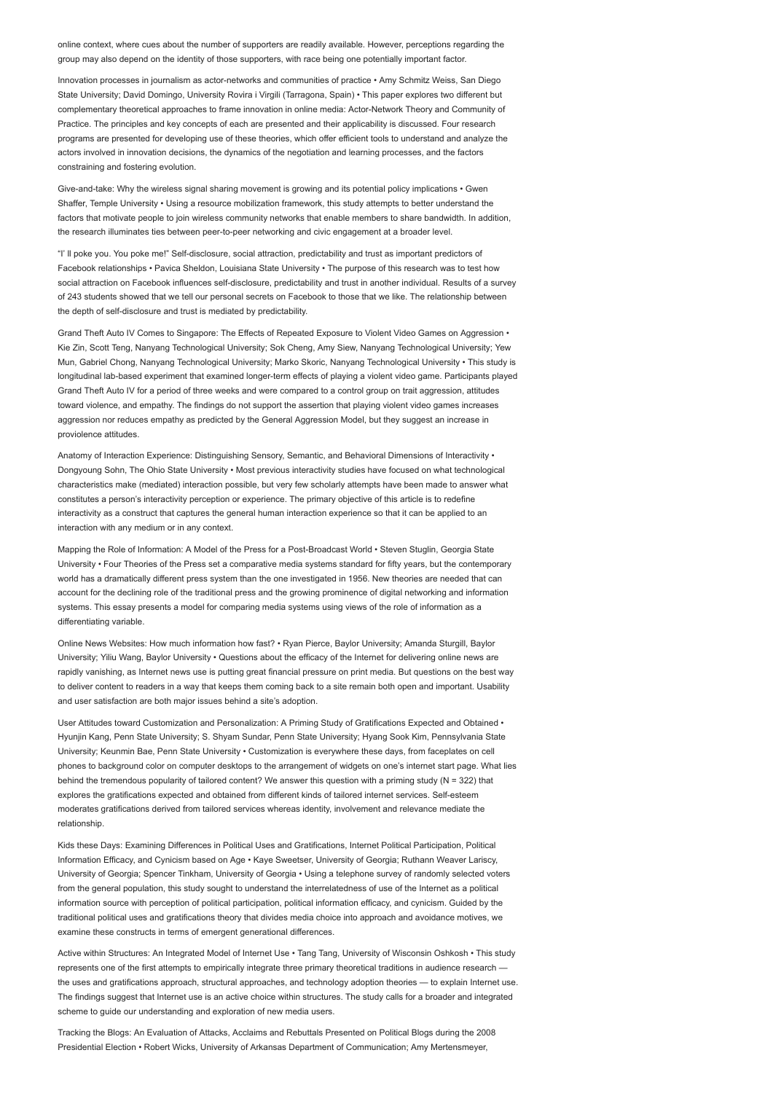online context, where cues about the number of supporters are readily available. However, perceptions regarding the group may also depend on the identity of those supporters, with race being one potentially important factor.

Innovation processes in journalism as actor-networks and communities of practice • Amy Schmitz Weiss, San Diego State University; David Domingo, University Rovira i Virgili (Tarragona, Spain) • This paper explores two different but complementary theoretical approaches to frame innovation in online media: Actor-Network Theory and Community of Practice. The principles and key concepts of each are presented and their applicability is discussed. Four research programs are presented for developing use of these theories, which offer efficient tools to understand and analyze the actors involved in innovation decisions, the dynamics of the negotiation and learning processes, and the factors constraining and fostering evolution.

Give-and-take: Why the wireless signal sharing movement is growing and its potential policy implications • Gwen Shaffer, Temple University • Using a resource mobilization framework, this study attempts to better understand the factors that motivate people to join wireless community networks that enable members to share bandwidth. In addition, the research illuminates ties between peer-to-peer networking and civic engagement at a broader level.

"I' ll poke you. You poke me!" Self-disclosure, social attraction, predictability and trust as important predictors of Facebook relationships • Pavica Sheldon, Louisiana State University • The purpose of this research was to test how social attraction on Facebook influences self-disclosure, predictability and trust in another individual. Results of a survey of 243 students showed that we tell our personal secrets on Facebook to those that we like. The relationship between the depth of self-disclosure and trust is mediated by predictability.

Grand Theft Auto IV Comes to Singapore: The Effects of Repeated Exposure to Violent Video Games on Aggression • Kie Zin, Scott Teng, Nanyang Technological University; Sok Cheng, Amy Siew, Nanyang Technological University; Yew Mun, Gabriel Chong, Nanyang Technological University; Marko Skoric, Nanyang Technological University • This study is longitudinal lab-based experiment that examined longer-term effects of playing a violent video game. Participants played Grand Theft Auto IV for a period of three weeks and were compared to a control group on trait aggression, attitudes toward violence, and empathy. The findings do not support the assertion that playing violent video games increases aggression nor reduces empathy as predicted by the General Aggression Model, but they suggest an increase in proviolence attitudes.

Anatomy of Interaction Experience: Distinguishing Sensory, Semantic, and Behavioral Dimensions of Interactivity • Dongyoung Sohn, The Ohio State University • Most previous interactivity studies have focused on what technological characteristics make (mediated) interaction possible, but very few scholarly attempts have been made to answer what constitutes a person's interactivity perception or experience. The primary objective of this article is to redefine interactivity as a construct that captures the general human interaction experience so that it can be applied to an interaction with any medium or in any context.

Mapping the Role of Information: A Model of the Press for a Post-Broadcast World • Steven Stuglin, Georgia State University • Four Theories of the Press set a comparative media systems standard for fifty years, but the contemporary world has a dramatically different press system than the one investigated in 1956. New theories are needed that can account for the declining role of the traditional press and the growing prominence of digital networking and information systems. This essay presents a model for comparing media systems using views of the role of information as a differentiating variable.

Online News Websites: How much information how fast? • Ryan Pierce, Baylor University; Amanda Sturgill, Baylor University; Yiliu Wang, Baylor University • Questions about the efficacy of the Internet for delivering online news are rapidly vanishing, as Internet news use is putting great financial pressure on print media. But questions on the best way to deliver content to readers in a way that keeps them coming back to a site remain both open and important. Usability and user satisfaction are both major issues behind a site's adoption.

User Attitudes toward Customization and Personalization: A Priming Study of Gratifications Expected and Obtained • Hyunjin Kang, Penn State University; S. Shyam Sundar, Penn State University; Hyang Sook Kim, Pennsylvania State University; Keunmin Bae, Penn State University • Customization is everywhere these days, from faceplates on cell phones to background color on computer desktops to the arrangement of widgets on one's internet start page. What lies behind the tremendous popularity of tailored content? We answer this question with a priming study (N = 322) that explores the gratifications expected and obtained from different kinds of tailored internet services. Self-esteem moderates gratifications derived from tailored services whereas identity, involvement and relevance mediate the relationship.

Kids these Days: Examining Differences in Political Uses and Gratifications, Internet Political Participation, Political Information Efficacy, and Cynicism based on Age • Kaye Sweetser, University of Georgia; Ruthann Weaver Lariscy, University of Georgia; Spencer Tinkham, University of Georgia • Using a telephone survey of randomly selected voters from the general population, this study sought to understand the interrelatedness of use of the Internet as a political information source with perception of political participation, political information efficacy, and cynicism. Guided by the traditional political uses and gratifications theory that divides media choice into approach and avoidance motives, we examine these constructs in terms of emergent generational differences.

Active within Structures: An Integrated Model of Internet Use • Tang Tang, University of Wisconsin Oshkosh • This study represents one of the first attempts to empirically integrate three primary theoretical traditions in audience research the uses and gratifications approach, structural approaches, and technology adoption theories — to explain Internet use. The findings suggest that Internet use is an active choice within structures. The study calls for a broader and integrated scheme to guide our understanding and exploration of new media users.

Tracking the Blogs: An Evaluation of Attacks, Acclaims and Rebuttals Presented on Political Blogs during the 2008 Presidential Election • Robert Wicks, University of Arkansas Department of Communication; Amy Mertensmeyer,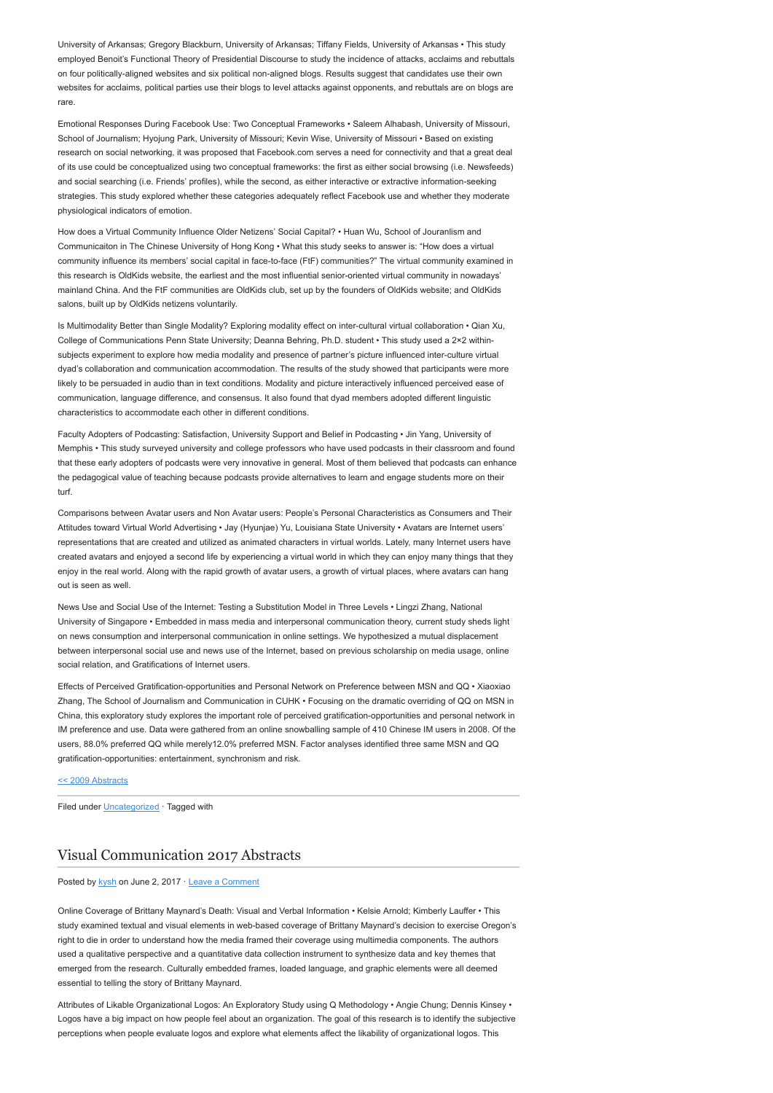University of Arkansas; Gregory Blackburn, University of Arkansas; Tiffany Fields, University of Arkansas • This study employed Benoit's Functional Theory of Presidential Discourse to study the incidence of attacks, acclaims and rebuttals on four politically-aligned websites and six political non-aligned blogs. Results suggest that candidates use their own websites for acclaims, political parties use their blogs to level attacks against opponents, and rebuttals are on blogs are rare.

Emotional Responses During Facebook Use: Two Conceptual Frameworks • Saleem Alhabash, University of Missouri, School of Journalism; Hyojung Park, University of Missouri; Kevin Wise, University of Missouri • Based on existing research on social networking, it was proposed that Facebook.com serves a need for connectivity and that a great deal of its use could be conceptualized using two conceptual frameworks: the first as either social browsing (i.e. Newsfeeds) and social searching (i.e. Friends' profiles), while the second, as either interactive or extractive information-seeking strategies. This study explored whether these categories adequately reflect Facebook use and whether they moderate physiological indicators of emotion.

How does a Virtual Community Influence Older Netizens' Social Capital? • Huan Wu, School of Jouranlism and Communicaiton in The Chinese University of Hong Kong • What this study seeks to answer is: "How does a virtual community influence its members' social capital in face-to-face (FtF) communities?" The virtual community examined in this research is OldKids website, the earliest and the most influential senior-oriented virtual community in nowadays' mainland China. And the FtF communities are OldKids club, set up by the founders of OldKids website; and OldKids salons, built up by OldKids netizens voluntarily

Is Multimodality Better than Single Modality? Exploring modality effect on inter-cultural virtual collaboration • Qian Xu, College of Communications Penn State University; Deanna Behring, Ph.D. student • This study used a 2×2 withinsubjects experiment to explore how media modality and presence of partner's picture influenced inter-culture virtual dyad's collaboration and communication accommodation. The results of the study showed that participants were more likely to be persuaded in audio than in text conditions. Modality and picture interactively influenced perceived ease of communication, language difference, and consensus. It also found that dyad members adopted different linguistic characteristics to accommodate each other in different conditions.

Faculty Adopters of Podcasting: Satisfaction, University Support and Belief in Podcasting • Jin Yang, University of Memphis • This study surveyed university and college professors who have used podcasts in their classroom and found that these early adopters of podcasts were very innovative in general. Most of them believed that podcasts can enhance the pedagogical value of teaching because podcasts provide alternatives to learn and engage students more on their turf.

Comparisons between Avatar users and Non Avatar users: People's Personal Characteristics as Consumers and Their Attitudes toward Virtual World Advertising • Jay (Hyunjae) Yu, Louisiana State University • Avatars are Internet users' representations that are created and utilized as animated characters in virtual worlds. Lately, many Internet users have created avatars and enjoyed a second life by experiencing a virtual world in which they can enjoy many things that they enjoy in the real world. Along with the rapid growth of avatar users, a growth of virtual places, where avatars can hang out is seen as well.

News Use and Social Use of the Internet: Testing a Substitution Model in Three Levels • Lingzi Zhang, National University of Singapore • Embedded in mass media and interpersonal communication theory, current study sheds light on news consumption and interpersonal communication in online settings. We hypothesized a mutual displacement between interpersonal social use and news use of the Internet, based on previous scholarship on media usage, online social relation, and Gratifications of Internet users.

Effects of Perceived Gratification-opportunities and Personal Network on Preference between MSN and QQ • Xiaoxiao Zhang, The School of Journalism and Communication in CUHK • Focusing on the dramatic overriding of QQ on MSN in China, this exploratory study explores the important role of perceived gratification-opportunities and personal network in IM preference and use. Data were gathered from an online snowballing sample of 410 Chinese IM users in 2008. Of the users, 88.0% preferred QQ while merely12.0% preferred MSN. Factor analyses identified three same MSN and QQ gratification-opportunities: entertainment, synchronism and risk.

#### [<< 2009 Abstracts](http://www.aejmc.org/2011/03/2009-abstracts/)

Filed under [Uncategorized](http://www.aejmc.org/home/category/uncategorized/) · Tagged with

## [Visual Communication 2017 Abstracts](http://www.aejmc.org/home/2017/06/viscom-2017-abstracts/)

Posted by [kysh](http://www.aejmc.org/home/author/kyshiab/) on June 2, 2017 · [Leave a Comment](http://www.aejmc.org/home/2017/06/viscom-2017-abstracts/#respond)

Online Coverage of Brittany Maynard's Death: Visual and Verbal Information • Kelsie Arnold; Kimberly Lauffer • This study examined textual and visual elements in web-based coverage of Brittany Maynard's decision to exercise Oregon's right to die in order to understand how the media framed their coverage using multimedia components. The authors used a qualitative perspective and a quantitative data collection instrument to synthesize data and key themes that emerged from the research. Culturally embedded frames, loaded language, and graphic elements were all deemed essential to telling the story of Brittany Maynard.

Attributes of Likable Organizational Logos: An Exploratory Study using Q Methodology • Angie Chung; Dennis Kinsey • Logos have a big impact on how people feel about an organization. The goal of this research is to identify the subjective perceptions when people evaluate logos and explore what elements affect the likability of organizational logos. This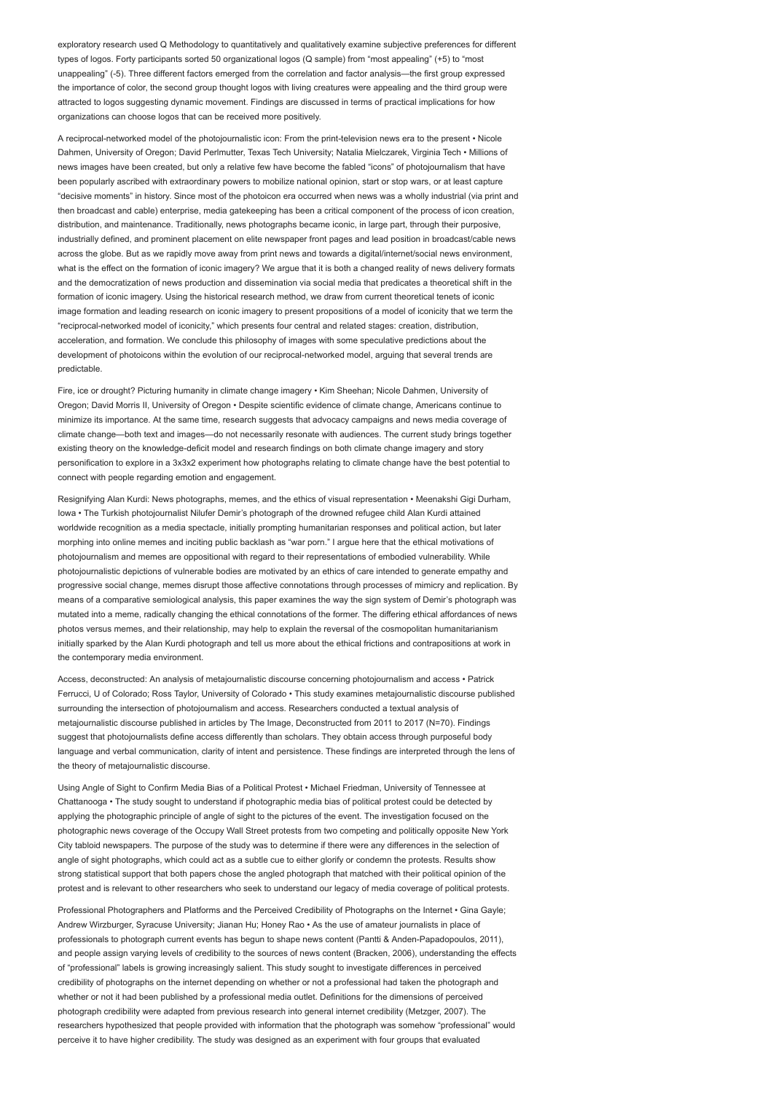exploratory research used Q Methodology to quantitatively and qualitatively examine subjective preferences for different types of logos. Forty participants sorted 50 organizational logos (Q sample) from "most appealing" (+5) to "most unappealing" (-5). Three different factors emerged from the correlation and factor analysis—the first group expressed the importance of color, the second group thought logos with living creatures were appealing and the third group were attracted to logos suggesting dynamic movement. Findings are discussed in terms of practical implications for how organizations can choose logos that can be received more positively.

A reciprocal-networked model of the photojournalistic icon: From the print-television news era to the present • Nicole Dahmen, University of Oregon; David Perlmutter, Texas Tech University; Natalia Mielczarek, Virginia Tech • Millions of news images have been created, but only a relative few have become the fabled "icons" of photojournalism that have been popularly ascribed with extraordinary powers to mobilize national opinion, start or stop wars, or at least capture "decisive moments" in history. Since most of the photoicon era occurred when news was a wholly industrial (via print and then broadcast and cable) enterprise, media gatekeeping has been a critical component of the process of icon creation, distribution, and maintenance. Traditionally, news photographs became iconic, in large part, through their purposive, industrially defined, and prominent placement on elite newspaper front pages and lead position in broadcast/cable news across the globe. But as we rapidly move away from print news and towards a digital/internet/social news environment, what is the effect on the formation of iconic imagery? We argue that it is both a changed reality of news delivery formats and the democratization of news production and dissemination via social media that predicates a theoretical shift in the formation of iconic imagery. Using the historical research method, we draw from current theoretical tenets of iconic image formation and leading research on iconic imagery to present propositions of a model of iconicity that we term the "reciprocal-networked model of iconicity," which presents four central and related stages: creation, distribution, acceleration, and formation. We conclude this philosophy of images with some speculative predictions about the development of photoicons within the evolution of our reciprocal-networked model, arguing that several trends are predictable.

Fire, ice or drought? Picturing humanity in climate change imagery • Kim Sheehan; Nicole Dahmen, University of Oregon; David Morris II, University of Oregon • Despite scientific evidence of climate change, Americans continue to minimize its importance. At the same time, research suggests that advocacy campaigns and news media coverage of climate change—both text and images—do not necessarily resonate with audiences. The current study brings together existing theory on the knowledge-deficit model and research findings on both climate change imagery and story personification to explore in a 3x3x2 experiment how photographs relating to climate change have the best potential to connect with people regarding emotion and engagement.

Resignifying Alan Kurdi: News photographs, memes, and the ethics of visual representation • Meenakshi Gigi Durham, Iowa • The Turkish photojournalist Nilufer Demir's photograph of the drowned refugee child Alan Kurdi attained worldwide recognition as a media spectacle, initially prompting humanitarian responses and political action, but later morphing into online memes and inciting public backlash as "war porn." I argue here that the ethical motivations of photojournalism and memes are oppositional with regard to their representations of embodied vulnerability. While photojournalistic depictions of vulnerable bodies are motivated by an ethics of care intended to generate empathy and progressive social change, memes disrupt those affective connotations through processes of mimicry and replication. By means of a comparative semiological analysis, this paper examines the way the sign system of Demir's photograph was mutated into a meme, radically changing the ethical connotations of the former. The differing ethical affordances of news photos versus memes, and their relationship, may help to explain the reversal of the cosmopolitan humanitarianism initially sparked by the Alan Kurdi photograph and tell us more about the ethical frictions and contrapositions at work in the contemporary media environment.

Access, deconstructed: An analysis of metajournalistic discourse concerning photojournalism and access • Patrick Ferrucci, U of Colorado; Ross Taylor, University of Colorado • This study examines metajournalistic discourse published surrounding the intersection of photojournalism and access. Researchers conducted a textual analysis of metajournalistic discourse published in articles by The Image, Deconstructed from 2011 to 2017 (N=70). Findings suggest that photojournalists define access differently than scholars. They obtain access through purposeful body language and verbal communication, clarity of intent and persistence. These findings are interpreted through the lens of the theory of metajournalistic discourse.

Using Angle of Sight to Confirm Media Bias of a Political Protest • Michael Friedman, University of Tennessee at Chattanooga • The study sought to understand if photographic media bias of political protest could be detected by applying the photographic principle of angle of sight to the pictures of the event. The investigation focused on the photographic news coverage of the Occupy Wall Street protests from two competing and politically opposite New York City tabloid newspapers. The purpose of the study was to determine if there were any differences in the selection of angle of sight photographs, which could act as a subtle cue to either glorify or condemn the protests. Results show strong statistical support that both papers chose the angled photograph that matched with their political opinion of the protest and is relevant to other researchers who seek to understand our legacy of media coverage of political protests.

Professional Photographers and Platforms and the Perceived Credibility of Photographs on the Internet • Gina Gayle; Andrew Wirzburger, Syracuse University; Jianan Hu; Honey Rao • As the use of amateur journalists in place of professionals to photograph current events has begun to shape news content (Pantti & Anden-Papadopoulos, 2011), and people assign varying levels of credibility to the sources of news content (Bracken, 2006), understanding the effects of "professional" labels is growing increasingly salient. This study sought to investigate differences in perceived credibility of photographs on the internet depending on whether or not a professional had taken the photograph and whether or not it had been published by a professional media outlet. Definitions for the dimensions of perceived photograph credibility were adapted from previous research into general internet credibility (Metzger, 2007). The researchers hypothesized that people provided with information that the photograph was somehow "professional" would perceive it to have higher credibility. The study was designed as an experiment with four groups that evaluated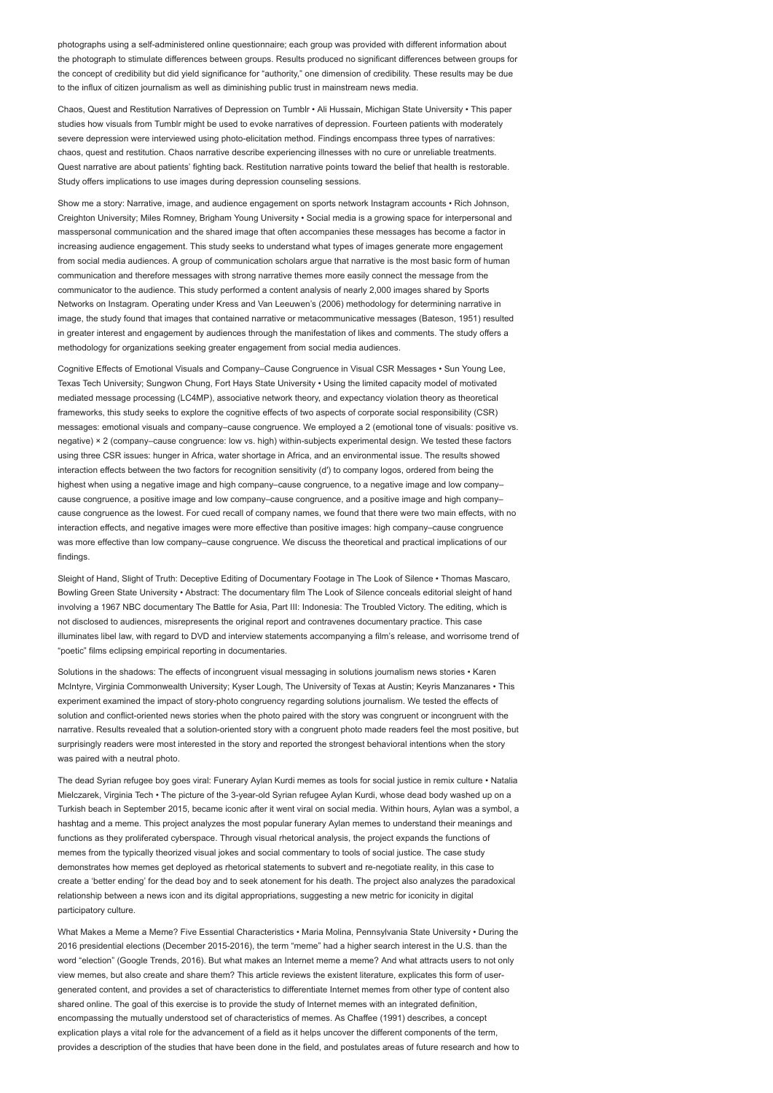photographs using a self-administered online questionnaire; each group was provided with different information about the photograph to stimulate differences between groups. Results produced no significant differences between groups for the concept of credibility but did yield significance for "authority," one dimension of credibility. These results may be due to the influx of citizen journalism as well as diminishing public trust in mainstream news media.

Chaos, Quest and Restitution Narratives of Depression on Tumblr • Ali Hussain, Michigan State University • This paper studies how visuals from Tumblr might be used to evoke narratives of depression. Fourteen patients with moderately severe depression were interviewed using photo-elicitation method. Findings encompass three types of narratives: chaos, quest and restitution. Chaos narrative describe experiencing illnesses with no cure or unreliable treatments. Quest narrative are about patients' fighting back. Restitution narrative points toward the belief that health is restorable. Study offers implications to use images during depression counseling sessions.

Show me a story: Narrative, image, and audience engagement on sports network Instagram accounts • Rich Johnson, Creighton University; Miles Romney, Brigham Young University • Social media is a growing space for interpersonal and masspersonal communication and the shared image that often accompanies these messages has become a factor in increasing audience engagement. This study seeks to understand what types of images generate more engagement from social media audiences. A group of communication scholars argue that narrative is the most basic form of human communication and therefore messages with strong narrative themes more easily connect the message from the communicator to the audience. This study performed a content analysis of nearly 2,000 images shared by Sports Networks on Instagram. Operating under Kress and Van Leeuwen's (2006) methodology for determining narrative in image, the study found that images that contained narrative or metacommunicative messages (Bateson, 1951) resulted in greater interest and engagement by audiences through the manifestation of likes and comments. The study offers a methodology for organizations seeking greater engagement from social media audiences.

Cognitive Effects of Emotional Visuals and Company–Cause Congruence in Visual CSR Messages • Sun Young Lee, Texas Tech University; Sungwon Chung, Fort Hays State University • Using the limited capacity model of motivated mediated message processing (LC4MP), associative network theory, and expectancy violation theory as theoretical frameworks, this study seeks to explore the cognitive effects of two aspects of corporate social responsibility (CSR) messages: emotional visuals and company–cause congruence. We employed a 2 (emotional tone of visuals: positive vs. negative) × 2 (company–cause congruence: low vs. high) within-subjects experimental design. We tested these factors using three CSR issues: hunger in Africa, water shortage in Africa, and an environmental issue. The results showed interaction effects between the two factors for recognition sensitivity (d′) to company logos, ordered from being the highest when using a negative image and high company–cause congruence, to a negative image and low company– cause congruence, a positive image and low company–cause congruence, and a positive image and high company– cause congruence as the lowest. For cued recall of company names, we found that there were two main effects, with no interaction effects, and negative images were more effective than positive images: high company–cause congruence was more effective than low company–cause congruence. We discuss the theoretical and practical implications of our findings.

Sleight of Hand, Slight of Truth: Deceptive Editing of Documentary Footage in The Look of Silence • Thomas Mascaro, Bowling Green State University • Abstract: The documentary film The Look of Silence conceals editorial sleight of hand involving a 1967 NBC documentary The Battle for Asia, Part III: Indonesia: The Troubled Victory. The editing, which is not disclosed to audiences, misrepresents the original report and contravenes documentary practice. This case illuminates libel law, with regard to DVD and interview statements accompanying a film's release, and worrisome trend of "poetic" films eclipsing empirical reporting in documentaries.

Solutions in the shadows: The effects of incongruent visual messaging in solutions journalism news stories • Karen McIntyre, Virginia Commonwealth University; Kyser Lough, The University of Texas at Austin; Keyris Manzanares • This experiment examined the impact of story-photo congruency regarding solutions journalism. We tested the effects of solution and conflict-oriented news stories when the photo paired with the story was congruent or incongruent with the narrative. Results revealed that a solution-oriented story with a congruent photo made readers feel the most positive, but surprisingly readers were most interested in the story and reported the strongest behavioral intentions when the story was paired with a neutral photo.

The dead Syrian refugee boy goes viral: Funerary Aylan Kurdi memes as tools for social justice in remix culture • Natalia Mielczarek, Virginia Tech • The picture of the 3-year-old Syrian refugee Aylan Kurdi, whose dead body washed up on a Turkish beach in September 2015, became iconic after it went viral on social media. Within hours, Aylan was a symbol, a hashtag and a meme. This project analyzes the most popular funerary Aylan memes to understand their meanings and functions as they proliferated cyberspace. Through visual rhetorical analysis, the project expands the functions of memes from the typically theorized visual jokes and social commentary to tools of social justice. The case study demonstrates how memes get deployed as rhetorical statements to subvert and re-negotiate reality, in this case to create a 'better ending' for the dead boy and to seek atonement for his death. The project also analyzes the paradoxical relationship between a news icon and its digital appropriations, suggesting a new metric for iconicity in digital participatory culture.

What Makes a Meme a Meme? Five Essential Characteristics • Maria Molina, Pennsylvania State University • During the 2016 presidential elections (December 2015-2016), the term "meme" had a higher search interest in the U.S. than the word "election" (Google Trends, 2016). But what makes an Internet meme a meme? And what attracts users to not only view memes, but also create and share them? This article reviews the existent literature, explicates this form of usergenerated content, and provides a set of characteristics to differentiate Internet memes from other type of content also shared online. The goal of this exercise is to provide the study of Internet memes with an integrated definition, encompassing the mutually understood set of characteristics of memes. As Chaffee (1991) describes, a concept explication plays a vital role for the advancement of a field as it helps uncover the different components of the term provides a description of the studies that have been done in the field, and postulates areas of future research and how to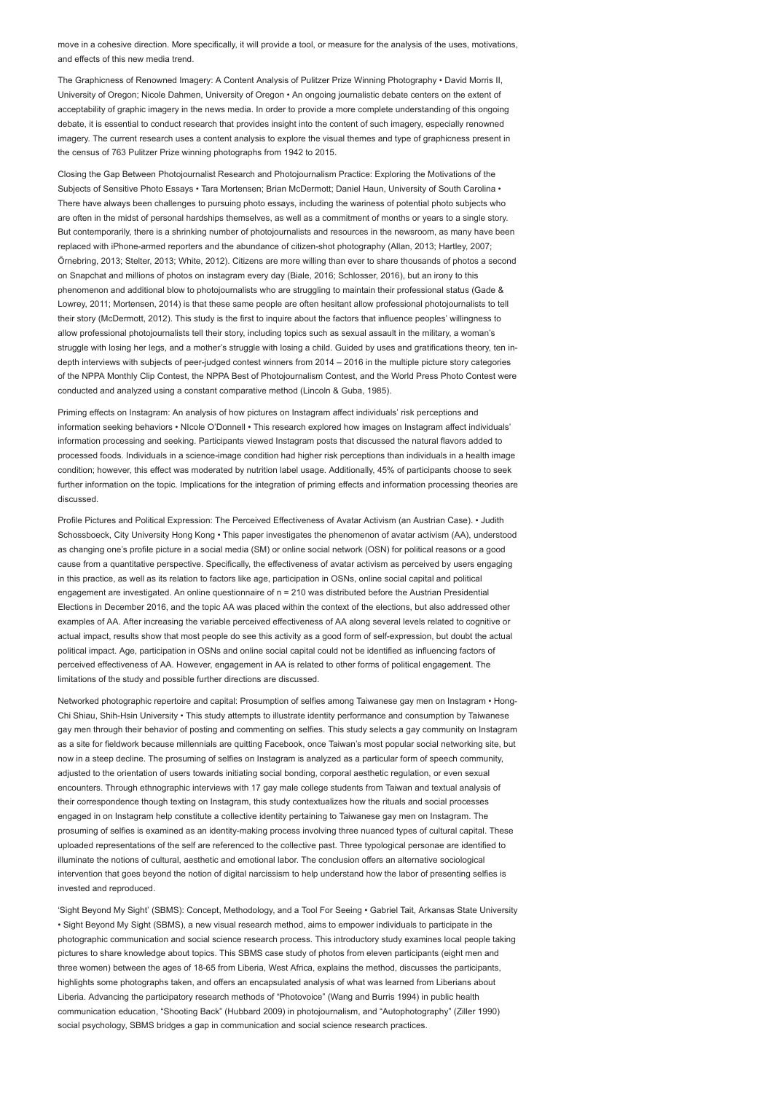move in a cohesive direction. More specifically, it will provide a tool, or measure for the analysis of the uses, motivations, and effects of this new media trend.

The Graphicness of Renowned Imagery: A Content Analysis of Pulitzer Prize Winning Photography • David Morris II, University of Oregon; Nicole Dahmen, University of Oregon • An ongoing journalistic debate centers on the extent of acceptability of graphic imagery in the news media. In order to provide a more complete understanding of this ongoing debate, it is essential to conduct research that provides insight into the content of such imagery, especially renowned imagery. The current research uses a content analysis to explore the visual themes and type of graphicness present in the census of 763 Pulitzer Prize winning photographs from 1942 to 2015.

Closing the Gap Between Photojournalist Research and Photojournalism Practice: Exploring the Motivations of the Subjects of Sensitive Photo Essays • Tara Mortensen; Brian McDermott; Daniel Haun, University of South Carolina • There have always been challenges to pursuing photo essays, including the wariness of potential photo subjects who are often in the midst of personal hardships themselves, as well as a commitment of months or years to a single story. But contemporarily, there is a shrinking number of photojournalists and resources in the newsroom, as many have been replaced with iPhone-armed reporters and the abundance of citizen-shot photography (Allan, 2013; Hartley, 2007; Örnebring, 2013; Stelter, 2013; White, 2012). Citizens are more willing than ever to share thousands of photos a second on Snapchat and millions of photos on instagram every day (Biale, 2016; Schlosser, 2016), but an irony to this phenomenon and additional blow to photojournalists who are struggling to maintain their professional status (Gade & Lowrey, 2011; Mortensen, 2014) is that these same people are often hesitant allow professional photojournalists to tell their story (McDermott, 2012). This study is the first to inquire about the factors that influence peoples' willingness to allow professional photojournalists tell their story, including topics such as sexual assault in the military, a woman's struggle with losing her legs, and a mother's struggle with losing a child. Guided by uses and gratifications theory, ten indepth interviews with subjects of peer-judged contest winners from 2014 – 2016 in the multiple picture story categories of the NPPA Monthly Clip Contest, the NPPA Best of Photojournalism Contest, and the World Press Photo Contest were conducted and analyzed using a constant comparative method (Lincoln & Guba, 1985).

Priming effects on Instagram: An analysis of how pictures on Instagram affect individuals' risk perceptions and information seeking behaviors • NIcole O'Donnell • This research explored how images on Instagram affect individuals' information processing and seeking. Participants viewed Instagram posts that discussed the natural flavors added to processed foods. Individuals in a science-image condition had higher risk perceptions than individuals in a health image condition; however, this effect was moderated by nutrition label usage. Additionally, 45% of participants choose to seek further information on the topic. Implications for the integration of priming effects and information processing theories are discussed.

Profile Pictures and Political Expression: The Perceived Effectiveness of Avatar Activism (an Austrian Case). • Judith Schossboeck, City University Hong Kong • This paper investigates the phenomenon of avatar activism (AA), understood as changing one's profile picture in a social media (SM) or online social network (OSN) for political reasons or a good cause from a quantitative perspective. Specifically, the effectiveness of avatar activism as perceived by users engaging in this practice, as well as its relation to factors like age, participation in OSNs, online social capital and political engagement are investigated. An online questionnaire of n = 210 was distributed before the Austrian Presidential Elections in December 2016, and the topic AA was placed within the context of the elections, but also addressed other examples of AA. After increasing the variable perceived effectiveness of AA along several levels related to cognitive or actual impact, results show that most people do see this activity as a good form of self-expression, but doubt the actual political impact. Age, participation in OSNs and online social capital could not be identified as influencing factors of perceived effectiveness of AA. However, engagement in AA is related to other forms of political engagement. The limitations of the study and possible further directions are discussed.

Networked photographic repertoire and capital: Prosumption of selfies among Taiwanese gay men on Instagram • Hong-Chi Shiau, Shih-Hsin University • This study attempts to illustrate identity performance and consumption by Taiwanese gay men through their behavior of posting and commenting on selfies. This study selects a gay community on Instagram as a site for fieldwork because millennials are quitting Facebook, once Taiwan's most popular social networking site, but now in a steep decline. The prosuming of selfies on Instagram is analyzed as a particular form of speech community, adjusted to the orientation of users towards initiating social bonding, corporal aesthetic regulation, or even sexual encounters. Through ethnographic interviews with 17 gay male college students from Taiwan and textual analysis of their correspondence though texting on Instagram, this study contextualizes how the rituals and social processes engaged in on Instagram help constitute a collective identity pertaining to Taiwanese gay men on Instagram. The prosuming of selfies is examined as an identity-making process involving three nuanced types of cultural capital. These uploaded representations of the self are referenced to the collective past. Three typological personae are identified to illuminate the notions of cultural, aesthetic and emotional labor. The conclusion offers an alternative sociological intervention that goes beyond the notion of digital narcissism to help understand how the labor of presenting selfies is invested and reproduced.

'Sight Beyond My Sight' (SBMS): Concept, Methodology, and a Tool For Seeing • Gabriel Tait, Arkansas State University • Sight Beyond My Sight (SBMS), a new visual research method, aims to empower individuals to participate in the photographic communication and social science research process. This introductory study examines local people taking pictures to share knowledge about topics. This SBMS case study of photos from eleven participants (eight men and three women) between the ages of 18-65 from Liberia, West Africa, explains the method, discusses the participants, highlights some photographs taken, and offers an encapsulated analysis of what was learned from Liberians about Liberia. Advancing the participatory research methods of "Photovoice" (Wang and Burris 1994) in public health communication education, "Shooting Back" (Hubbard 2009) in photojournalism, and "Autophotography" (Ziller 1990) social psychology, SBMS bridges a gap in communication and social science research practices.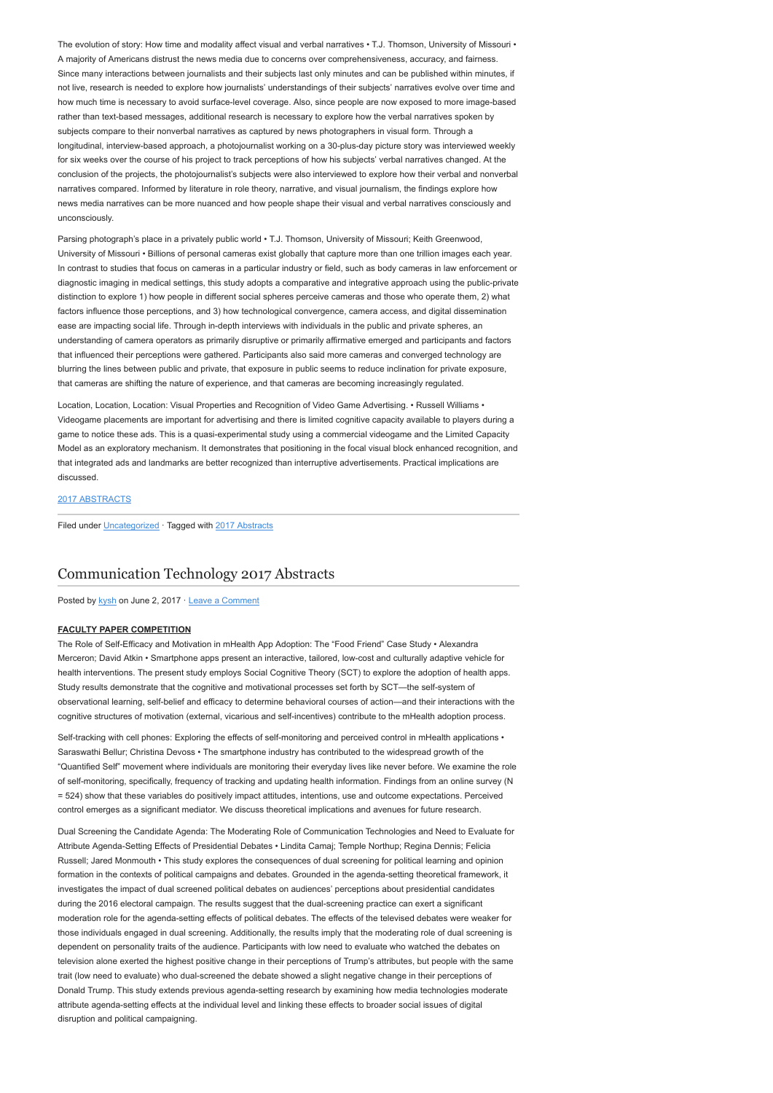The evolution of story: How time and modality affect visual and verbal narratives • T.J. Thomson, University of Missouri • A majority of Americans distrust the news media due to concerns over comprehensiveness, accuracy, and fairness. Since many interactions between journalists and their subjects last only minutes and can be published within minutes, if not live, research is needed to explore how journalists' understandings of their subjects' narratives evolve over time and how much time is necessary to avoid surface-level coverage. Also, since people are now exposed to more image-based rather than text-based messages, additional research is necessary to explore how the verbal narratives spoken by subjects compare to their nonverbal narratives as captured by news photographers in visual form. Through a longitudinal, interview-based approach, a photojournalist working on a 30-plus-day picture story was interviewed weekly for six weeks over the course of his project to track perceptions of how his subjects' verbal narratives changed. At the conclusion of the projects, the photojournalist's subjects were also interviewed to explore how their verbal and nonverbal narratives compared. Informed by literature in role theory, narrative, and visual journalism, the findings explore how news media narratives can be more nuanced and how people shape their visual and verbal narratives consciously and unconsciously.

Parsing photograph's place in a privately public world • T.J. Thomson, University of Missouri; Keith Greenwood, University of Missouri • Billions of personal cameras exist globally that capture more than one trillion images each year. In contrast to studies that focus on cameras in a particular industry or field, such as body cameras in law enforcement or diagnostic imaging in medical settings, this study adopts a comparative and integrative approach using the public-private distinction to explore 1) how people in different social spheres perceive cameras and those who operate them, 2) what factors influence those perceptions, and 3) how technological convergence, camera access, and digital dissemination ease are impacting social life. Through in-depth interviews with individuals in the public and private spheres, an understanding of camera operators as primarily disruptive or primarily affirmative emerged and participants and factors that influenced their perceptions were gathered. Participants also said more cameras and converged technology are blurring the lines between public and private, that exposure in public seems to reduce inclination for private exposure, that cameras are shifting the nature of experience, and that cameras are becoming increasingly regulated.

Location, Location, Location: Visual Properties and Recognition of Video Game Advertising. • Russell Williams • Videogame placements are important for advertising and there is limited cognitive capacity available to players during a game to notice these ads. This is a quasi-experimental study using a commercial videogame and the Limited Capacity Model as an exploratory mechanism. It demonstrates that positioning in the focal visual block enhanced recognition, and that integrated ads and landmarks are better recognized than interruptive advertisements. Practical implications are discussed.

## [2017 ABSTRACTS](http://www.aejmc.org/home/2017/06/2017-abstracts/)

Filed under [Uncategorized](http://www.aejmc.org/home/category/uncategorized/) · Tagged with [2017 Abstracts](http://www.aejmc.org/home/tag/2017-abstracts/)

# [Communication Technology 2017 Abstracts](http://www.aejmc.org/home/2017/06/ctec-2017-abstracts/)

Posted by [kysh](http://www.aejmc.org/home/author/kyshiab/) on June 2, 2017 · [Leave a Comment](http://www.aejmc.org/home/2017/06/ctec-2017-abstracts/#respond)

### FACULTY PAPER COMPETITION

The Role of Self-Efficacy and Motivation in mHealth App Adoption: The "Food Friend" Case Study • Alexandra Merceron; David Atkin • Smartphone apps present an interactive, tailored, low-cost and culturally adaptive vehicle for health interventions. The present study employs Social Cognitive Theory (SCT) to explore the adoption of health apps. Study results demonstrate that the cognitive and motivational processes set forth by SCT—the self-system of observational learning, self-belief and efficacy to determine behavioral courses of action—and their interactions with the cognitive structures of motivation (external, vicarious and self-incentives) contribute to the mHealth adoption process.

Self-tracking with cell phones: Exploring the effects of self-monitoring and perceived control in mHealth applications • Saraswathi Bellur; Christina Devoss • The smartphone industry has contributed to the widespread growth of the "Quantified Self" movement where individuals are monitoring their everyday lives like never before. We examine the role of self-monitoring, specifically, frequency of tracking and updating health information. Findings from an online survey (N = 524) show that these variables do positively impact attitudes, intentions, use and outcome expectations. Perceived control emerges as a significant mediator. We discuss theoretical implications and avenues for future research.

Dual Screening the Candidate Agenda: The Moderating Role of Communication Technologies and Need to Evaluate for Attribute Agenda-Setting Effects of Presidential Debates • Lindita Camaj; Temple Northup; Regina Dennis; Felicia Russell; Jared Monmouth • This study explores the consequences of dual screening for political learning and opinion formation in the contexts of political campaigns and debates. Grounded in the agenda-setting theoretical framework, it investigates the impact of dual screened political debates on audiences' perceptions about presidential candidates during the 2016 electoral campaign. The results suggest that the dual-screening practice can exert a significant moderation role for the agenda-setting effects of political debates. The effects of the televised debates were weaker for those individuals engaged in dual screening. Additionally, the results imply that the moderating role of dual screening is dependent on personality traits of the audience. Participants with low need to evaluate who watched the debates on television alone exerted the highest positive change in their perceptions of Trump's attributes, but people with the same trait (low need to evaluate) who dual-screened the debate showed a slight negative change in their perceptions of Donald Trump. This study extends previous agenda-setting research by examining how media technologies moderate attribute agenda-setting effects at the individual level and linking these effects to broader social issues of digital disruption and political campaigning.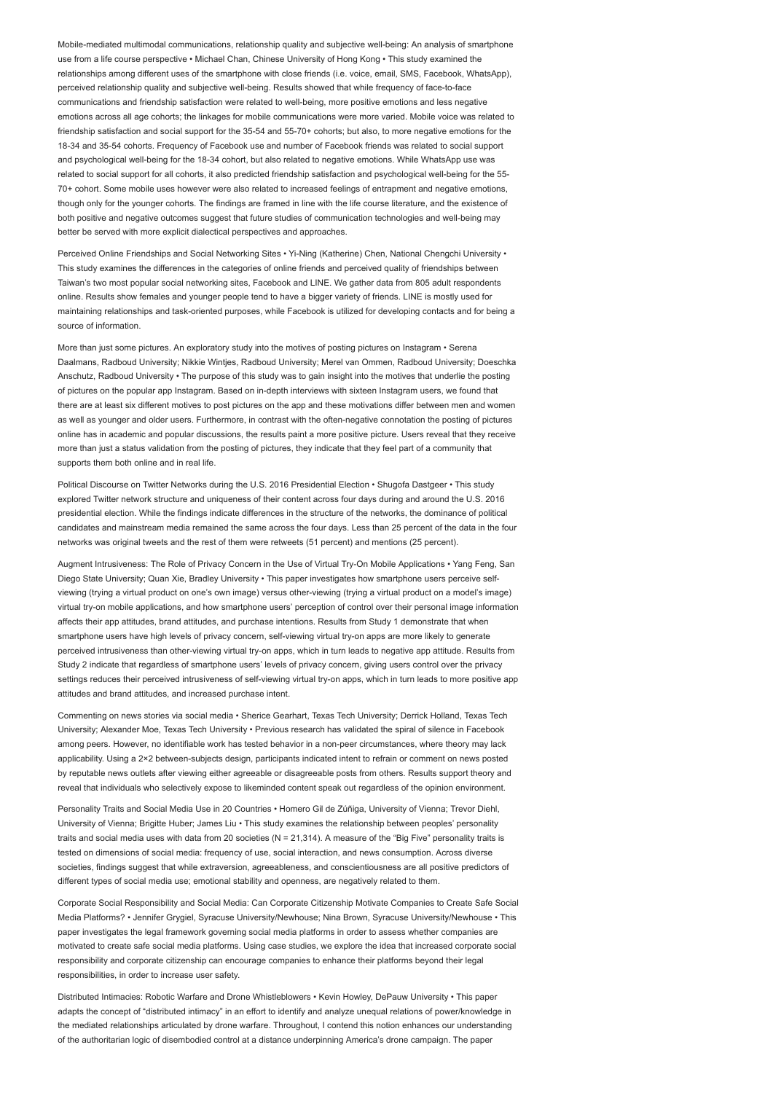Mobile-mediated multimodal communications, relationship quality and subjective well-being: An analysis of smartphone use from a life course perspective • Michael Chan, Chinese University of Hong Kong • This study examined the relationships among different uses of the smartphone with close friends (i.e. voice, email, SMS, Facebook, WhatsApp), perceived relationship quality and subjective well-being. Results showed that while frequency of face-to-face communications and friendship satisfaction were related to well-being, more positive emotions and less negative emotions across all age cohorts; the linkages for mobile communications were more varied. Mobile voice was related to friendship satisfaction and social support for the 35-54 and 55-70+ cohorts; but also, to more negative emotions for the 18-34 and 35-54 cohorts. Frequency of Facebook use and number of Facebook friends was related to social support and psychological well-being for the 18-34 cohort, but also related to negative emotions. While WhatsApp use was related to social support for all cohorts, it also predicted friendship satisfaction and psychological well-being for the 55- 70+ cohort. Some mobile uses however were also related to increased feelings of entrapment and negative emotions, though only for the younger cohorts. The findings are framed in line with the life course literature, and the existence of both positive and negative outcomes suggest that future studies of communication technologies and well-being may better be served with more explicit dialectical perspectives and approaches.

Perceived Online Friendships and Social Networking Sites • Yi-Ning (Katherine) Chen, National Chengchi University • This study examines the differences in the categories of online friends and perceived quality of friendships between Taiwan's two most popular social networking sites, Facebook and LINE. We gather data from 805 adult respondents online. Results show females and younger people tend to have a bigger variety of friends. LINE is mostly used for maintaining relationships and task-oriented purposes, while Facebook is utilized for developing contacts and for being a source of information.

More than just some pictures. An exploratory study into the motives of posting pictures on Instagram • Serena Daalmans, Radboud University; Nikkie Wintjes, Radboud University; Merel van Ommen, Radboud University; Doeschka Anschutz, Radboud University • The purpose of this study was to gain insight into the motives that underlie the posting of pictures on the popular app Instagram. Based on in-depth interviews with sixteen Instagram users, we found that there are at least six different motives to post pictures on the app and these motivations differ between men and women as well as younger and older users. Furthermore, in contrast with the often-negative connotation the posting of pictures online has in academic and popular discussions, the results paint a more positive picture. Users reveal that they receive more than just a status validation from the posting of pictures, they indicate that they feel part of a community that supports them both online and in real life.

Political Discourse on Twitter Networks during the U.S. 2016 Presidential Election • Shugofa Dastgeer • This study explored Twitter network structure and uniqueness of their content across four days during and around the U.S. 2016 presidential election. While the findings indicate differences in the structure of the networks, the dominance of political candidates and mainstream media remained the same across the four days. Less than 25 percent of the data in the four networks was original tweets and the rest of them were retweets (51 percent) and mentions (25 percent).

Augment Intrusiveness: The Role of Privacy Concern in the Use of Virtual Try-On Mobile Applications • Yang Feng, San Diego State University; Quan Xie, Bradley University • This paper investigates how smartphone users perceive selfviewing (trying a virtual product on one's own image) versus other-viewing (trying a virtual product on a model's image) virtual try-on mobile applications, and how smartphone users' perception of control over their personal image information affects their app attitudes, brand attitudes, and purchase intentions. Results from Study 1 demonstrate that when smartphone users have high levels of privacy concern, self-viewing virtual try-on apps are more likely to generate perceived intrusiveness than other-viewing virtual try-on apps, which in turn leads to negative app attitude. Results from Study 2 indicate that regardless of smartphone users' levels of privacy concern, giving users control over the privacy settings reduces their perceived intrusiveness of self-viewing virtual try-on apps, which in turn leads to more positive app attitudes and brand attitudes, and increased purchase intent.

Commenting on news stories via social media • Sherice Gearhart, Texas Tech University; Derrick Holland, Texas Tech University; Alexander Moe, Texas Tech University • Previous research has validated the spiral of silence in Facebook among peers. However, no identifiable work has tested behavior in a non-peer circumstances, where theory may lack applicability. Using a 2×2 between-subjects design, participants indicated intent to refrain or comment on news posted by reputable news outlets after viewing either agreeable or disagreeable posts from others. Results support theory and reveal that individuals who selectively expose to likeminded content speak out regardless of the opinion environment.

Personality Traits and Social Media Use in 20 Countries • Homero Gil de Zúñiga, University of Vienna; Trevor Diehl, University of Vienna; Brigitte Huber; James Liu • This study examines the relationship between peoples' personality traits and social media uses with data from 20 societies (N = 21,314). A measure of the "Big Five" personality traits is tested on dimensions of social media: frequency of use, social interaction, and news consumption. Across diverse societies, findings suggest that while extraversion, agreeableness, and conscientiousness are all positive predictors of different types of social media use; emotional stability and openness, are negatively related to them.

Corporate Social Responsibility and Social Media: Can Corporate Citizenship Motivate Companies to Create Safe Social Media Platforms? • Jennifer Grygiel, Syracuse University/Newhouse; Nina Brown, Syracuse University/Newhouse • This paper investigates the legal framework governing social media platforms in order to assess whether companies are motivated to create safe social media platforms. Using case studies, we explore the idea that increased corporate social responsibility and corporate citizenship can encourage companies to enhance their platforms beyond their legal responsibilities, in order to increase user safety.

Distributed Intimacies: Robotic Warfare and Drone Whistleblowers • Kevin Howley, DePauw University • This paper adapts the concept of "distributed intimacy" in an effort to identify and analyze unequal relations of power/knowledge in the mediated relationships articulated by drone warfare. Throughout, I contend this notion enhances our understanding of the authoritarian logic of disembodied control at a distance underpinning America's drone campaign. The paper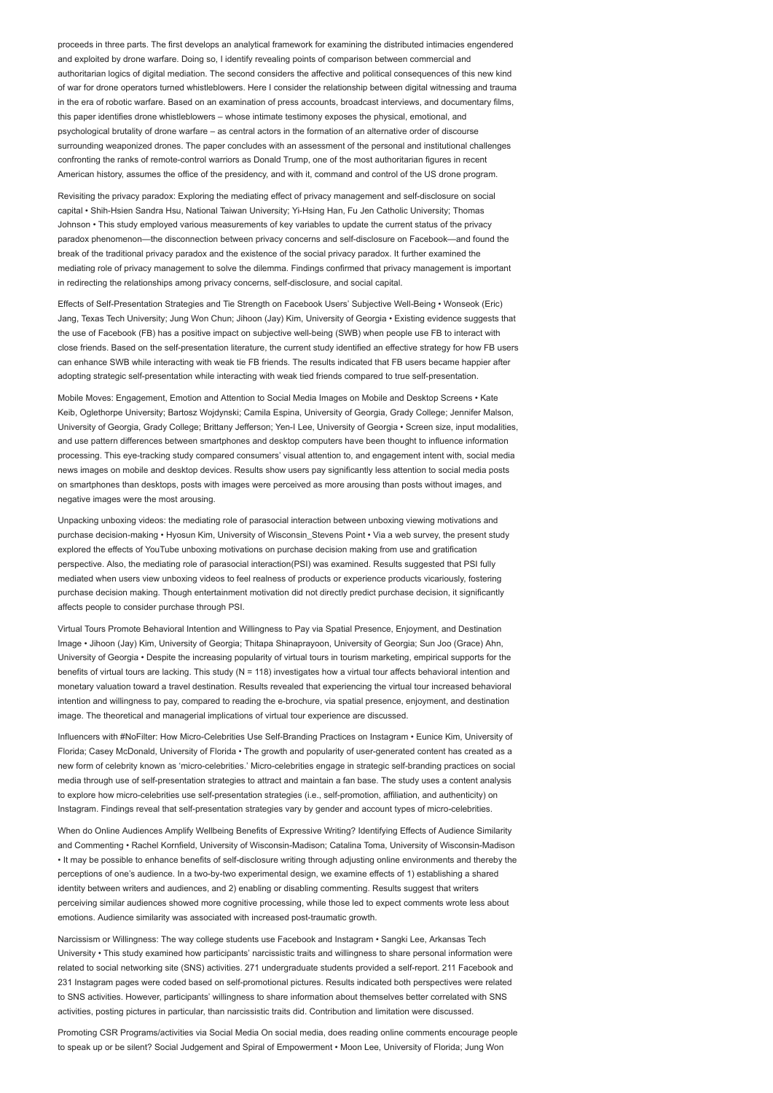proceeds in three parts. The first develops an analytical framework for examining the distributed intimacies engendered and exploited by drone warfare. Doing so, I identify revealing points of comparison between commercial and authoritarian logics of digital mediation. The second considers the affective and political consequences of this new kind of war for drone operators turned whistleblowers. Here I consider the relationship between digital witnessing and trauma in the era of robotic warfare. Based on an examination of press accounts, broadcast interviews, and documentary films, this paper identifies drone whistleblowers – whose intimate testimony exposes the physical, emotional, and psychological brutality of drone warfare – as central actors in the formation of an alternative order of discourse surrounding weaponized drones. The paper concludes with an assessment of the personal and institutional challenges confronting the ranks of remote-control warriors as Donald Trump, one of the most authoritarian figures in recent American history, assumes the office of the presidency, and with it, command and control of the US drone program.

Revisiting the privacy paradox: Exploring the mediating effect of privacy management and self-disclosure on social capital • Shih-Hsien Sandra Hsu, National Taiwan University; Yi-Hsing Han, Fu Jen Catholic University; Thomas Johnson • This study employed various measurements of key variables to update the current status of the privacy paradox phenomenon—the disconnection between privacy concerns and self-disclosure on Facebook—and found the break of the traditional privacy paradox and the existence of the social privacy paradox. It further examined the mediating role of privacy management to solve the dilemma. Findings confirmed that privacy management is important in redirecting the relationships among privacy concerns, self-disclosure, and social capital.

Effects of Self-Presentation Strategies and Tie Strength on Facebook Users' Subjective Well-Being • Wonseok (Eric) Jang, Texas Tech University; Jung Won Chun; Jihoon (Jay) Kim, University of Georgia • Existing evidence suggests that the use of Facebook (FB) has a positive impact on subjective well-being (SWB) when people use FB to interact with close friends. Based on the self-presentation literature, the current study identified an effective strategy for how FB users can enhance SWB while interacting with weak tie FB friends. The results indicated that FB users became happier after adopting strategic self-presentation while interacting with weak tied friends compared to true self-presentation.

Mobile Moves: Engagement, Emotion and Attention to Social Media Images on Mobile and Desktop Screens • Kate Keib, Oglethorpe University; Bartosz Wojdynski; Camila Espina, University of Georgia, Grady College; Jennifer Malson, University of Georgia, Grady College; Brittany Jefferson; Yen-I Lee, University of Georgia • Screen size, input modalities, and use pattern differences between smartphones and desktop computers have been thought to influence information processing. This eye-tracking study compared consumers' visual attention to, and engagement intent with, social media news images on mobile and desktop devices. Results show users pay significantly less attention to social media posts on smartphones than desktops, posts with images were perceived as more arousing than posts without images, and negative images were the most arousing.

Unpacking unboxing videos: the mediating role of parasocial interaction between unboxing viewing motivations and purchase decision-making • Hyosun Kim, University of Wisconsin\_Stevens Point • Via a web survey, the present study explored the effects of YouTube unboxing motivations on purchase decision making from use and gratification perspective. Also, the mediating role of parasocial interaction(PSI) was examined. Results suggested that PSI fully mediated when users view unboxing videos to feel realness of products or experience products vicariously, fostering purchase decision making. Though entertainment motivation did not directly predict purchase decision, it significantly affects people to consider purchase through PSI.

Virtual Tours Promote Behavioral Intention and Willingness to Pay via Spatial Presence, Enjoyment, and Destination Image • Jihoon (Jay) Kim, University of Georgia; Thitapa Shinaprayoon, University of Georgia; Sun Joo (Grace) Ahn, University of Georgia • Despite the increasing popularity of virtual tours in tourism marketing, empirical supports for the benefits of virtual tours are lacking. This study (N = 118) investigates how a virtual tour affects behavioral intention and monetary valuation toward a travel destination. Results revealed that experiencing the virtual tour increased behavioral intention and willingness to pay, compared to reading the e-brochure, via spatial presence, enjoyment, and destination image. The theoretical and managerial implications of virtual tour experience are discussed.

Influencers with #NoFilter: How Micro-Celebrities Use Self-Branding Practices on Instagram • Eunice Kim, University of Florida; Casey McDonald, University of Florida • The growth and popularity of user-generated content has created as a new form of celebrity known as 'micro-celebrities.' Micro-celebrities engage in strategic self-branding practices on social media through use of self-presentation strategies to attract and maintain a fan base. The study uses a content analysis to explore how micro-celebrities use self-presentation strategies (i.e., self-promotion, affiliation, and authenticity) on Instagram. Findings reveal that self-presentation strategies vary by gender and account types of micro-celebrities.

When do Online Audiences Amplify Wellbeing Benefits of Expressive Writing? Identifying Effects of Audience Similarity and Commenting • Rachel Kornfield, University of Wisconsin-Madison; Catalina Toma, University of Wisconsin-Madison • It may be possible to enhance benefits of self-disclosure writing through adjusting online environments and thereby the perceptions of one's audience. In a two-by-two experimental design, we examine effects of 1) establishing a shared identity between writers and audiences, and 2) enabling or disabling commenting. Results suggest that writers perceiving similar audiences showed more cognitive processing, while those led to expect comments wrote less about emotions. Audience similarity was associated with increased post-traumatic growth.

Narcissism or Willingness: The way college students use Facebook and Instagram • Sangki Lee, Arkansas Tech University • This study examined how participants' narcissistic traits and willingness to share personal information were related to social networking site (SNS) activities. 271 undergraduate students provided a self-report. 211 Facebook and 231 Instagram pages were coded based on self-promotional pictures. Results indicated both perspectives were related to SNS activities. However, participants' willingness to share information about themselves better correlated with SNS activities, posting pictures in particular, than narcissistic traits did. Contribution and limitation were discussed.

Promoting CSR Programs/activities via Social Media On social media, does reading online comments encourage people to speak up or be silent? Social Judgement and Spiral of Empowerment • Moon Lee, University of Florida; Jung Won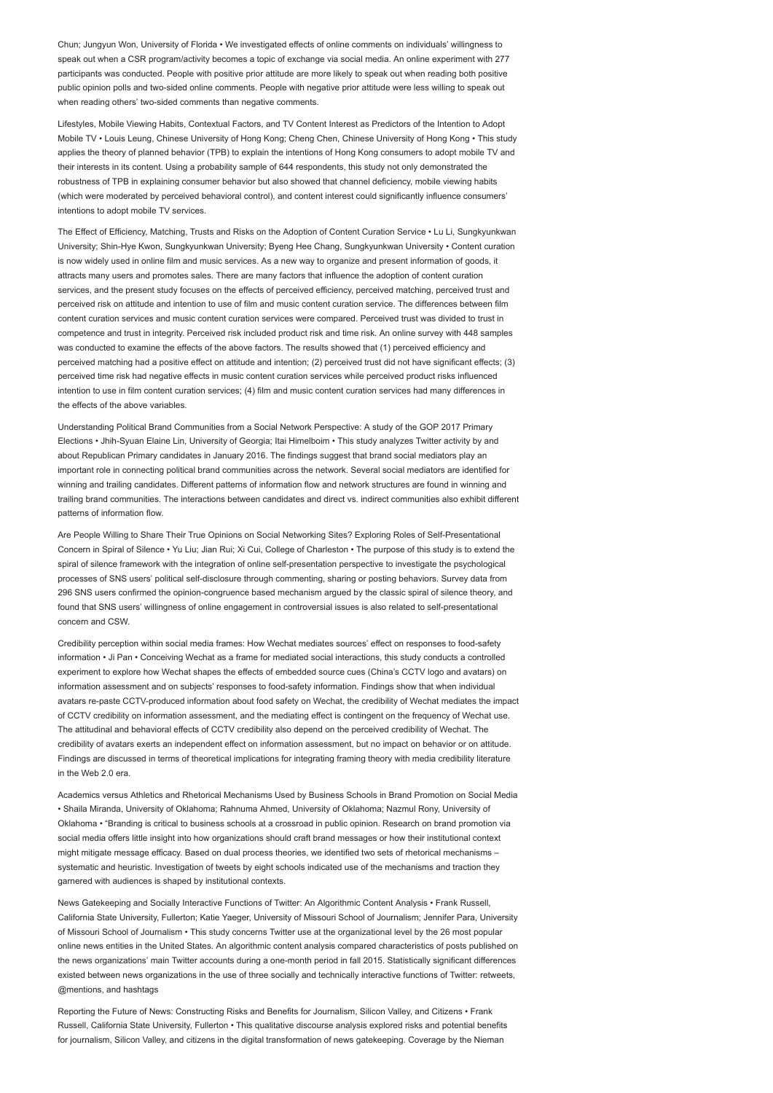Chun; Jungyun Won, University of Florida • We investigated effects of online comments on individuals' willingness to speak out when a CSR program/activity becomes a topic of exchange via social media. An online experiment with 277 participants was conducted. People with positive prior attitude are more likely to speak out when reading both positive public opinion polls and two-sided online comments. People with negative prior attitude were less willing to speak out when reading others' two-sided comments than negative comments.

Lifestyles, Mobile Viewing Habits, Contextual Factors, and TV Content Interest as Predictors of the Intention to Adopt Mobile TV • Louis Leung, Chinese University of Hong Kong; Cheng Chen, Chinese University of Hong Kong • This study applies the theory of planned behavior (TPB) to explain the intentions of Hong Kong consumers to adopt mobile TV and their interests in its content. Using a probability sample of 644 respondents, this study not only demonstrated the robustness of TPB in explaining consumer behavior but also showed that channel deficiency, mobile viewing habits (which were moderated by perceived behavioral control), and content interest could significantly influence consumers' intentions to adopt mobile TV services.

The Effect of Efficiency, Matching, Trusts and Risks on the Adoption of Content Curation Service • Lu Li, Sungkyunkwan University; Shin-Hye Kwon, Sungkyunkwan University; Byeng Hee Chang, Sungkyunkwan University • Content curation is now widely used in online film and music services. As a new way to organize and present information of goods, it attracts many users and promotes sales. There are many factors that influence the adoption of content curation services, and the present study focuses on the effects of perceived efficiency, perceived matching, perceived trust and perceived risk on attitude and intention to use of film and music content curation service. The differences between film content curation services and music content curation services were compared. Perceived trust was divided to trust in competence and trust in integrity. Perceived risk included product risk and time risk. An online survey with 448 samples was conducted to examine the effects of the above factors. The results showed that (1) perceived efficiency and perceived matching had a positive effect on attitude and intention; (2) perceived trust did not have significant effects; (3) perceived time risk had negative effects in music content curation services while perceived product risks influenced intention to use in film content curation services; (4) film and music content curation services had many differences in the effects of the above variables.

Understanding Political Brand Communities from a Social Network Perspective: A study of the GOP 2017 Primary Elections • Jhih-Syuan Elaine Lin, University of Georgia; Itai Himelboim • This study analyzes Twitter activity by and about Republican Primary candidates in January 2016. The findings suggest that brand social mediators play an important role in connecting political brand communities across the network. Several social mediators are identified for winning and trailing candidates. Different patterns of information flow and network structures are found in winning and trailing brand communities. The interactions between candidates and direct vs. indirect communities also exhibit different patterns of information flow.

Are People Willing to Share Their True Opinions on Social Networking Sites? Exploring Roles of Self-Presentational Concern in Spiral of Silence • Yu Liu; Jian Rui; Xi Cui, College of Charleston • The purpose of this study is to extend the spiral of silence framework with the integration of online self-presentation perspective to investigate the psychological processes of SNS users' political self-disclosure through commenting, sharing or posting behaviors. Survey data from 296 SNS users confirmed the opinion-congruence based mechanism argued by the classic spiral of silence theory, and found that SNS users' willingness of online engagement in controversial issues is also related to self-presentational concern and CSW.

Credibility perception within social media frames: How Wechat mediates sources' effect on responses to food-safety information • Ji Pan • Conceiving Wechat as a frame for mediated social interactions, this study conducts a controlled experiment to explore how Wechat shapes the effects of embedded source cues (China's CCTV logo and avatars) on information assessment and on subjects' responses to food-safety information. Findings show that when individual avatars re-paste CCTV-produced information about food safety on Wechat, the credibility of Wechat mediates the impact of CCTV credibility on information assessment, and the mediating effect is contingent on the frequency of Wechat use. The attitudinal and behavioral effects of CCTV credibility also depend on the perceived credibility of Wechat. The credibility of avatars exerts an independent effect on information assessment, but no impact on behavior or on attitude. Findings are discussed in terms of theoretical implications for integrating framing theory with media credibility literature in the Web 2.0 era.

Academics versus Athletics and Rhetorical Mechanisms Used by Business Schools in Brand Promotion on Social Media • Shaila Miranda, University of Oklahoma; Rahnuma Ahmed, University of Oklahoma; Nazmul Rony, University of Oklahoma • "Branding is critical to business schools at a crossroad in public opinion. Research on brand promotion via social media offers little insight into how organizations should craft brand messages or how their institutional context might mitigate message efficacy. Based on dual process theories, we identified two sets of rhetorical mechanisms – systematic and heuristic. Investigation of tweets by eight schools indicated use of the mechanisms and traction they garnered with audiences is shaped by institutional contexts.

News Gatekeeping and Socially Interactive Functions of Twitter: An Algorithmic Content Analysis • Frank Russell, California State University, Fullerton; Katie Yaeger, University of Missouri School of Journalism; Jennifer Para, University of Missouri School of Journalism • This study concerns Twitter use at the organizational level by the 26 most popular online news entities in the United States. An algorithmic content analysis compared characteristics of posts published on the news organizations' main Twitter accounts during a one-month period in fall 2015. Statistically significant differences existed between news organizations in the use of three socially and technically interactive functions of Twitter: retweets, @mentions, and hashtags

Reporting the Future of News: Constructing Risks and Benefits for Journalism, Silicon Valley, and Citizens • Frank Russell, California State University, Fullerton • This qualitative discourse analysis explored risks and potential benefits for journalism, Silicon Valley, and citizens in the digital transformation of news gatekeeping. Coverage by the Nieman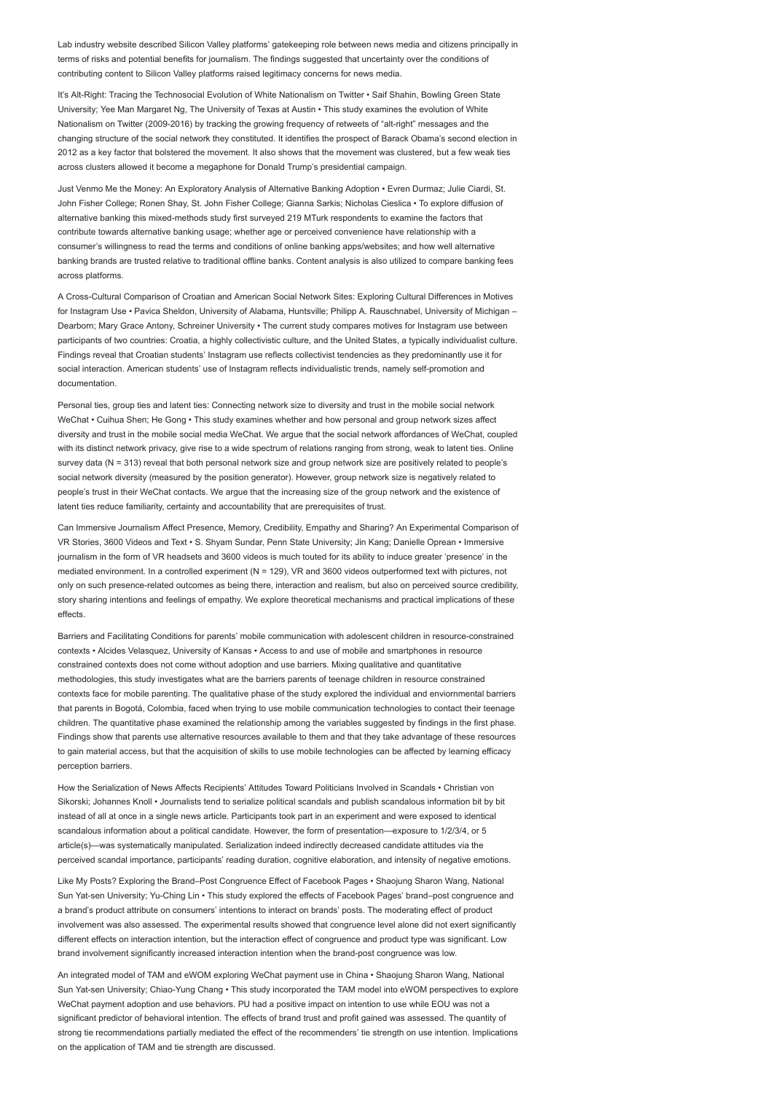Lab industry website described Silicon Valley platforms' gatekeeping role between news media and citizens principally in terms of risks and potential benefits for journalism. The findings suggested that uncertainty over the conditions of contributing content to Silicon Valley platforms raised legitimacy concerns for news media.

It's Alt-Right: Tracing the Technosocial Evolution of White Nationalism on Twitter • Saif Shahin, Bowling Green State University; Yee Man Margaret Ng, The University of Texas at Austin • This study examines the evolution of White Nationalism on Twitter (2009-2016) by tracking the growing frequency of retweets of "alt-right" messages and the changing structure of the social network they constituted. It identifies the prospect of Barack Obama's second election in 2012 as a key factor that bolstered the movement. It also shows that the movement was clustered, but a few weak ties across clusters allowed it become a megaphone for Donald Trump's presidential campaign.

Just Venmo Me the Money: An Exploratory Analysis of Alternative Banking Adoption • Evren Durmaz; Julie Ciardi, St. John Fisher College; Ronen Shay, St. John Fisher College; Gianna Sarkis; Nicholas Cieslica • To explore diffusion of alternative banking this mixed-methods study first surveyed 219 MTurk respondents to examine the factors that contribute towards alternative banking usage; whether age or perceived convenience have relationship with a consumer's willingness to read the terms and conditions of online banking apps/websites; and how well alternative banking brands are trusted relative to traditional offline banks. Content analysis is also utilized to compare banking fees across platforms.

A Cross-Cultural Comparison of Croatian and American Social Network Sites: Exploring Cultural Differences in Motives for Instagram Use • Pavica Sheldon, University of Alabama, Huntsville; Philipp A. Rauschnabel, University of Michigan – Dearborn; Mary Grace Antony, Schreiner University • The current study compares motives for Instagram use between participants of two countries: Croatia, a highly collectivistic culture, and the United States, a typically individualist culture. Findings reveal that Croatian students' Instagram use reflects collectivist tendencies as they predominantly use it for social interaction. American students' use of Instagram reflects individualistic trends, namely self-promotion and documentation.

Personal ties, group ties and latent ties: Connecting network size to diversity and trust in the mobile social network WeChat • Cuihua Shen; He Gong • This study examines whether and how personal and group network sizes affect diversity and trust in the mobile social media WeChat. We argue that the social network affordances of WeChat, coupled with its distinct network privacy, give rise to a wide spectrum of relations ranging from strong, weak to latent ties. Online survey data (N = 313) reveal that both personal network size and group network size are positively related to people's social network diversity (measured by the position generator). However, group network size is negatively related to people's trust in their WeChat contacts. We argue that the increasing size of the group network and the existence of latent ties reduce familiarity, certainty and accountability that are prerequisites of trust.

Can Immersive Journalism Affect Presence, Memory, Credibility, Empathy and Sharing? An Experimental Comparison of VR Stories, 3600 Videos and Text • S. Shyam Sundar, Penn State University; Jin Kang; Danielle Oprean • Immersive journalism in the form of VR headsets and 3600 videos is much touted for its ability to induce greater 'presence' in the mediated environment. In a controlled experiment (N = 129), VR and 3600 videos outperformed text with pictures, not only on such presence-related outcomes as being there, interaction and realism, but also on perceived source credibility, story sharing intentions and feelings of empathy. We explore theoretical mechanisms and practical implications of these effects.

Barriers and Facilitating Conditions for parents' mobile communication with adolescent children in resource-constrained contexts • Alcides Velasquez, University of Kansas • Access to and use of mobile and smartphones in resource constrained contexts does not come without adoption and use barriers. Mixing qualitative and quantitative methodologies, this study investigates what are the barriers parents of teenage children in resource constrained contexts face for mobile parenting. The qualitative phase of the study explored the individual and enviornmental barriers that parents in Bogotá, Colombia, faced when trying to use mobile communication technologies to contact their teenage children. The quantitative phase examined the relationship among the variables suggested by findings in the first phase. Findings show that parents use alternative resources available to them and that they take advantage of these resources to gain material access, but that the acquisition of skills to use mobile technologies can be affected by learning efficacy perception barriers.

How the Serialization of News Affects Recipients' Attitudes Toward Politicians Involved in Scandals • Christian von Sikorski; Johannes Knoll • Journalists tend to serialize political scandals and publish scandalous information bit by bit instead of all at once in a single news article. Participants took part in an experiment and were exposed to identical scandalous information about a political candidate. However, the form of presentation—exposure to 1/2/3/4, or 5 article(s)—was systematically manipulated. Serialization indeed indirectly decreased candidate attitudes via the perceived scandal importance, participants' reading duration, cognitive elaboration, and intensity of negative emotions.

Like My Posts? Exploring the Brand–Post Congruence Effect of Facebook Pages • Shaojung Sharon Wang, National Sun Yat-sen University; Yu-Ching Lin • This study explored the effects of Facebook Pages' brand–post congruence and a brand's product attribute on consumers' intentions to interact on brands' posts. The moderating effect of product involvement was also assessed. The experimental results showed that congruence level alone did not exert significantly different effects on interaction intention, but the interaction effect of congruence and product type was significant. Low brand involvement significantly increased interaction intention when the brand-post congruence was low.

An integrated model of TAM and eWOM exploring WeChat payment use in China • Shaojung Sharon Wang, National Sun Yat-sen University; Chiao-Yung Chang • This study incorporated the TAM model into eWOM perspectives to explore WeChat payment adoption and use behaviors. PU had a positive impact on intention to use while EOU was not a significant predictor of behavioral intention. The effects of brand trust and profit gained was assessed. The quantity of strong tie recommendations partially mediated the effect of the recommenders' tie strength on use intention. Implications on the application of TAM and tie strength are discussed.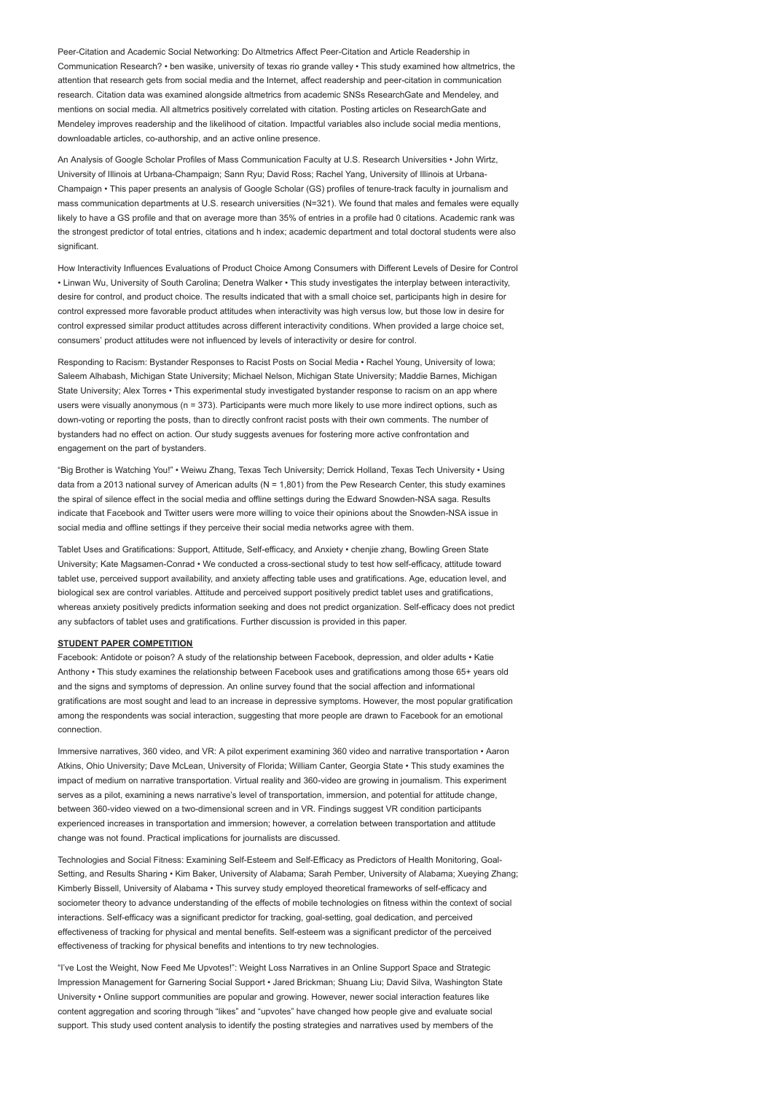Peer-Citation and Academic Social Networking: Do Altmetrics Affect Peer-Citation and Article Readership in Communication Research? • ben wasike, university of texas rio grande valley • This study examined how altmetrics, the attention that research gets from social media and the Internet, affect readership and peer-citation in communication research. Citation data was examined alongside altmetrics from academic SNSs ResearchGate and Mendeley, and mentions on social media. All altmetrics positively correlated with citation. Posting articles on ResearchGate and Mendeley improves readership and the likelihood of citation. Impactful variables also include social media mentions, downloadable articles, co-authorship, and an active online presence.

An Analysis of Google Scholar Profiles of Mass Communication Faculty at U.S. Research Universities • John Wirtz, University of Illinois at Urbana-Champaign; Sann Ryu; David Ross; Rachel Yang, University of Illinois at Urbana-Champaign • This paper presents an analysis of Google Scholar (GS) profiles of tenure-track faculty in journalism and mass communication departments at U.S. research universities (N=321). We found that males and females were equally likely to have a GS profile and that on average more than 35% of entries in a profile had 0 citations. Academic rank was the strongest predictor of total entries, citations and h index; academic department and total doctoral students were also significant

How Interactivity Influences Evaluations of Product Choice Among Consumers with Different Levels of Desire for Control • Linwan Wu, University of South Carolina; Denetra Walker • This study investigates the interplay between interactivity, desire for control, and product choice. The results indicated that with a small choice set, participants high in desire for control expressed more favorable product attitudes when interactivity was high versus low, but those low in desire for control expressed similar product attitudes across different interactivity conditions. When provided a large choice set, consumers' product attitudes were not influenced by levels of interactivity or desire for control.

Responding to Racism: Bystander Responses to Racist Posts on Social Media • Rachel Young, University of Iowa; Saleem Alhabash, Michigan State University; Michael Nelson, Michigan State University; Maddie Barnes, Michigan State University; Alex Torres • This experimental study investigated bystander response to racism on an app where users were visually anonymous (n = 373). Participants were much more likely to use more indirect options, such as down-voting or reporting the posts, than to directly confront racist posts with their own comments. The number of bystanders had no effect on action. Our study suggests avenues for fostering more active confrontation and engagement on the part of bystanders.

"Big Brother is Watching You!" • Weiwu Zhang, Texas Tech University; Derrick Holland, Texas Tech University • Using data from a 2013 national survey of American adults ( $N = 1,801$ ) from the Pew Research Center, this study examines the spiral of silence effect in the social media and offline settings during the Edward Snowden-NSA saga. Results indicate that Facebook and Twitter users were more willing to voice their opinions about the Snowden-NSA issue in social media and offline settings if they perceive their social media networks agree with them.

Tablet Uses and Gratifications: Support, Attitude, Self-efficacy, and Anxiety • chenjie zhang, Bowling Green State University; Kate Magsamen-Conrad • We conducted a cross-sectional study to test how self-efficacy, attitude toward tablet use, perceived support availability, and anxiety affecting table uses and gratifications. Age, education level, and biological sex are control variables. Attitude and perceived support positively predict tablet uses and gratifications, whereas anxiety positively predicts information seeking and does not predict organization. Self-efficacy does not predict any subfactors of tablet uses and gratifications. Further discussion is provided in this paper.

#### STUDENT PAPER COMPETITION

Facebook: Antidote or poison? A study of the relationship between Facebook, depression, and older adults • Katie Anthony • This study examines the relationship between Facebook uses and gratifications among those 65+ years old and the signs and symptoms of depression. An online survey found that the social affection and informational gratifications are most sought and lead to an increase in depressive symptoms. However, the most popular gratification among the respondents was social interaction, suggesting that more people are drawn to Facebook for an emotional connection.

Immersive narratives, 360 video, and VR: A pilot experiment examining 360 video and narrative transportation • Aaron Atkins, Ohio University; Dave McLean, University of Florida; William Canter, Georgia State • This study examines the impact of medium on narrative transportation. Virtual reality and 360-video are growing in journalism. This experiment serves as a pilot, examining a news narrative's level of transportation, immersion, and potential for attitude change, between 360-video viewed on a two-dimensional screen and in VR. Findings suggest VR condition participants experienced increases in transportation and immersion; however, a correlation between transportation and attitude change was not found. Practical implications for journalists are discussed.

Technologies and Social Fitness: Examining Self-Esteem and Self-Efficacy as Predictors of Health Monitoring, Goal-Setting, and Results Sharing • Kim Baker, University of Alabama; Sarah Pember, University of Alabama; Xueying Zhang; Kimberly Bissell, University of Alabama • This survey study employed theoretical frameworks of self-efficacy and sociometer theory to advance understanding of the effects of mobile technologies on fitness within the context of social interactions. Self-efficacy was a significant predictor for tracking, goal-setting, goal dedication, and perceived effectiveness of tracking for physical and mental benefits. Self-esteem was a significant predictor of the perceived effectiveness of tracking for physical benefits and intentions to try new technologies.

"I've Lost the Weight, Now Feed Me Upvotes!": Weight Loss Narratives in an Online Support Space and Strategic Impression Management for Garnering Social Support • Jared Brickman; Shuang Liu; David Silva, Washington State University • Online support communities are popular and growing. However, newer social interaction features like content aggregation and scoring through "likes" and "upvotes" have changed how people give and evaluate social support. This study used content analysis to identify the posting strategies and narratives used by members of the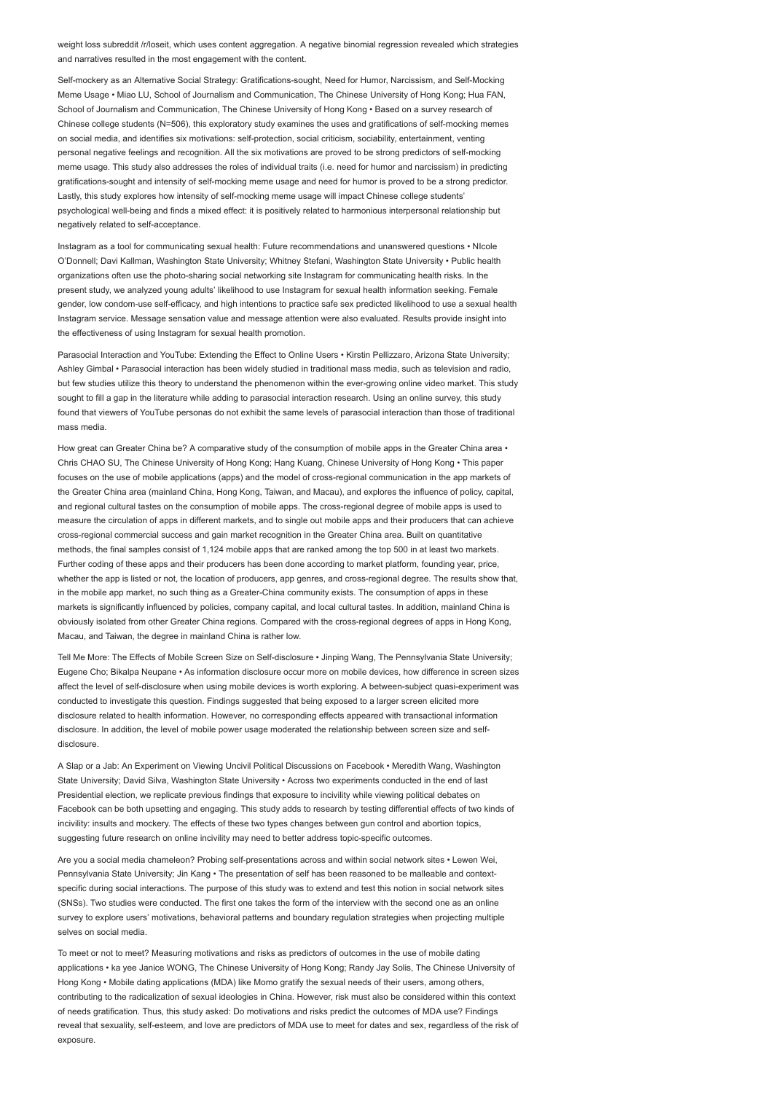weight loss subreddit /r/loseit, which uses content aggregation. A negative binomial regression revealed which strategies and narratives resulted in the most engagement with the content.

Self-mockery as an Alternative Social Strategy: Gratifications-sought, Need for Humor, Narcissism, and Self-Mocking Meme Usage • Miao LU, School of Journalism and Communication, The Chinese University of Hong Kong; Hua FAN, School of Journalism and Communication, The Chinese University of Hong Kong • Based on a survey research of Chinese college students (N=506), this exploratory study examines the uses and gratifications of self-mocking memes on social media, and identifies six motivations: self-protection, social criticism, sociability, entertainment, venting personal negative feelings and recognition. All the six motivations are proved to be strong predictors of self-mocking meme usage. This study also addresses the roles of individual traits (i.e. need for humor and narcissism) in predicting gratifications-sought and intensity of self-mocking meme usage and need for humor is proved to be a strong predictor. Lastly, this study explores how intensity of self-mocking meme usage will impact Chinese college students' psychological well-being and finds a mixed effect: it is positively related to harmonious interpersonal relationship but negatively related to self-acceptance.

Instagram as a tool for communicating sexual health: Future recommendations and unanswered questions • NIcole O'Donnell; Davi Kallman, Washington State University; Whitney Stefani, Washington State University • Public health organizations often use the photo-sharing social networking site Instagram for communicating health risks. In the present study, we analyzed young adults' likelihood to use Instagram for sexual health information seeking. Female gender, low condom-use self-efficacy, and high intentions to practice safe sex predicted likelihood to use a sexual health Instagram service. Message sensation value and message attention were also evaluated. Results provide insight into the effectiveness of using Instagram for sexual health promotion.

Parasocial Interaction and YouTube: Extending the Effect to Online Users • Kirstin Pellizzaro, Arizona State University; Ashley Gimbal • Parasocial interaction has been widely studied in traditional mass media, such as television and radio, but few studies utilize this theory to understand the phenomenon within the ever-growing online video market. This study sought to fill a gap in the literature while adding to parasocial interaction research. Using an online survey, this study found that viewers of YouTube personas do not exhibit the same levels of parasocial interaction than those of traditional mass media.

How great can Greater China be? A comparative study of the consumption of mobile apps in the Greater China area • Chris CHAO SU, The Chinese University of Hong Kong; Hang Kuang, Chinese University of Hong Kong • This paper focuses on the use of mobile applications (apps) and the model of cross-regional communication in the app markets of the Greater China area (mainland China, Hong Kong, Taiwan, and Macau), and explores the influence of policy, capital, and regional cultural tastes on the consumption of mobile apps. The cross-regional degree of mobile apps is used to measure the circulation of apps in different markets, and to single out mobile apps and their producers that can achieve cross-regional commercial success and gain market recognition in the Greater China area. Built on quantitative methods, the final samples consist of 1,124 mobile apps that are ranked among the top 500 in at least two markets. Further coding of these apps and their producers has been done according to market platform, founding year, price, whether the app is listed or not, the location of producers, app genres, and cross-regional degree. The results show that, in the mobile app market, no such thing as a Greater-China community exists. The consumption of apps in these markets is significantly influenced by policies, company capital, and local cultural tastes. In addition, mainland China is obviously isolated from other Greater China regions. Compared with the cross-regional degrees of apps in Hong Kong, Macau, and Taiwan, the degree in mainland China is rather low.

Tell Me More: The Effects of Mobile Screen Size on Self-disclosure • Jinping Wang, The Pennsylvania State University; Eugene Cho; Bikalpa Neupane • As information disclosure occur more on mobile devices, how difference in screen sizes affect the level of self-disclosure when using mobile devices is worth exploring. A between-subject quasi-experiment was conducted to investigate this question. Findings suggested that being exposed to a larger screen elicited more disclosure related to health information. However, no corresponding effects appeared with transactional information disclosure. In addition, the level of mobile power usage moderated the relationship between screen size and selfdisclosure

A Slap or a Jab: An Experiment on Viewing Uncivil Political Discussions on Facebook • Meredith Wang, Washington State University; David Silva, Washington State University • Across two experiments conducted in the end of last Presidential election, we replicate previous findings that exposure to incivility while viewing political debates on Facebook can be both upsetting and engaging. This study adds to research by testing differential effects of two kinds of incivility: insults and mockery. The effects of these two types changes between gun control and abortion topics, suggesting future research on online incivility may need to better address topic-specific outcomes.

Are you a social media chameleon? Probing self-presentations across and within social network sites • Lewen Wei, Pennsylvania State University; Jin Kang • The presentation of self has been reasoned to be malleable and contextspecific during social interactions. The purpose of this study was to extend and test this notion in social network sites (SNSs). Two studies were conducted. The first one takes the form of the interview with the second one as an online survey to explore users' motivations, behavioral patterns and boundary regulation strategies when projecting multiple selves on social media.

To meet or not to meet? Measuring motivations and risks as predictors of outcomes in the use of mobile dating applications • ka yee Janice WONG, The Chinese University of Hong Kong; Randy Jay Solis, The Chinese University of Hong Kong • Mobile dating applications (MDA) like Momo gratify the sexual needs of their users, among others, contributing to the radicalization of sexual ideologies in China. However, risk must also be considered within this context of needs gratification. Thus, this study asked: Do motivations and risks predict the outcomes of MDA use? Findings reveal that sexuality, self-esteem, and love are predictors of MDA use to meet for dates and sex, regardless of the risk of exposure.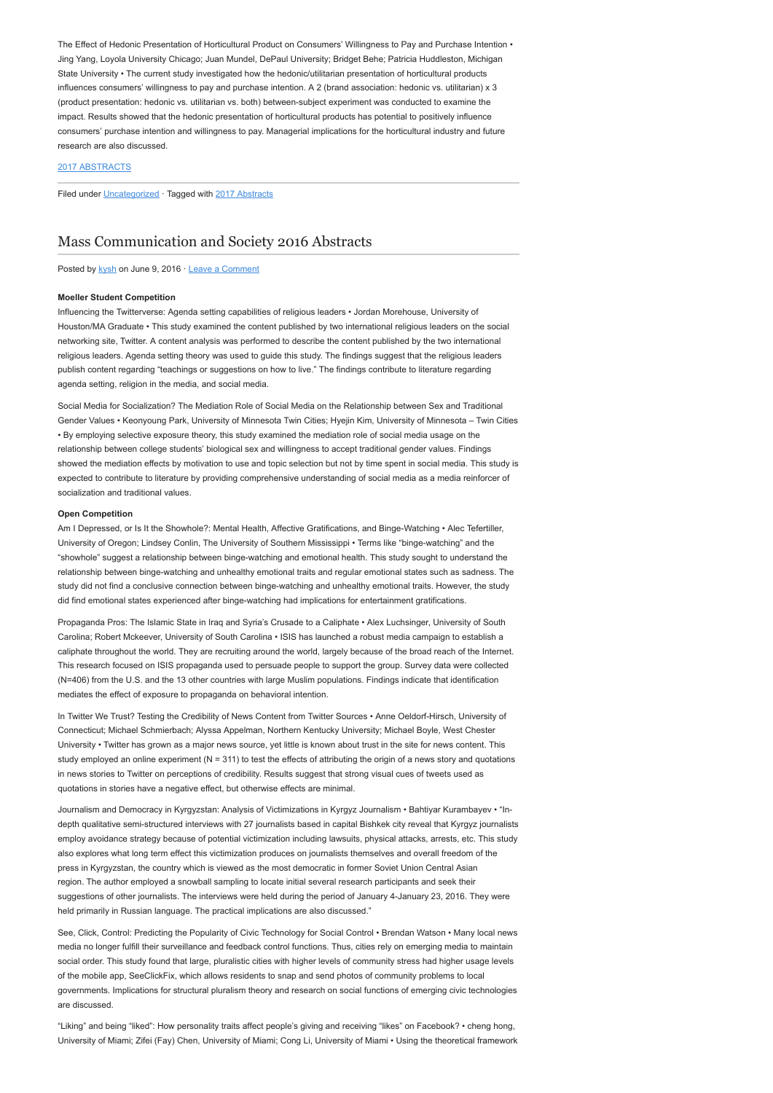The Effect of Hedonic Presentation of Horticultural Product on Consumers' Willingness to Pay and Purchase Intention • Jing Yang, Loyola University Chicago; Juan Mundel, DePaul University; Bridget Behe; Patricia Huddleston, Michigan State University • The current study investigated how the hedonic/utilitarian presentation of horticultural products influences consumers' willingness to pay and purchase intention. A 2 (brand association: hedonic vs. utilitarian) x 3 (product presentation: hedonic vs. utilitarian vs. both) between-subject experiment was conducted to examine the impact. Results showed that the hedonic presentation of horticultural products has potential to positively influence consumers' purchase intention and willingness to pay. Managerial implications for the horticultural industry and future research are also discussed.

### [2017 ABSTRACTS](http://www.aejmc.org/home/2017/06/2017-abstracts/)

Filed under [Uncategorized](http://www.aejmc.org/home/category/uncategorized/) · Tagged with [2017 Abstracts](http://www.aejmc.org/home/tag/2017-abstracts/)

## [Mass Communication and Society 2016 Abstracts](http://www.aejmc.org/home/2016/06/mcs-2016-abstracts/)

Posted by [kysh](http://www.aejmc.org/home/author/kyshiab/) on June 9, 2016 · [Leave a Comment](http://www.aejmc.org/home/2016/06/mcs-2016-abstracts/#respond)

#### Moeller Student Competition

Influencing the Twitterverse: Agenda setting capabilities of religious leaders • Jordan Morehouse, University of Houston/MA Graduate • This study examined the content published by two international religious leaders on the social networking site, Twitter. A content analysis was performed to describe the content published by the two international religious leaders. Agenda setting theory was used to guide this study. The findings suggest that the religious leaders publish content regarding "teachings or suggestions on how to live." The findings contribute to literature regarding agenda setting, religion in the media, and social media.

Social Media for Socialization? The Mediation Role of Social Media on the Relationship between Sex and Traditional Gender Values • Keonyoung Park, University of Minnesota Twin Cities; Hyejin Kim, University of Minnesota – Twin Cities • By employing selective exposure theory, this study examined the mediation role of social media usage on the relationship between college students' biological sex and willingness to accept traditional gender values. Findings showed the mediation effects by motivation to use and topic selection but not by time spent in social media. This study is expected to contribute to literature by providing comprehensive understanding of social media as a media reinforcer of socialization and traditional values.

### Open Competition

Am I Depressed, or Is It the Showhole?: Mental Health, Affective Gratifications, and Binge-Watching • Alec Tefertiller, University of Oregon; Lindsey Conlin, The University of Southern Mississippi • Terms like "binge-watching" and the "showhole" suggest a relationship between binge-watching and emotional health. This study sought to understand the relationship between binge-watching and unhealthy emotional traits and regular emotional states such as sadness. The study did not find a conclusive connection between binge-watching and unhealthy emotional traits. However, the study did find emotional states experienced after binge-watching had implications for entertainment gratifications.

Propaganda Pros: The Islamic State in Iraq and Syria's Crusade to a Caliphate • Alex Luchsinger, University of South Carolina; Robert Mckeever, University of South Carolina • ISIS has launched a robust media campaign to establish a caliphate throughout the world. They are recruiting around the world, largely because of the broad reach of the Internet. This research focused on ISIS propaganda used to persuade people to support the group. Survey data were collected (N=406) from the U.S. and the 13 other countries with large Muslim populations. Findings indicate that identification mediates the effect of exposure to propaganda on behavioral intention.

In Twitter We Trust? Testing the Credibility of News Content from Twitter Sources • Anne Oeldorf-Hirsch, University of Connecticut; Michael Schmierbach; Alyssa Appelman, Northern Kentucky University; Michael Boyle, West Chester University • Twitter has grown as a major news source, yet little is known about trust in the site for news content. This study employed an online experiment ( $N = 311$ ) to test the effects of attributing the origin of a news story and quotations in news stories to Twitter on perceptions of credibility. Results suggest that strong visual cues of tweets used as quotations in stories have a negative effect, but otherwise effects are minimal.

Journalism and Democracy in Kyrgyzstan: Analysis of Victimizations in Kyrgyz Journalism • Bahtiyar Kurambayev • "Indepth qualitative semi-structured interviews with 27 journalists based in capital Bishkek city reveal that Kyrgyz journalists employ avoidance strategy because of potential victimization including lawsuits, physical attacks, arrests, etc. This study also explores what long term effect this victimization produces on journalists themselves and overall freedom of the press in Kyrgyzstan, the country which is viewed as the most democratic in former Soviet Union Central Asian region. The author employed a snowball sampling to locate initial several research participants and seek their suggestions of other journalists. The interviews were held during the period of January 4-January 23, 2016. They were held primarily in Russian language. The practical implications are also discussed."

See, Click, Control: Predicting the Popularity of Civic Technology for Social Control • Brendan Watson • Many local news media no longer fulfill their surveillance and feedback control functions. Thus, cities rely on emerging media to maintain social order. This study found that large, pluralistic cities with higher levels of community stress had higher usage levels of the mobile app, SeeClickFix, which allows residents to snap and send photos of community problems to local governments. Implications for structural pluralism theory and research on social functions of emerging civic technologies are discussed.

"Liking" and being "liked": How personality traits affect people's giving and receiving "likes" on Facebook? • cheng hong, University of Miami; Zifei (Fay) Chen, University of Miami; Cong Li, University of Miami • Using the theoretical framework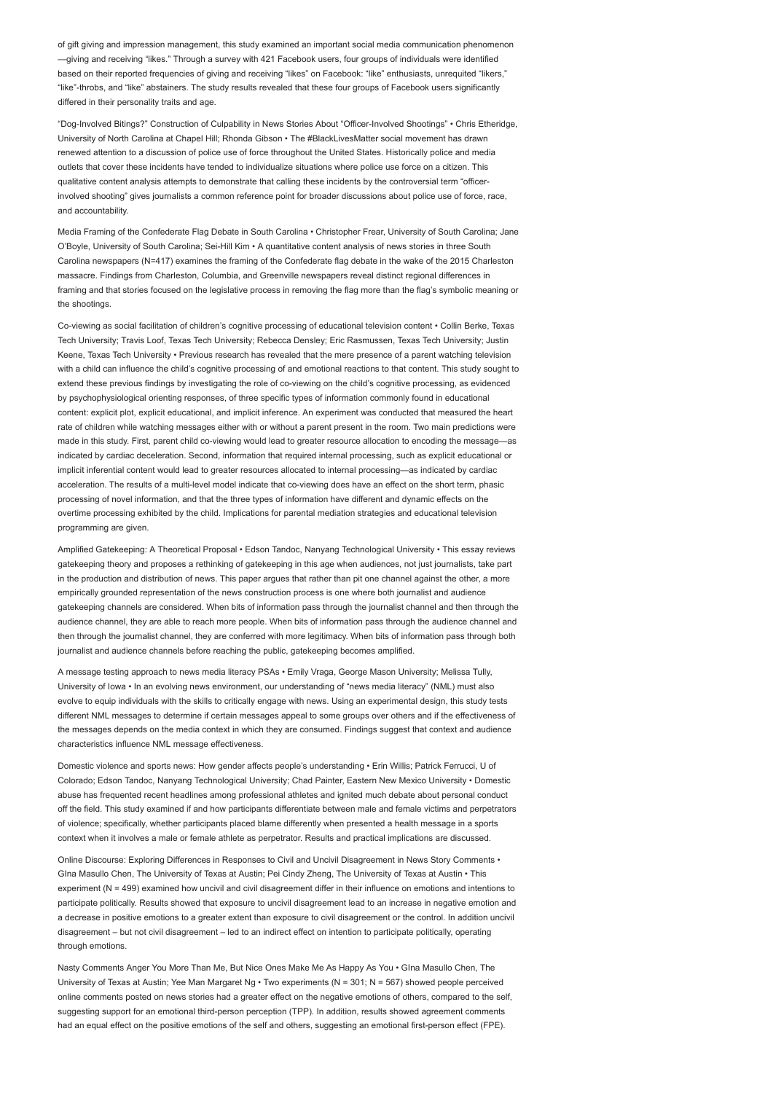of gift giving and impression management, this study examined an important social media communication phenomenon —giving and receiving "likes." Through a survey with 421 Facebook users, four groups of individuals were identified based on their reported frequencies of giving and receiving "likes" on Facebook: "like" enthusiasts, unrequited "likers," "like"-throbs, and "like" abstainers. The study results revealed that these four groups of Facebook users significantly differed in their personality traits and age.

"Dog-Involved Bitings?" Construction of Culpability in News Stories About "Officer-Involved Shootings" • Chris Etheridge, University of North Carolina at Chapel Hill; Rhonda Gibson • The #BlackLivesMatter social movement has drawn renewed attention to a discussion of police use of force throughout the United States. Historically police and media outlets that cover these incidents have tended to individualize situations where police use force on a citizen. This qualitative content analysis attempts to demonstrate that calling these incidents by the controversial term "officerinvolved shooting" gives journalists a common reference point for broader discussions about police use of force, race, and accountability

Media Framing of the Confederate Flag Debate in South Carolina • Christopher Frear, University of South Carolina; Jane O'Boyle, University of South Carolina; Sei-Hill Kim • A quantitative content analysis of news stories in three South Carolina newspapers (N=417) examines the framing of the Confederate flag debate in the wake of the 2015 Charleston massacre. Findings from Charleston, Columbia, and Greenville newspapers reveal distinct regional differences in framing and that stories focused on the legislative process in removing the flag more than the flag's symbolic meaning or the shootings.

Co-viewing as social facilitation of children's cognitive processing of educational television content • Collin Berke, Texas Tech University; Travis Loof, Texas Tech University; Rebecca Densley; Eric Rasmussen, Texas Tech University; Justin Keene, Texas Tech University • Previous research has revealed that the mere presence of a parent watching television with a child can influence the child's cognitive processing of and emotional reactions to that content. This study sought to extend these previous findings by investigating the role of co-viewing on the child's cognitive processing, as evidenced by psychophysiological orienting responses, of three specific types of information commonly found in educational content: explicit plot, explicit educational, and implicit inference. An experiment was conducted that measured the heart rate of children while watching messages either with or without a parent present in the room. Two main predictions were made in this study. First, parent child co-viewing would lead to greater resource allocation to encoding the message—as indicated by cardiac deceleration. Second, information that required internal processing, such as explicit educational or implicit inferential content would lead to greater resources allocated to internal processing—as indicated by cardiac acceleration. The results of a multi-level model indicate that co-viewing does have an effect on the short term, phasic processing of novel information, and that the three types of information have different and dynamic effects on the overtime processing exhibited by the child. Implications for parental mediation strategies and educational television programming are given.

Amplified Gatekeeping: A Theoretical Proposal • Edson Tandoc, Nanyang Technological University • This essay reviews gatekeeping theory and proposes a rethinking of gatekeeping in this age when audiences, not just journalists, take part in the production and distribution of news. This paper argues that rather than pit one channel against the other, a more empirically grounded representation of the news construction process is one where both journalist and audience gatekeeping channels are considered. When bits of information pass through the journalist channel and then through the audience channel, they are able to reach more people. When bits of information pass through the audience channel and then through the journalist channel, they are conferred with more legitimacy. When bits of information pass through both journalist and audience channels before reaching the public, gatekeeping becomes amplified.

A message testing approach to news media literacy PSAs • Emily Vraga, George Mason University; Melissa Tully, University of Iowa • In an evolving news environment, our understanding of "news media literacy" (NML) must also evolve to equip individuals with the skills to critically engage with news. Using an experimental design, this study tests different NML messages to determine if certain messages appeal to some groups over others and if the effectiveness of the messages depends on the media context in which they are consumed. Findings suggest that context and audience characteristics influence NML message effectiveness.

Domestic violence and sports news: How gender affects people's understanding • Erin Willis; Patrick Ferrucci, U of Colorado; Edson Tandoc, Nanyang Technological University; Chad Painter, Eastern New Mexico University • Domestic abuse has frequented recent headlines among professional athletes and ignited much debate about personal conduct off the field. This study examined if and how participants differentiate between male and female victims and perpetrators of violence; specifically, whether participants placed blame differently when presented a health message in a sports context when it involves a male or female athlete as perpetrator. Results and practical implications are discussed.

Online Discourse: Exploring Differences in Responses to Civil and Uncivil Disagreement in News Story Comments • GIna Masullo Chen, The University of Texas at Austin; Pei Cindy Zheng, The University of Texas at Austin • This experiment (N = 499) examined how uncivil and civil disagreement differ in their influence on emotions and intentions to participate politically. Results showed that exposure to uncivil disagreement lead to an increase in negative emotion and a decrease in positive emotions to a greater extent than exposure to civil disagreement or the control. In addition uncivil disagreement – but not civil disagreement – led to an indirect effect on intention to participate politically, operating through emotions.

Nasty Comments Anger You More Than Me, But Nice Ones Make Me As Happy As You • GIna Masullo Chen, The University of Texas at Austin; Yee Man Margaret Ng • Two experiments (N = 301; N = 567) showed people perceived online comments posted on news stories had a greater effect on the negative emotions of others, compared to the self, suggesting support for an emotional third-person perception (TPP). In addition, results showed agreement comments had an equal effect on the positive emotions of the self and others, suggesting an emotional first-person effect (FPE).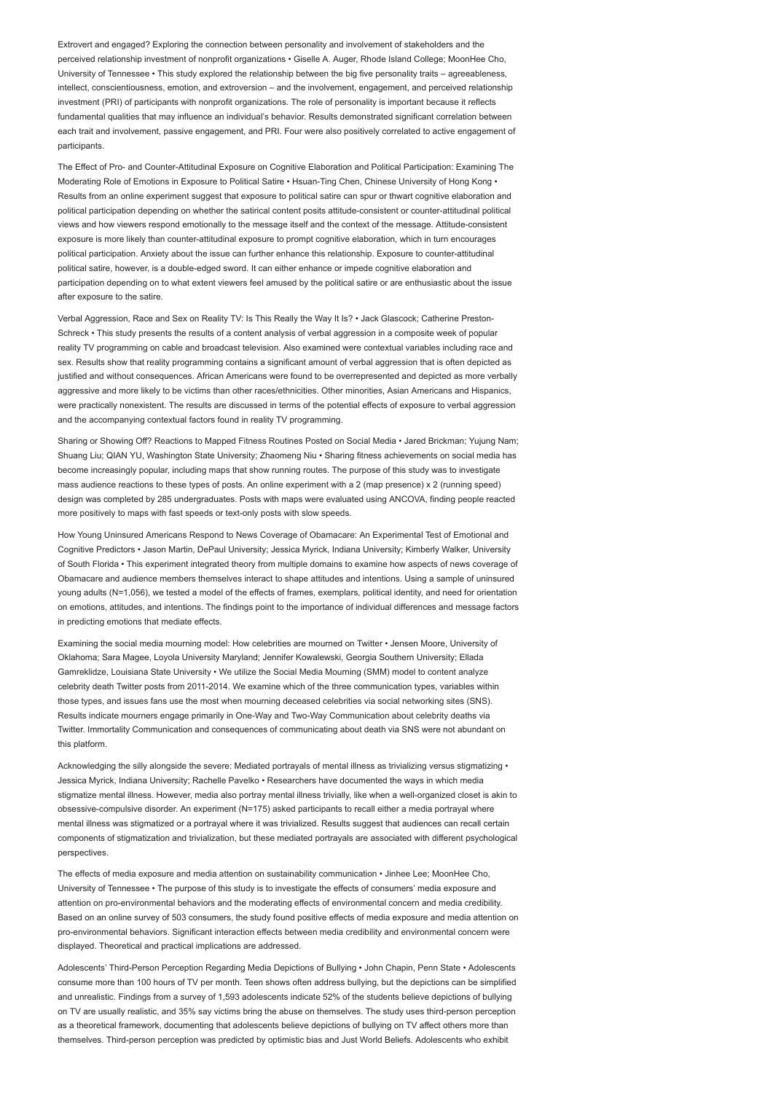Extrovert and engaged? Exploring the connection between personality and involvement of stakeholders and the perceived relationship investment of nonprofit organizations • Giselle A. Auger, Rhode Island College; MoonHee Cho, University of Tennessee • This study explored the relationship between the big five personality traits – agreeableness, intellect, conscientiousness, emotion, and extroversion – and the involvement, engagement, and perceived relationship investment (PRI) of participants with nonprofit organizations. The role of personality is important because it reflects fundamental qualities that may influence an individual's behavior. Results demonstrated significant correlation between each trait and involvement, passive engagement, and PRI. Four were also positively correlated to active engagement of participants.

The Effect of Pro- and Counter-Attitudinal Exposure on Cognitive Elaboration and Political Participation: Examining The Moderating Role of Emotions in Exposure to Political Satire • Hsuan-Ting Chen, Chinese University of Hong Kong • Results from an online experiment suggest that exposure to political satire can spur or thwart cognitive elaboration and political participation depending on whether the satirical content posits attitude-consistent or counter-attitudinal political views and how viewers respond emotionally to the message itself and the context of the message. Attitude-consistent exposure is more likely than counter-attitudinal exposure to prompt cognitive elaboration, which in turn encourages political participation. Anxiety about the issue can further enhance this relationship. Exposure to counter-attitudinal political satire, however, is a double-edged sword. It can either enhance or impede cognitive elaboration and participation depending on to what extent viewers feel amused by the political satire or are enthusiastic about the issue after exposure to the satire.

Verbal Aggression, Race and Sex on Reality TV: Is This Really the Way It Is? • Jack Glascock; Catherine Preston-Schreck • This study presents the results of a content analysis of verbal aggression in a composite week of popular reality TV programming on cable and broadcast television. Also examined were contextual variables including race and sex. Results show that reality programming contains a significant amount of verbal aggression that is often depicted as justified and without consequences. African Americans were found to be overrepresented and depicted as more verbally aggressive and more likely to be victims than other races/ethnicities. Other minorities, Asian Americans and Hispanics, were practically nonexistent. The results are discussed in terms of the potential effects of exposure to verbal aggression and the accompanying contextual factors found in reality TV programming.

Sharing or Showing Off? Reactions to Mapped Fitness Routines Posted on Social Media • Jared Brickman; Yujung Nam; Shuang Liu; QIAN YU, Washington State University; Zhaomeng Niu • Sharing fitness achievements on social media has become increasingly popular, including maps that show running routes. The purpose of this study was to investigate mass audience reactions to these types of posts. An online experiment with a 2 (map presence) x 2 (running speed) design was completed by 285 undergraduates. Posts with maps were evaluated using ANCOVA, finding people reacted more positively to maps with fast speeds or text-only posts with slow speeds.

How Young Uninsured Americans Respond to News Coverage of Obamacare: An Experimental Test of Emotional and Cognitive Predictors • Jason Martin, DePaul University; Jessica Myrick, Indiana University; Kimberly Walker, University of South Florida • This experiment integrated theory from multiple domains to examine how aspects of news coverage of Obamacare and audience members themselves interact to shape attitudes and intentions. Using a sample of uninsured young adults (N=1,056), we tested a model of the effects of frames, exemplars, political identity, and need for orientation on emotions, attitudes, and intentions. The findings point to the importance of individual differences and message factors in predicting emotions that mediate effects.

Examining the social media mourning model: How celebrities are mourned on Twitter • Jensen Moore, University of Oklahoma; Sara Magee, Loyola University Maryland; Jennifer Kowalewski, Georgia Southern University; Ellada Gamreklidze, Louisiana State University • We utilize the Social Media Mourning (SMM) model to content analyze celebrity death Twitter posts from 2011-2014. We examine which of the three communication types, variables within those types, and issues fans use the most when mourning deceased celebrities via social networking sites (SNS). Results indicate mourners engage primarily in One-Way and Two-Way Communication about celebrity deaths via Twitter. Immortality Communication and consequences of communicating about death via SNS were not abundant on this platform.

Acknowledging the silly alongside the severe: Mediated portravals of mental illness as trivializing versus stigmatizing • Jessica Myrick, Indiana University; Rachelle Pavelko • Researchers have documented the ways in which media stigmatize mental illness. However, media also portray mental illness trivially, like when a well-organized closet is akin to obsessive-compulsive disorder. An experiment (N=175) asked participants to recall either a media portrayal where mental illness was stigmatized or a portrayal where it was trivialized. Results suggest that audiences can recall certain components of stigmatization and trivialization, but these mediated portrayals are associated with different psychological perspectives.

The effects of media exposure and media attention on sustainability communication • Jinhee Lee; MoonHee Cho, University of Tennessee • The purpose of this study is to investigate the effects of consumers' media exposure and attention on pro-environmental behaviors and the moderating effects of environmental concern and media credibility. Based on an online survey of 503 consumers, the study found positive effects of media exposure and media attention on pro-environmental behaviors. Significant interaction effects between media credibility and environmental concern were displayed. Theoretical and practical implications are addressed.

Adolescents' Third-Person Perception Regarding Media Depictions of Bullying • John Chapin, Penn State • Adolescents consume more than 100 hours of TV per month. Teen shows often address bullying, but the depictions can be simplified and unrealistic. Findings from a survey of 1,593 adolescents indicate 52% of the students believe depictions of bullying on TV are usually realistic, and 35% say victims bring the abuse on themselves. The study uses third-person perception as a theoretical framework, documenting that adolescents believe depictions of bullying on TV affect others more than themselves. Third-person perception was predicted by optimistic bias and Just World Beliefs. Adolescents who exhibit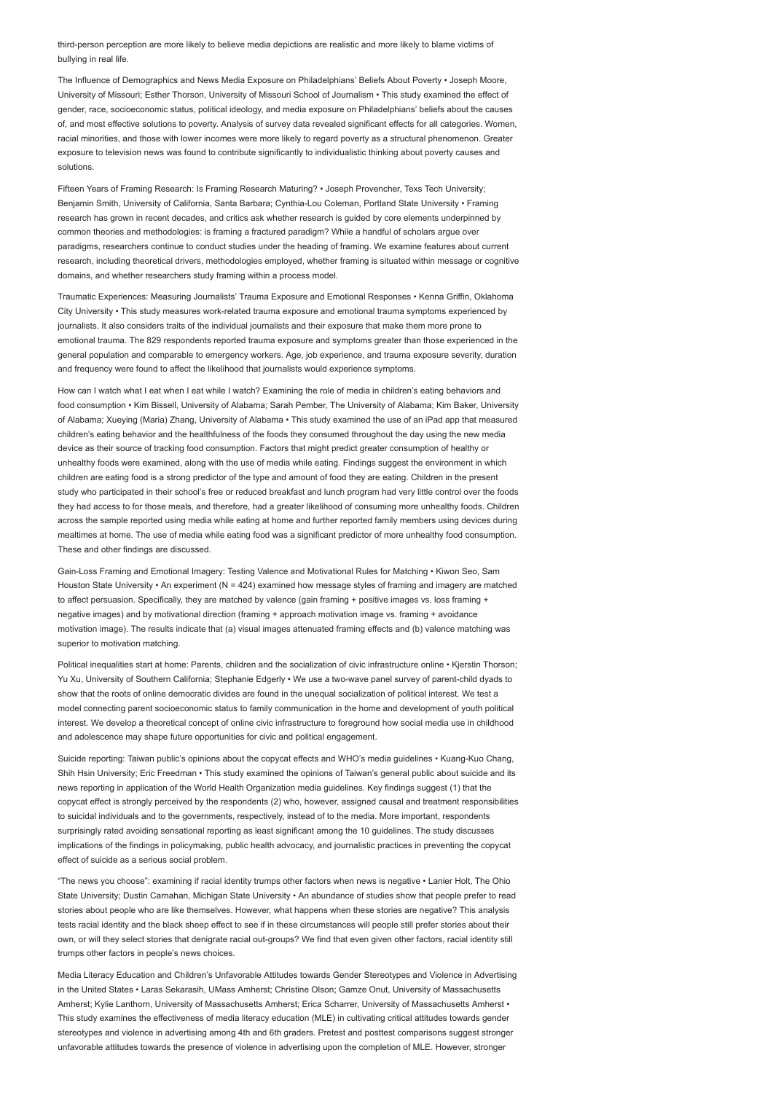third-person perception are more likely to believe media depictions are realistic and more likely to blame victims of bullying in real life.

The Influence of Demographics and News Media Exposure on Philadelphians' Beliefs About Poverty • Joseph Moore, University of Missouri; Esther Thorson, University of Missouri School of Journalism • This study examined the effect of gender, race, socioeconomic status, political ideology, and media exposure on Philadelphians' beliefs about the causes of, and most effective solutions to poverty. Analysis of survey data revealed significant effects for all categories. Women, racial minorities, and those with lower incomes were more likely to regard poverty as a structural phenomenon. Greater exposure to television news was found to contribute significantly to individualistic thinking about poverty causes and solutions.

Fifteen Years of Framing Research: Is Framing Research Maturing? • Joseph Provencher, Texs Tech University; Benjamin Smith, University of California, Santa Barbara; Cynthia-Lou Coleman, Portland State University • Framing research has grown in recent decades, and critics ask whether research is guided by core elements underpinned by common theories and methodologies: is framing a fractured paradigm? While a handful of scholars argue over paradigms, researchers continue to conduct studies under the heading of framing. We examine features about current research, including theoretical drivers, methodologies employed, whether framing is situated within message or cognitive domains, and whether researchers study framing within a process model.

Traumatic Experiences: Measuring Journalists' Trauma Exposure and Emotional Responses • Kenna Griffin, Oklahoma City University • This study measures work-related trauma exposure and emotional trauma symptoms experienced by journalists. It also considers traits of the individual journalists and their exposure that make them more prone to emotional trauma. The 829 respondents reported trauma exposure and symptoms greater than those experienced in the general population and comparable to emergency workers. Age, job experience, and trauma exposure severity, duration and frequency were found to affect the likelihood that journalists would experience symptoms.

How can I watch what I eat when I eat while I watch? Examining the role of media in children's eating behaviors and food consumption • Kim Bissell, University of Alabama; Sarah Pember, The University of Alabama; Kim Baker, University of Alabama; Xueying (Maria) Zhang, University of Alabama • This study examined the use of an iPad app that measured children's eating behavior and the healthfulness of the foods they consumed throughout the day using the new media device as their source of tracking food consumption. Factors that might predict greater consumption of healthy or unhealthy foods were examined, along with the use of media while eating. Findings suggest the environment in which children are eating food is a strong predictor of the type and amount of food they are eating. Children in the present study who participated in their school's free or reduced breakfast and lunch program had very little control over the foods they had access to for those meals, and therefore, had a greater likelihood of consuming more unhealthy foods. Children across the sample reported using media while eating at home and further reported family members using devices during mealtimes at home. The use of media while eating food was a significant predictor of more unhealthy food consumption. These and other findings are discussed.

Gain-Loss Framing and Emotional Imagery: Testing Valence and Motivational Rules for Matching • Kiwon Seo, Sam Houston State University • An experiment (N = 424) examined how message styles of framing and imagery are matched to affect persuasion. Specifically, they are matched by valence (gain framing + positive images vs. loss framing + negative images) and by motivational direction (framing + approach motivation image vs. framing + avoidance motivation image). The results indicate that (a) visual images attenuated framing effects and (b) valence matching was superior to motivation matching.

Political inequalities start at home: Parents, children and the socialization of civic infrastructure online • Kjerstin Thorson; Yu Xu, University of Southern California; Stephanie Edgerly • We use a two-wave panel survey of parent-child dyads to show that the roots of online democratic divides are found in the unequal socialization of political interest. We test a model connecting parent socioeconomic status to family communication in the home and development of youth political interest. We develop a theoretical concept of online civic infrastructure to foreground how social media use in childhood and adolescence may shape future opportunities for civic and political engagement.

Suicide reporting: Taiwan public's opinions about the copycat effects and WHO's media guidelines • Kuang-Kuo Chang, Shih Hsin University; Eric Freedman • This study examined the opinions of Taiwan's general public about suicide and its news reporting in application of the World Health Organization media guidelines. Key findings suggest (1) that the copycat effect is strongly perceived by the respondents (2) who, however, assigned causal and treatment responsibilities to suicidal individuals and to the governments, respectively, instead of to the media. More important, respondents surprisingly rated avoiding sensational reporting as least significant among the 10 guidelines. The study discusses implications of the findings in policymaking, public health advocacy, and journalistic practices in preventing the copycat effect of suicide as a serious social problem.

"The news you choose": examining if racial identity trumps other factors when news is negative • Lanier Holt, The Ohio State University; Dustin Carnahan, Michigan State University • An abundance of studies show that people prefer to read stories about people who are like themselves. However, what happens when these stories are negative? This analysis tests racial identity and the black sheep effect to see if in these circumstances will people still prefer stories about their own, or will they select stories that denigrate racial out-groups? We find that even given other factors, racial identity still trumps other factors in people's news choices.

Media Literacy Education and Children's Unfavorable Attitudes towards Gender Stereotypes and Violence in Advertising in the United States • Laras Sekarasih, UMass Amherst; Christine Olson; Gamze Onut, University of Massachusetts Amherst; Kylie Lanthorn, University of Massachusetts Amherst; Erica Scharrer, University of Massachusetts Amherst • This study examines the effectiveness of media literacy education (MLE) in cultivating critical attitudes towards gender stereotypes and violence in advertising among 4th and 6th graders. Pretest and posttest comparisons suggest stronger unfavorable attitudes towards the presence of violence in advertising upon the completion of MLE. However, stronger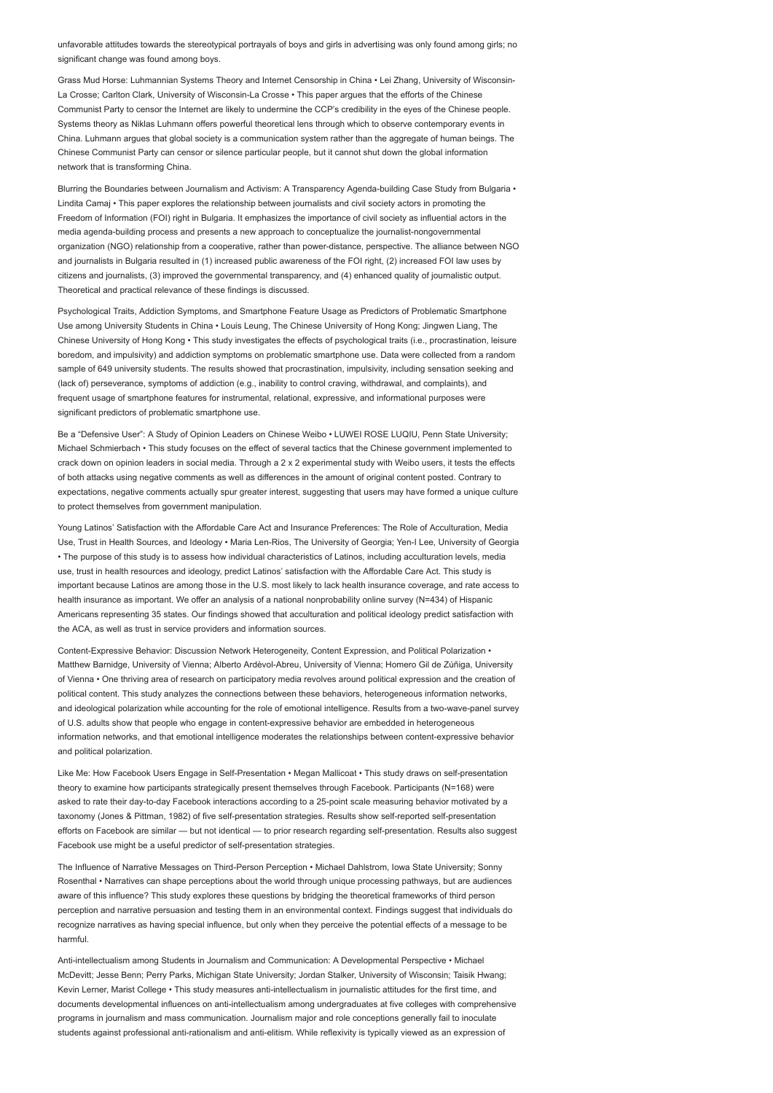unfavorable attitudes towards the stereotypical portrayals of boys and girls in advertising was only found among girls; no significant change was found among boys.

Grass Mud Horse: Luhmannian Systems Theory and Internet Censorship in China • Lei Zhang, University of Wisconsin-La Crosse; Carlton Clark, University of Wisconsin-La Crosse • This paper argues that the efforts of the Chinese Communist Party to censor the Internet are likely to undermine the CCP's credibility in the eyes of the Chinese people. Systems theory as Niklas Luhmann offers powerful theoretical lens through which to observe contemporary events in China. Luhmann argues that global society is a communication system rather than the aggregate of human beings. The Chinese Communist Party can censor or silence particular people, but it cannot shut down the global information network that is transforming China.

Blurring the Boundaries between Journalism and Activism: A Transparency Agenda-building Case Study from Bulgaria • Lindita Camaj • This paper explores the relationship between journalists and civil society actors in promoting the Freedom of Information (FOI) right in Bulgaria. It emphasizes the importance of civil society as influential actors in the media agenda-building process and presents a new approach to conceptualize the journalist-nongovernmental organization (NGO) relationship from a cooperative, rather than power-distance, perspective. The alliance between NGO and journalists in Bulgaria resulted in (1) increased public awareness of the FOI right, (2) increased FOI law uses by citizens and journalists, (3) improved the governmental transparency, and (4) enhanced quality of journalistic output. Theoretical and practical relevance of these findings is discussed.

Psychological Traits, Addiction Symptoms, and Smartphone Feature Usage as Predictors of Problematic Smartphone Use among University Students in China • Louis Leung, The Chinese University of Hong Kong; Jingwen Liang, The Chinese University of Hong Kong • This study investigates the effects of psychological traits (i.e., procrastination, leisure boredom, and impulsivity) and addiction symptoms on problematic smartphone use. Data were collected from a random sample of 649 university students. The results showed that procrastination, impulsivity, including sensation seeking and (lack of) perseverance, symptoms of addiction (e.g., inability to control craving, withdrawal, and complaints), and frequent usage of smartphone features for instrumental, relational, expressive, and informational purposes were significant predictors of problematic smartphone use.

Be a "Defensive User": A Study of Opinion Leaders on Chinese Weibo • LUWEI ROSE LUQIU, Penn State University; Michael Schmierbach • This study focuses on the effect of several tactics that the Chinese government implemented to crack down on opinion leaders in social media. Through a 2 x 2 experimental study with Weibo users, it tests the effects of both attacks using negative comments as well as differences in the amount of original content posted. Contrary to expectations, negative comments actually spur greater interest, suggesting that users may have formed a unique culture to protect themselves from government manipulation.

Young Latinos' Satisfaction with the Affordable Care Act and Insurance Preferences: The Role of Acculturation, Media Use, Trust in Health Sources, and Ideology • Maria Len-Rios, The University of Georgia; Yen-I Lee, University of Georgia • The purpose of this study is to assess how individual characteristics of Latinos, including acculturation levels, media use, trust in health resources and ideology, predict Latinos' satisfaction with the Affordable Care Act. This study is important because Latinos are among those in the U.S. most likely to lack health insurance coverage, and rate access to health insurance as important. We offer an analysis of a national nonprobability online survey (N=434) of Hispanic Americans representing 35 states. Our findings showed that acculturation and political ideology predict satisfaction with the ACA, as well as trust in service providers and information sources.

Content-Expressive Behavior: Discussion Network Heterogeneity, Content Expression, and Political Polarization • Matthew Barnidge, University of Vienna; Alberto Ardèvol-Abreu, University of Vienna; Homero Gil de Zúñiga, University of Vienna • One thriving area of research on participatory media revolves around political expression and the creation of political content. This study analyzes the connections between these behaviors, heterogeneous information networks, and ideological polarization while accounting for the role of emotional intelligence. Results from a two-wave-panel survey of U.S. adults show that people who engage in content-expressive behavior are embedded in heterogeneous information networks, and that emotional intelligence moderates the relationships between content-expressive behavior and political polarization.

Like Me: How Facebook Users Engage in Self-Presentation • Megan Mallicoat • This study draws on self-presentation theory to examine how participants strategically present themselves through Facebook. Participants (N=168) were asked to rate their day-to-day Facebook interactions according to a 25-point scale measuring behavior motivated by a taxonomy (Jones & Pittman, 1982) of five self-presentation strategies. Results show self-reported self-presentation efforts on Facebook are similar — but not identical — to prior research regarding self-presentation. Results also suggest Facebook use might be a useful predictor of self-presentation strategies.

The Influence of Narrative Messages on Third-Person Perception • Michael Dahlstrom, Iowa State University; Sonny Rosenthal • Narratives can shape perceptions about the world through unique processing pathways, but are audiences aware of this influence? This study explores these questions by bridging the theoretical frameworks of third person perception and narrative persuasion and testing them in an environmental context. Findings suggest that individuals do recognize narratives as having special influence, but only when they perceive the potential effects of a message to be harmful.

Anti-intellectualism among Students in Journalism and Communication: A Developmental Perspective • Michael McDevitt; Jesse Benn; Perry Parks, Michigan State University; Jordan Stalker, University of Wisconsin; Taisik Hwang; Kevin Lerner, Marist College • This study measures anti-intellectualism in journalistic attitudes for the first time, and documents developmental influences on anti-intellectualism among undergraduates at five colleges with comprehensive programs in journalism and mass communication. Journalism major and role conceptions generally fail to inoculate students against professional anti-rationalism and anti-elitism. While reflexivity is typically viewed as an expression of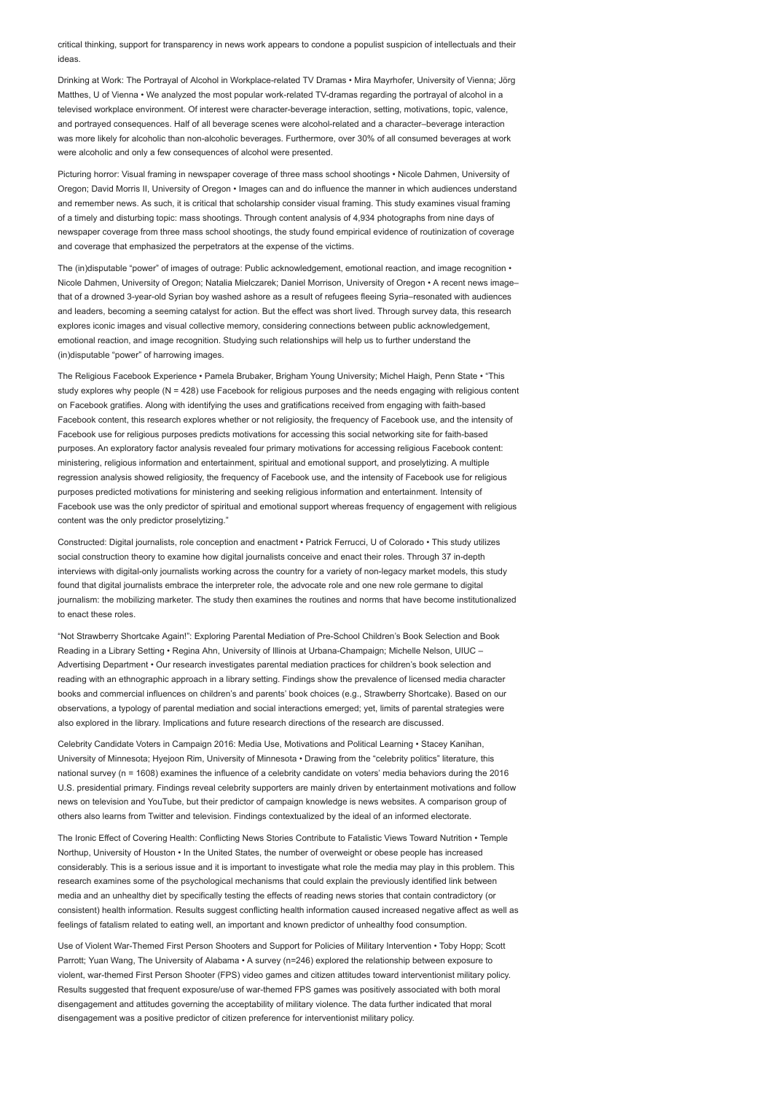critical thinking, support for transparency in news work appears to condone a populist suspicion of intellectuals and their ideas.

Drinking at Work: The Portrayal of Alcohol in Workplace-related TV Dramas • Mira Mayrhofer, University of Vienna; Jörg Matthes, U of Vienna • We analyzed the most popular work-related TV-dramas regarding the portrayal of alcohol in a televised workplace environment. Of interest were character-beverage interaction, setting, motivations, topic, valence, and portrayed consequences. Half of all beverage scenes were alcohol-related and a character–beverage interaction was more likely for alcoholic than non-alcoholic beverages. Furthermore, over 30% of all consumed beverages at work were alcoholic and only a few consequences of alcohol were presented.

Picturing horror: Visual framing in newspaper coverage of three mass school shootings • Nicole Dahmen, University of Oregon; David Morris II, University of Oregon • Images can and do influence the manner in which audiences understand and remember news. As such, it is critical that scholarship consider visual framing. This study examines visual framing of a timely and disturbing topic: mass shootings. Through content analysis of 4,934 photographs from nine days of newspaper coverage from three mass school shootings, the study found empirical evidence of routinization of coverage and coverage that emphasized the perpetrators at the expense of the victims.

The (in)disputable "power" of images of outrage: Public acknowledgement, emotional reaction, and image recognition • Nicole Dahmen, University of Oregon; Natalia Mielczarek; Daniel Morrison, University of Oregon • A recent news image– that of a drowned 3-year-old Syrian boy washed ashore as a result of refugees fleeing Syria–resonated with audiences and leaders, becoming a seeming catalyst for action. But the effect was short lived. Through survey data, this research explores iconic images and visual collective memory, considering connections between public acknowledgement, emotional reaction, and image recognition. Studying such relationships will help us to further understand the (in)disputable "power" of harrowing images.

The Religious Facebook Experience • Pamela Brubaker, Brigham Young University; Michel Haigh, Penn State • "This study explores why people (N = 428) use Facebook for religious purposes and the needs engaging with religious content on Facebook gratifies. Along with identifying the uses and gratifications received from engaging with faith-based Facebook content, this research explores whether or not religiosity, the frequency of Facebook use, and the intensity of Facebook use for religious purposes predicts motivations for accessing this social networking site for faith-based purposes. An exploratory factor analysis revealed four primary motivations for accessing religious Facebook content: ministering, religious information and entertainment, spiritual and emotional support, and proselytizing. A multiple regression analysis showed religiosity, the frequency of Facebook use, and the intensity of Facebook use for religious purposes predicted motivations for ministering and seeking religious information and entertainment. Intensity of Facebook use was the only predictor of spiritual and emotional support whereas frequency of engagement with religious content was the only predictor proselytizing."

Constructed: Digital journalists, role conception and enactment • Patrick Ferrucci, U of Colorado • This study utilizes social construction theory to examine how digital journalists conceive and enact their roles. Through 37 in-depth interviews with digital-only journalists working across the country for a variety of non-legacy market models, this study found that digital journalists embrace the interpreter role, the advocate role and one new role germane to digital journalism: the mobilizing marketer. The study then examines the routines and norms that have become institutionalized to enact these roles.

"Not Strawberry Shortcake Again!": Exploring Parental Mediation of Pre-School Children's Book Selection and Book Reading in a Library Setting • Regina Ahn, University of Illinois at Urbana-Champaign; Michelle Nelson, UIUC – Advertising Department • Our research investigates parental mediation practices for children's book selection and reading with an ethnographic approach in a library setting. Findings show the prevalence of licensed media character books and commercial influences on children's and parents' book choices (e.g., Strawberry Shortcake). Based on our observations, a typology of parental mediation and social interactions emerged; yet, limits of parental strategies were also explored in the library. Implications and future research directions of the research are discussed.

Celebrity Candidate Voters in Campaign 2016: Media Use, Motivations and Political Learning • Stacey Kanihan, University of Minnesota; Hyejoon Rim, University of Minnesota • Drawing from the "celebrity politics" literature, this national survey (n = 1608) examines the influence of a celebrity candidate on voters' media behaviors during the 2016 U.S. presidential primary. Findings reveal celebrity supporters are mainly driven by entertainment motivations and follow news on television and YouTube, but their predictor of campaign knowledge is news websites. A comparison group of others also learns from Twitter and television. Findings contextualized by the ideal of an informed electorate.

The Ironic Effect of Covering Health: Conflicting News Stories Contribute to Fatalistic Views Toward Nutrition • Temple Northup, University of Houston • In the United States, the number of overweight or obese people has increased considerably. This is a serious issue and it is important to investigate what role the media may play in this problem. This research examines some of the psychological mechanisms that could explain the previously identified link between media and an unhealthy diet by specifically testing the effects of reading news stories that contain contradictory (or consistent) health information. Results suggest conflicting health information caused increased negative affect as well as feelings of fatalism related to eating well, an important and known predictor of unhealthy food consumption.

Use of Violent War-Themed First Person Shooters and Support for Policies of Military Intervention • Toby Hopp; Scott Parrott; Yuan Wang, The University of Alabama • A survey (n=246) explored the relationship between exposure to violent, war-themed First Person Shooter (FPS) video games and citizen attitudes toward interventionist military policy. Results suggested that frequent exposure/use of war-themed FPS games was positively associated with both moral disengagement and attitudes governing the acceptability of military violence. The data further indicated that moral disengagement was a positive predictor of citizen preference for interventionist military policy.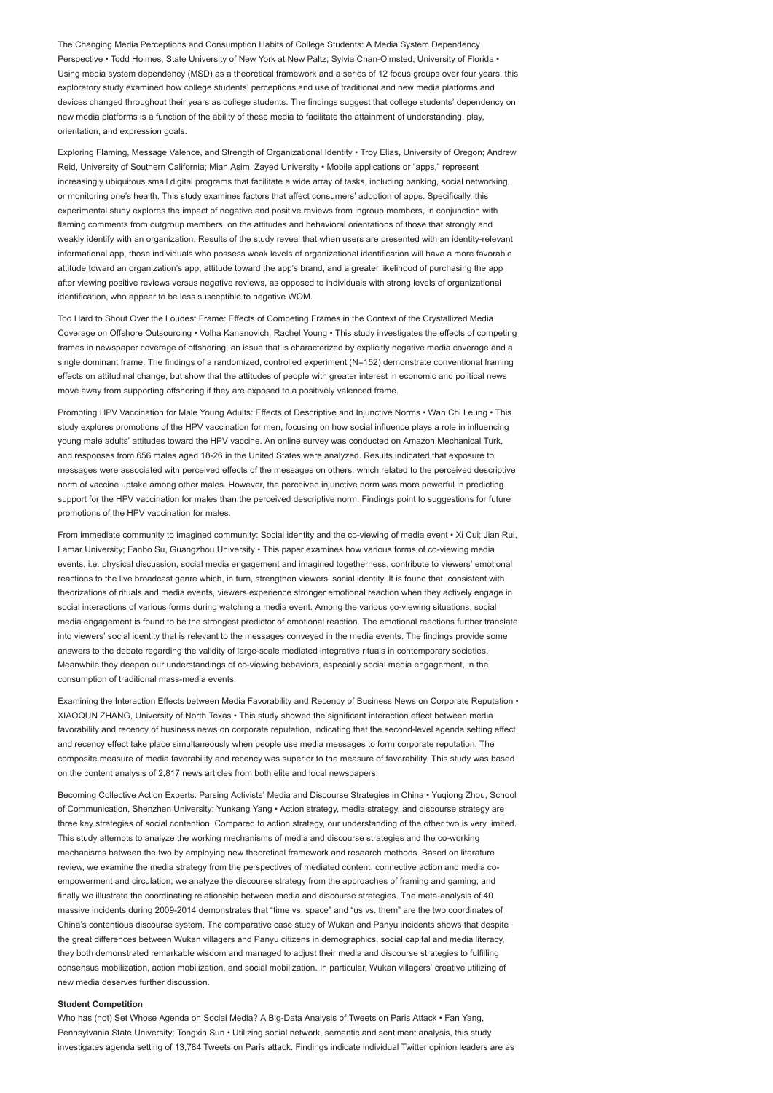The Changing Media Perceptions and Consumption Habits of College Students: A Media System Dependency Perspective • Todd Holmes, State University of New York at New Paltz; Sylvia Chan-Olmsted, University of Florida • Using media system dependency (MSD) as a theoretical framework and a series of 12 focus groups over four years, this exploratory study examined how college students' perceptions and use of traditional and new media platforms and devices changed throughout their years as college students. The findings suggest that college students' dependency on new media platforms is a function of the ability of these media to facilitate the attainment of understanding, play, orientation, and expression goals.

Exploring Flaming, Message Valence, and Strength of Organizational Identity • Troy Elias, University of Oregon; Andrew Reid, University of Southern California; Mian Asim, Zayed University • Mobile applications or "apps," represent increasingly ubiquitous small digital programs that facilitate a wide array of tasks, including banking, social networking, or monitoring one's health. This study examines factors that affect consumers' adoption of apps. Specifically, this experimental study explores the impact of negative and positive reviews from ingroup members, in conjunction with flaming comments from outgroup members, on the attitudes and behavioral orientations of those that strongly and weakly identify with an organization. Results of the study reveal that when users are presented with an identity-relevant informational app, those individuals who possess weak levels of organizational identification will have a more favorable attitude toward an organization's app, attitude toward the app's brand, and a greater likelihood of purchasing the app after viewing positive reviews versus negative reviews, as opposed to individuals with strong levels of organizational identification, who appear to be less susceptible to negative WOM.

Too Hard to Shout Over the Loudest Frame: Effects of Competing Frames in the Context of the Crystallized Media Coverage on Offshore Outsourcing • Volha Kananovich; Rachel Young • This study investigates the effects of competing frames in newspaper coverage of offshoring, an issue that is characterized by explicitly negative media coverage and a single dominant frame. The findings of a randomized, controlled experiment (N=152) demonstrate conventional framing effects on attitudinal change, but show that the attitudes of people with greater interest in economic and political news move away from supporting offshoring if they are exposed to a positively valenced frame.

Promoting HPV Vaccination for Male Young Adults: Effects of Descriptive and Injunctive Norms • Wan Chi Leung • This study explores promotions of the HPV vaccination for men, focusing on how social influence plays a role in influencing young male adults' attitudes toward the HPV vaccine. An online survey was conducted on Amazon Mechanical Turk, and responses from 656 males aged 18-26 in the United States were analyzed. Results indicated that exposure to messages were associated with perceived effects of the messages on others, which related to the perceived descriptive norm of vaccine uptake among other males. However, the perceived injunctive norm was more powerful in predicting support for the HPV vaccination for males than the perceived descriptive norm. Findings point to suggestions for future promotions of the HPV vaccination for males.

From immediate community to imagined community: Social identity and the co-viewing of media event • Xi Cui; Jian Rui, Lamar University; Fanbo Su, Guangzhou University • This paper examines how various forms of co-viewing media events, i.e. physical discussion, social media engagement and imagined togetherness, contribute to viewers' emotional reactions to the live broadcast genre which, in turn, strengthen viewers' social identity. It is found that, consistent with theorizations of rituals and media events, viewers experience stronger emotional reaction when they actively engage in social interactions of various forms during watching a media event. Among the various co-viewing situations, social media engagement is found to be the strongest predictor of emotional reaction. The emotional reactions further translate into viewers' social identity that is relevant to the messages conveyed in the media events. The findings provide some answers to the debate regarding the validity of large-scale mediated integrative rituals in contemporary societies. Meanwhile they deepen our understandings of co-viewing behaviors, especially social media engagement, in the consumption of traditional mass-media events.

Examining the Interaction Effects between Media Favorability and Recency of Business News on Corporate Reputation • XIAOQUN ZHANG, University of North Texas • This study showed the significant interaction effect between media favorability and recency of business news on corporate reputation, indicating that the second-level agenda setting effect and recency effect take place simultaneously when people use media messages to form corporate reputation. The composite measure of media favorability and recency was superior to the measure of favorability. This study was based on the content analysis of 2,817 news articles from both elite and local newspapers.

Becoming Collective Action Experts: Parsing Activists' Media and Discourse Strategies in China • Yuqiong Zhou, School of Communication, Shenzhen University; Yunkang Yang • Action strategy, media strategy, and discourse strategy are three key strategies of social contention. Compared to action strategy, our understanding of the other two is very limited. This study attempts to analyze the working mechanisms of media and discourse strategies and the co-working mechanisms between the two by employing new theoretical framework and research methods. Based on literature review, we examine the media strategy from the perspectives of mediated content, connective action and media coempowerment and circulation; we analyze the discourse strategy from the approaches of framing and gaming; and finally we illustrate the coordinating relationship between media and discourse strategies. The meta-analysis of 40 massive incidents during 2009-2014 demonstrates that "time vs. space" and "us vs. them" are the two coordinates of China's contentious discourse system. The comparative case study of Wukan and Panyu incidents shows that despite the great differences between Wukan villagers and Panyu citizens in demographics, social capital and media literacy, they both demonstrated remarkable wisdom and managed to adjust their media and discourse strategies to fulfilling consensus mobilization, action mobilization, and social mobilization. In particular, Wukan villagers' creative utilizing of new media deserves further discussion.

#### Student Competition

Who has (not) Set Whose Agenda on Social Media? A Big-Data Analysis of Tweets on Paris Attack • Fan Yang, Pennsylvania State University; Tongxin Sun • Utilizing social network, semantic and sentiment analysis, this study investigates agenda setting of 13,784 Tweets on Paris attack. Findings indicate individual Twitter opinion leaders are as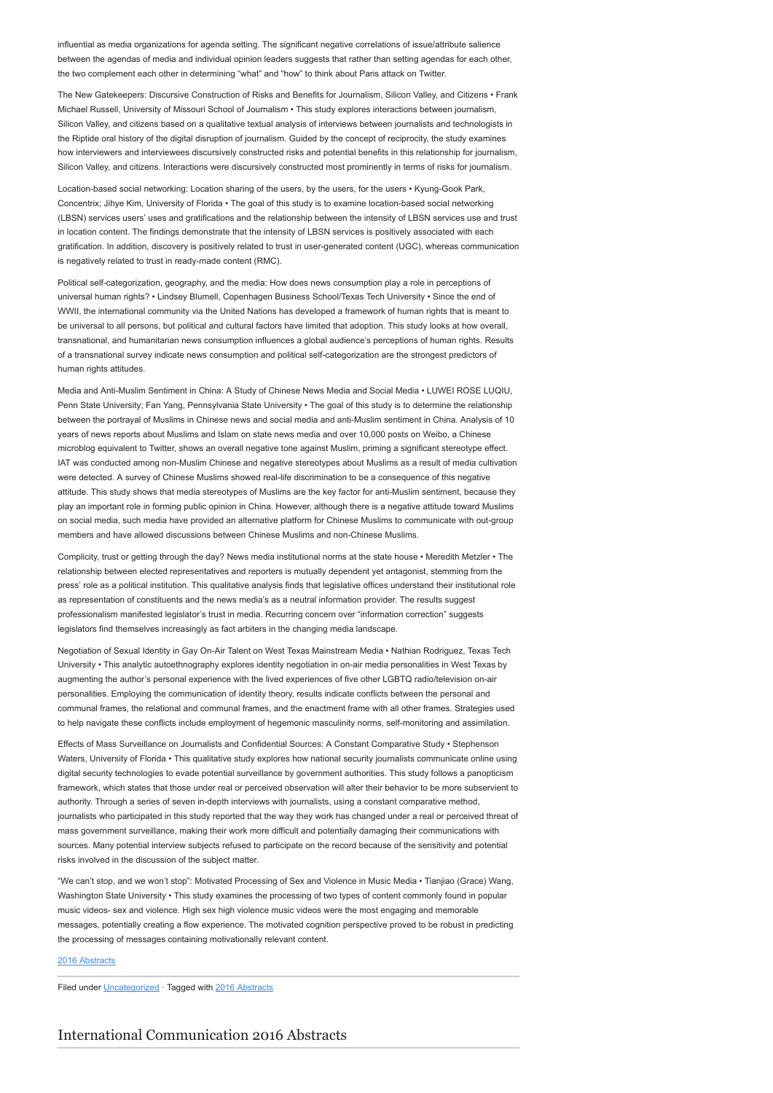influential as media organizations for agenda setting. The significant negative correlations of issue/attribute salience between the agendas of media and individual opinion leaders suggests that rather than setting agendas for each other, the two complement each other in determining "what" and "how" to think about Paris attack on Twitter.

The New Gatekeepers: Discursive Construction of Risks and Benefits for Journalism, Silicon Valley, and Citizens • Frank Michael Russell, University of Missouri School of Journalism • This study explores interactions between journalism, Silicon Valley, and citizens based on a qualitative textual analysis of interviews between journalists and technologists in the Riptide oral history of the digital disruption of journalism. Guided by the concept of reciprocity, the study examines how interviewers and interviewees discursively constructed risks and potential benefits in this relationship for journalism, Silicon Valley, and citizens. Interactions were discursively constructed most prominently in terms of risks for journalism.

Location-based social networking: Location sharing of the users, by the users, for the users • Kyung-Gook Park, Concentrix; Jihye Kim, University of Florida • The goal of this study is to examine location-based social networking (LBSN) services users' uses and gratifications and the relationship between the intensity of LBSN services use and trust in location content. The findings demonstrate that the intensity of LBSN services is positively associated with each gratification. In addition, discovery is positively related to trust in user-generated content (UGC), whereas communication is negatively related to trust in ready-made content (RMC).

Political self-categorization, geography, and the media: How does news consumption play a role in perceptions of universal human rights? • Lindsey Blumell, Copenhagen Business School/Texas Tech University • Since the end of WWII, the international community via the United Nations has developed a framework of human rights that is meant to be universal to all persons, but political and cultural factors have limited that adoption. This study looks at how overall, transnational, and humanitarian news consumption influences a global audience's perceptions of human rights. Results of a transnational survey indicate news consumption and political self-categorization are the strongest predictors of human rights attitudes.

Media and Anti-Muslim Sentiment in China: A Study of Chinese News Media and Social Media • LUWEI ROSE LUQIU, Penn State University; Fan Yang, Pennsylvania State University • The goal of this study is to determine the relationship between the portrayal of Muslims in Chinese news and social media and anti-Muslim sentiment in China. Analysis of 10 years of news reports about Muslims and Islam on state news media and over 10,000 posts on Weibo, a Chinese microblog equivalent to Twitter, shows an overall negative tone against Muslim, priming a significant stereotype effect. IAT was conducted among non-Muslim Chinese and negative stereotypes about Muslims as a result of media cultivation were detected. A survey of Chinese Muslims showed real-life discrimination to be a consequence of this negative attitude. This study shows that media stereotypes of Muslims are the key factor for anti-Muslim sentiment, because they play an important role in forming public opinion in China. However, although there is a negative attitude toward Muslims on social media, such media have provided an alternative platform for Chinese Muslims to communicate with out-group members and have allowed discussions between Chinese Muslims and non-Chinese Muslims.

Complicity, trust or getting through the day? News media institutional norms at the state house • Meredith Metzler • The relationship between elected representatives and reporters is mutually dependent yet antagonist, stemming from the press' role as a political institution. This qualitative analysis finds that legislative offices understand their institutional role as representation of constituents and the news media's as a neutral information provider. The results suggest professionalism manifested legislator's trust in media. Recurring concern over "information correction" suggests legislators find themselves increasingly as fact arbiters in the changing media landscape.

Negotiation of Sexual Identity in Gay On-Air Talent on West Texas Mainstream Media • Nathian Rodriguez, Texas Tech University • This analytic autoethnography explores identity negotiation in on-air media personalities in West Texas by augmenting the author's personal experience with the lived experiences of five other LGBTQ radio/television on-air personalities. Employing the communication of identity theory, results indicate conflicts between the personal and communal frames, the relational and communal frames, and the enactment frame with all other frames. Strategies used to help navigate these conflicts include employment of hegemonic masculinity norms, self-monitoring and assimilation.

Effects of Mass Surveillance on Journalists and Confidential Sources: A Constant Comparative Study • Stephenson Waters, University of Florida • This qualitative study explores how national security journalists communicate online using digital security technologies to evade potential surveillance by government authorities. This study follows a panopticism framework, which states that those under real or perceived observation will alter their behavior to be more subservient to authority. Through a series of seven in-depth interviews with journalists, using a constant comparative method, journalists who participated in this study reported that the way they work has changed under a real or perceived threat of mass government surveillance, making their work more difficult and potentially damaging their communications with sources. Many potential interview subjects refused to participate on the record because of the sensitivity and potential risks involved in the discussion of the subject matter.

"We can't stop, and we won't stop": Motivated Processing of Sex and Violence in Music Media • Tianjiao (Grace) Wang, Washington State University • This study examines the processing of two types of content commonly found in popular music videos- sex and violence. High sex high violence music videos were the most engaging and memorable messages, potentially creating a flow experience. The motivated cognition perspective proved to be robust in predicting the processing of messages containing motivationally relevant content.

## [2016 Abstracts](http://www.aejmc.org/home/2016/06/2016-abstracts/)

Filed under [Uncategorized](http://www.aejmc.org/home/category/uncategorized/) · Tagged with [2016 Abstracts](http://www.aejmc.org/home/tag/2016-abstracts/)

## [International Communication 2016 Abstracts](http://www.aejmc.org/home/2016/06/intl-2016-abstracts/)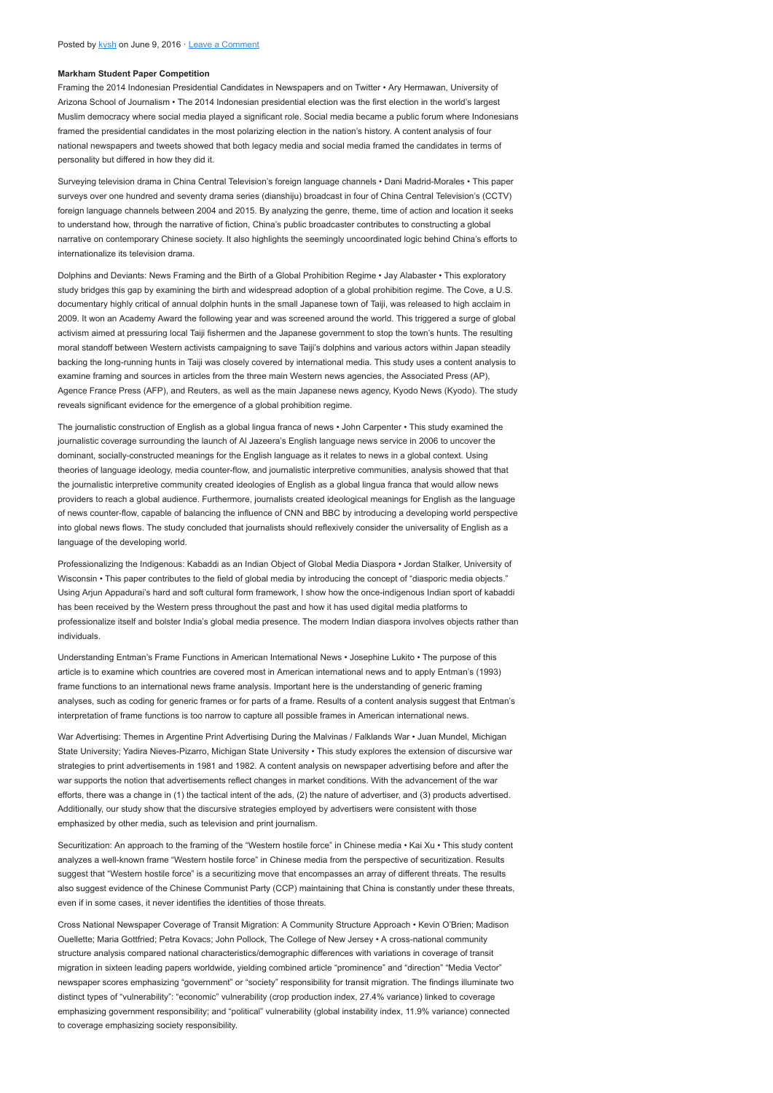### Markham Student Paper Competition

Framing the 2014 Indonesian Presidential Candidates in Newspapers and on Twitter • Ary Hermawan, University of Arizona School of Journalism • The 2014 Indonesian presidential election was the first election in the world's largest Muslim democracy where social media played a significant role. Social media became a public forum where Indonesians framed the presidential candidates in the most polarizing election in the nation's history. A content analysis of four national newspapers and tweets showed that both legacy media and social media framed the candidates in terms of personality but differed in how they did it.

Surveying television drama in China Central Television's foreign language channels • Dani Madrid-Morales • This paper surveys over one hundred and seventy drama series (dianshiju) broadcast in four of China Central Television's (CCTV) foreign language channels between 2004 and 2015. By analyzing the genre, theme, time of action and location it seeks to understand how, through the narrative of fiction, China's public broadcaster contributes to constructing a global narrative on contemporary Chinese society. It also highlights the seemingly uncoordinated logic behind China's efforts to internationalize its television drama.

Dolphins and Deviants: News Framing and the Birth of a Global Prohibition Regime • Jay Alabaster • This exploratory study bridges this gap by examining the birth and widespread adoption of a global prohibition regime. The Cove, a U.S. documentary highly critical of annual dolphin hunts in the small Japanese town of Taiji, was released to high acclaim in 2009. It won an Academy Award the following year and was screened around the world. This triggered a surge of global activism aimed at pressuring local Taiji fishermen and the Japanese government to stop the town's hunts. The resulting moral standoff between Western activists campaigning to save Taiji's dolphins and various actors within Japan steadily backing the long-running hunts in Taiji was closely covered by international media. This study uses a content analysis to examine framing and sources in articles from the three main Western news agencies, the Associated Press (AP), Agence France Press (AFP), and Reuters, as well as the main Japanese news agency, Kyodo News (Kyodo). The study reveals significant evidence for the emergence of a global prohibition regime.

The journalistic construction of English as a global lingua franca of news • John Carpenter • This study examined the journalistic coverage surrounding the launch of Al Jazeera's English language news service in 2006 to uncover the dominant, socially-constructed meanings for the English language as it relates to news in a global context. Using theories of language ideology, media counter-flow, and journalistic interpretive communities, analysis showed that that the journalistic interpretive community created ideologies of English as a global lingua franca that would allow news providers to reach a global audience. Furthermore, journalists created ideological meanings for English as the language of news counter-flow, capable of balancing the influence of CNN and BBC by introducing a developing world perspective into global news flows. The study concluded that journalists should reflexively consider the universality of English as a language of the developing world.

Professionalizing the Indigenous: Kabaddi as an Indian Object of Global Media Diaspora • Jordan Stalker, University of Wisconsin • This paper contributes to the field of global media by introducing the concept of "diasporic media objects." Using Arjun Appadurai's hard and soft cultural form framework, I show how the once-indigenous Indian sport of kabaddi has been received by the Western press throughout the past and how it has used digital media platforms to professionalize itself and bolster India's global media presence. The modern Indian diaspora involves objects rather than individuals.

Understanding Entman's Frame Functions in American International News • Josephine Lukito • The purpose of this article is to examine which countries are covered most in American international news and to apply Entman's (1993) frame functions to an international news frame analysis. Important here is the understanding of generic framing analyses, such as coding for generic frames or for parts of a frame. Results of a content analysis suggest that Entman's interpretation of frame functions is too narrow to capture all possible frames in American international news.

War Advertising: Themes in Argentine Print Advertising During the Malvinas / Falklands War • Juan Mundel, Michigan State University; Yadira Nieves-Pizarro, Michigan State University • This study explores the extension of discursive war strategies to print advertisements in 1981 and 1982. A content analysis on newspaper advertising before and after the war supports the notion that advertisements reflect changes in market conditions. With the advancement of the war efforts, there was a change in (1) the tactical intent of the ads, (2) the nature of advertiser, and (3) products advertised. Additionally, our study show that the discursive strategies employed by advertisers were consistent with those emphasized by other media, such as television and print journalism.

Securitization: An approach to the framing of the "Western hostile force" in Chinese media • Kai Xu • This study content analyzes a well-known frame "Western hostile force" in Chinese media from the perspective of securitization. Results suggest that "Western hostile force" is a securitizing move that encompasses an array of different threats. The results also suggest evidence of the Chinese Communist Party (CCP) maintaining that China is constantly under these threats, even if in some cases, it never identifies the identities of those threats.

Cross National Newspaper Coverage of Transit Migration: A Community Structure Approach • Kevin O'Brien; Madison Ouellette; Maria Gottfried; Petra Kovacs; John Pollock, The College of New Jersey • A cross-national community structure analysis compared national characteristics/demographic differences with variations in coverage of transit migration in sixteen leading papers worldwide, yielding combined article "prominence" and "direction" "Media Vector" newspaper scores emphasizing "government" or "society" responsibility for transit migration. The findings illuminate two distinct types of "vulnerability": "economic" vulnerability (crop production index, 27.4% variance) linked to coverage emphasizing government responsibility; and "political" vulnerability (global instability index, 11.9% variance) connected to coverage emphasizing society responsibility.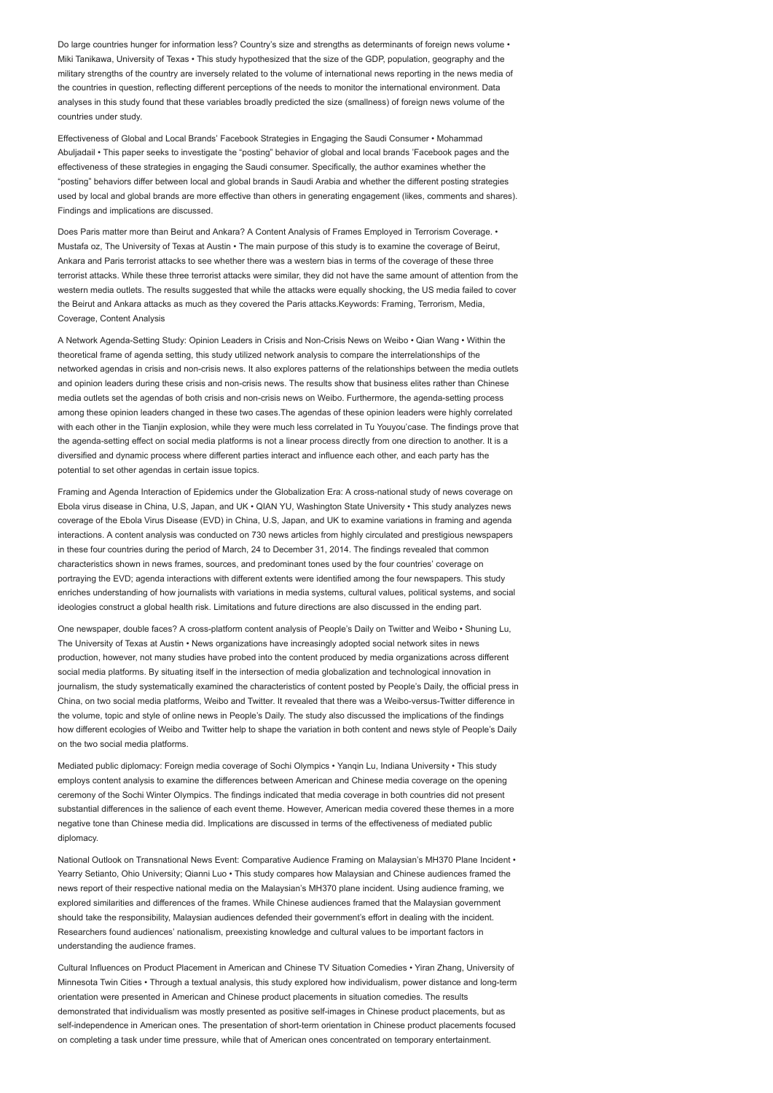Do large countries hunger for information less? Country's size and strengths as determinants of foreign news volume • Miki Tanikawa, University of Texas • This study hypothesized that the size of the GDP, population, geography and the military strengths of the country are inversely related to the volume of international news reporting in the news media of the countries in question, reflecting different perceptions of the needs to monitor the international environment. Data analyses in this study found that these variables broadly predicted the size (smallness) of foreign news volume of the countries under study.

Effectiveness of Global and Local Brands' Facebook Strategies in Engaging the Saudi Consumer • Mohammad Abuljadail • This paper seeks to investigate the "posting" behavior of global and local brands 'Facebook pages and the effectiveness of these strategies in engaging the Saudi consumer. Specifically, the author examines whether the "posting" behaviors differ between local and global brands in Saudi Arabia and whether the different posting strategies used by local and global brands are more effective than others in generating engagement (likes, comments and shares). Findings and implications are discussed.

Does Paris matter more than Beirut and Ankara? A Content Analysis of Frames Employed in Terrorism Coverage. • Mustafa oz, The University of Texas at Austin • The main purpose of this study is to examine the coverage of Beirut, Ankara and Paris terrorist attacks to see whether there was a western bias in terms of the coverage of these three terrorist attacks. While these three terrorist attacks were similar, they did not have the same amount of attention from the western media outlets. The results suggested that while the attacks were equally shocking, the US media failed to cover the Beirut and Ankara attacks as much as they covered the Paris attacks.Keywords: Framing, Terrorism, Media, Coverage, Content Analysis

A Network Agenda-Setting Study: Opinion Leaders in Crisis and Non-Crisis News on Weibo • Qian Wang • Within the theoretical frame of agenda setting, this study utilized network analysis to compare the interrelationships of the networked agendas in crisis and non-crisis news. It also explores patterns of the relationships between the media outlets and opinion leaders during these crisis and non-crisis news. The results show that business elites rather than Chinese media outlets set the agendas of both crisis and non-crisis news on Weibo. Furthermore, the agenda-setting process among these opinion leaders changed in these two cases.The agendas of these opinion leaders were highly correlated with each other in the Tianjin explosion, while they were much less correlated in Tu Youyou'case. The findings prove that the agenda-setting effect on social media platforms is not a linear process directly from one direction to another. It is a diversified and dynamic process where different parties interact and influence each other, and each party has the potential to set other agendas in certain issue topics.

Framing and Agenda Interaction of Epidemics under the Globalization Era: A cross-national study of news coverage on Ebola virus disease in China, U.S, Japan, and UK • QIAN YU, Washington State University • This study analyzes news coverage of the Ebola Virus Disease (EVD) in China, U.S, Japan, and UK to examine variations in framing and agenda interactions. A content analysis was conducted on 730 news articles from highly circulated and prestigious newspapers in these four countries during the period of March, 24 to December 31, 2014. The findings revealed that common characteristics shown in news frames, sources, and predominant tones used by the four countries' coverage on portraying the EVD; agenda interactions with different extents were identified among the four newspapers. This study enriches understanding of how journalists with variations in media systems, cultural values, political systems, and social ideologies construct a global health risk. Limitations and future directions are also discussed in the ending part.

One newspaper, double faces? A cross-platform content analysis of People's Daily on Twitter and Weibo • Shuning Lu, The University of Texas at Austin • News organizations have increasingly adopted social network sites in news production, however, not many studies have probed into the content produced by media organizations across different social media platforms. By situating itself in the intersection of media globalization and technological innovation in journalism, the study systematically examined the characteristics of content posted by People's Daily, the official press in China, on two social media platforms, Weibo and Twitter. It revealed that there was a Weibo-versus-Twitter difference in the volume, topic and style of online news in People's Daily. The study also discussed the implications of the findings how different ecologies of Weibo and Twitter help to shape the variation in both content and news style of People's Daily on the two social media platforms.

Mediated public diplomacy: Foreign media coverage of Sochi Olympics • Yangin Lu, Indiana University • This study employs content analysis to examine the differences between American and Chinese media coverage on the opening ceremony of the Sochi Winter Olympics. The findings indicated that media coverage in both countries did not present substantial differences in the salience of each event theme. However, American media covered these themes in a more negative tone than Chinese media did. Implications are discussed in terms of the effectiveness of mediated public diplomacy.

National Outlook on Transnational News Event: Comparative Audience Framing on Malaysian's MH370 Plane Incident • Yearry Setianto, Ohio University; Qianni Luo · This study compares how Malaysian and Chinese audiences framed the news report of their respective national media on the Malaysian's MH370 plane incident. Using audience framing, we explored similarities and differences of the frames. While Chinese audiences framed that the Malaysian government should take the responsibility, Malaysian audiences defended their government's effort in dealing with the incident. Researchers found audiences' nationalism, preexisting knowledge and cultural values to be important factors in understanding the audience frames.

Cultural Influences on Product Placement in American and Chinese TV Situation Comedies • Yiran Zhang, University of Minnesota Twin Cities • Through a textual analysis, this study explored how individualism, power distance and long-term orientation were presented in American and Chinese product placements in situation comedies. The results demonstrated that individualism was mostly presented as positive self-images in Chinese product placements, but as self-independence in American ones. The presentation of short-term orientation in Chinese product placements focused on completing a task under time pressure, while that of American ones concentrated on temporary entertainment.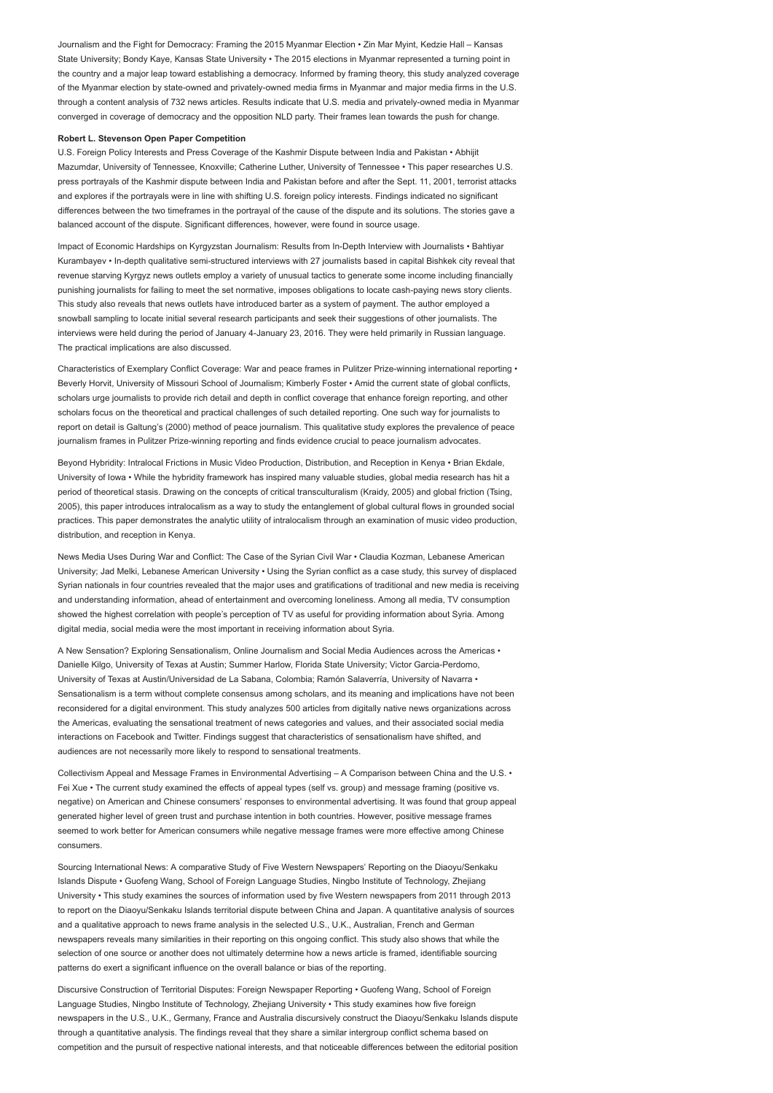Journalism and the Fight for Democracy: Framing the 2015 Myanmar Election • Zin Mar Myint, Kedzie Hall – Kansas State University; Bondy Kaye, Kansas State University • The 2015 elections in Myanmar represented a turning point in the country and a major leap toward establishing a democracy. Informed by framing theory, this study analyzed coverage of the Myanmar election by state-owned and privately-owned media firms in Myanmar and major media firms in the U.S. through a content analysis of 732 news articles. Results indicate that U.S. media and privately-owned media in Myanmar converged in coverage of democracy and the opposition NLD party. Their frames lean towards the push for change.

### Robert L. Stevenson Open Paper Competition

U.S. Foreign Policy Interests and Press Coverage of the Kashmir Dispute between India and Pakistan • Abhijit Mazumdar, University of Tennessee, Knoxville; Catherine Luther, University of Tennessee • This paper researches U.S. press portrayals of the Kashmir dispute between India and Pakistan before and after the Sept. 11, 2001, terrorist attacks and explores if the portrayals were in line with shifting U.S. foreign policy interests. Findings indicated no significant differences between the two timeframes in the portrayal of the cause of the dispute and its solutions. The stories gave a balanced account of the dispute. Significant differences, however, were found in source usage.

Impact of Economic Hardships on Kyrgyzstan Journalism: Results from In-Depth Interview with Journalists • Bahtiyar Kurambayev • In-depth qualitative semi-structured interviews with 27 journalists based in capital Bishkek city reveal that revenue starving Kyrgyz news outlets employ a variety of unusual tactics to generate some income including financially punishing journalists for failing to meet the set normative, imposes obligations to locate cash-paying news story clients. This study also reveals that news outlets have introduced barter as a system of payment. The author employed a snowball sampling to locate initial several research participants and seek their suggestions of other journalists. The interviews were held during the period of January 4-January 23, 2016. They were held primarily in Russian language. The practical implications are also discussed.

Characteristics of Exemplary Conflict Coverage: War and peace frames in Pulitzer Prize-winning international reporting • Beverly Horvit, University of Missouri School of Journalism; Kimberly Foster • Amid the current state of global conflicts, scholars urge journalists to provide rich detail and depth in conflict coverage that enhance foreign reporting, and other scholars focus on the theoretical and practical challenges of such detailed reporting. One such way for journalists to report on detail is Galtung's (2000) method of peace journalism. This qualitative study explores the prevalence of peace journalism frames in Pulitzer Prize-winning reporting and finds evidence crucial to peace journalism advocates.

Beyond Hybridity: Intralocal Frictions in Music Video Production, Distribution, and Reception in Kenya • Brian Ekdale, University of Iowa • While the hybridity framework has inspired many valuable studies, global media research has hit a period of theoretical stasis. Drawing on the concepts of critical transculturalism (Kraidy, 2005) and global friction (Tsing, 2005), this paper introduces intralocalism as a way to study the entanglement of global cultural flows in grounded social practices. This paper demonstrates the analytic utility of intralocalism through an examination of music video production, distribution, and reception in Kenya.

News Media Uses During War and Conflict: The Case of the Syrian Civil War • Claudia Kozman, Lebanese American University; Jad Melki, Lebanese American University • Using the Syrian conflict as a case study, this survey of displaced Syrian nationals in four countries revealed that the major uses and gratifications of traditional and new media is receiving and understanding information, ahead of entertainment and overcoming loneliness. Among all media, TV consumption showed the highest correlation with people's perception of TV as useful for providing information about Syria. Among digital media, social media were the most important in receiving information about Syria.

A New Sensation? Exploring Sensationalism, Online Journalism and Social Media Audiences across the Americas • Danielle Kilgo, University of Texas at Austin; Summer Harlow, Florida State University; Victor Garcia-Perdomo, University of Texas at Austin/Universidad de La Sabana, Colombia; Ramón Salaverría, University of Navarra • Sensationalism is a term without complete consensus among scholars, and its meaning and implications have not been reconsidered for a digital environment. This study analyzes 500 articles from digitally native news organizations across the Americas, evaluating the sensational treatment of news categories and values, and their associated social media interactions on Facebook and Twitter. Findings suggest that characteristics of sensationalism have shifted, and audiences are not necessarily more likely to respond to sensational treatments.

Collectivism Appeal and Message Frames in Environmental Advertising – A Comparison between China and the U.S. • Fei Xue • The current study examined the effects of appeal types (self vs. group) and message framing (positive vs. negative) on American and Chinese consumers' responses to environmental advertising. It was found that group appeal generated higher level of green trust and purchase intention in both countries. However, positive message frames seemed to work better for American consumers while negative message frames were more effective among Chinese consumers.

Sourcing International News: A comparative Study of Five Western Newspapers' Reporting on the Diaoyu/Senkaku Islands Dispute • Guofeng Wang, School of Foreign Language Studies, Ningbo Institute of Technology, Zhejiang University • This study examines the sources of information used by five Western newspapers from 2011 through 2013 to report on the Diaoyu/Senkaku Islands territorial dispute between China and Japan. A quantitative analysis of sources and a qualitative approach to news frame analysis in the selected U.S., U.K., Australian, French and German newspapers reveals many similarities in their reporting on this ongoing conflict. This study also shows that while the selection of one source or another does not ultimately determine how a news article is framed, identifiable sourcing patterns do exert a significant influence on the overall balance or bias of the reporting.

Discursive Construction of Territorial Disputes: Foreign Newspaper Reporting • Guofeng Wang, School of Foreign Language Studies, Ningbo Institute of Technology, Zhejiang University • This study examines how five foreign newspapers in the U.S., U.K., Germany, France and Australia discursively construct the Diaoyu/Senkaku Islands dispute through a quantitative analysis. The findings reveal that they share a similar intergroup conflict schema based on competition and the pursuit of respective national interests, and that noticeable differences between the editorial position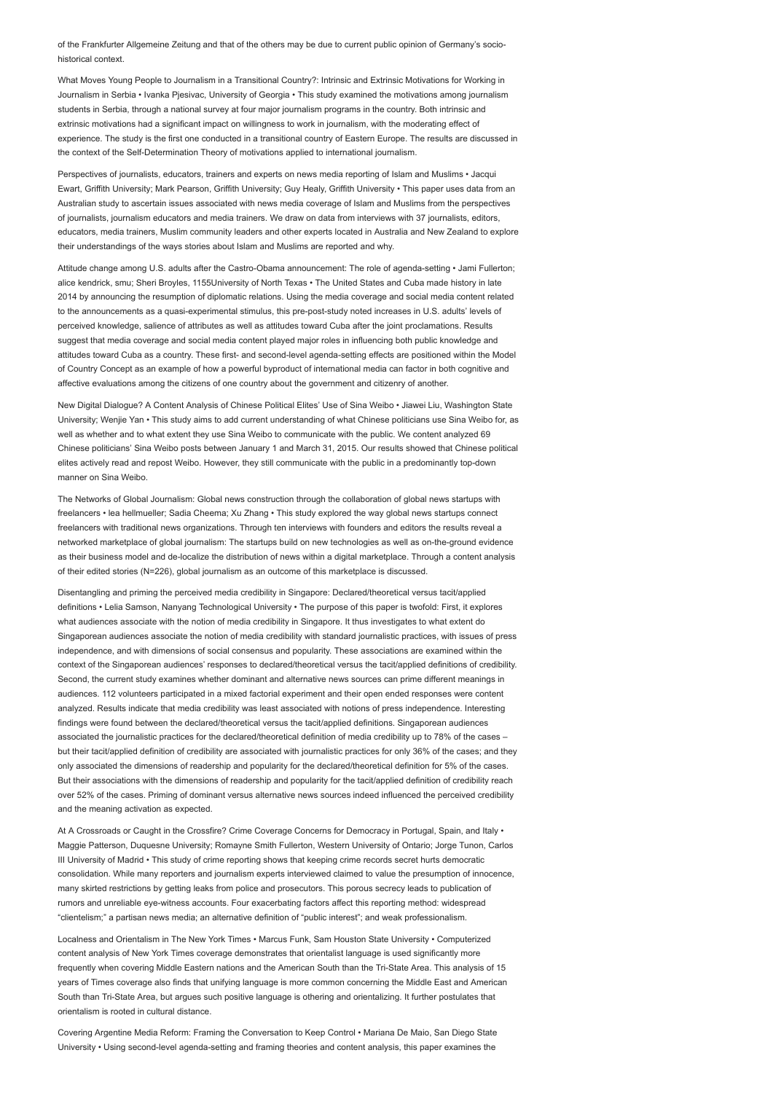of the Frankfurter Allgemeine Zeitung and that of the others may be due to current public opinion of Germany's sociohistorical context.

What Moves Young People to Journalism in a Transitional Country?: Intrinsic and Extrinsic Motivations for Working in Journalism in Serbia • Ivanka Pjesivac, University of Georgia • This study examined the motivations among journalism students in Serbia, through a national survey at four major journalism programs in the country. Both intrinsic and extrinsic motivations had a significant impact on willingness to work in journalism, with the moderating effect of experience. The study is the first one conducted in a transitional country of Eastern Europe. The results are discussed in the context of the Self-Determination Theory of motivations applied to international journalism.

Perspectives of journalists, educators, trainers and experts on news media reporting of Islam and Muslims • Jacqui Ewart, Griffith University; Mark Pearson, Griffith University; Guy Healy, Griffith University • This paper uses data from an Australian study to ascertain issues associated with news media coverage of Islam and Muslims from the perspectives of journalists, journalism educators and media trainers. We draw on data from interviews with 37 journalists, editors, educators, media trainers, Muslim community leaders and other experts located in Australia and New Zealand to explore their understandings of the ways stories about Islam and Muslims are reported and why.

Attitude change among U.S. adults after the Castro-Obama announcement: The role of agenda-setting • Jami Fullerton; alice kendrick, smu; Sheri Broyles, 1155University of North Texas • The United States and Cuba made history in late 2014 by announcing the resumption of diplomatic relations. Using the media coverage and social media content related to the announcements as a quasi-experimental stimulus, this pre-post-study noted increases in U.S. adults' levels of perceived knowledge, salience of attributes as well as attitudes toward Cuba after the joint proclamations. Results suggest that media coverage and social media content played major roles in influencing both public knowledge and attitudes toward Cuba as a country. These first- and second-level agenda-setting effects are positioned within the Model of Country Concept as an example of how a powerful byproduct of international media can factor in both cognitive and affective evaluations among the citizens of one country about the government and citizenry of another.

New Digital Dialogue? A Content Analysis of Chinese Political Elites' Use of Sina Weibo • Jiawei Liu, Washington State University; Wenjie Yan • This study aims to add current understanding of what Chinese politicians use Sina Weibo for, as well as whether and to what extent they use Sina Weibo to communicate with the public. We content analyzed 69 Chinese politicians' Sina Weibo posts between January 1 and March 31, 2015. Our results showed that Chinese political elites actively read and repost Weibo. However, they still communicate with the public in a predominantly top-down manner on Sina Weibo.

The Networks of Global Journalism: Global news construction through the collaboration of global news startups with freelancers • lea hellmueller; Sadia Cheema; Xu Zhang • This study explored the way global news startups connect freelancers with traditional news organizations. Through ten interviews with founders and editors the results reveal a networked marketplace of global journalism: The startups build on new technologies as well as on-the-ground evidence as their business model and de-localize the distribution of news within a digital marketplace. Through a content analysis of their edited stories (N=226), global journalism as an outcome of this marketplace is discussed.

Disentangling and priming the perceived media credibility in Singapore: Declared/theoretical versus tacit/applied definitions • Lelia Samson, Nanyang Technological University • The purpose of this paper is twofold: First, it explores what audiences associate with the notion of media credibility in Singapore. It thus investigates to what extent do Singaporean audiences associate the notion of media credibility with standard journalistic practices, with issues of press independence, and with dimensions of social consensus and popularity. These associations are examined within the context of the Singaporean audiences' responses to declared/theoretical versus the tacit/applied definitions of credibility. Second, the current study examines whether dominant and alternative news sources can prime different meanings in audiences. 112 volunteers participated in a mixed factorial experiment and their open ended responses were content analyzed. Results indicate that media credibility was least associated with notions of press independence. Interesting findings were found between the declared/theoretical versus the tacit/applied definitions. Singaporean audiences associated the journalistic practices for the declared/theoretical definition of media credibility up to 78% of the cases – but their tacit/applied definition of credibility are associated with journalistic practices for only 36% of the cases; and they only associated the dimensions of readership and popularity for the declared/theoretical definition for 5% of the cases. But their associations with the dimensions of readership and popularity for the tacit/applied definition of credibility reach over 52% of the cases. Priming of dominant versus alternative news sources indeed influenced the perceived credibility and the meaning activation as expected.

At A Crossroads or Caught in the Crossfire? Crime Coverage Concerns for Democracy in Portugal, Spain, and Italy • Maggie Patterson, Duquesne University; Romayne Smith Fullerton, Western University of Ontario; Jorge Tunon, Carlos III University of Madrid • This study of crime reporting shows that keeping crime records secret hurts democratic consolidation. While many reporters and journalism experts interviewed claimed to value the presumption of innocence, many skirted restrictions by getting leaks from police and prosecutors. This porous secrecy leads to publication of rumors and unreliable eye-witness accounts. Four exacerbating factors affect this reporting method: widespread "clientelism;" a partisan news media; an alternative definition of "public interest"; and weak professionalism.

Localness and Orientalism in The New York Times • Marcus Funk, Sam Houston State University • Computerized content analysis of New York Times coverage demonstrates that orientalist language is used significantly more frequently when covering Middle Eastern nations and the American South than the Tri-State Area. This analysis of 15 years of Times coverage also finds that unifying language is more common concerning the Middle East and American South than Tri-State Area, but argues such positive language is othering and orientalizing. It further postulates that orientalism is rooted in cultural distance.

Covering Argentine Media Reform: Framing the Conversation to Keep Control • Mariana De Maio, San Diego State University • Using second-level agenda-setting and framing theories and content analysis, this paper examines the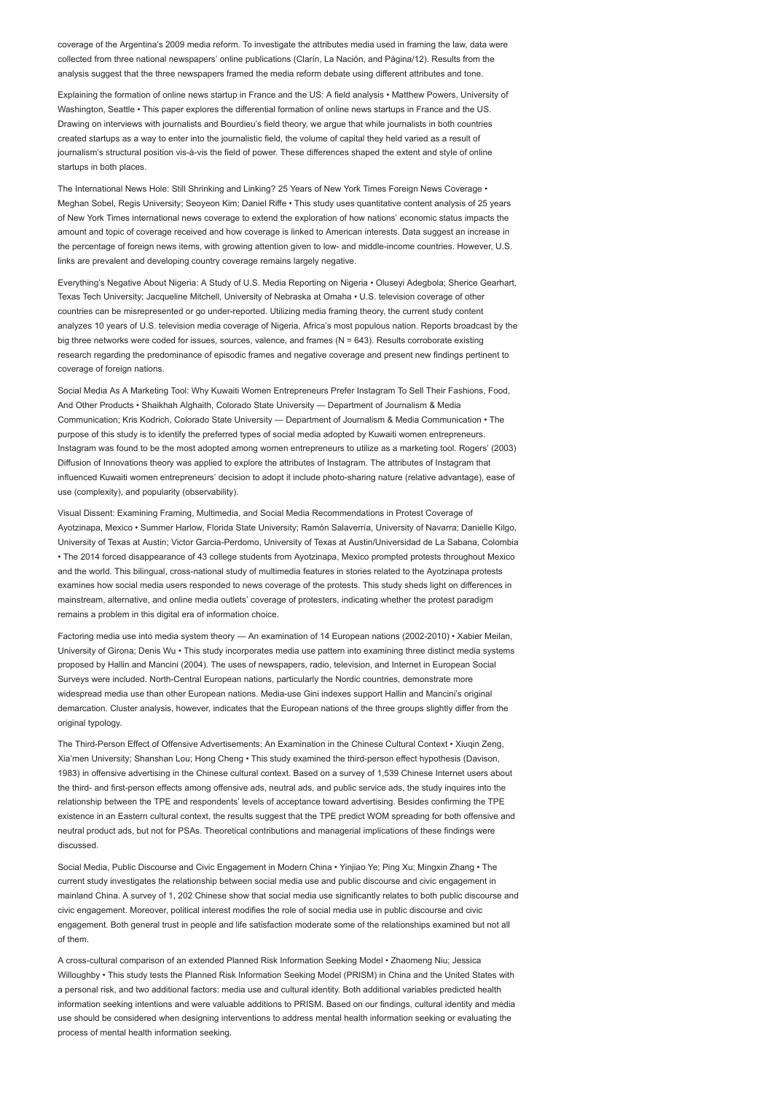coverage of the Argentina's 2009 media reform. To investigate the attributes media used in framing the law, data were collected from three national newspapers' online publications (Clarín, La Nación, and Página/12). Results from the analysis suggest that the three newspapers framed the media reform debate using different attributes and tone.

Explaining the formation of online news startup in France and the US: A field analysis • Matthew Powers, University of Washington, Seattle • This paper explores the differential formation of online news startups in France and the US. Drawing on interviews with journalists and Bourdieu's field theory, we argue that while journalists in both countries created startups as a way to enter into the journalistic field, the volume of capital they held varied as a result of journalism's structural position vis-à-vis the field of power. These differences shaped the extent and style of online startups in both places.

The International News Hole: Still Shrinking and Linking? 25 Years of New York Times Foreign News Coverage • Meghan Sobel, Regis University; Seoyeon Kim; Daniel Riffe • This study uses quantitative content analysis of 25 years of New York Times international news coverage to extend the exploration of how nations' economic status impacts the amount and topic of coverage received and how coverage is linked to American interests. Data suggest an increase in the percentage of foreign news items, with growing attention given to low- and middle-income countries. However, U.S. links are prevalent and developing country coverage remains largely negative.

Everything's Negative About Nigeria: A Study of U.S. Media Reporting on Nigeria • Oluseyi Adegbola; Sherice Gearhart, Texas Tech University; Jacqueline Mitchell, University of Nebraska at Omaha • U.S. television coverage of other countries can be misrepresented or go under-reported. Utilizing media framing theory, the current study content analyzes 10 years of U.S. television media coverage of Nigeria, Africa's most populous nation. Reports broadcast by the big three networks were coded for issues, sources, valence, and frames (N = 643). Results corroborate existing research regarding the predominance of episodic frames and negative coverage and present new findings pertinent to coverage of foreign nations.

Social Media As A Marketing Tool: Why Kuwaiti Women Entrepreneurs Prefer Instagram To Sell Their Fashions, Food, And Other Products • Shaikhah Alghaith, Colorado State University — Department of Journalism & Media Communication; Kris Kodrich, Colorado State University — Department of Journalism & Media Communication • The purpose of this study is to identify the preferred types of social media adopted by Kuwaiti women entrepreneurs. Instagram was found to be the most adopted among women entrepreneurs to utilize as a marketing tool. Rogers' (2003) Diffusion of Innovations theory was applied to explore the attributes of Instagram. The attributes of Instagram that influenced Kuwaiti women entrepreneurs' decision to adopt it include photo-sharing nature (relative advantage), ease of use (complexity), and popularity (observability).

Visual Dissent: Examining Framing, Multimedia, and Social Media Recommendations in Protest Coverage of Ayotzinapa, Mexico • Summer Harlow, Florida State University; Ramón Salaverría, University of Navarra; Danielle Kilgo, University of Texas at Austin; Victor Garcia-Perdomo, University of Texas at Austin/Universidad de La Sabana, Colombia • The 2014 forced disappearance of 43 college students from Ayotzinapa, Mexico prompted protests throughout Mexico and the world. This bilingual, cross-national study of multimedia features in stories related to the Ayotzinapa protests examines how social media users responded to news coverage of the protests. This study sheds light on differences in mainstream, alternative, and online media outlets' coverage of protesters, indicating whether the protest paradigm remains a problem in this digital era of information choice.

Factoring media use into media system theory — An examination of 14 European nations (2002-2010) • Xabier Meilan, University of Girona; Denis Wu • This study incorporates media use pattern into examining three distinct media systems proposed by Hallin and Mancini (2004). The uses of newspapers, radio, television, and Internet in European Social Surveys were included. North-Central European nations, particularly the Nordic countries, demonstrate more widespread media use than other European nations. Media-use Gini indexes support Hallin and Mancini's original demarcation. Cluster analysis, however, indicates that the European nations of the three groups slightly differ from the original typology.

The Third-Person Effect of Offensive Advertisements: An Examination in the Chinese Cultural Context • Xiuqin Zeng, Xia'men University; Shanshan Lou; Hong Cheng • This study examined the third-person effect hypothesis (Davison, 1983) in offensive advertising in the Chinese cultural context. Based on a survey of 1,539 Chinese Internet users about the third- and first-person effects among offensive ads, neutral ads, and public service ads, the study inquires into the relationship between the TPE and respondents' levels of acceptance toward advertising. Besides confirming the TPE existence in an Eastern cultural context, the results suggest that the TPE predict WOM spreading for both offensive and neutral product ads, but not for PSAs. Theoretical contributions and managerial implications of these findings were discussed.

Social Media, Public Discourse and Civic Engagement in Modern China • Yinjiao Ye; Ping Xu; Mingxin Zhang • The current study investigates the relationship between social media use and public discourse and civic engagement in mainland China. A survey of 1, 202 Chinese show that social media use significantly relates to both public discourse and civic engagement. Moreover, political interest modifies the role of social media use in public discourse and civic engagement. Both general trust in people and life satisfaction moderate some of the relationships examined but not all of them.

A cross-cultural comparison of an extended Planned Risk Information Seeking Model • Zhaomeng Niu; Jessica Willoughby • This study tests the Planned Risk Information Seeking Model (PRISM) in China and the United States with a personal risk, and two additional factors: media use and cultural identity. Both additional variables predicted health information seeking intentions and were valuable additions to PRISM. Based on our findings, cultural identity and media use should be considered when designing interventions to address mental health information seeking or evaluating the process of mental health information seeking.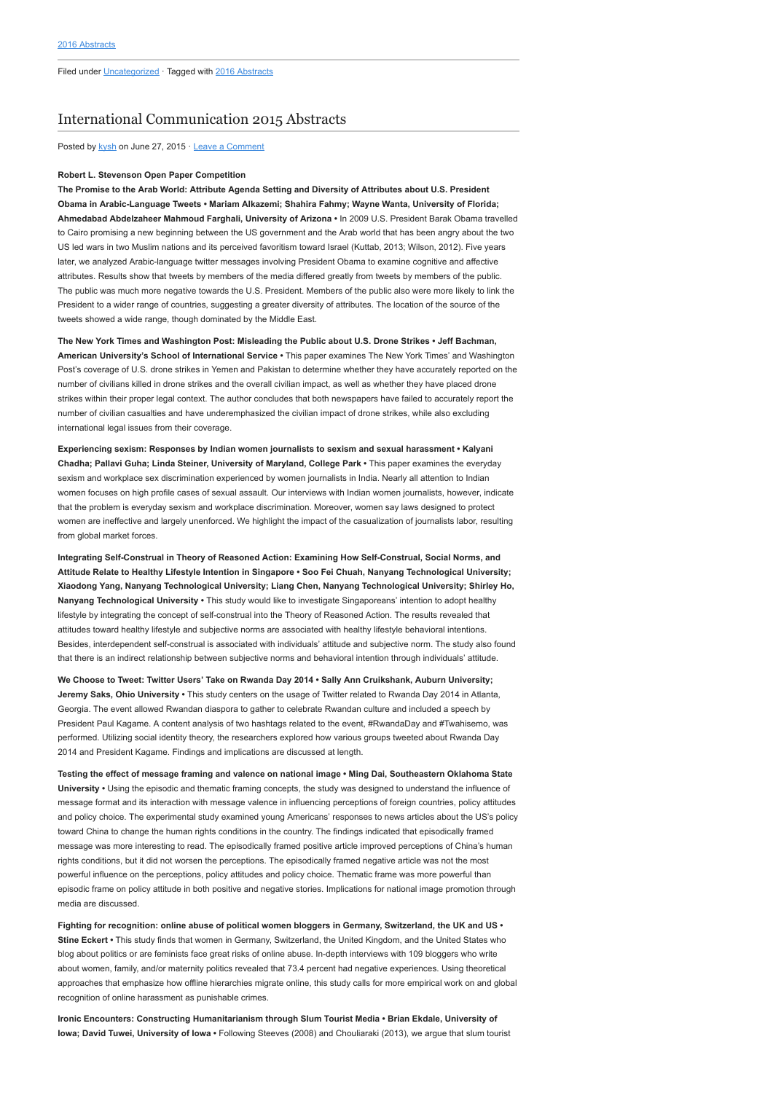## [International Communication 2015 Abstracts](http://www.aejmc.org/home/2015/06/intl-2015-abstracts/)

Posted by [kysh](http://www.aejmc.org/home/author/kyshiab/) on June 27, 2015 · [Leave a Comment](http://www.aejmc.org/home/2015/06/intl-2015-abstracts/#respond)

#### Robert L. Stevenson Open Paper Competition

The Promise to the Arab World: Attribute Agenda Setting and Diversity of Attributes about U.S. President Obama in Arabic-Language Tweets • Mariam Alkazemi; Shahira Fahmy; Wayne Wanta, University of Florida; Ahmedabad Abdelzaheer Mahmoud Farghali, University of Arizona • In 2009 U.S. President Barak Obama travelled to Cairo promising a new beginning between the US government and the Arab world that has been angry about the two US led wars in two Muslim nations and its perceived favoritism toward Israel (Kuttab, 2013; Wilson, 2012). Five years later, we analyzed Arabic-language twitter messages involving President Obama to examine cognitive and affective attributes. Results show that tweets by members of the media differed greatly from tweets by members of the public. The public was much more negative towards the U.S. President. Members of the public also were more likely to link the President to a wider range of countries, suggesting a greater diversity of attributes. The location of the source of the tweets showed a wide range, though dominated by the Middle East.

The New York Times and Washington Post: Misleading the Public about U.S. Drone Strikes • Jeff Bachman, American University's School of International Service • This paper examines The New York Times' and Washington Post's coverage of U.S. drone strikes in Yemen and Pakistan to determine whether they have accurately reported on the number of civilians killed in drone strikes and the overall civilian impact, as well as whether they have placed drone strikes within their proper legal context. The author concludes that both newspapers have failed to accurately report the number of civilian casualties and have underemphasized the civilian impact of drone strikes, while also excluding international legal issues from their coverage.

Experiencing sexism: Responses by Indian women journalists to sexism and sexual harassment • Kalyani Chadha; Pallavi Guha; Linda Steiner, University of Maryland, College Park • This paper examines the everyday sexism and workplace sex discrimination experienced by women journalists in India. Nearly all attention to Indian women focuses on high profile cases of sexual assault. Our interviews with Indian women journalists, however, indicate that the problem is everyday sexism and workplace discrimination. Moreover, women say laws designed to protect women are ineffective and largely unenforced. We highlight the impact of the casualization of journalists labor, resulting from global market forces.

Integrating Self-Construal in Theory of Reasoned Action: Examining How Self-Construal, Social Norms, and Attitude Relate to Healthy Lifestyle Intention in Singapore • Soo Fei Chuah, Nanyang Technological University; Xiaodong Yang, Nanyang Technological University; Liang Chen, Nanyang Technological University; Shirley Ho, Nanyang Technological University • This study would like to investigate Singaporeans' intention to adopt healthy lifestyle by integrating the concept of self-construal into the Theory of Reasoned Action. The results revealed that attitudes toward healthy lifestyle and subjective norms are associated with healthy lifestyle behavioral intentions. Besides, interdependent self-construal is associated with individuals' attitude and subjective norm. The study also found that there is an indirect relationship between subjective norms and behavioral intention through individuals' attitude.

We Choose to Tweet: Twitter Users' Take on Rwanda Day 2014 • Sally Ann Cruikshank, Auburn University; Jeremy Saks, Ohio University • This study centers on the usage of Twitter related to Rwanda Day 2014 in Atlanta, Georgia. The event allowed Rwandan diaspora to gather to celebrate Rwandan culture and included a speech by President Paul Kagame. A content analysis of two hashtags related to the event, #RwandaDay and #Twahisemo, was performed. Utilizing social identity theory, the researchers explored how various groups tweeted about Rwanda Day 2014 and President Kagame. Findings and implications are discussed at length.

Testing the effect of message framing and valence on national image • Ming Dai, Southeastern Oklahoma State University • Using the episodic and thematic framing concepts, the study was designed to understand the influence of message format and its interaction with message valence in influencing perceptions of foreign countries, policy attitudes and policy choice. The experimental study examined young Americans' responses to news articles about the US's policy toward China to change the human rights conditions in the country. The findings indicated that episodically framed message was more interesting to read. The episodically framed positive article improved perceptions of China's human rights conditions, but it did not worsen the perceptions. The episodically framed negative article was not the most powerful influence on the perceptions, policy attitudes and policy choice. Thematic frame was more powerful than episodic frame on policy attitude in both positive and negative stories. Implications for national image promotion through media are discussed.

Fighting for recognition: online abuse of political women bloggers in Germany, Switzerland, the UK and US • Stine Eckert • This study finds that women in Germany, Switzerland, the United Kingdom, and the United States who blog about politics or are feminists face great risks of online abuse. In-depth interviews with 109 bloggers who write about women, family, and/or maternity politics revealed that 73.4 percent had negative experiences. Using theoretical approaches that emphasize how offline hierarchies migrate online, this study calls for more empirical work on and global recognition of online harassment as punishable crimes.

Ironic Encounters: Constructing Humanitarianism through Slum Tourist Media • Brian Ekdale, University of Iowa; David Tuwei, University of Iowa • Following Steeves (2008) and Chouliaraki (2013), we argue that slum tourist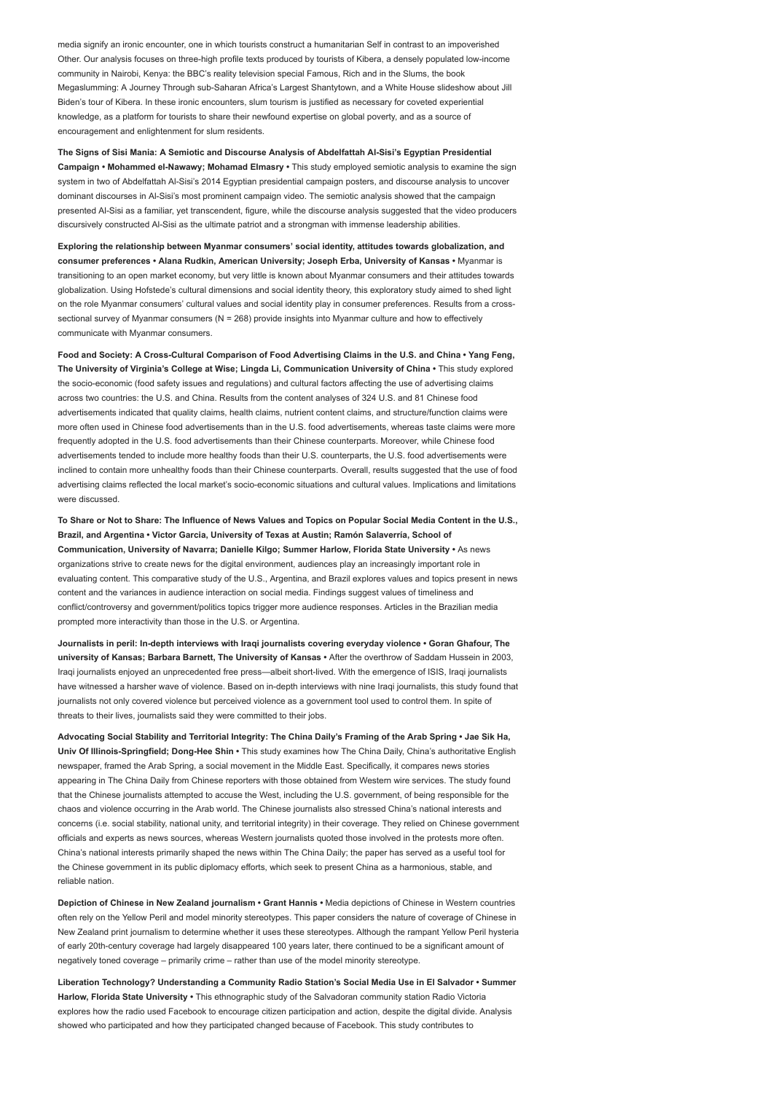media signify an ironic encounter, one in which tourists construct a humanitarian Self in contrast to an impoverished Other. Our analysis focuses on three-high profile texts produced by tourists of Kibera, a densely populated low-income community in Nairobi, Kenya: the BBC's reality television special Famous, Rich and in the Slums, the book Megaslumming: A Journey Through sub-Saharan Africa's Largest Shantytown, and a White House slideshow about Jill Biden's tour of Kibera. In these ironic encounters, slum tourism is justified as necessary for coveted experiential knowledge, as a platform for tourists to share their newfound expertise on global poverty, and as a source of encouragement and enlightenment for slum residents.

The Signs of Sisi Mania: A Semiotic and Discourse Analysis of Abdelfattah Al-Sisi's Egyptian Presidential Campaign • Mohammed el-Nawawy; Mohamad Elmasry • This study employed semiotic analysis to examine the sign system in two of Abdelfattah Al-Sisi's 2014 Egyptian presidential campaign posters, and discourse analysis to uncover dominant discourses in Al-Sisi's most prominent campaign video. The semiotic analysis showed that the campaign presented Al-Sisi as a familiar, yet transcendent, figure, while the discourse analysis suggested that the video producers discursively constructed Al-Sisi as the ultimate patriot and a strongman with immense leadership abilities.

Exploring the relationship between Myanmar consumers' social identity, attitudes towards globalization, and consumer preferences • Alana Rudkin, American University; Joseph Erba, University of Kansas • Myanmar is transitioning to an open market economy, but very little is known about Myanmar consumers and their attitudes towards globalization. Using Hofstede's cultural dimensions and social identity theory, this exploratory study aimed to shed light on the role Myanmar consumers' cultural values and social identity play in consumer preferences. Results from a crosssectional survey of Myanmar consumers (N = 268) provide insights into Myanmar culture and how to effectively communicate with Myanmar consumers.

Food and Society: A Cross-Cultural Comparison of Food Advertising Claims in the U.S. and China • Yang Feng, The University of Virginia's College at Wise; Lingda Li, Communication University of China • This study explored the socio-economic (food safety issues and regulations) and cultural factors affecting the use of advertising claims across two countries: the U.S. and China. Results from the content analyses of 324 U.S. and 81 Chinese food advertisements indicated that quality claims, health claims, nutrient content claims, and structure/function claims were more often used in Chinese food advertisements than in the U.S. food advertisements, whereas taste claims were more frequently adopted in the U.S. food advertisements than their Chinese counterparts. Moreover, while Chinese food advertisements tended to include more healthy foods than their U.S. counterparts, the U.S. food advertisements were inclined to contain more unhealthy foods than their Chinese counterparts. Overall, results suggested that the use of food advertising claims reflected the local market's socio-economic situations and cultural values. Implications and limitations were discussed.

To Share or Not to Share: The Influence of News Values and Topics on Popular Social Media Content in the U.S., Brazil, and Argentina • Victor Garcia, University of Texas at Austin; Ramón Salaverría, School of Communication, University of Navarra; Danielle Kilgo; Summer Harlow, Florida State University • As news organizations strive to create news for the digital environment, audiences play an increasingly important role in evaluating content. This comparative study of the U.S., Argentina, and Brazil explores values and topics present in news content and the variances in audience interaction on social media. Findings suggest values of timeliness and conflict/controversy and government/politics topics trigger more audience responses. Articles in the Brazilian media prompted more interactivity than those in the U.S. or Argentina.

Journalists in peril: In-depth interviews with Iraqi journalists covering everyday violence • Goran Ghafour, The university of Kansas; Barbara Barnett, The University of Kansas • After the overthrow of Saddam Hussein in 2003, Iraqi journalists enjoyed an unprecedented free press—albeit short-lived. With the emergence of ISIS, Iraqi journalists have witnessed a harsher wave of violence. Based on in-depth interviews with nine Iraqi journalists, this study found that journalists not only covered violence but perceived violence as a government tool used to control them. In spite of threats to their lives, journalists said they were committed to their jobs.

Advocating Social Stability and Territorial Integrity: The China Daily's Framing of the Arab Spring • Jae Sik Ha, Univ Of Illinois-Springfield; Dong-Hee Shin • This study examines how The China Daily, China's authoritative English newspaper, framed the Arab Spring, a social movement in the Middle East. Specifically, it compares news stories appearing in The China Daily from Chinese reporters with those obtained from Western wire services. The study found that the Chinese journalists attempted to accuse the West, including the U.S. government, of being responsible for the chaos and violence occurring in the Arab world. The Chinese journalists also stressed China's national interests and concerns (i.e. social stability, national unity, and territorial integrity) in their coverage. They relied on Chinese government officials and experts as news sources, whereas Western journalists quoted those involved in the protests more often. China's national interests primarily shaped the news within The China Daily; the paper has served as a useful tool for the Chinese government in its public diplomacy efforts, which seek to present China as a harmonious, stable, and reliable nation.

Depiction of Chinese in New Zealand journalism • Grant Hannis • Media depictions of Chinese in Western countries often rely on the Yellow Peril and model minority stereotypes. This paper considers the nature of coverage of Chinese in New Zealand print journalism to determine whether it uses these stereotypes. Although the rampant Yellow Peril hysteria of early 20th-century coverage had largely disappeared 100 years later, there continued to be a significant amount of negatively toned coverage – primarily crime – rather than use of the model minority stereotype

Liberation Technology? Understanding a Community Radio Station's Social Media Use in El Salvador • Summer Harlow, Florida State University • This ethnographic study of the Salvadoran community station Radio Victoria explores how the radio used Facebook to encourage citizen participation and action, despite the digital divide. Analysis showed who participated and how they participated changed because of Facebook. This study contributes to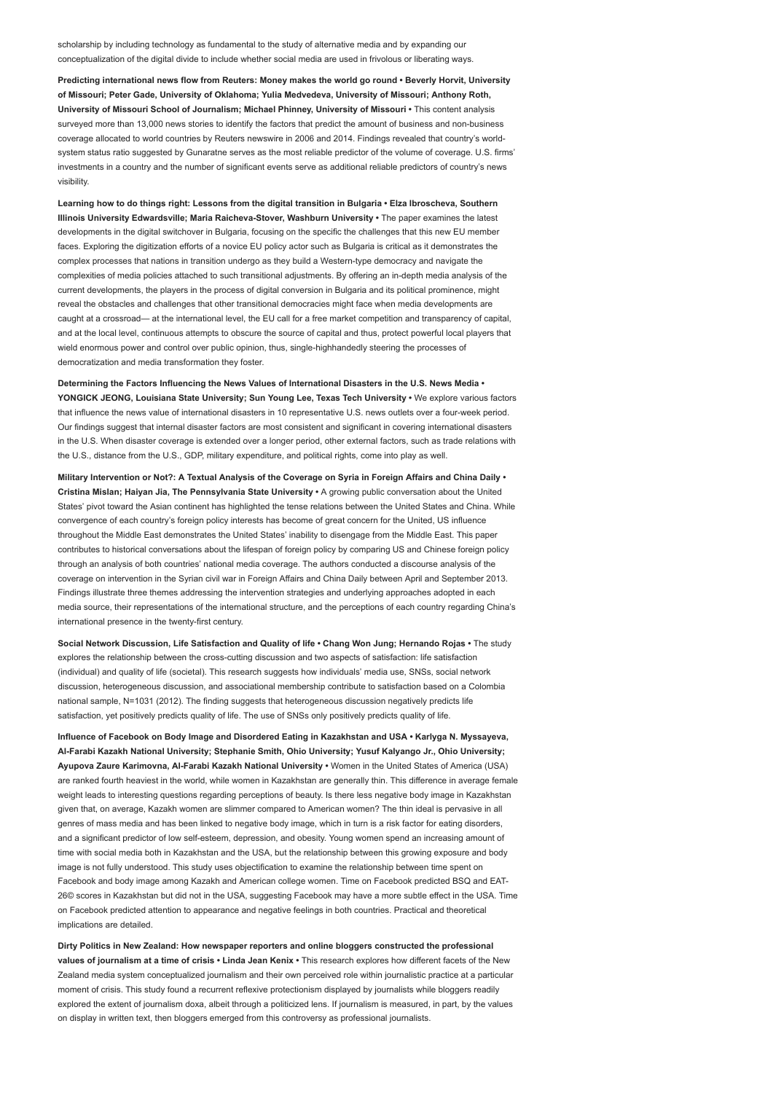scholarship by including technology as fundamental to the study of alternative media and by expanding our conceptualization of the digital divide to include whether social media are used in frivolous or liberating ways.

Predicting international news flow from Reuters: Money makes the world go round • Beverly Horvit, University of Missouri; Peter Gade, University of Oklahoma; Yulia Medvedeva, University of Missouri; Anthony Roth, University of Missouri School of Journalism; Michael Phinney, University of Missouri • This content analysis surveyed more than 13,000 news stories to identify the factors that predict the amount of business and non-business coverage allocated to world countries by Reuters newswire in 2006 and 2014. Findings revealed that country's worldsystem status ratio suggested by Gunaratne serves as the most reliable predictor of the volume of coverage. U.S. firms' investments in a country and the number of significant events serve as additional reliable predictors of country's news visibility.

Learning how to do things right: Lessons from the digital transition in Bulgaria • Elza Ibroscheva, Southern Illinois University Edwardsville; Maria Raicheva-Stover, Washburn University • The paper examines the latest developments in the digital switchover in Bulgaria, focusing on the specific the challenges that this new EU member faces. Exploring the digitization efforts of a novice EU policy actor such as Bulgaria is critical as it demonstrates the complex processes that nations in transition undergo as they build a Western-type democracy and navigate the complexities of media policies attached to such transitional adjustments. By offering an in-depth media analysis of the current developments, the players in the process of digital conversion in Bulgaria and its political prominence, might reveal the obstacles and challenges that other transitional democracies might face when media developments are caught at a crossroad— at the international level, the EU call for a free market competition and transparency of capital, and at the local level, continuous attempts to obscure the source of capital and thus, protect powerful local players that wield enormous power and control over public opinion, thus, single-highhandedly steering the processes of democratization and media transformation they foster.

Determining the Factors Influencing the News Values of International Disasters in the U.S. News Media • YONGICK JEONG, Louisiana State University; Sun Young Lee, Texas Tech University • We explore various factors that influence the news value of international disasters in 10 representative U.S. news outlets over a four-week period. Our findings suggest that internal disaster factors are most consistent and significant in covering international disasters in the U.S. When disaster coverage is extended over a longer period, other external factors, such as trade relations with the U.S., distance from the U.S., GDP, military expenditure, and political rights, come into play as well.

Military Intervention or Not?: A Textual Analysis of the Coverage on Syria in Foreign Affairs and China Daily • Cristina Mislan; Haiyan Jia, The Pennsylvania State University • A growing public conversation about the United States' pivot toward the Asian continent has highlighted the tense relations between the United States and China. While convergence of each country's foreign policy interests has become of great concern for the United, US influence throughout the Middle East demonstrates the United States' inability to disengage from the Middle East. This paper contributes to historical conversations about the lifespan of foreign policy by comparing US and Chinese foreign policy through an analysis of both countries' national media coverage. The authors conducted a discourse analysis of the coverage on intervention in the Syrian civil war in Foreign Affairs and China Daily between April and September 2013. Findings illustrate three themes addressing the intervention strategies and underlying approaches adopted in each media source, their representations of the international structure, and the perceptions of each country regarding China's international presence in the twenty-first century.

Social Network Discussion, Life Satisfaction and Quality of life • Chang Won Jung; Hernando Rojas • The study explores the relationship between the cross-cutting discussion and two aspects of satisfaction: life satisfaction (individual) and quality of life (societal). This research suggests how individuals' media use, SNSs, social network discussion, heterogeneous discussion, and associational membership contribute to satisfaction based on a Colombia national sample, N=1031 (2012). The finding suggests that heterogeneous discussion negatively predicts life satisfaction, yet positively predicts quality of life. The use of SNSs only positively predicts quality of life.

Influence of Facebook on Body Image and Disordered Eating in Kazakhstan and USA • Karlyga N. Myssayeva, Al-Farabi Kazakh National University; Stephanie Smith, Ohio University; Yusuf Kalyango Jr., Ohio University; Ayupova Zaure Karimovna, Al-Farabi Kazakh National University • Women in the United States of America (USA) are ranked fourth heaviest in the world, while women in Kazakhstan are generally thin. This difference in average female weight leads to interesting questions regarding perceptions of beauty. Is there less negative body image in Kazakhstan given that, on average, Kazakh women are slimmer compared to American women? The thin ideal is pervasive in all genres of mass media and has been linked to negative body image, which in turn is a risk factor for eating disorders, and a significant predictor of low self-esteem, depression, and obesity. Young women spend an increasing amount of time with social media both in Kazakhstan and the USA, but the relationship between this growing exposure and body image is not fully understood. This study uses objectification to examine the relationship between time spent on Facebook and body image among Kazakh and American college women. Time on Facebook predicted BSQ and EAT-26© scores in Kazakhstan but did not in the USA, suggesting Facebook may have a more subtle effect in the USA. Time on Facebook predicted attention to appearance and negative feelings in both countries. Practical and theoretical implications are detailed.

Dirty Politics in New Zealand: How newspaper reporters and online bloggers constructed the professional values of journalism at a time of crisis • Linda Jean Kenix • This research explores how different facets of the New Zealand media system conceptualized journalism and their own perceived role within journalistic practice at a particular moment of crisis. This study found a recurrent reflexive protectionism displayed by journalists while bloggers readily explored the extent of journalism doxa, albeit through a politicized lens. If journalism is measured, in part, by the values on display in written text, then bloggers emerged from this controversy as professional journalists.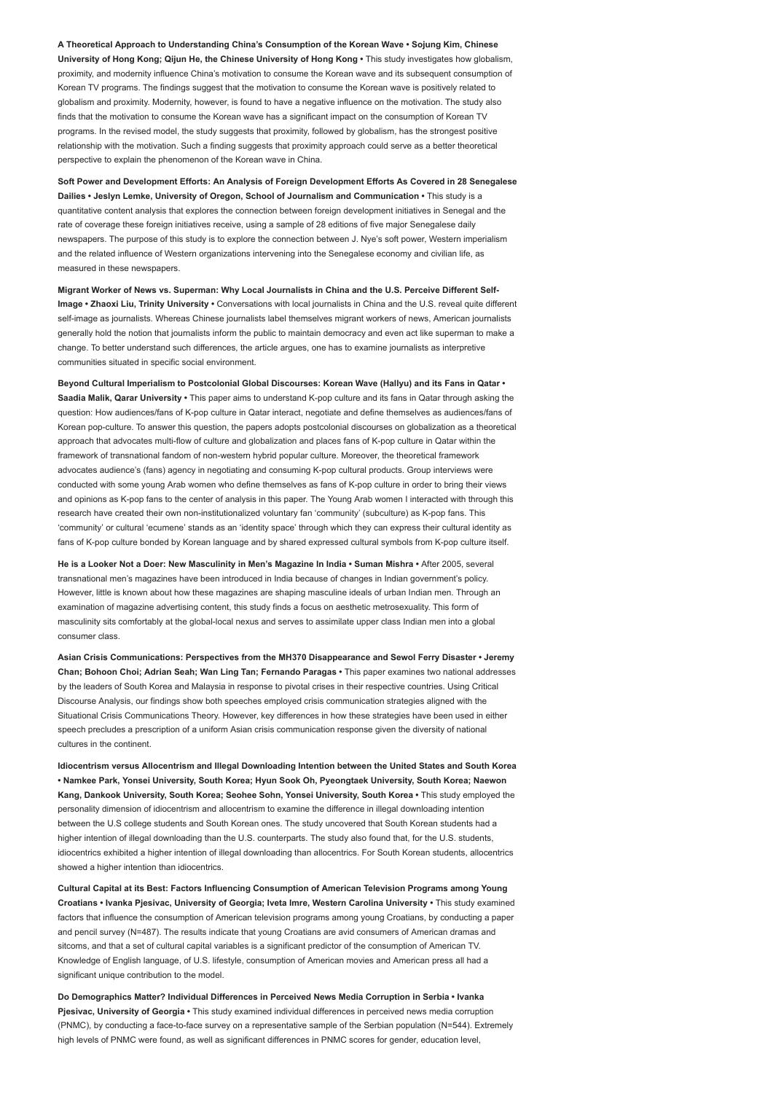A Theoretical Approach to Understanding China's Consumption of the Korean Wave • Sojung Kim, Chinese University of Hong Kong; Qijun He, the Chinese University of Hong Kong • This study investigates how globalism, proximity, and modernity influence China's motivation to consume the Korean wave and its subsequent consumption of Korean TV programs. The findings suggest that the motivation to consume the Korean wave is positively related to globalism and proximity. Modernity, however, is found to have a negative influence on the motivation. The study also finds that the motivation to consume the Korean wave has a significant impact on the consumption of Korean TV programs. In the revised model, the study suggests that proximity, followed by globalism, has the strongest positive relationship with the motivation. Such a finding suggests that proximity approach could serve as a better theoretical perspective to explain the phenomenon of the Korean wave in China.

Soft Power and Development Efforts: An Analysis of Foreign Development Efforts As Covered in 28 Senegalese Dailies • Jeslyn Lemke, University of Oregon, School of Journalism and Communication • This study is a quantitative content analysis that explores the connection between foreign development initiatives in Senegal and the rate of coverage these foreign initiatives receive, using a sample of 28 editions of five major Senegalese daily newspapers. The purpose of this study is to explore the connection between J. Nye's soft power, Western imperialism and the related influence of Western organizations intervening into the Senegalese economy and civilian life, as measured in these newspapers.

Migrant Worker of News vs. Superman: Why Local Journalists in China and the U.S. Perceive Different Self-Image • Zhaoxi Liu, Trinity University • Conversations with local journalists in China and the U.S. reveal quite different self-image as journalists. Whereas Chinese journalists label themselves migrant workers of news, American journalists generally hold the notion that journalists inform the public to maintain democracy and even act like superman to make a change. To better understand such differences, the article argues, one has to examine journalists as interpretive communities situated in specific social environment.

Beyond Cultural Imperialism to Postcolonial Global Discourses: Korean Wave (Hallyu) and its Fans in Qatar • Saadia Malik, Qarar University • This paper aims to understand K-pop culture and its fans in Qatar through asking the question: How audiences/fans of K-pop culture in Qatar interact, negotiate and define themselves as audiences/fans of Korean pop-culture. To answer this question, the papers adopts postcolonial discourses on globalization as a theoretical approach that advocates multi-flow of culture and globalization and places fans of K-pop culture in Qatar within the framework of transnational fandom of non-western hybrid popular culture. Moreover, the theoretical framework advocates audience's (fans) agency in negotiating and consuming K-pop cultural products. Group interviews were conducted with some young Arab women who define themselves as fans of K-pop culture in order to bring their views and opinions as K-pop fans to the center of analysis in this paper. The Young Arab women I interacted with through this research have created their own non-institutionalized voluntary fan 'community' (subculture) as K-pop fans. This 'community' or cultural 'ecumene' stands as an 'identity space' through which they can express their cultural identity as fans of K-pop culture bonded by Korean language and by shared expressed cultural symbols from K-pop culture itself.

He is a Looker Not a Doer: New Masculinity in Men's Magazine In India • Suman Mishra • After 2005, several transnational men's magazines have been introduced in India because of changes in Indian government's policy. However, little is known about how these magazines are shaping masculine ideals of urban Indian men. Through an examination of magazine advertising content, this study finds a focus on aesthetic metrosexuality. This form of masculinity sits comfortably at the global-local nexus and serves to assimilate upper class Indian men into a global consumer class.

Asian Crisis Communications: Perspectives from the MH370 Disappearance and Sewol Ferry Disaster • Jeremy Chan; Bohoon Choi; Adrian Seah; Wan Ling Tan; Fernando Paragas • This paper examines two national addresses by the leaders of South Korea and Malaysia in response to pivotal crises in their respective countries. Using Critical Discourse Analysis, our findings show both speeches employed crisis communication strategies aligned with the Situational Crisis Communications Theory. However, key differences in how these strategies have been used in either speech precludes a prescription of a uniform Asian crisis communication response given the diversity of national cultures in the continent.

Idiocentrism versus Allocentrism and Illegal Downloading Intention between the United States and South Korea • Namkee Park, Yonsei University, South Korea; Hyun Sook Oh, Pyeongtaek University, South Korea; Naewon Kang, Dankook University, South Korea; Seohee Sohn, Yonsei University, South Korea • This study employed the personality dimension of idiocentrism and allocentrism to examine the difference in illegal downloading intention between the U.S college students and South Korean ones. The study uncovered that South Korean students had a higher intention of illegal downloading than the U.S. counterparts. The study also found that, for the U.S. students, idiocentrics exhibited a higher intention of illegal downloading than allocentrics. For South Korean students, allocentrics showed a higher intention than idiocentrics.

Cultural Capital at its Best: Factors Influencing Consumption of American Television Programs among Young Croatians • Ivanka Pjesivac, University of Georgia; Iveta Imre, Western Carolina University • This study examined factors that influence the consumption of American television programs among young Croatians, by conducting a paper and pencil survey (N=487). The results indicate that young Croatians are avid consumers of American dramas and sitcoms, and that a set of cultural capital variables is a significant predictor of the consumption of American TV. Knowledge of English language, of U.S. lifestyle, consumption of American movies and American press all had a significant unique contribution to the model.

Do Demographics Matter? Individual Differences in Perceived News Media Corruption in Serbia • Ivanka Pjesivac, University of Georgia • This study examined individual differences in perceived news media corruption (PNMC), by conducting a face-to-face survey on a representative sample of the Serbian population (N=544). Extremely high levels of PNMC were found, as well as significant differences in PNMC scores for gender, education level,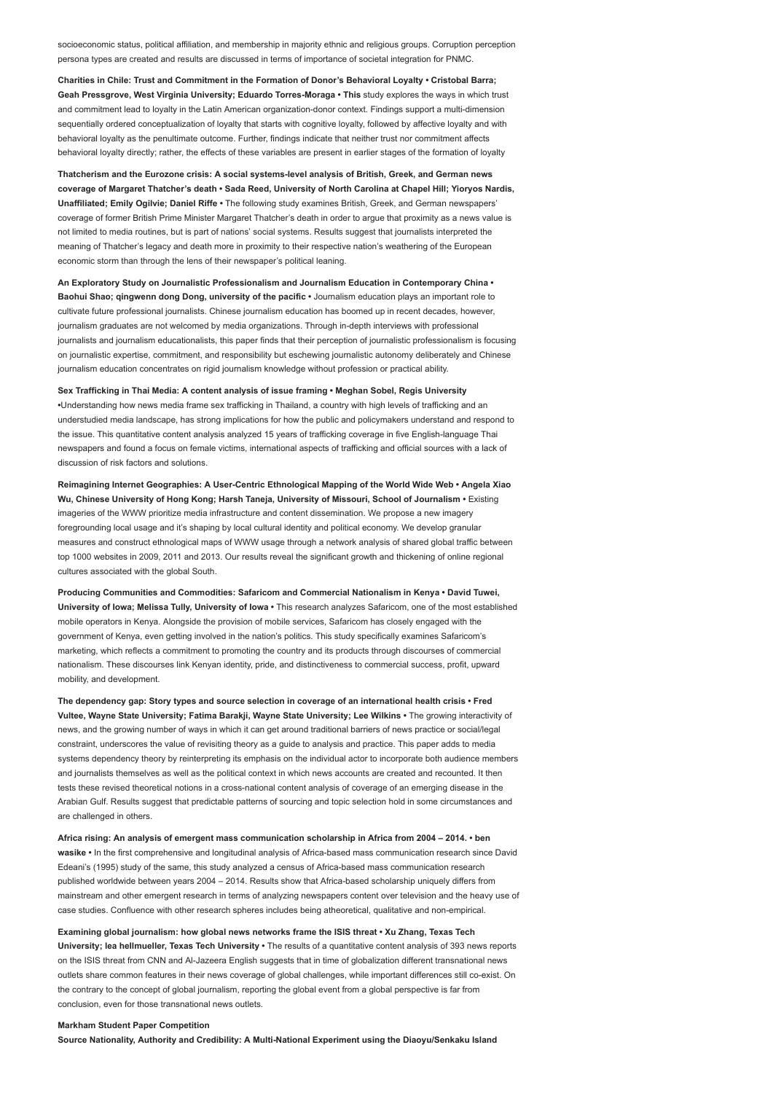socioeconomic status, political affiliation, and membership in majority ethnic and religious groups. Corruption perception persona types are created and results are discussed in terms of importance of societal integration for PNMC.

Charities in Chile: Trust and Commitment in the Formation of Donor's Behavioral Loyalty • Cristobal Barra; Geah Pressgrove, West Virginia University; Eduardo Torres-Moraga • This study explores the ways in which trust and commitment lead to loyalty in the Latin American organization-donor context. Findings support a multi-dimension sequentially ordered conceptualization of loyalty that starts with cognitive loyalty, followed by affective loyalty and with behavioral loyalty as the penultimate outcome. Further, findings indicate that neither trust nor commitment affects behavioral loyalty directly; rather, the effects of these variables are present in earlier stages of the formation of loyalty

Thatcherism and the Eurozone crisis: A social systems-level analysis of British, Greek, and German news coverage of Margaret Thatcher's death • Sada Reed, University of North Carolina at Chapel Hill; Yioryos Nardis, Unaffiliated; Emily Ogilvie; Daniel Riffe • The following study examines British, Greek, and German newspapers' coverage of former British Prime Minister Margaret Thatcher's death in order to argue that proximity as a news value is not limited to media routines, but is part of nations' social systems. Results suggest that journalists interpreted the meaning of Thatcher's legacy and death more in proximity to their respective nation's weathering of the European economic storm than through the lens of their newspaper's political leaning.

An Exploratory Study on Journalistic Professionalism and Journalism Education in Contemporary China • Baohui Shao; qingwenn dong Dong, university of the pacific • Journalism education plays an important role to cultivate future professional journalists. Chinese journalism education has boomed up in recent decades, however, journalism graduates are not welcomed by media organizations. Through in-depth interviews with professional journalists and journalism educationalists, this paper finds that their perception of journalistic professionalism is focusing on journalistic expertise, commitment, and responsibility but eschewing journalistic autonomy deliberately and Chinese journalism education concentrates on rigid journalism knowledge without profession or practical ability.

Sex Trafficking in Thai Media: A content analysis of issue framing • Meghan Sobel, Regis University •Understanding how news media frame sex trafficking in Thailand, a country with high levels of trafficking and an understudied media landscape, has strong implications for how the public and policymakers understand and respond to the issue. This quantitative content analysis analyzed 15 years of trafficking coverage in five English-language Thai newspapers and found a focus on female victims, international aspects of trafficking and official sources with a lack of discussion of risk factors and solutions.

Reimagining Internet Geographies: A User-Centric Ethnological Mapping of the World Wide Web • Angela Xiao Wu, Chinese University of Hong Kong; Harsh Taneja, University of Missouri, School of Journalism • Existing imageries of the WWW prioritize media infrastructure and content dissemination. We propose a new imagery foregrounding local usage and it's shaping by local cultural identity and political economy. We develop granular measures and construct ethnological maps of WWW usage through a network analysis of shared global traffic between top 1000 websites in 2009, 2011 and 2013. Our results reveal the significant growth and thickening of online regional cultures associated with the global South.

Producing Communities and Commodities: Safaricom and Commercial Nationalism in Kenya • David Tuwei, University of Iowa; Melissa Tully, University of Iowa • This research analyzes Safaricom, one of the most established mobile operators in Kenya. Alongside the provision of mobile services, Safaricom has closely engaged with the government of Kenya, even getting involved in the nation's politics. This study specifically examines Safaricom's marketing, which reflects a commitment to promoting the country and its products through discourses of commercial nationalism. These discourses link Kenyan identity, pride, and distinctiveness to commercial success, profit, upward mobility, and development.

The dependency gap: Story types and source selection in coverage of an international health crisis • Fred Vultee, Wayne State University; Fatima Barakji, Wayne State University; Lee Wilkins • The growing interactivity of news, and the growing number of ways in which it can get around traditional barriers of news practice or social/legal constraint, underscores the value of revisiting theory as a guide to analysis and practice. This paper adds to media systems dependency theory by reinterpreting its emphasis on the individual actor to incorporate both audience members and journalists themselves as well as the political context in which news accounts are created and recounted. It then tests these revised theoretical notions in a cross-national content analysis of coverage of an emerging disease in the Arabian Gulf. Results suggest that predictable patterns of sourcing and topic selection hold in some circumstances and are challenged in others.

Africa rising: An analysis of emergent mass communication scholarship in Africa from 2004 – 2014. • ben wasike • In the first comprehensive and longitudinal analysis of Africa-based mass communication research since David Edeani's (1995) study of the same, this study analyzed a census of Africa-based mass communication research published worldwide between years 2004 – 2014. Results show that Africa-based scholarship uniquely differs from mainstream and other emergent research in terms of analyzing newspapers content over television and the heavy use of case studies. Confluence with other research spheres includes being atheoretical, qualitative and non-empirical.

Examining global journalism: how global news networks frame the ISIS threat • Xu Zhang, Texas Tech University; lea hellmueller, Texas Tech University • The results of a quantitative content analysis of 393 news reports on the ISIS threat from CNN and Al-Jazeera English suggests that in time of globalization different transnational news outlets share common features in their news coverage of global challenges, while important differences still co-exist. On the contrary to the concept of global journalism, reporting the global event from a global perspective is far from conclusion, even for those transnational news outlets.

#### Markham Student Paper Competition

Source Nationality, Authority and Credibility: A Multi-National Experiment using the Diaoyu/Senkaku Island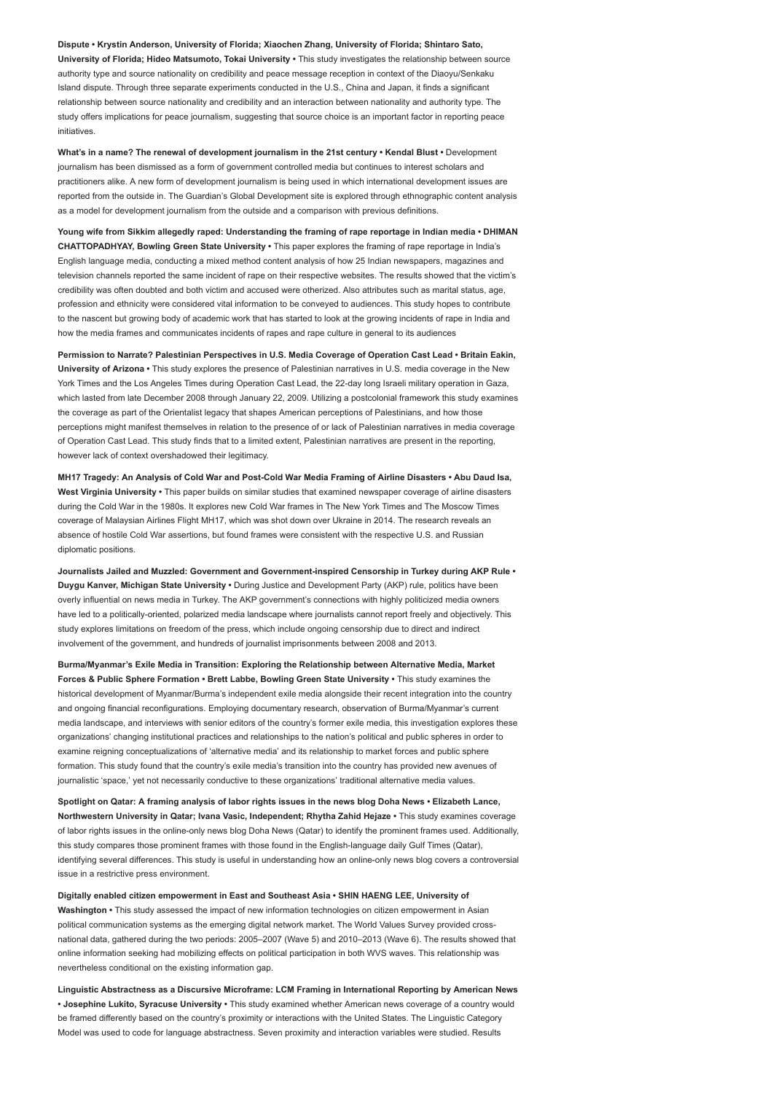Dispute • Krystin Anderson, University of Florida; Xiaochen Zhang, University of Florida; Shintaro Sato, University of Florida; Hideo Matsumoto, Tokai University • This study investigates the relationship between source authority type and source nationality on credibility and peace message reception in context of the Diaoyu/Senkaku Island dispute. Through three separate experiments conducted in the U.S., China and Japan, it finds a significant relationship between source nationality and credibility and an interaction between nationality and authority type. The study offers implications for peace journalism, suggesting that source choice is an important factor in reporting peace initiatives.

What's in a name? The renewal of development journalism in the 21st century • Kendal Blust • Development journalism has been dismissed as a form of government controlled media but continues to interest scholars and practitioners alike. A new form of development journalism is being used in which international development issues are reported from the outside in. The Guardian's Global Development site is explored through ethnographic content analysis as a model for development journalism from the outside and a comparison with previous definitions.

Young wife from Sikkim allegedly raped: Understanding the framing of rape reportage in Indian media • DHIMAN CHATTOPADHYAY, Bowling Green State University • This paper explores the framing of rape reportage in India's English language media, conducting a mixed method content analysis of how 25 Indian newspapers, magazines and television channels reported the same incident of rape on their respective websites. The results showed that the victim's credibility was often doubted and both victim and accused were otherized. Also attributes such as marital status, age, profession and ethnicity were considered vital information to be conveyed to audiences. This study hopes to contribute to the nascent but growing body of academic work that has started to look at the growing incidents of rape in India and how the media frames and communicates incidents of rapes and rape culture in general to its audiences

Permission to Narrate? Palestinian Perspectives in U.S. Media Coverage of Operation Cast Lead • Britain Eakin, University of Arizona • This study explores the presence of Palestinian narratives in U.S. media coverage in the New York Times and the Los Angeles Times during Operation Cast Lead, the 22-day long Israeli military operation in Gaza, which lasted from late December 2008 through January 22, 2009. Utilizing a postcolonial framework this study examines the coverage as part of the Orientalist legacy that shapes American perceptions of Palestinians, and how those perceptions might manifest themselves in relation to the presence of or lack of Palestinian narratives in media coverage of Operation Cast Lead. This study finds that to a limited extent, Palestinian narratives are present in the reporting, however lack of context overshadowed their legitimacy.

MH17 Tragedy: An Analysis of Cold War and Post-Cold War Media Framing of Airline Disasters • Abu Daud Isa, West Virginia University • This paper builds on similar studies that examined newspaper coverage of airline disasters during the Cold War in the 1980s. It explores new Cold War frames in The New York Times and The Moscow Times coverage of Malaysian Airlines Flight MH17, which was shot down over Ukraine in 2014. The research reveals an absence of hostile Cold War assertions, but found frames were consistent with the respective U.S. and Russian diplomatic positions.

Journalists Jailed and Muzzled: Government and Government-inspired Censorship in Turkey during AKP Rule • Duygu Kanver, Michigan State University • During Justice and Development Party (AKP) rule, politics have been overly influential on news media in Turkey. The AKP government's connections with highly politicized media owners have led to a politically-oriented, polarized media landscape where journalists cannot report freely and objectively. This study explores limitations on freedom of the press, which include ongoing censorship due to direct and indirect involvement of the government, and hundreds of journalist imprisonments between 2008 and 2013.

Burma/Myanmar's Exile Media in Transition: Exploring the Relationship between Alternative Media, Market Forces & Public Sphere Formation • Brett Labbe, Bowling Green State University • This study examines the historical development of Myanmar/Burma's independent exile media alongside their recent integration into the country and ongoing financial reconfigurations. Employing documentary research, observation of Burma/Myanmar's current media landscape, and interviews with senior editors of the country's former exile media, this investigation explores these organizations' changing institutional practices and relationships to the nation's political and public spheres in order to examine reigning conceptualizations of 'alternative media' and its relationship to market forces and public sphere formation. This study found that the country's exile media's transition into the country has provided new avenues of journalistic 'space,' yet not necessarily conductive to these organizations' traditional alternative media values.

Spotlight on Qatar: A framing analysis of labor rights issues in the news blog Doha News • Elizabeth Lance, Northwestern University in Qatar; Ivana Vasic, Independent; Rhytha Zahid Hejaze • This study examines coverage of labor rights issues in the online-only news blog Doha News (Qatar) to identify the prominent frames used. Additionally, this study compares those prominent frames with those found in the English-language daily Gulf Times (Qatar), identifying several differences. This study is useful in understanding how an online-only news blog covers a controversial issue in a restrictive press environment.

Digitally enabled citizen empowerment in East and Southeast Asia • SHIN HAENG LEE, University of Washington • This study assessed the impact of new information technologies on citizen empowerment in Asian political communication systems as the emerging digital network market. The World Values Survey provided crossnational data, gathered during the two periods: 2005–2007 (Wave 5) and 2010–2013 (Wave 6). The results showed that online information seeking had mobilizing effects on political participation in both WVS waves. This relationship was nevertheless conditional on the existing information gap.

Linguistic Abstractness as a Discursive Microframe: LCM Framing in International Reporting by American News • Josephine Lukito, Syracuse University • This study examined whether American news coverage of a country would be framed differently based on the country's proximity or interactions with the United States. The Linguistic Category Model was used to code for language abstractness. Seven proximity and interaction variables were studied. Results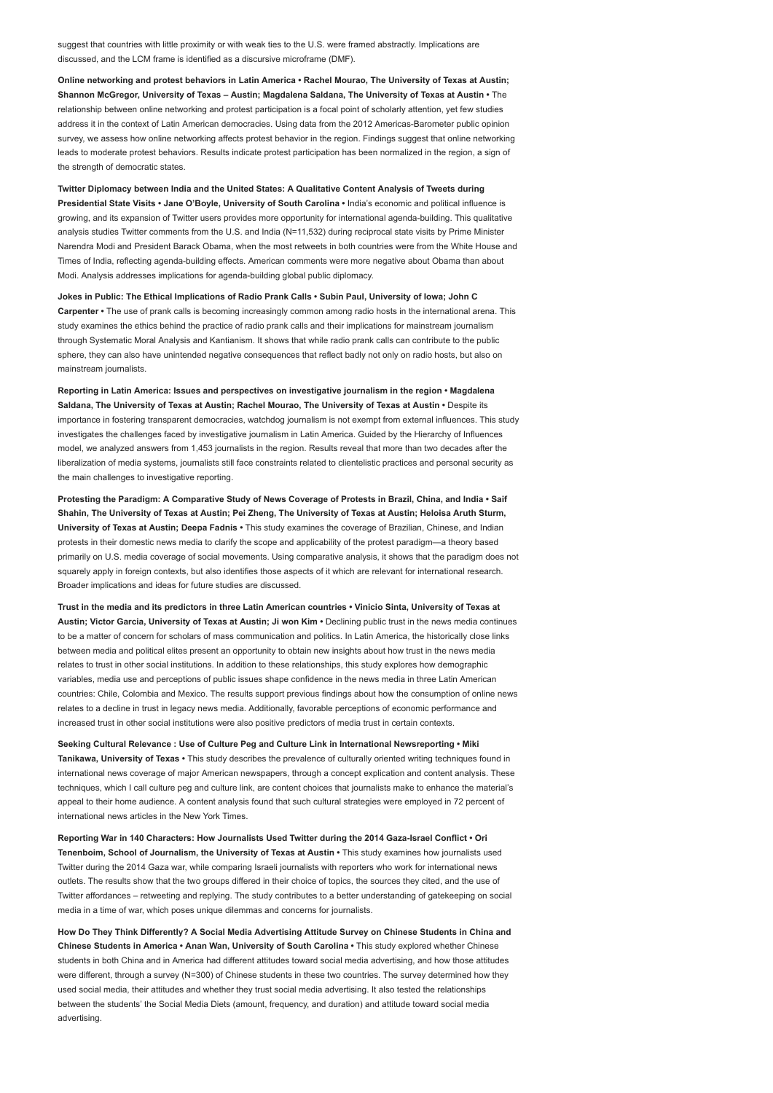suggest that countries with little proximity or with weak ties to the U.S. were framed abstractly. Implications are discussed, and the LCM frame is identified as a discursive microframe (DMF).

Online networking and protest behaviors in Latin America • Rachel Mourao, The University of Texas at Austin; Shannon McGregor, University of Texas – Austin; Magdalena Saldana, The University of Texas at Austin • The relationship between online networking and protest participation is a focal point of scholarly attention, yet few studies address it in the context of Latin American democracies. Using data from the 2012 Americas-Barometer public opinion survey, we assess how online networking affects protest behavior in the region. Findings suggest that online networking leads to moderate protest behaviors. Results indicate protest participation has been normalized in the region, a sign of the strength of democratic states.

Twitter Diplomacy between India and the United States: A Qualitative Content Analysis of Tweets during Presidential State Visits • Jane O'Boyle, University of South Carolina • India's economic and political influence is growing, and its expansion of Twitter users provides more opportunity for international agenda-building. This qualitative analysis studies Twitter comments from the U.S. and India (N=11,532) during reciprocal state visits by Prime Minister Narendra Modi and President Barack Obama, when the most retweets in both countries were from the White House and Times of India, reflecting agenda-building effects. American comments were more negative about Obama than about Modi. Analysis addresses implications for agenda-building global public diplomacy.

Jokes in Public: The Ethical Implications of Radio Prank Calls • Subin Paul, University of Iowa; John C Carpenter • The use of prank calls is becoming increasingly common among radio hosts in the international arena. This study examines the ethics behind the practice of radio prank calls and their implications for mainstream journalism through Systematic Moral Analysis and Kantianism. It shows that while radio prank calls can contribute to the public sphere, they can also have unintended negative consequences that reflect badly not only on radio hosts, but also on mainstream journalists.

Reporting in Latin America: Issues and perspectives on investigative journalism in the region • Magdalena Saldana, The University of Texas at Austin; Rachel Mourao, The University of Texas at Austin • Despite its importance in fostering transparent democracies, watchdog journalism is not exempt from external influences. This study investigates the challenges faced by investigative journalism in Latin America. Guided by the Hierarchy of Influences model, we analyzed answers from 1,453 journalists in the region. Results reveal that more than two decades after the liberalization of media systems, journalists still face constraints related to clientelistic practices and personal security as the main challenges to investigative reporting.

Protesting the Paradigm: A Comparative Study of News Coverage of Protests in Brazil, China, and India • Saif Shahin, The University of Texas at Austin; Pei Zheng, The University of Texas at Austin; Heloisa Aruth Sturm, University of Texas at Austin; Deepa Fadnis • This study examines the coverage of Brazilian, Chinese, and Indian protests in their domestic news media to clarify the scope and applicability of the protest paradigm—a theory based primarily on U.S. media coverage of social movements. Using comparative analysis, it shows that the paradigm does not squarely apply in foreign contexts, but also identifies those aspects of it which are relevant for international research. Broader implications and ideas for future studies are discussed.

Trust in the media and its predictors in three Latin American countries • Vinicio Sinta, University of Texas at Austin; Victor Garcia, University of Texas at Austin; Ji won Kim • Declining public trust in the news media continues to be a matter of concern for scholars of mass communication and politics. In Latin America, the historically close links between media and political elites present an opportunity to obtain new insights about how trust in the news media relates to trust in other social institutions. In addition to these relationships, this study explores how demographic variables, media use and perceptions of public issues shape confidence in the news media in three Latin American countries: Chile, Colombia and Mexico. The results support previous findings about how the consumption of online news relates to a decline in trust in legacy news media. Additionally, favorable perceptions of economic performance and increased trust in other social institutions were also positive predictors of media trust in certain contexts.

Seeking Cultural Relevance : Use of Culture Peg and Culture Link in International Newsreporting • Miki Tanikawa, University of Texas • This study describes the prevalence of culturally oriented writing techniques found in international news coverage of major American newspapers, through a concept explication and content analysis. These techniques, which I call culture peg and culture link, are content choices that journalists make to enhance the material's appeal to their home audience. A content analysis found that such cultural strategies were employed in 72 percent of international news articles in the New York Times.

Reporting War in 140 Characters: How Journalists Used Twitter during the 2014 Gaza-Israel Conflict . Ori Tenenboim, School of Journalism, the University of Texas at Austin • This study examines how journalists used Twitter during the 2014 Gaza war, while comparing Israeli journalists with reporters who work for international news outlets. The results show that the two groups differed in their choice of topics, the sources they cited, and the use of Twitter affordances – retweeting and replying. The study contributes to a better understanding of gatekeeping on social media in a time of war, which poses unique dilemmas and concerns for journalists.

How Do They Think Differently? A Social Media Advertising Attitude Survey on Chinese Students in China and Chinese Students in America • Anan Wan, University of South Carolina • This study explored whether Chinese students in both China and in America had different attitudes toward social media advertising, and how those attitudes were different, through a survey (N=300) of Chinese students in these two countries. The survey determined how they used social media, their attitudes and whether they trust social media advertising. It also tested the relationships between the students' the Social Media Diets (amount, frequency, and duration) and attitude toward social media advertising.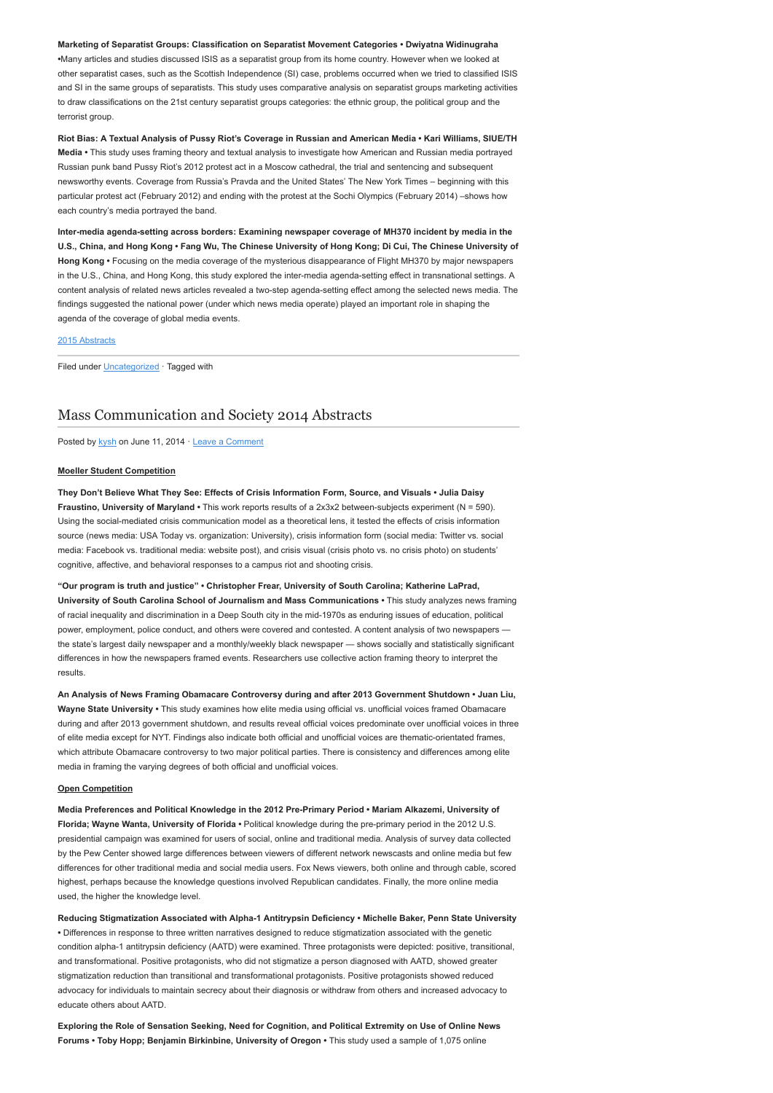### Marketing of Separatist Groups: Classification on Separatist Movement Categories • Dwiyatna Widinugraha

•Many articles and studies discussed ISIS as a separatist group from its home country. However when we looked at other separatist cases, such as the Scottish Independence (SI) case, problems occurred when we tried to classified ISIS and SI in the same groups of separatists. This study uses comparative analysis on separatist groups marketing activities to draw classifications on the 21st century separatist groups categories: the ethnic group, the political group and the terrorist group

Riot Bias: A Textual Analysis of Pussy Riot's Coverage in Russian and American Media • Kari Williams, SIUE/TH Media • This study uses framing theory and textual analysis to investigate how American and Russian media portrayed Russian punk band Pussy Riot's 2012 protest act in a Moscow cathedral, the trial and sentencing and subsequent newsworthy events. Coverage from Russia's Pravda and the United States' The New York Times – beginning with this particular protest act (February 2012) and ending with the protest at the Sochi Olympics (February 2014) –shows how each country's media portrayed the band.

Inter-media agenda-setting across borders: Examining newspaper coverage of MH370 incident by media in the U.S., China, and Hong Kong • Fang Wu, The Chinese University of Hong Kong; Di Cui, The Chinese University of Hong Kong • Focusing on the media coverage of the mysterious disappearance of Flight MH370 by major newspapers in the U.S., China, and Hong Kong, this study explored the inter-media agenda-setting effect in transnational settings. A content analysis of related news articles revealed a two-step agenda-setting effect among the selected news media. The findings suggested the national power (under which news media operate) played an important role in shaping the agenda of the coverage of global media events.

### [2015 Abstracts](http://www.aejmc.org/home/2015/06/2015-abstracts/)

Filed under [Uncategorized](http://www.aejmc.org/home/category/uncategorized/) · Tagged with

### [Mass Communication and Society 2014 Abstracts](http://www.aejmc.org/home/2014/06/mcs-2014-abstracts/)

Posted by [kysh](http://www.aejmc.org/home/author/kyshiab/) on June 11, 2014 · [Leave a Comment](http://www.aejmc.org/home/2014/06/mcs-2014-abstracts/#respond)

### Moeller Student Competition

They Don't Believe What They See: Effects of Crisis Information Form, Source, and Visuals • Julia Daisy Fraustino, University of Maryland • This work reports results of a 2x3x2 between-subjects experiment (N = 590). Using the social-mediated crisis communication model as a theoretical lens, it tested the effects of crisis information source (news media: USA Today vs. organization: University), crisis information form (social media: Twitter vs. social media: Facebook vs. traditional media: website post), and crisis visual (crisis photo vs. no crisis photo) on students' cognitive, affective, and behavioral responses to a campus riot and shooting crisis.

"Our program is truth and justice" • Christopher Frear, University of South Carolina; Katherine LaPrad, University of South Carolina School of Journalism and Mass Communications • This study analyzes news framing of racial inequality and discrimination in a Deep South city in the mid-1970s as enduring issues of education, political power, employment, police conduct, and others were covered and contested. A content analysis of two newspapers the state's largest daily newspaper and a monthly/weekly black newspaper — shows socially and statistically significant differences in how the newspapers framed events. Researchers use collective action framing theory to interpret the results.

An Analysis of News Framing Obamacare Controversy during and after 2013 Government Shutdown • Juan Liu, Wayne State University • This study examines how elite media using official vs. unofficial voices framed Obamacare during and after 2013 government shutdown, and results reveal official voices predominate over unofficial voices in three of elite media except for NYT. Findings also indicate both official and unofficial voices are thematic-orientated frames, which attribute Obamacare controversy to two major political parties. There is consistency and differences among elite media in framing the varying degrees of both official and unofficial voices.

#### Open Competition

Media Preferences and Political Knowledge in the 2012 Pre-Primary Period • Mariam Alkazemi, University of Florida; Wayne Wanta, University of Florida · Political knowledge during the pre-primary period in the 2012 U.S. presidential campaign was examined for users of social, online and traditional media. Analysis of survey data collected by the Pew Center showed large differences between viewers of different network newscasts and online media but few differences for other traditional media and social media users. Fox News viewers, both online and through cable, scored highest, perhaps because the knowledge questions involved Republican candidates. Finally, the more online media used, the higher the knowledge level.

Reducing Stigmatization Associated with Alpha-1 Antitrypsin Deficiency • Michelle Baker, Penn State University • Differences in response to three written narratives designed to reduce stigmatization associated with the genetic condition alpha-1 antitrypsin deficiency (AATD) were examined. Three protagonists were depicted: positive, transitional, and transformational. Positive protagonists, who did not stigmatize a person diagnosed with AATD, showed greater stigmatization reduction than transitional and transformational protagonists. Positive protagonists showed reduced advocacy for individuals to maintain secrecy about their diagnosis or withdraw from others and increased advocacy to educate others about AATD.

Exploring the Role of Sensation Seeking, Need for Cognition, and Political Extremity on Use of Online News Forums • Toby Hopp; Benjamin Birkinbine, University of Oregon • This study used a sample of 1,075 online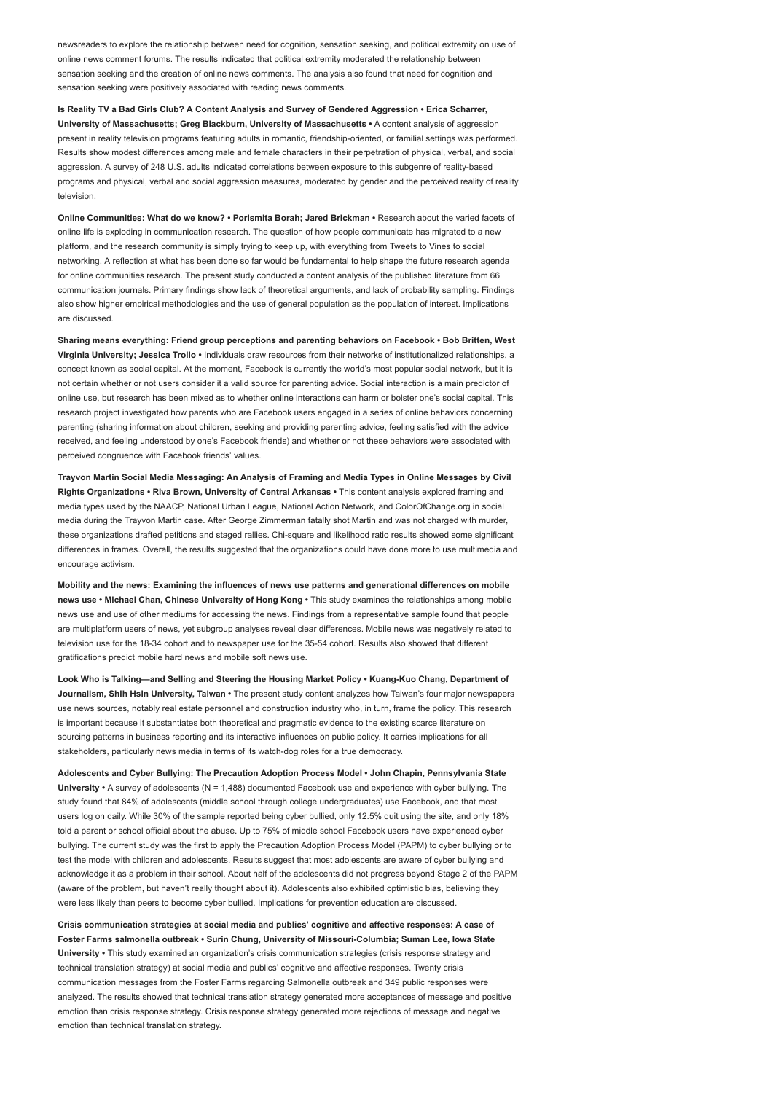newsreaders to explore the relationship between need for cognition, sensation seeking, and political extremity on use of online news comment forums. The results indicated that political extremity moderated the relationship between sensation seeking and the creation of online news comments. The analysis also found that need for cognition and sensation seeking were positively associated with reading news comments.

Is Reality TV a Bad Girls Club? A Content Analysis and Survey of Gendered Aggression • Erica Scharrer, University of Massachusetts; Greg Blackburn, University of Massachusetts • A content analysis of aggression present in reality television programs featuring adults in romantic, friendship-oriented, or familial settings was performed. Results show modest differences among male and female characters in their perpetration of physical, verbal, and social aggression. A survey of 248 U.S. adults indicated correlations between exposure to this subgenre of reality-based programs and physical, verbal and social aggression measures, moderated by gender and the perceived reality of reality television.

Online Communities: What do we know? • Porismita Borah; Jared Brickman • Research about the varied facets of online life is exploding in communication research. The question of how people communicate has migrated to a new platform, and the research community is simply trying to keep up, with everything from Tweets to Vines to social networking. A reflection at what has been done so far would be fundamental to help shape the future research agenda for online communities research. The present study conducted a content analysis of the published literature from 66 communication journals. Primary findings show lack of theoretical arguments, and lack of probability sampling. Findings also show higher empirical methodologies and the use of general population as the population of interest. Implications are discussed.

Sharing means everything: Friend group perceptions and parenting behaviors on Facebook • Bob Britten, West Virginia University; Jessica Troilo • Individuals draw resources from their networks of institutionalized relationships, a concept known as social capital. At the moment, Facebook is currently the world's most popular social network, but it is not certain whether or not users consider it a valid source for parenting advice. Social interaction is a main predictor of online use, but research has been mixed as to whether online interactions can harm or bolster one's social capital. This research project investigated how parents who are Facebook users engaged in a series of online behaviors concerning parenting (sharing information about children, seeking and providing parenting advice, feeling satisfied with the advice received, and feeling understood by one's Facebook friends) and whether or not these behaviors were associated with perceived congruence with Facebook friends' values.

Trayvon Martin Social Media Messaging: An Analysis of Framing and Media Types in Online Messages by Civil Rights Organizations • Riva Brown, University of Central Arkansas • This content analysis explored framing and media types used by the NAACP, National Urban League, National Action Network, and ColorOfChange.org in social media during the Trayvon Martin case. After George Zimmerman fatally shot Martin and was not charged with murder, these organizations drafted petitions and staged rallies. Chi-square and likelihood ratio results showed some significant differences in frames. Overall, the results suggested that the organizations could have done more to use multimedia and encourage activism.

Mobility and the news: Examining the influences of news use patterns and generational differences on mobile news use • Michael Chan, Chinese University of Hong Kong • This study examines the relationships among mobile news use and use of other mediums for accessing the news. Findings from a representative sample found that people are multiplatform users of news, yet subgroup analyses reveal clear differences. Mobile news was negatively related to television use for the 18-34 cohort and to newspaper use for the 35-54 cohort. Results also showed that different gratifications predict mobile hard news and mobile soft news use.

Look Who is Talking—and Selling and Steering the Housing Market Policy • Kuang-Kuo Chang, Department of Journalism, Shih Hsin University, Taiwan • The present study content analyzes how Taiwan's four major newspapers use news sources, notably real estate personnel and construction industry who, in turn, frame the policy. This research is important because it substantiates both theoretical and pragmatic evidence to the existing scarce literature on sourcing patterns in business reporting and its interactive influences on public policy. It carries implications for all stakeholders, particularly news media in terms of its watch-dog roles for a true democracy.

Adolescents and Cyber Bullying: The Precaution Adoption Process Model • John Chapin, Pennsylvania State University • A survey of adolescents (N = 1,488) documented Facebook use and experience with cyber bullying. The study found that 84% of adolescents (middle school through college undergraduates) use Facebook, and that most users log on daily. While 30% of the sample reported being cyber bullied, only 12.5% quit using the site, and only 18% told a parent or school official about the abuse. Up to 75% of middle school Facebook users have experienced cyber bullying. The current study was the first to apply the Precaution Adoption Process Model (PAPM) to cyber bullying or to test the model with children and adolescents. Results suggest that most adolescents are aware of cyber bullying and acknowledge it as a problem in their school. About half of the adolescents did not progress beyond Stage 2 of the PAPM (aware of the problem, but haven't really thought about it). Adolescents also exhibited optimistic bias, believing they were less likely than peers to become cyber bullied. Implications for prevention education are discussed.

Crisis communication strategies at social media and publics' cognitive and affective responses: A case of Foster Farms salmonella outbreak • Surin Chung, University of Missouri-Columbia; Suman Lee, Iowa State University • This study examined an organization's crisis communication strategies (crisis response strategy and technical translation strategy) at social media and publics' cognitive and affective responses. Twenty crisis communication messages from the Foster Farms regarding Salmonella outbreak and 349 public responses were analyzed. The results showed that technical translation strategy generated more acceptances of message and positive emotion than crisis response strategy. Crisis response strategy generated more rejections of message and negative emotion than technical translation strategy.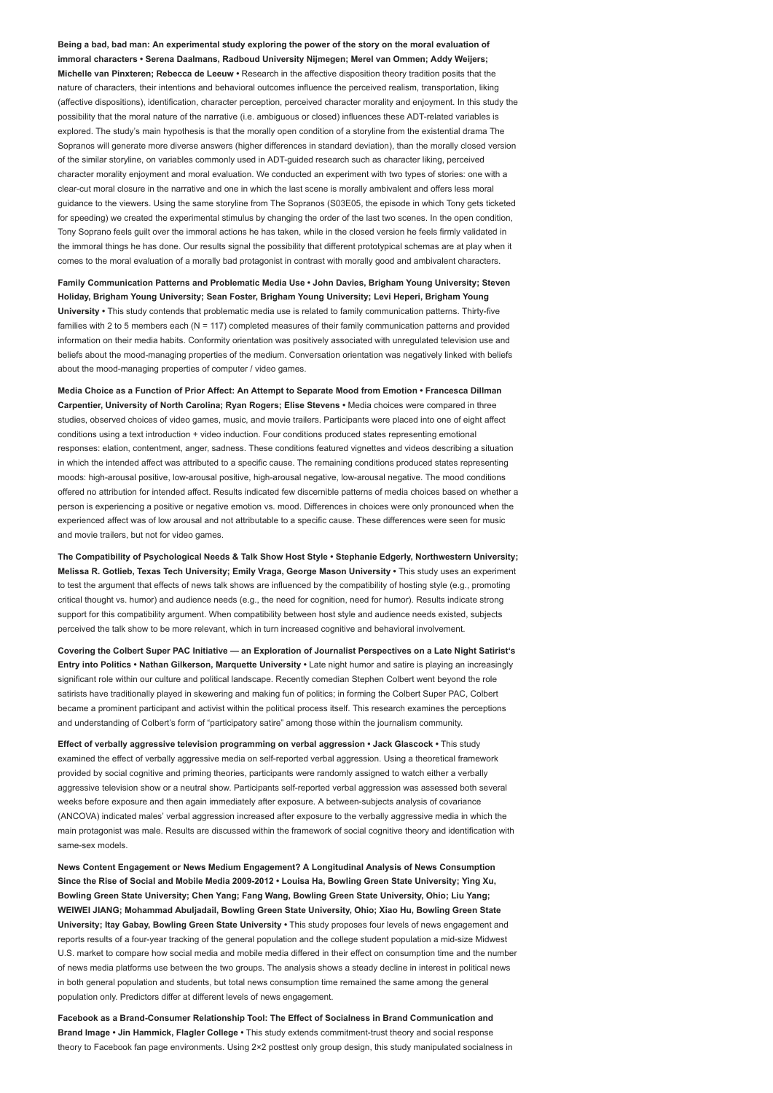Being a bad, bad man: An experimental study exploring the power of the story on the moral evaluation of immoral characters • Serena Daalmans, Radboud University Nijmegen; Merel van Ommen; Addy Weijers; Michelle van Pinxteren; Rebecca de Leeuw • Research in the affective disposition theory tradition posits that the nature of characters, their intentions and behavioral outcomes influence the perceived realism, transportation, liking (affective dispositions), identification, character perception, perceived character morality and enjoyment. In this study the possibility that the moral nature of the narrative (i.e. ambiguous or closed) influences these ADT-related variables is explored. The study's main hypothesis is that the morally open condition of a storyline from the existential drama The Sopranos will generate more diverse answers (higher differences in standard deviation), than the morally closed version of the similar storyline, on variables commonly used in ADT-guided research such as character liking, perceived character morality enjoyment and moral evaluation. We conducted an experiment with two types of stories: one with a clear-cut moral closure in the narrative and one in which the last scene is morally ambivalent and offers less moral guidance to the viewers. Using the same storyline from The Sopranos (S03E05, the episode in which Tony gets ticketed for speeding) we created the experimental stimulus by changing the order of the last two scenes. In the open condition, Tony Soprano feels guilt over the immoral actions he has taken, while in the closed version he feels firmly validated in the immoral things he has done. Our results signal the possibility that different prototypical schemas are at play when it comes to the moral evaluation of a morally bad protagonist in contrast with morally good and ambivalent characters.

Family Communication Patterns and Problematic Media Use • John Davies, Brigham Young University; Steven Holiday, Brigham Young University; Sean Foster, Brigham Young University; Levi Heperi, Brigham Young University • This study contends that problematic media use is related to family communication patterns. Thirty-five families with 2 to 5 members each (N = 117) completed measures of their family communication patterns and provided information on their media habits. Conformity orientation was positively associated with unregulated television use and beliefs about the mood-managing properties of the medium. Conversation orientation was negatively linked with beliefs about the mood-managing properties of computer / video games.

Media Choice as a Function of Prior Affect: An Attempt to Separate Mood from Emotion • Francesca Dillman Carpentier, University of North Carolina; Ryan Rogers; Elise Stevens • Media choices were compared in three studies, observed choices of video games, music, and movie trailers. Participants were placed into one of eight affect conditions using a text introduction + video induction. Four conditions produced states representing emotional responses: elation, contentment, anger, sadness. These conditions featured vignettes and videos describing a situation in which the intended affect was attributed to a specific cause. The remaining conditions produced states representing moods: high-arousal positive, low-arousal positive, high-arousal negative, low-arousal negative. The mood conditions offered no attribution for intended affect. Results indicated few discernible patterns of media choices based on whether a person is experiencing a positive or negative emotion vs. mood. Differences in choices were only pronounced when the experienced affect was of low arousal and not attributable to a specific cause. These differences were seen for music and movie trailers, but not for video games.

The Compatibility of Psychological Needs & Talk Show Host Style • Stephanie Edgerly, Northwestern University; Melissa R. Gotlieb, Texas Tech University; Emily Vraga, George Mason University • This study uses an experiment to test the argument that effects of news talk shows are influenced by the compatibility of hosting style (e.g., promoting critical thought vs. humor) and audience needs (e.g., the need for cognition, need for humor). Results indicate strong support for this compatibility argument. When compatibility between host style and audience needs existed, subjects perceived the talk show to be more relevant, which in turn increased cognitive and behavioral involvement.

Covering the Colbert Super PAC Initiative — an Exploration of Journalist Perspectives on a Late Night Satirist's Entry into Politics • Nathan Gilkerson, Marquette University • Late night humor and satire is playing an increasingly significant role within our culture and political landscape. Recently comedian Stephen Colbert went beyond the role satirists have traditionally played in skewering and making fun of politics; in forming the Colbert Super PAC, Colbert became a prominent participant and activist within the political process itself. This research examines the perceptions and understanding of Colbert's form of "participatory satire" among those within the journalism community.

Effect of verbally aggressive television programming on verbal aggression • Jack Glascock • This study examined the effect of verbally aggressive media on self-reported verbal aggression. Using a theoretical framework provided by social cognitive and priming theories, participants were randomly assigned to watch either a verbally aggressive television show or a neutral show. Participants self-reported verbal aggression was assessed both several weeks before exposure and then again immediately after exposure. A between-subjects analysis of covariance (ANCOVA) indicated males' verbal aggression increased after exposure to the verbally aggressive media in which the main protagonist was male. Results are discussed within the framework of social cognitive theory and identification with same-sex models.

News Content Engagement or News Medium Engagement? A Longitudinal Analysis of News Consumption Since the Rise of Social and Mobile Media 2009-2012 • Louisa Ha, Bowling Green State University; Ying Xu, Bowling Green State University; Chen Yang; Fang Wang, Bowling Green State University, Ohio; Liu Yang; WEIWEI JIANG; Mohammad Abuljadail, Bowling Green State University, Ohio; Xiao Hu, Bowling Green State University; Itay Gabay, Bowling Green State University • This study proposes four levels of news engagement and reports results of a four-year tracking of the general population and the college student population a mid-size Midwest U.S. market to compare how social media and mobile media differed in their effect on consumption time and the number of news media platforms use between the two groups. The analysis shows a steady decline in interest in political news in both general population and students, but total news consumption time remained the same among the general population only. Predictors differ at different levels of news engagement.

Facebook as a Brand-Consumer Relationship Tool: The Effect of Socialness in Brand Communication and Brand Image • Jin Hammick, Flagler College • This study extends commitment-trust theory and social response theory to Facebook fan page environments. Using 2×2 posttest only group design, this study manipulated socialness in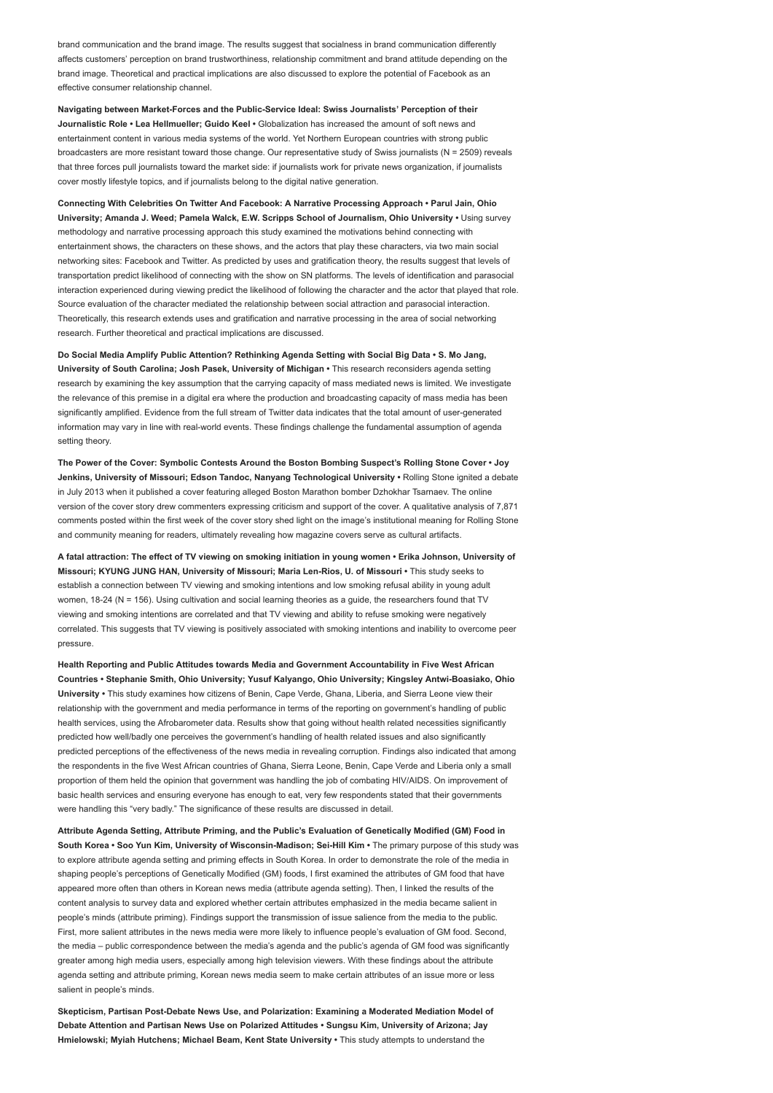brand communication and the brand image. The results suggest that socialness in brand communication differently affects customers' perception on brand trustworthiness, relationship commitment and brand attitude depending on the brand image. Theoretical and practical implications are also discussed to explore the potential of Facebook as an effective consumer relationship channel.

Navigating between Market-Forces and the Public-Service Ideal: Swiss Journalists' Perception of their Journalistic Role • Lea Hellmueller; Guido Keel • Globalization has increased the amount of soft news and entertainment content in various media systems of the world. Yet Northern European countries with strong public broadcasters are more resistant toward those change. Our representative study of Swiss journalists (N = 2509) reveals that three forces pull journalists toward the market side: if journalists work for private news organization, if journalists cover mostly lifestyle topics, and if journalists belong to the digital native generation.

Connecting With Celebrities On Twitter And Facebook: A Narrative Processing Approach • Parul Jain, Ohio University; Amanda J. Weed; Pamela Walck, E.W. Scripps School of Journalism, Ohio University • Using survey methodology and narrative processing approach this study examined the motivations behind connecting with entertainment shows, the characters on these shows, and the actors that play these characters, via two main social networking sites: Facebook and Twitter. As predicted by uses and gratification theory, the results suggest that levels of transportation predict likelihood of connecting with the show on SN platforms. The levels of identification and parasocial interaction experienced during viewing predict the likelihood of following the character and the actor that played that role. Source evaluation of the character mediated the relationship between social attraction and parasocial interaction. Theoretically, this research extends uses and gratification and narrative processing in the area of social networking research. Further theoretical and practical implications are discussed.

Do Social Media Amplify Public Attention? Rethinking Agenda Setting with Social Big Data • S. Mo Jang, University of South Carolina; Josh Pasek, University of Michigan • This research reconsiders agenda setting research by examining the key assumption that the carrying capacity of mass mediated news is limited. We investigate the relevance of this premise in a digital era where the production and broadcasting capacity of mass media has been significantly amplified. Evidence from the full stream of Twitter data indicates that the total amount of user-generated information may vary in line with real-world events. These findings challenge the fundamental assumption of agenda setting theory

The Power of the Cover: Symbolic Contests Around the Boston Bombing Suspect's Rolling Stone Cover • Joy Jenkins, University of Missouri; Edson Tandoc, Nanyang Technological University • Rolling Stone ignited a debate in July 2013 when it published a cover featuring alleged Boston Marathon bomber Dzhokhar Tsarnaev. The online version of the cover story drew commenters expressing criticism and support of the cover. A qualitative analysis of 7,871 comments posted within the first week of the cover story shed light on the image's institutional meaning for Rolling Stone and community meaning for readers, ultimately revealing how magazine covers serve as cultural artifacts.

A fatal attraction: The effect of TV viewing on smoking initiation in young women • Erika Johnson, University of Missouri; KYUNG JUNG HAN, University of Missouri; Maria Len-Rios, U. of Missouri • This study seeks to establish a connection between TV viewing and smoking intentions and low smoking refusal ability in young adult women, 18-24 (N = 156). Using cultivation and social learning theories as a guide, the researchers found that TV viewing and smoking intentions are correlated and that TV viewing and ability to refuse smoking were negatively correlated. This suggests that TV viewing is positively associated with smoking intentions and inability to overcome peer pressure.

Health Reporting and Public Attitudes towards Media and Government Accountability in Five West African Countries • Stephanie Smith, Ohio University; Yusuf Kalyango, Ohio University; Kingsley Antwi-Boasiako, Ohio University • This study examines how citizens of Benin, Cape Verde, Ghana, Liberia, and Sierra Leone view their relationship with the government and media performance in terms of the reporting on government's handling of public health services, using the Afrobarometer data. Results show that going without health related necessities significantly predicted how well/badly one perceives the government's handling of health related issues and also significantly predicted perceptions of the effectiveness of the news media in revealing corruption. Findings also indicated that among the respondents in the five West African countries of Ghana, Sierra Leone, Benin, Cape Verde and Liberia only a small proportion of them held the opinion that government was handling the job of combating HIV/AIDS. On improvement of basic health services and ensuring everyone has enough to eat, very few respondents stated that their governments were handling this "very badly." The significance of these results are discussed in detail.

Attribute Agenda Setting, Attribute Priming, and the Public's Evaluation of Genetically Modified (GM) Food in South Korea • Soo Yun Kim, University of Wisconsin-Madison; Sei-Hill Kim • The primary purpose of this study was to explore attribute agenda setting and priming effects in South Korea. In order to demonstrate the role of the media in shaping people's perceptions of Genetically Modified (GM) foods, I first examined the attributes of GM food that have appeared more often than others in Korean news media (attribute agenda setting). Then, I linked the results of the content analysis to survey data and explored whether certain attributes emphasized in the media became salient in people's minds (attribute priming). Findings support the transmission of issue salience from the media to the public. First, more salient attributes in the news media were more likely to influence people's evaluation of GM food. Second, the media – public correspondence between the media's agenda and the public's agenda of GM food was significantly greater among high media users, especially among high television viewers. With these findings about the attribute agenda setting and attribute priming, Korean news media seem to make certain attributes of an issue more or less salient in people's minds.

Skepticism, Partisan Post-Debate News Use, and Polarization: Examining a Moderated Mediation Model of Debate Attention and Partisan News Use on Polarized Attitudes • Sungsu Kim, University of Arizona; Jay Hmielowski; Myiah Hutchens; Michael Beam, Kent State University • This study attempts to understand the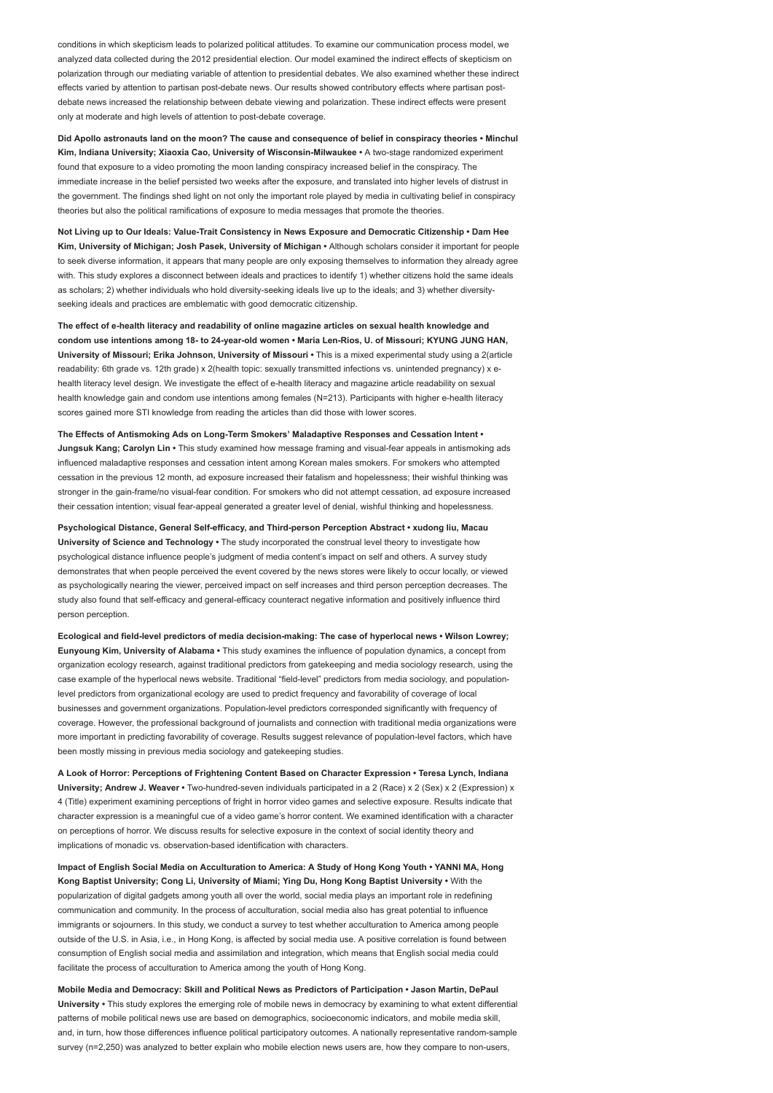conditions in which skepticism leads to polarized political attitudes. To examine our communication process model, we analyzed data collected during the 2012 presidential election. Our model examined the indirect effects of skepticism on polarization through our mediating variable of attention to presidential debates. We also examined whether these indirect effects varied by attention to partisan post-debate news. Our results showed contributory effects where partisan postdebate news increased the relationship between debate viewing and polarization. These indirect effects were present only at moderate and high levels of attention to post-debate coverage.

Did Apollo astronauts land on the moon? The cause and consequence of belief in conspiracy theories • Minchul Kim, Indiana University; Xiaoxia Cao, University of Wisconsin-Milwaukee • A two-stage randomized experiment found that exposure to a video promoting the moon landing conspiracy increased belief in the conspiracy. The immediate increase in the belief persisted two weeks after the exposure, and translated into higher levels of distrust in the government. The findings shed light on not only the important role played by media in cultivating belief in conspiracy theories but also the political ramifications of exposure to media messages that promote the theories.

Not Living up to Our Ideals: Value-Trait Consistency in News Exposure and Democratic Citizenship • Dam Hee Kim, University of Michigan; Josh Pasek, University of Michigan • Although scholars consider it important for people to seek diverse information, it appears that many people are only exposing themselves to information they already agree with. This study explores a disconnect between ideals and practices to identify 1) whether citizens hold the same ideals as scholars; 2) whether individuals who hold diversity-seeking ideals live up to the ideals; and 3) whether diversityseeking ideals and practices are emblematic with good democratic citizenship.

The effect of e-health literacy and readability of online magazine articles on sexual health knowledge and condom use intentions among 18- to 24-year-old women • Maria Len-Rios, U. of Missouri; KYUNG JUNG HAN, University of Missouri; Erika Johnson, University of Missouri • This is a mixed experimental study using a 2(article readability: 6th grade vs. 12th grade) x 2(health topic: sexually transmitted infections vs. unintended pregnancy) x ehealth literacy level design. We investigate the effect of e-health literacy and magazine article readability on sexual health knowledge gain and condom use intentions among females (N=213). Participants with higher e-health literacy scores gained more STI knowledge from reading the articles than did those with lower scores.

The Effects of Antismoking Ads on Long-Term Smokers' Maladaptive Responses and Cessation Intent • Jungsuk Kang; Carolyn Lin • This study examined how message framing and visual-fear appeals in antismoking ads influenced maladaptive responses and cessation intent among Korean males smokers. For smokers who attempted cessation in the previous 12 month, ad exposure increased their fatalism and hopelessness; their wishful thinking was stronger in the gain-frame/no visual-fear condition. For smokers who did not attempt cessation, ad exposure increased their cessation intention; visual fear-appeal generated a greater level of denial, wishful thinking and hopelessness.

Psychological Distance, General Self-efficacy, and Third-person Perception Abstract • xudong liu, Macau University of Science and Technology . The study incorporated the construal level theory to investigate how psychological distance influence people's judgment of media content's impact on self and others. A survey study demonstrates that when people perceived the event covered by the news stores were likely to occur locally, or viewed as psychologically nearing the viewer, perceived impact on self increases and third person perception decreases. The study also found that self-efficacy and general-efficacy counteract negative information and positively influence third person perception.

Ecological and field-level predictors of media decision-making: The case of hyperlocal news • Wilson Lowrey; Eunyoung Kim, University of Alabama • This study examines the influence of population dynamics, a concept from organization ecology research, against traditional predictors from gatekeeping and media sociology research, using the case example of the hyperlocal news website. Traditional "field-level" predictors from media sociology, and populationlevel predictors from organizational ecology are used to predict frequency and favorability of coverage of local businesses and government organizations. Population-level predictors corresponded significantly with frequency of coverage. However, the professional background of journalists and connection with traditional media organizations were more important in predicting favorability of coverage. Results suggest relevance of population-level factors, which have been mostly missing in previous media sociology and gatekeeping studies.

A Look of Horror: Perceptions of Frightening Content Based on Character Expression • Teresa Lynch, Indiana University; Andrew J. Weaver • Two-hundred-seven individuals participated in a 2 (Race) x 2 (Sex) x 2 (Expression) x 4 (Title) experiment examining perceptions of fright in horror video games and selective exposure. Results indicate that character expression is a meaningful cue of a video game's horror content. We examined identification with a character on perceptions of horror. We discuss results for selective exposure in the context of social identity theory and implications of monadic vs. observation-based identification with characters.

Impact of English Social Media on Acculturation to America: A Study of Hong Kong Youth • YANNI MA, Hong Kong Baptist University; Cong Li, University of Miami; Ying Du, Hong Kong Baptist University • With the popularization of digital gadgets among youth all over the world, social media plays an important role in redefining communication and community. In the process of acculturation, social media also has great potential to influence immigrants or sojourners. In this study, we conduct a survey to test whether acculturation to America among people outside of the U.S. in Asia, i.e., in Hong Kong, is affected by social media use. A positive correlation is found between consumption of English social media and assimilation and integration, which means that English social media could facilitate the process of acculturation to America among the youth of Hong Kong.

Mobile Media and Democracy: Skill and Political News as Predictors of Participation • Jason Martin, DePaul University • This study explores the emerging role of mobile news in democracy by examining to what extent differential patterns of mobile political news use are based on demographics, socioeconomic indicators, and mobile media skill, and, in turn, how those differences influence political participatory outcomes. A nationally representative random-sample survey (n=2,250) was analyzed to better explain who mobile election news users are, how they compare to non-users,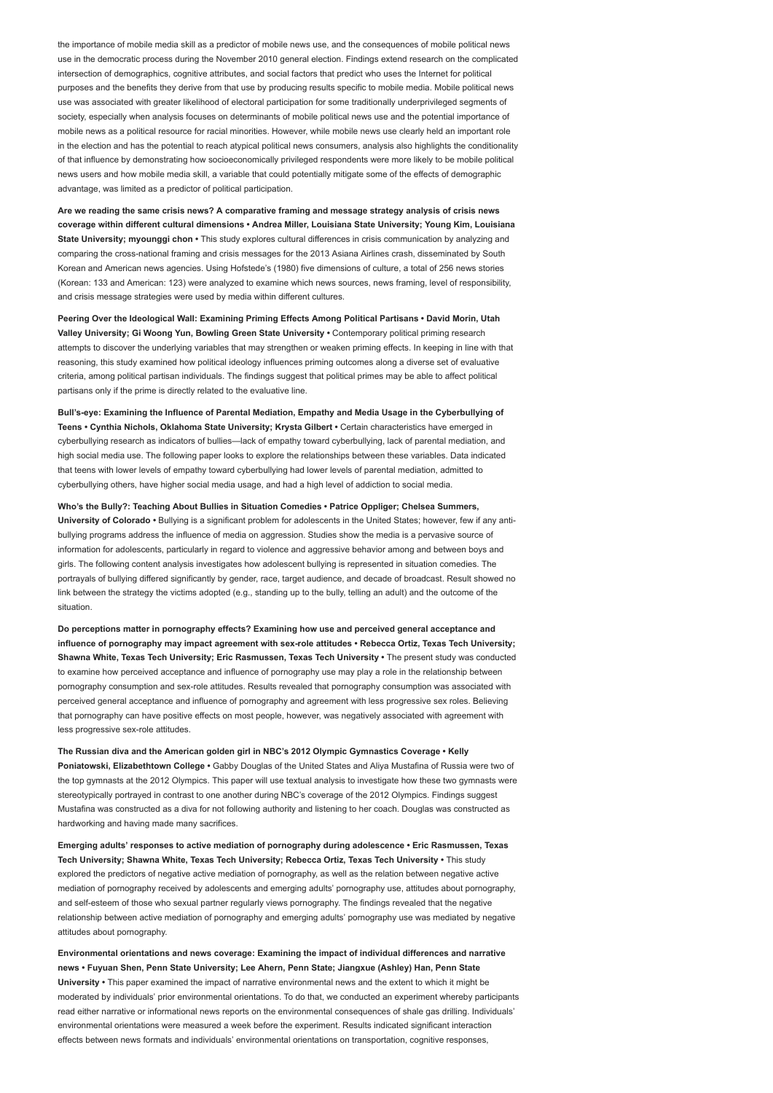the importance of mobile media skill as a predictor of mobile news use, and the consequences of mobile political news use in the democratic process during the November 2010 general election. Findings extend research on the complicated intersection of demographics, cognitive attributes, and social factors that predict who uses the Internet for political purposes and the benefits they derive from that use by producing results specific to mobile media. Mobile political news use was associated with greater likelihood of electoral participation for some traditionally underprivileged segments of society, especially when analysis focuses on determinants of mobile political news use and the potential importance of mobile news as a political resource for racial minorities. However, while mobile news use clearly held an important role in the election and has the potential to reach atypical political news consumers, analysis also highlights the conditionality of that influence by demonstrating how socioeconomically privileged respondents were more likely to be mobile political news users and how mobile media skill, a variable that could potentially mitigate some of the effects of demographic advantage, was limited as a predictor of political participation.

Are we reading the same crisis news? A comparative framing and message strategy analysis of crisis news coverage within different cultural dimensions • Andrea Miller, Louisiana State University; Young Kim, Louisiana State University; myounggi chon • This study explores cultural differences in crisis communication by analyzing and comparing the cross-national framing and crisis messages for the 2013 Asiana Airlines crash, disseminated by South Korean and American news agencies. Using Hofstede's (1980) five dimensions of culture, a total of 256 news stories (Korean: 133 and American: 123) were analyzed to examine which news sources, news framing, level of responsibility, and crisis message strategies were used by media within different cultures.

Peering Over the Ideological Wall: Examining Priming Effects Among Political Partisans • David Morin, Utah Valley University; Gi Woong Yun, Bowling Green State University • Contemporary political priming research attempts to discover the underlying variables that may strengthen or weaken priming effects. In keeping in line with that reasoning, this study examined how political ideology influences priming outcomes along a diverse set of evaluative criteria, among political partisan individuals. The findings suggest that political primes may be able to affect political partisans only if the prime is directly related to the evaluative line.

Bull's-eye: Examining the Influence of Parental Mediation, Empathy and Media Usage in the Cyberbullying of Teens • Cynthia Nichols, Oklahoma State University; Krysta Gilbert • Certain characteristics have emerged in cyberbullying research as indicators of bullies—lack of empathy toward cyberbullying, lack of parental mediation, and high social media use. The following paper looks to explore the relationships between these variables. Data indicated that teens with lower levels of empathy toward cyberbullying had lower levels of parental mediation, admitted to cyberbullying others, have higher social media usage, and had a high level of addiction to social media.

Who's the Bully?: Teaching About Bullies in Situation Comedies • Patrice Oppliger; Chelsea Summers, University of Colorado • Bullying is a significant problem for adolescents in the United States; however, few if any antibullying programs address the influence of media on aggression. Studies show the media is a pervasive source of information for adolescents, particularly in regard to violence and aggressive behavior among and between boys and girls. The following content analysis investigates how adolescent bullying is represented in situation comedies. The portrayals of bullying differed significantly by gender, race, target audience, and decade of broadcast. Result showed no link between the strategy the victims adopted (e.g., standing up to the bully, telling an adult) and the outcome of the situation.

Do perceptions matter in pornography effects? Examining how use and perceived general acceptance and influence of pornography may impact agreement with sex-role attitudes • Rebecca Ortiz, Texas Tech University; Shawna White, Texas Tech University; Eric Rasmussen, Texas Tech University • The present study was conducted to examine how perceived acceptance and influence of pornography use may play a role in the relationship between pornography consumption and sex-role attitudes. Results revealed that pornography consumption was associated with perceived general acceptance and influence of pornography and agreement with less progressive sex roles. Believing that pornography can have positive effects on most people, however, was negatively associated with agreement with less progressive sex-role attitudes.

The Russian diva and the American golden girl in NBC's 2012 Olympic Gymnastics Coverage • Kelly Poniatowski, Elizabethtown College · Gabby Douglas of the United States and Aliya Mustafina of Russia were two of the top gymnasts at the 2012 Olympics. This paper will use textual analysis to investigate how these two gymnasts were stereotypically portrayed in contrast to one another during NBC's coverage of the 2012 Olympics. Findings suggest Mustafina was constructed as a diva for not following authority and listening to her coach. Douglas was constructed as hardworking and having made many sacrifices.

Emerging adults' responses to active mediation of pornography during adolescence • Eric Rasmussen, Texas Tech University; Shawna White, Texas Tech University; Rebecca Ortiz, Texas Tech University • This study explored the predictors of negative active mediation of pornography, as well as the relation between negative active mediation of pornography received by adolescents and emerging adults' pornography use, attitudes about pornography, and self-esteem of those who sexual partner regularly views pornography. The findings revealed that the negative relationship between active mediation of pornography and emerging adults' pornography use was mediated by negative attitudes about pornography.

Environmental orientations and news coverage: Examining the impact of individual differences and narrative news • Fuyuan Shen, Penn State University; Lee Ahern, Penn State; Jiangxue (Ashley) Han, Penn State University • This paper examined the impact of narrative environmental news and the extent to which it might be moderated by individuals' prior environmental orientations. To do that, we conducted an experiment whereby participants read either narrative or informational news reports on the environmental consequences of shale gas drilling. Individuals' environmental orientations were measured a week before the experiment. Results indicated significant interaction effects between news formats and individuals' environmental orientations on transportation, cognitive responses,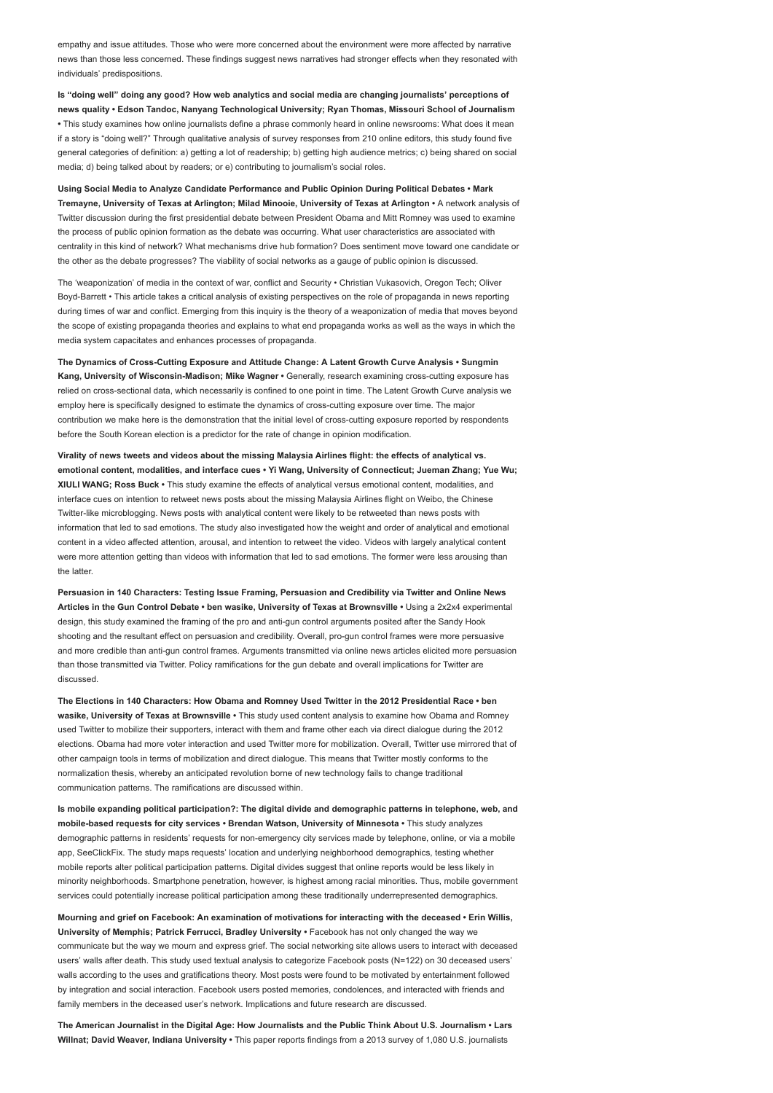empathy and issue attitudes. Those who were more concerned about the environment were more affected by narrative news than those less concerned. These findings suggest news narratives had stronger effects when they resonated with individuals' predispositions.

Is "doing well" doing any good? How web analytics and social media are changing journalists' perceptions of news quality • Edson Tandoc, Nanyang Technological University; Ryan Thomas, Missouri School of Journalism • This study examines how online journalists define a phrase commonly heard in online newsrooms: What does it mean if a story is "doing well?" Through qualitative analysis of survey responses from 210 online editors, this study found five general categories of definition: a) getting a lot of readership; b) getting high audience metrics; c) being shared on social media; d) being talked about by readers; or e) contributing to journalism's social roles.

Using Social Media to Analyze Candidate Performance and Public Opinion During Political Debates • Mark Tremayne, University of Texas at Arlington; Milad Minooie, University of Texas at Arlington • A network analysis of Twitter discussion during the first presidential debate between President Obama and Mitt Romney was used to examine the process of public opinion formation as the debate was occurring. What user characteristics are associated with centrality in this kind of network? What mechanisms drive hub formation? Does sentiment move toward one candidate or the other as the debate progresses? The viability of social networks as a gauge of public opinion is discussed.

The 'weaponization' of media in the context of war, conflict and Security • Christian Vukasovich, Oregon Tech; Oliver Boyd-Barrett • This article takes a critical analysis of existing perspectives on the role of propaganda in news reporting during times of war and conflict. Emerging from this inquiry is the theory of a weaponization of media that moves beyond the scope of existing propaganda theories and explains to what end propaganda works as well as the ways in which the media system capacitates and enhances processes of propaganda.

The Dynamics of Cross-Cutting Exposure and Attitude Change: A Latent Growth Curve Analysis • Sungmin Kang, University of Wisconsin-Madison; Mike Wagner • Generally, research examining cross-cutting exposure has relied on cross-sectional data, which necessarily is confined to one point in time. The Latent Growth Curve analysis we employ here is specifically designed to estimate the dynamics of cross-cutting exposure over time. The major contribution we make here is the demonstration that the initial level of cross-cutting exposure reported by respondents before the South Korean election is a predictor for the rate of change in opinion modification.

Virality of news tweets and videos about the missing Malaysia Airlines flight: the effects of analytical vs. emotional content, modalities, and interface cues • Yi Wang, University of Connecticut; Jueman Zhang; Yue Wu; XIULI WANG; Ross Buck • This study examine the effects of analytical versus emotional content, modalities, and interface cues on intention to retweet news posts about the missing Malaysia Airlines flight on Weibo, the Chinese Twitter-like microblogging. News posts with analytical content were likely to be retweeted than news posts with information that led to sad emotions. The study also investigated how the weight and order of analytical and emotional content in a video affected attention, arousal, and intention to retweet the video. Videos with largely analytical content were more attention getting than videos with information that led to sad emotions. The former were less arousing than the latter.

Persuasion in 140 Characters: Testing Issue Framing, Persuasion and Credibility via Twitter and Online News Articles in the Gun Control Debate • ben wasike, University of Texas at Brownsville • Using a 2x2x4 experimental design, this study examined the framing of the pro and anti-gun control arguments posited after the Sandy Hook shooting and the resultant effect on persuasion and credibility. Overall, pro-gun control frames were more persuasive and more credible than anti-gun control frames. Arguments transmitted via online news articles elicited more persuasion than those transmitted via Twitter. Policy ramifications for the gun debate and overall implications for Twitter are discussed.

The Elections in 140 Characters: How Obama and Romney Used Twitter in the 2012 Presidential Race • ben wasike, University of Texas at Brownsville · This study used content analysis to examine how Obama and Romney used Twitter to mobilize their supporters, interact with them and frame other each via direct dialogue during the 2012 elections. Obama had more voter interaction and used Twitter more for mobilization. Overall, Twitter use mirrored that of other campaign tools in terms of mobilization and direct dialogue. This means that Twitter mostly conforms to the normalization thesis, whereby an anticipated revolution borne of new technology fails to change traditional communication patterns. The ramifications are discussed within.

Is mobile expanding political participation?: The digital divide and demographic patterns in telephone, web, and mobile-based requests for city services • Brendan Watson, University of Minnesota • This study analyzes demographic patterns in residents' requests for non-emergency city services made by telephone, online, or via a mobile app, SeeClickFix. The study maps requests' location and underlying neighborhood demographics, testing whether mobile reports alter political participation patterns. Digital divides suggest that online reports would be less likely in minority neighborhoods. Smartphone penetration, however, is highest among racial minorities. Thus, mobile government services could potentially increase political participation among these traditionally underrepresented demographics.

Mourning and grief on Facebook: An examination of motivations for interacting with the deceased • Erin Willis, University of Memphis; Patrick Ferrucci, Bradley University • Facebook has not only changed the way we communicate but the way we mourn and express grief. The social networking site allows users to interact with deceased users' walls after death. This study used textual analysis to categorize Facebook posts (N=122) on 30 deceased users' walls according to the uses and gratifications theory. Most posts were found to be motivated by entertainment followed by integration and social interaction. Facebook users posted memories, condolences, and interacted with friends and family members in the deceased user's network. Implications and future research are discussed.

The American Journalist in the Digital Age: How Journalists and the Public Think About U.S. Journalism • Lars Willnat; David Weaver, Indiana University · This paper reports findings from a 2013 survey of 1,080 U.S. journalists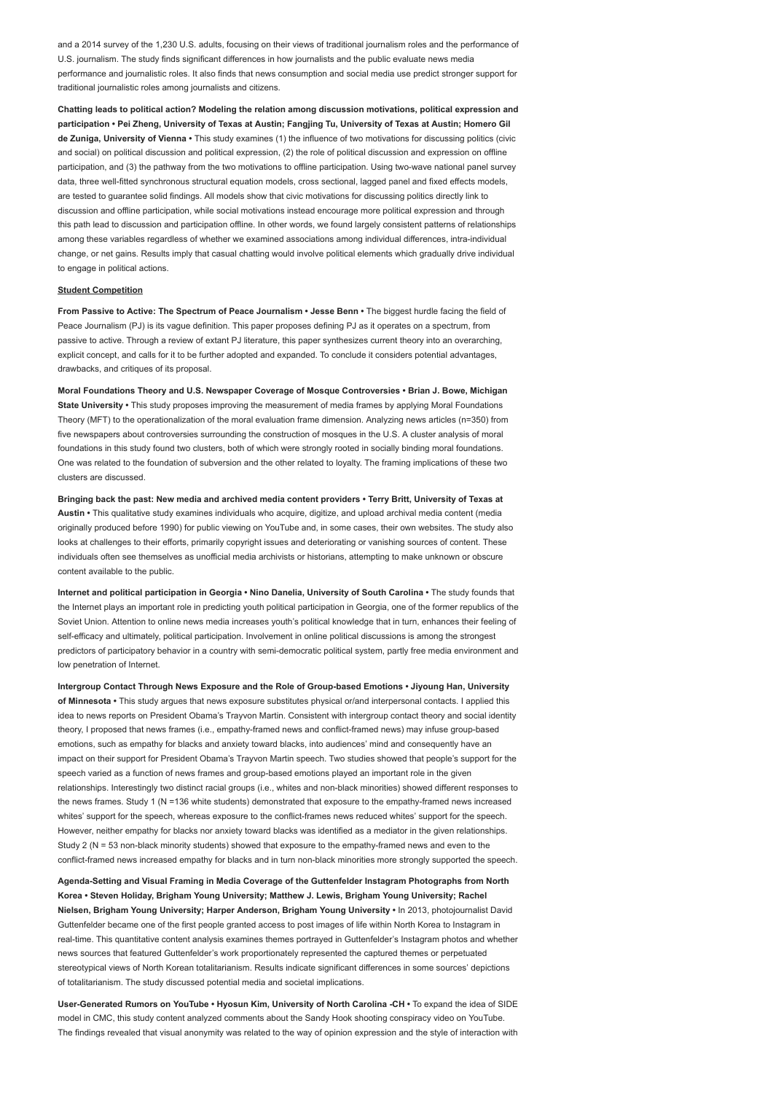and a 2014 survey of the 1,230 U.S. adults, focusing on their views of traditional journalism roles and the performance of U.S. journalism. The study finds significant differences in how journalists and the public evaluate news media performance and journalistic roles. It also finds that news consumption and social media use predict stronger support for traditional journalistic roles among journalists and citizens.

Chatting leads to political action? Modeling the relation among discussion motivations, political expression and participation • Pei Zheng, University of Texas at Austin; Fangjing Tu, University of Texas at Austin; Homero Gil de Zuniga, University of Vienna • This study examines (1) the influence of two motivations for discussing politics (civic and social) on political discussion and political expression, (2) the role of political discussion and expression on offline participation, and (3) the pathway from the two motivations to offline participation. Using two-wave national panel survey data, three well-fitted synchronous structural equation models, cross sectional, lagged panel and fixed effects models, are tested to guarantee solid findings. All models show that civic motivations for discussing politics directly link to discussion and offline participation, while social motivations instead encourage more political expression and through this path lead to discussion and participation offline. In other words, we found largely consistent patterns of relationships among these variables regardless of whether we examined associations among individual differences, intra-individual change, or net gains. Results imply that casual chatting would involve political elements which gradually drive individual to engage in political actions.

#### Student Competition

From Passive to Active: The Spectrum of Peace Journalism • Jesse Benn • The biggest hurdle facing the field of Peace Journalism (PJ) is its vague definition. This paper proposes defining PJ as it operates on a spectrum, from passive to active. Through a review of extant PJ literature, this paper synthesizes current theory into an overarching, explicit concept, and calls for it to be further adopted and expanded. To conclude it considers potential advantages, drawbacks, and critiques of its proposal.

Moral Foundations Theory and U.S. Newspaper Coverage of Mosque Controversies • Brian J. Bowe, Michigan State University • This study proposes improving the measurement of media frames by applying Moral Foundations Theory (MFT) to the operationalization of the moral evaluation frame dimension. Analyzing news articles (n=350) from five newspapers about controversies surrounding the construction of mosques in the U.S. A cluster analysis of moral foundations in this study found two clusters, both of which were strongly rooted in socially binding moral foundations. One was related to the foundation of subversion and the other related to loyalty. The framing implications of these two clusters are discussed.

Bringing back the past: New media and archived media content providers • Terry Britt, University of Texas at Austin • This qualitative study examines individuals who acquire, digitize, and upload archival media content (media originally produced before 1990) for public viewing on YouTube and, in some cases, their own websites. The study also looks at challenges to their efforts, primarily copyright issues and deteriorating or vanishing sources of content. These individuals often see themselves as unofficial media archivists or historians, attempting to make unknown or obscure content available to the public.

Internet and political participation in Georgia • Nino Danelia, University of South Carolina • The study founds that the Internet plays an important role in predicting youth political participation in Georgia, one of the former republics of the Soviet Union. Attention to online news media increases youth's political knowledge that in turn, enhances their feeling of self-efficacy and ultimately, political participation. Involvement in online political discussions is among the strongest predictors of participatory behavior in a country with semi-democratic political system, partly free media environment and low penetration of Internet.

Intergroup Contact Through News Exposure and the Role of Group-based Emotions • Jiyoung Han, University of Minnesota • This study argues that news exposure substitutes physical or/and interpersonal contacts. I applied this idea to news reports on President Obama's Trayvon Martin. Consistent with intergroup contact theory and social identity theory, I proposed that news frames (i.e., empathy-framed news and conflict-framed news) may infuse group-based emotions, such as empathy for blacks and anxiety toward blacks, into audiences' mind and consequently have an impact on their support for President Obama's Trayvon Martin speech. Two studies showed that people's support for the speech varied as a function of news frames and group-based emotions played an important role in the given relationships. Interestingly two distinct racial groups (i.e., whites and non-black minorities) showed different responses to the news frames. Study 1 (N = 136 white students) demonstrated that exposure to the empathy-framed news increased whites' support for the speech, whereas exposure to the conflict-frames news reduced whites' support for the speech. However, neither empathy for blacks nor anxiety toward blacks was identified as a mediator in the given relationships. Study 2 (N = 53 non-black minority students) showed that exposure to the empathy-framed news and even to the conflict-framed news increased empathy for blacks and in turn non-black minorities more strongly supported the speech.

Agenda-Setting and Visual Framing in Media Coverage of the Guttenfelder Instagram Photographs from North Korea • Steven Holiday, Brigham Young University; Matthew J. Lewis, Brigham Young University; Rachel Nielsen, Brigham Young University; Harper Anderson, Brigham Young University • In 2013, photojournalist David Guttenfelder became one of the first people granted access to post images of life within North Korea to Instagram in real-time. This quantitative content analysis examines themes portrayed in Guttenfelder's Instagram photos and whether news sources that featured Guttenfelder's work proportionately represented the captured themes or perpetuated stereotypical views of North Korean totalitarianism. Results indicate significant differences in some sources' depictions of totalitarianism. The study discussed potential media and societal implications.

User-Generated Rumors on YouTube • Hyosun Kim, University of North Carolina -CH • To expand the idea of SIDE model in CMC, this study content analyzed comments about the Sandy Hook shooting conspiracy video on YouTube. The findings revealed that visual anonymity was related to the way of opinion expression and the style of interaction with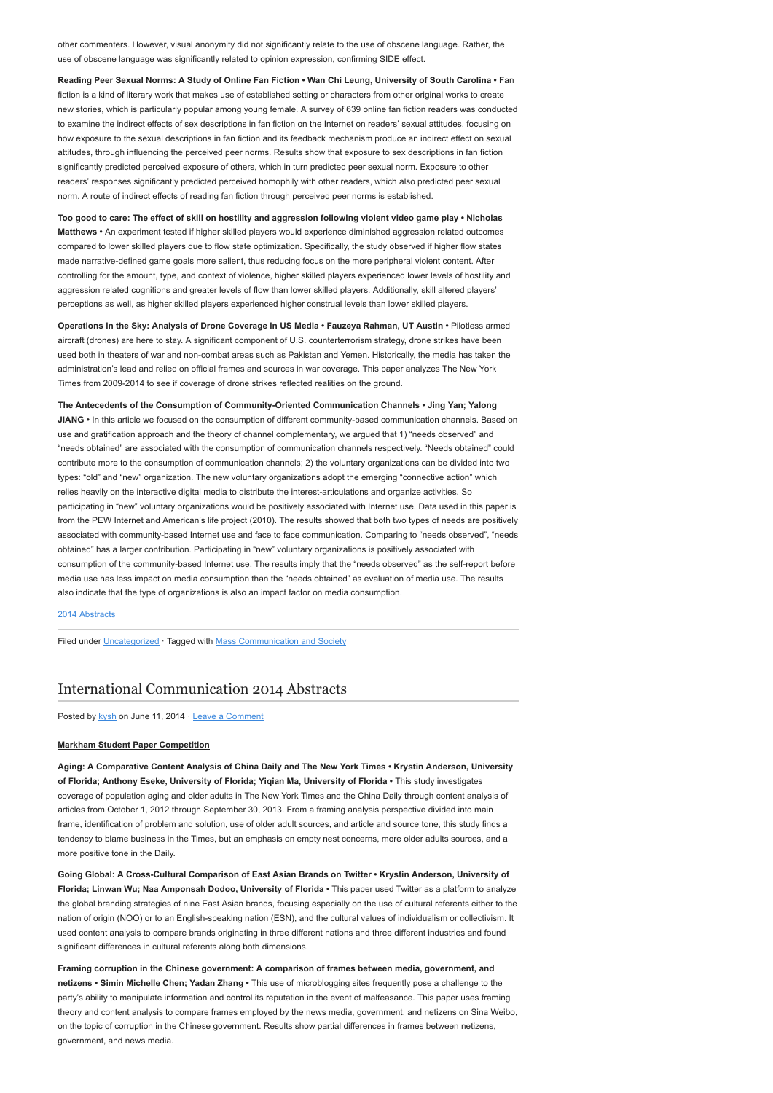other commenters. However, visual anonymity did not significantly relate to the use of obscene language. Rather, the use of obscene language was significantly related to opinion expression, confirming SIDE effect.

Reading Peer Sexual Norms: A Study of Online Fan Fiction • Wan Chi Leung, University of South Carolina • Fan fiction is a kind of literary work that makes use of established setting or characters from other original works to create new stories, which is particularly popular among young female. A survey of 639 online fan fiction readers was conducted to examine the indirect effects of sex descriptions in fan fiction on the Internet on readers' sexual attitudes, focusing on how exposure to the sexual descriptions in fan fiction and its feedback mechanism produce an indirect effect on sexual attitudes, through influencing the perceived peer norms. Results show that exposure to sex descriptions in fan fiction significantly predicted perceived exposure of others, which in turn predicted peer sexual norm. Exposure to other readers' responses significantly predicted perceived homophily with other readers, which also predicted peer sexual norm. A route of indirect effects of reading fan fiction through perceived peer norms is established.

Too good to care: The effect of skill on hostility and aggression following violent video game play • Nicholas Matthews • An experiment tested if higher skilled players would experience diminished aggression related outcomes compared to lower skilled players due to flow state optimization. Specifically, the study observed if higher flow states made narrative-defined game goals more salient, thus reducing focus on the more peripheral violent content. After controlling for the amount, type, and context of violence, higher skilled players experienced lower levels of hostility and aggression related cognitions and greater levels of flow than lower skilled players. Additionally, skill altered players' perceptions as well, as higher skilled players experienced higher construal levels than lower skilled players.

Operations in the Sky: Analysis of Drone Coverage in US Media • Fauzeya Rahman, UT Austin • Pilotless armed aircraft (drones) are here to stay. A significant component of U.S. counterterrorism strategy, drone strikes have been used both in theaters of war and non-combat areas such as Pakistan and Yemen. Historically, the media has taken the administration's lead and relied on official frames and sources in war coverage. This paper analyzes The New York Times from 2009-2014 to see if coverage of drone strikes reflected realities on the ground.

The Antecedents of the Consumption of Community-Oriented Communication Channels • Jing Yan; Yalong JIANG • In this article we focused on the consumption of different community-based communication channels. Based on use and gratification approach and the theory of channel complementary, we argued that 1) "needs observed" and "needs obtained" are associated with the consumption of communication channels respectively. "Needs obtained" could contribute more to the consumption of communication channels; 2) the voluntary organizations can be divided into two types: "old" and "new" organization. The new voluntary organizations adopt the emerging "connective action" which relies heavily on the interactive digital media to distribute the interest-articulations and organize activities. So participating in "new" voluntary organizations would be positively associated with Internet use. Data used in this paper is from the PEW Internet and American's life project (2010). The results showed that both two types of needs are positively associated with community-based Internet use and face to face communication. Comparing to "needs observed", "needs obtained" has a larger contribution. Participating in "new" voluntary organizations is positively associated with consumption of the community-based Internet use. The results imply that the "needs observed" as the self-report before media use has less impact on media consumption than the "needs obtained" as evaluation of media use. The results also indicate that the type of organizations is also an impact factor on media consumption.

#### [2014 Abstracts](http://www.aejmc.org/home/2014/06/2014-abstracts/)

Filed under [Uncategorized](http://www.aejmc.org/home/category/uncategorized/) · Tagged with [Mass Communication and Society](http://www.aejmc.org/home/tag/mass-communication-and-society/)

## [International Communication 2014 Abstracts](http://www.aejmc.org/home/2014/06/intl-2014-abstracts/)

Posted by [kysh](http://www.aejmc.org/home/author/kyshiab/) on June 11, 2014 · [Leave a Comment](http://www.aejmc.org/home/2014/06/intl-2014-abstracts/#respond)

#### Markham Student Paper Competition

Aging: A Comparative Content Analysis of China Daily and The New York Times • Krystin Anderson, University of Florida; Anthony Eseke, University of Florida; Yiqian Ma, University of Florida • This study investigates coverage of population aging and older adults in The New York Times and the China Daily through content analysis of articles from October 1, 2012 through September 30, 2013. From a framing analysis perspective divided into main frame, identification of problem and solution, use of older adult sources, and article and source tone, this study finds a tendency to blame business in the Times, but an emphasis on empty nest concerns, more older adults sources, and a more positive tone in the Daily.

Going Global: A Cross-Cultural Comparison of East Asian Brands on Twitter • Krystin Anderson, University of Florida; Linwan Wu; Naa Amponsah Dodoo, University of Florida • This paper used Twitter as a platform to analyze the global branding strategies of nine East Asian brands, focusing especially on the use of cultural referents either to the nation of origin (NOO) or to an English-speaking nation (ESN), and the cultural values of individualism or collectivism. It used content analysis to compare brands originating in three different nations and three different industries and found significant differences in cultural referents along both dimensions.

Framing corruption in the Chinese government: A comparison of frames between media, government, and netizens • Simin Michelle Chen; Yadan Zhang • This use of microblogging sites frequently pose a challenge to the party's ability to manipulate information and control its reputation in the event of malfeasance. This paper uses framing theory and content analysis to compare frames employed by the news media, government, and netizens on Sina Weibo, on the topic of corruption in the Chinese government. Results show partial differences in frames between netizens, government, and news media.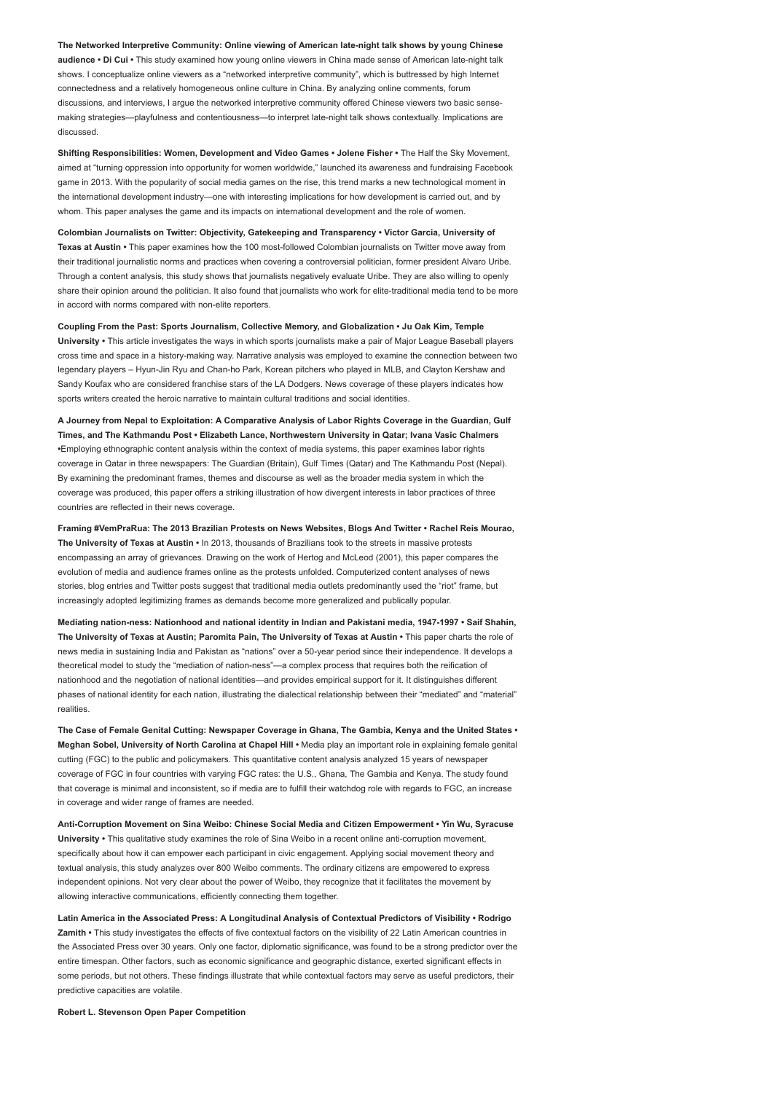The Networked Interpretive Community: Online viewing of American late-night talk shows by young Chinese audience • Di Cui • This study examined how young online viewers in China made sense of American late-night talk shows. I conceptualize online viewers as a "networked interpretive community", which is buttressed by high Internet connectedness and a relatively homogeneous online culture in China. By analyzing online comments, forum discussions, and interviews, I argue the networked interpretive community offered Chinese viewers two basic sensemaking strategies—playfulness and contentiousness—to interpret late-night talk shows contextually. Implications are discussed.

Shifting Responsibilities: Women, Development and Video Games • Jolene Fisher • The Half the Sky Movement, aimed at "turning oppression into opportunity for women worldwide," launched its awareness and fundraising Facebook game in 2013. With the popularity of social media games on the rise, this trend marks a new technological moment in the international development industry—one with interesting implications for how development is carried out, and by whom. This paper analyses the game and its impacts on international development and the role of women

Colombian Journalists on Twitter: Objectivity, Gatekeeping and Transparency • Victor Garcia, University of Texas at Austin • This paper examines how the 100 most-followed Colombian journalists on Twitter move away from their traditional journalistic norms and practices when covering a controversial politician, former president Alvaro Uribe. Through a content analysis, this study shows that journalists negatively evaluate Uribe. They are also willing to openly share their opinion around the politician. It also found that journalists who work for elite-traditional media tend to be more in accord with norms compared with non-elite reporters.

Coupling From the Past: Sports Journalism, Collective Memory, and Globalization • Ju Oak Kim, Temple University • This article investigates the ways in which sports journalists make a pair of Major League Baseball players cross time and space in a history-making way. Narrative analysis was employed to examine the connection between two legendary players – Hyun-Jin Ryu and Chan-ho Park, Korean pitchers who played in MLB, and Clayton Kershaw and Sandy Koufax who are considered franchise stars of the LA Dodgers. News coverage of these players indicates how sports writers created the heroic narrative to maintain cultural traditions and social identities.

A Journey from Nepal to Exploitation: A Comparative Analysis of Labor Rights Coverage in the Guardian, Gulf Times, and The Kathmandu Post • Elizabeth Lance, Northwestern University in Qatar; Ivana Vasic Chalmers •Employing ethnographic content analysis within the context of media systems, this paper examines labor rights coverage in Qatar in three newspapers: The Guardian (Britain), Gulf Times (Qatar) and The Kathmandu Post (Nepal). By examining the predominant frames, themes and discourse as well as the broader media system in which the coverage was produced, this paper offers a striking illustration of how divergent interests in labor practices of three countries are reflected in their news coverage.

Framing #VemPraRua: The 2013 Brazilian Protests on News Websites, Blogs And Twitter • Rachel Reis Mourao, The University of Texas at Austin • In 2013, thousands of Brazilians took to the streets in massive protests encompassing an array of grievances. Drawing on the work of Hertog and McLeod (2001), this paper compares the evolution of media and audience frames online as the protests unfolded. Computerized content analyses of news stories, blog entries and Twitter posts suggest that traditional media outlets predominantly used the "riot" frame, but increasingly adopted legitimizing frames as demands become more generalized and publically popular.

Mediating nation-ness: Nationhood and national identity in Indian and Pakistani media, 1947-1997 • Saif Shahin, The University of Texas at Austin; Paromita Pain, The University of Texas at Austin • This paper charts the role of news media in sustaining India and Pakistan as "nations" over a 50-year period since their independence. It develops a theoretical model to study the "mediation of nation-ness"—a complex process that requires both the reification of nationhood and the negotiation of national identities—and provides empirical support for it. It distinguishes different phases of national identity for each nation, illustrating the dialectical relationship between their "mediated" and "material" realities.

The Case of Female Genital Cutting: Newspaper Coverage in Ghana, The Gambia, Kenya and the United States • Meghan Sobel, University of North Carolina at Chapel Hill • Media play an important role in explaining female genital cutting (FGC) to the public and policymakers. This quantitative content analysis analyzed 15 years of newspaper coverage of FGC in four countries with varying FGC rates: the U.S., Ghana, The Gambia and Kenya. The study found that coverage is minimal and inconsistent, so if media are to fulfill their watchdog role with regards to FGC, an increase in coverage and wider range of frames are needed.

Anti-Corruption Movement on Sina Weibo: Chinese Social Media and Citizen Empowerment • Yin Wu, Syracuse University • This qualitative study examines the role of Sina Weibo in a recent online anti-corruption movement, specifically about how it can empower each participant in civic engagement. Applying social movement theory and textual analysis, this study analyzes over 800 Weibo comments. The ordinary citizens are empowered to express independent opinions. Not very clear about the power of Weibo, they recognize that it facilitates the movement by allowing interactive communications, efficiently connecting them together.

Latin America in the Associated Press: A Longitudinal Analysis of Contextual Predictors of Visibility • Rodrigo Zamith • This study investigates the effects of five contextual factors on the visibility of 22 Latin American countries in the Associated Press over 30 years. Only one factor, diplomatic significance, was found to be a strong predictor over the entire timespan. Other factors, such as economic significance and geographic distance, exerted significant effects in some periods, but not others. These findings illustrate that while contextual factors may serve as useful predictors, their predictive capacities are volatile.

Robert L. Stevenson Open Paper Competition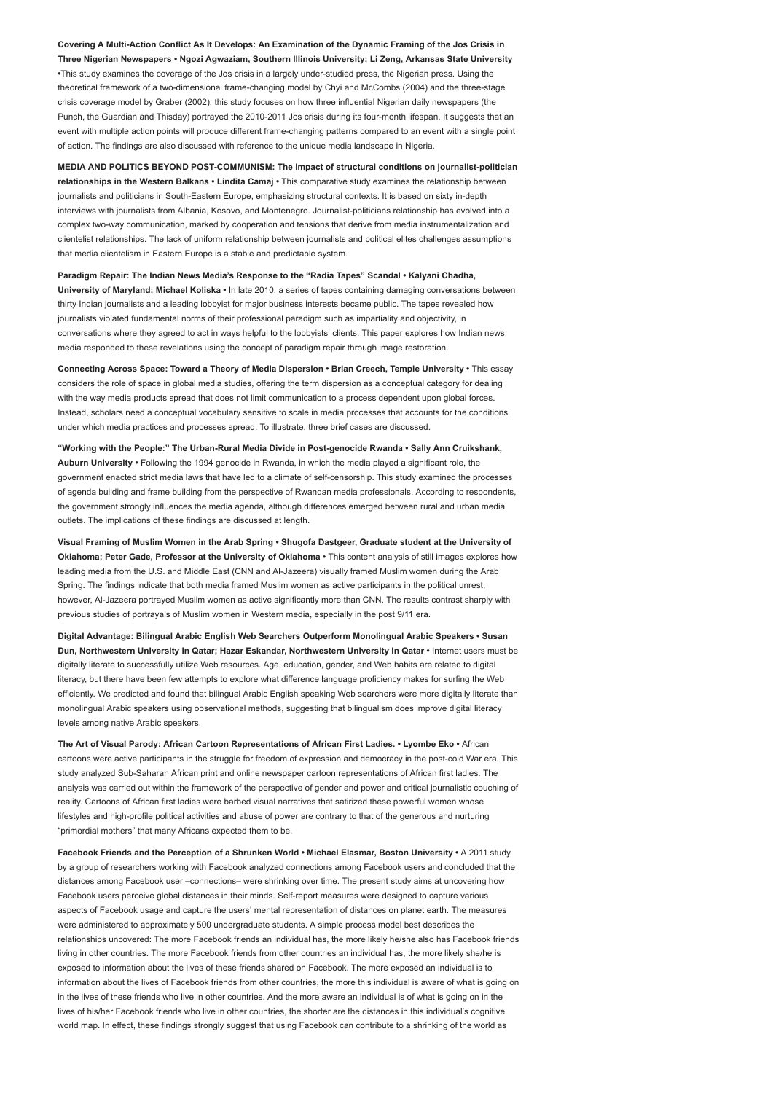Covering A Multi-Action Conflict As It Develops: An Examination of the Dynamic Framing of the Jos Crisis in Three Nigerian Newspapers • Ngozi Agwaziam, Southern Illinois University; Li Zeng, Arkansas State University •This study examines the coverage of the Jos crisis in a largely under-studied press, the Nigerian press. Using the theoretical framework of a two-dimensional frame-changing model by Chyi and McCombs (2004) and the three-stage crisis coverage model by Graber (2002), this study focuses on how three influential Nigerian daily newspapers (the Punch, the Guardian and Thisday) portrayed the 2010-2011 Jos crisis during its four-month lifespan. It suggests that an event with multiple action points will produce different frame-changing patterns compared to an event with a single point of action. The findings are also discussed with reference to the unique media landscape in Nigeria.

MEDIA AND POLITICS BEYOND POST-COMMUNISM: The impact of structural conditions on journalist-politician relationships in the Western Balkans • Lindita Camaj • This comparative study examines the relationship between journalists and politicians in South-Eastern Europe, emphasizing structural contexts. It is based on sixty in-depth interviews with journalists from Albania, Kosovo, and Montenegro. Journalist-politicians relationship has evolved into a complex two-way communication, marked by cooperation and tensions that derive from media instrumentalization and clientelist relationships. The lack of uniform relationship between journalists and political elites challenges assumptions that media clientelism in Eastern Europe is a stable and predictable system.

Paradigm Repair: The Indian News Media's Response to the "Radia Tapes" Scandal • Kalyani Chadha, University of Maryland; Michael Koliska • In late 2010, a series of tapes containing damaging conversations between thirty Indian journalists and a leading lobbyist for major business interests became public. The tapes revealed how journalists violated fundamental norms of their professional paradigm such as impartiality and objectivity, in conversations where they agreed to act in ways helpful to the lobbyists' clients. This paper explores how Indian news media responded to these revelations using the concept of paradigm repair through image restoration.

Connecting Across Space: Toward a Theory of Media Dispersion • Brian Creech, Temple University • This essay considers the role of space in global media studies, offering the term dispersion as a conceptual category for dealing with the way media products spread that does not limit communication to a process dependent upon global forces Instead, scholars need a conceptual vocabulary sensitive to scale in media processes that accounts for the conditions under which media practices and processes spread. To illustrate, three brief cases are discussed.

"Working with the People:" The Urban-Rural Media Divide in Post-genocide Rwanda • Sally Ann Cruikshank, Auburn University • Following the 1994 genocide in Rwanda, in which the media played a significant role, the government enacted strict media laws that have led to a climate of self-censorship. This study examined the processes of agenda building and frame building from the perspective of Rwandan media professionals. According to respondents, the government strongly influences the media agenda, although differences emerged between rural and urban media outlets. The implications of these findings are discussed at length.

Visual Framing of Muslim Women in the Arab Spring • Shugofa Dastgeer, Graduate student at the University of Oklahoma; Peter Gade, Professor at the University of Oklahoma • This content analysis of still images explores how leading media from the U.S. and Middle East (CNN and Al-Jazeera) visually framed Muslim women during the Arab Spring. The findings indicate that both media framed Muslim women as active participants in the political unrest; however, Al-Jazeera portrayed Muslim women as active significantly more than CNN. The results contrast sharply with previous studies of portrayals of Muslim women in Western media, especially in the post 9/11 era.

Digital Advantage: Bilingual Arabic English Web Searchers Outperform Monolingual Arabic Speakers • Susan Dun, Northwestern University in Qatar; Hazar Eskandar, Northwestern University in Qatar • Internet users must be digitally literate to successfully utilize Web resources. Age, education, gender, and Web habits are related to digital literacy, but there have been few attempts to explore what difference language proficiency makes for surfing the Web efficiently. We predicted and found that bilingual Arabic English speaking Web searchers were more digitally literate than monolingual Arabic speakers using observational methods, suggesting that bilingualism does improve digital literacy levels among native Arabic speakers.

The Art of Visual Parody: African Cartoon Representations of African First Ladies. • Lyombe Eko • African cartoons were active participants in the struggle for freedom of expression and democracy in the post-cold War era. This study analyzed Sub-Saharan African print and online newspaper cartoon representations of African first ladies. The analysis was carried out within the framework of the perspective of gender and power and critical journalistic couching of reality. Cartoons of African first ladies were barbed visual narratives that satirized these powerful women whose lifestyles and high-profile political activities and abuse of power are contrary to that of the generous and nurturing "primordial mothers" that many Africans expected them to be.

Facebook Friends and the Perception of a Shrunken World • Michael Elasmar, Boston University • A 2011 study by a group of researchers working with Facebook analyzed connections among Facebook users and concluded that the distances among Facebook user –connections– were shrinking over time. The present study aims at uncovering how Facebook users perceive global distances in their minds. Self-report measures were designed to capture various aspects of Facebook usage and capture the users' mental representation of distances on planet earth. The measures were administered to approximately 500 undergraduate students. A simple process model best describes the relationships uncovered: The more Facebook friends an individual has, the more likely he/she also has Facebook friends living in other countries. The more Facebook friends from other countries an individual has, the more likely she/he is exposed to information about the lives of these friends shared on Facebook. The more exposed an individual is to information about the lives of Facebook friends from other countries, the more this individual is aware of what is going on in the lives of these friends who live in other countries. And the more aware an individual is of what is going on in the lives of his/her Facebook friends who live in other countries, the shorter are the distances in this individual's cognitive world map. In effect, these findings strongly suggest that using Facebook can contribute to a shrinking of the world as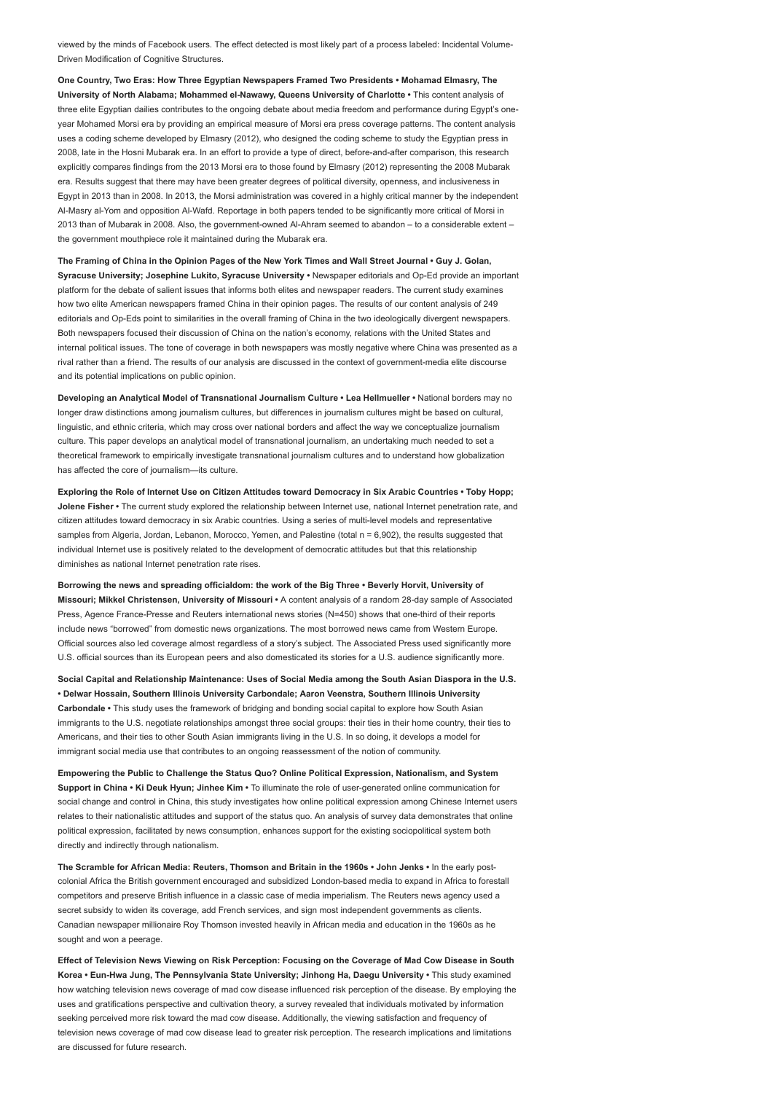viewed by the minds of Facebook users. The effect detected is most likely part of a process labeled: Incidental Volume-Driven Modification of Cognitive Structures.

One Country, Two Eras: How Three Egyptian Newspapers Framed Two Presidents • Mohamad Elmasry, The University of North Alabama; Mohammed el-Nawawy, Queens University of Charlotte • This content analysis of three elite Egyptian dailies contributes to the ongoing debate about media freedom and performance during Egypt's oneyear Mohamed Morsi era by providing an empirical measure of Morsi era press coverage patterns. The content analysis uses a coding scheme developed by Elmasry (2012), who designed the coding scheme to study the Egyptian press in 2008, late in the Hosni Mubarak era. In an effort to provide a type of direct, before-and-after comparison, this research explicitly compares findings from the 2013 Morsi era to those found by Elmasry (2012) representing the 2008 Mubarak era. Results suggest that there may have been greater degrees of political diversity, openness, and inclusiveness in Egypt in 2013 than in 2008. In 2013, the Morsi administration was covered in a highly critical manner by the independent Al-Masry al-Yom and opposition Al-Wafd. Reportage in both papers tended to be significantly more critical of Morsi in 2013 than of Mubarak in 2008. Also, the government-owned Al-Ahram seemed to abandon – to a considerable extent – the government mouthpiece role it maintained during the Mubarak era.

The Framing of China in the Opinion Pages of the New York Times and Wall Street Journal • Guy J. Golan, Syracuse University; Josephine Lukito, Syracuse University • Newspaper editorials and Op-Ed provide an important platform for the debate of salient issues that informs both elites and newspaper readers. The current study examines how two elite American newspapers framed China in their opinion pages. The results of our content analysis of 249 editorials and Op-Eds point to similarities in the overall framing of China in the two ideologically divergent newspapers. Both newspapers focused their discussion of China on the nation's economy, relations with the United States and internal political issues. The tone of coverage in both newspapers was mostly negative where China was presented as a rival rather than a friend. The results of our analysis are discussed in the context of government-media elite discourse and its potential implications on public opinion.

Developing an Analytical Model of Transnational Journalism Culture • Lea Hellmueller • National borders may no longer draw distinctions among journalism cultures, but differences in journalism cultures might be based on cultural, linguistic, and ethnic criteria, which may cross over national borders and affect the way we conceptualize journalism culture. This paper develops an analytical model of transnational journalism, an undertaking much needed to set a theoretical framework to empirically investigate transnational journalism cultures and to understand how globalization has affected the core of journalism—its culture.

Exploring the Role of Internet Use on Citizen Attitudes toward Democracy in Six Arabic Countries • Toby Hopp; Jolene Fisher • The current study explored the relationship between Internet use, national Internet penetration rate, and citizen attitudes toward democracy in six Arabic countries. Using a series of multi-level models and representative samples from Algeria, Jordan, Lebanon, Morocco, Yemen, and Palestine (total n = 6,902), the results suggested that individual Internet use is positively related to the development of democratic attitudes but that this relationship diminishes as national Internet penetration rate rises.

Borrowing the news and spreading officialdom: the work of the Big Three • Beverly Horvit, University of Missouri; Mikkel Christensen, University of Missouri • A content analysis of a random 28-day sample of Associated Press, Agence France-Presse and Reuters international news stories (N=450) shows that one-third of their reports include news "borrowed" from domestic news organizations. The most borrowed news came from Western Europe. Official sources also led coverage almost regardless of a story's subject. The Associated Press used significantly more U.S. official sources than its European peers and also domesticated its stories for a U.S. audience significantly more.

Social Capital and Relationship Maintenance: Uses of Social Media among the South Asian Diaspora in the U.S. • Delwar Hossain, Southern Illinois University Carbondale; Aaron Veenstra, Southern Illinois University Carbondale • This study uses the framework of bridging and bonding social capital to explore how South Asian immigrants to the U.S. negotiate relationships amongst three social groups: their ties in their home country, their ties to Americans, and their ties to other South Asian immigrants living in the U.S. In so doing, it develops a model for immigrant social media use that contributes to an ongoing reassessment of the notion of community.

Empowering the Public to Challenge the Status Quo? Online Political Expression, Nationalism, and System Support in China • Ki Deuk Hyun; Jinhee Kim • To illuminate the role of user-generated online communication for social change and control in China, this study investigates how online political expression among Chinese Internet users relates to their nationalistic attitudes and support of the status quo. An analysis of survey data demonstrates that online political expression, facilitated by news consumption, enhances support for the existing sociopolitical system both directly and indirectly through nationalism.

The Scramble for African Media: Reuters, Thomson and Britain in the 1960s • John Jenks • In the early postcolonial Africa the British government encouraged and subsidized London-based media to expand in Africa to forestall competitors and preserve British influence in a classic case of media imperialism. The Reuters news agency used a secret subsidy to widen its coverage, add French services, and sign most independent governments as clients. Canadian newspaper millionaire Roy Thomson invested heavily in African media and education in the 1960s as he sought and won a peerage

Effect of Television News Viewing on Risk Perception: Focusing on the Coverage of Mad Cow Disease in South Korea • Eun-Hwa Jung, The Pennsylvania State University; Jinhong Ha, Daegu University • This study examined how watching television news coverage of mad cow disease influenced risk perception of the disease. By employing the uses and gratifications perspective and cultivation theory, a survey revealed that individuals motivated by information seeking perceived more risk toward the mad cow disease. Additionally, the viewing satisfaction and frequency of television news coverage of mad cow disease lead to greater risk perception. The research implications and limitations are discussed for future research.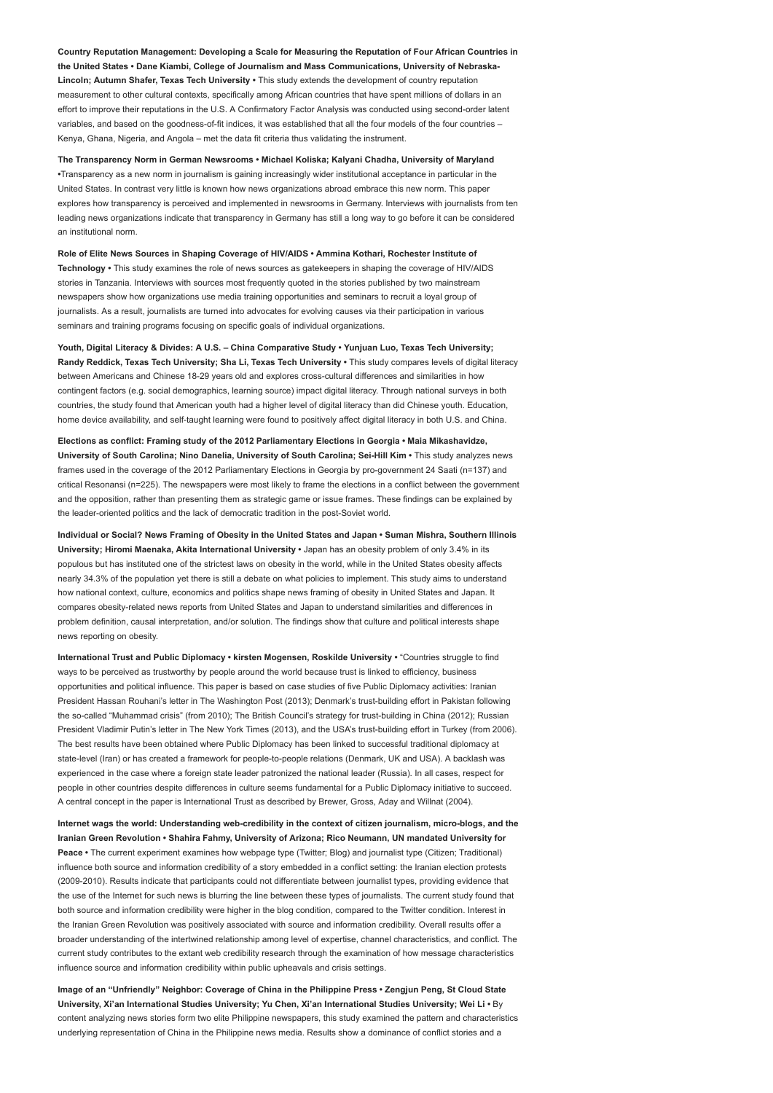Country Reputation Management: Developing a Scale for Measuring the Reputation of Four African Countries in the United States • Dane Kiambi, College of Journalism and Mass Communications, University of Nebraska-Lincoln; Autumn Shafer, Texas Tech University • This study extends the development of country reputation measurement to other cultural contexts, specifically among African countries that have spent millions of dollars in an effort to improve their reputations in the U.S. A Confirmatory Factor Analysis was conducted using second-order latent variables, and based on the goodness-of-fit indices, it was established that all the four models of the four countries – Kenya, Ghana, Nigeria, and Angola – met the data fit criteria thus validating the instrument.

The Transparency Norm in German Newsrooms • Michael Koliska; Kalyani Chadha, University of Maryland •Transparency as a new norm in journalism is gaining increasingly wider institutional acceptance in particular in the United States. In contrast very little is known how news organizations abroad embrace this new norm. This paper explores how transparency is perceived and implemented in newsrooms in Germany. Interviews with journalists from ten leading news organizations indicate that transparency in Germany has still a long way to go before it can be considered an institutional norm.

Role of Elite News Sources in Shaping Coverage of HIV/AIDS • Ammina Kothari, Rochester Institute of Technology • This study examines the role of news sources as gatekeepers in shaping the coverage of HIV/AIDS stories in Tanzania. Interviews with sources most frequently quoted in the stories published by two mainstream newspapers show how organizations use media training opportunities and seminars to recruit a loyal group of journalists. As a result, journalists are turned into advocates for evolving causes via their participation in various seminars and training programs focusing on specific goals of individual organizations.

Youth, Digital Literacy & Divides: A U.S. - China Comparative Study • Yunjuan Luo, Texas Tech University; Randy Reddick, Texas Tech University; Sha Li, Texas Tech University • This study compares levels of digital literacy between Americans and Chinese 18-29 years old and explores cross-cultural differences and similarities in how contingent factors (e.g. social demographics, learning source) impact digital literacy. Through national surveys in both countries, the study found that American youth had a higher level of digital literacy than did Chinese youth. Education, home device availability, and self-taught learning were found to positively affect digital literacy in both U.S. and China.

Elections as conflict: Framing study of the 2012 Parliamentary Elections in Georgia • Maia Mikashavidze, University of South Carolina; Nino Danelia, University of South Carolina; Sei-Hill Kim • This study analyzes news frames used in the coverage of the 2012 Parliamentary Elections in Georgia by pro-government 24 Saati (n=137) and critical Resonansi (n=225). The newspapers were most likely to frame the elections in a conflict between the government and the opposition, rather than presenting them as strategic game or issue frames. These findings can be explained by the leader-oriented politics and the lack of democratic tradition in the post-Soviet world.

Individual or Social? News Framing of Obesity in the United States and Japan • Suman Mishra, Southern Illinois University; Hiromi Maenaka, Akita International University • Japan has an obesity problem of only 3.4% in its populous but has instituted one of the strictest laws on obesity in the world, while in the United States obesity affects nearly 34.3% of the population yet there is still a debate on what policies to implement. This study aims to understand how national context, culture, economics and politics shape news framing of obesity in United States and Japan. It compares obesity-related news reports from United States and Japan to understand similarities and differences in problem definition, causal interpretation, and/or solution. The findings show that culture and political interests shape news reporting on obesity.

International Trust and Public Diplomacy • kirsten Mogensen, Roskilde University • "Countries struggle to find ways to be perceived as trustworthy by people around the world because trust is linked to efficiency, business opportunities and political influence. This paper is based on case studies of five Public Diplomacy activities: Iranian President Hassan Rouhani's letter in The Washington Post (2013); Denmark's trust-building effort in Pakistan following the so-called "Muhammad crisis" (from 2010); The British Council's strategy for trust-building in China (2012); Russian President Vladimir Putin's letter in The New York Times (2013), and the USA's trust-building effort in Turkey (from 2006). The best results have been obtained where Public Diplomacy has been linked to successful traditional diplomacy at state-level (Iran) or has created a framework for people-to-people relations (Denmark, UK and USA). A backlash was experienced in the case where a foreign state leader patronized the national leader (Russia). In all cases, respect for people in other countries despite differences in culture seems fundamental for a Public Diplomacy initiative to succeed. A central concept in the paper is International Trust as described by Brewer, Gross, Aday and Willnat (2004).

Internet wags the world: Understanding web-credibility in the context of citizen journalism, micro-blogs, and the Iranian Green Revolution • Shahira Fahmy, University of Arizona; Rico Neumann, UN mandated University for Peace • The current experiment examines how webpage type (Twitter; Blog) and journalist type (Citizen; Traditional) influence both source and information credibility of a story embedded in a conflict setting: the Iranian election protests (2009-2010). Results indicate that participants could not differentiate between journalist types, providing evidence that the use of the Internet for such news is blurring the line between these types of journalists. The current study found that both source and information credibility were higher in the blog condition, compared to the Twitter condition. Interest in the Iranian Green Revolution was positively associated with source and information credibility. Overall results offer a broader understanding of the intertwined relationship among level of expertise, channel characteristics, and conflict. The current study contributes to the extant web credibility research through the examination of how message characteristics influence source and information credibility within public upheavals and crisis settings.

Image of an "Unfriendly" Neighbor: Coverage of China in the Philippine Press • Zengjun Peng, St Cloud State University, Xi'an International Studies University; Yu Chen, Xi'an International Studies University; Wei Li • By content analyzing news stories form two elite Philippine newspapers, this study examined the pattern and characteristics underlying representation of China in the Philippine news media. Results show a dominance of conflict stories and a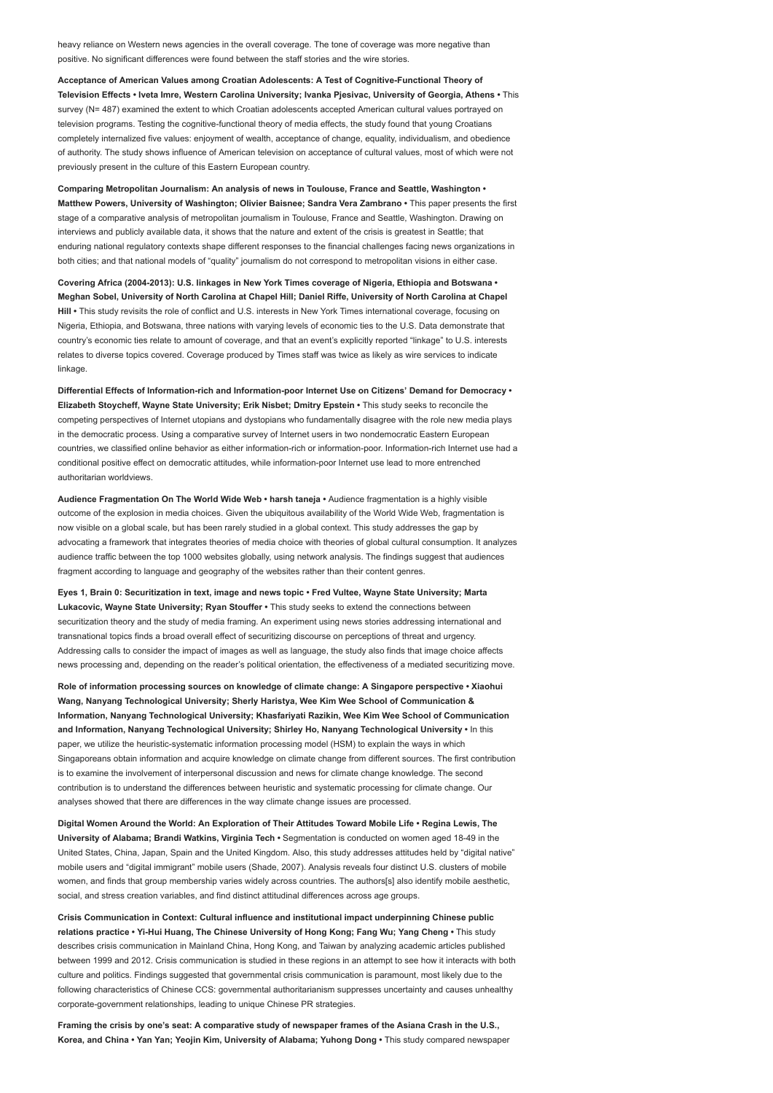heavy reliance on Western news agencies in the overall coverage. The tone of coverage was more negative than positive. No significant differences were found between the staff stories and the wire stories.

Acceptance of American Values among Croatian Adolescents: A Test of Cognitive-Functional Theory of Television Effects • Iveta Imre, Western Carolina University; Ivanka Pjesivac, University of Georgia, Athens • This survey (N= 487) examined the extent to which Croatian adolescents accepted American cultural values portrayed on television programs. Testing the cognitive-functional theory of media effects, the study found that young Croatians completely internalized five values: enjoyment of wealth, acceptance of change, equality, individualism, and obedience of authority. The study shows influence of American television on acceptance of cultural values, most of which were not previously present in the culture of this Eastern European country.

Comparing Metropolitan Journalism: An analysis of news in Toulouse, France and Seattle, Washington • Matthew Powers, University of Washington; Olivier Baisnee; Sandra Vera Zambrano • This paper presents the first stage of a comparative analysis of metropolitan journalism in Toulouse, France and Seattle, Washington. Drawing on interviews and publicly available data, it shows that the nature and extent of the crisis is greatest in Seattle; that enduring national regulatory contexts shape different responses to the financial challenges facing news organizations in both cities; and that national models of "quality" journalism do not correspond to metropolitan visions in either case.

Covering Africa (2004-2013): U.S. linkages in New York Times coverage of Nigeria, Ethiopia and Botswana • Meghan Sobel, University of North Carolina at Chapel Hill; Daniel Riffe, University of North Carolina at Chapel Hill • This study revisits the role of conflict and U.S. interests in New York Times international coverage, focusing on Nigeria, Ethiopia, and Botswana, three nations with varying levels of economic ties to the U.S. Data demonstrate that country's economic ties relate to amount of coverage, and that an event's explicitly reported "linkage" to U.S. interests relates to diverse topics covered. Coverage produced by Times staff was twice as likely as wire services to indicate linkage

Differential Effects of Information-rich and Information-poor Internet Use on Citizens' Demand for Democracy • Elizabeth Stoycheff, Wayne State University; Erik Nisbet; Dmitry Epstein • This study seeks to reconcile the competing perspectives of Internet utopians and dystopians who fundamentally disagree with the role new media plays in the democratic process. Using a comparative survey of Internet users in two nondemocratic Eastern European countries, we classified online behavior as either information-rich or information-poor. Information-rich Internet use had a conditional positive effect on democratic attitudes, while information-poor Internet use lead to more entrenched authoritarian worldviews.

Audience Fragmentation On The World Wide Web • harsh taneja • Audience fragmentation is a highly visible outcome of the explosion in media choices. Given the ubiquitous availability of the World Wide Web, fragmentation is now visible on a global scale, but has been rarely studied in a global context. This study addresses the gap by advocating a framework that integrates theories of media choice with theories of global cultural consumption. It analyzes audience traffic between the top 1000 websites globally, using network analysis. The findings suggest that audiences fragment according to language and geography of the websites rather than their content genres.

Eyes 1, Brain 0: Securitization in text, image and news topic • Fred Vultee, Wayne State University; Marta Lukacovic, Wayne State University; Ryan Stouffer • This study seeks to extend the connections between securitization theory and the study of media framing. An experiment using news stories addressing international and transnational topics finds a broad overall effect of securitizing discourse on perceptions of threat and urgency. Addressing calls to consider the impact of images as well as language, the study also finds that image choice affects news processing and, depending on the reader's political orientation, the effectiveness of a mediated securitizing move.

Role of information processing sources on knowledge of climate change: A Singapore perspective • Xiaohui Wang, Nanyang Technological University; Sherly Haristya, Wee Kim Wee School of Communication & Information, Nanyang Technological University; Khasfariyati Razikin, Wee Kim Wee School of Communication and Information, Nanyang Technological University; Shirley Ho, Nanyang Technological University • In this paper, we utilize the heuristic-systematic information processing model (HSM) to explain the ways in which Singaporeans obtain information and acquire knowledge on climate change from different sources. The first contribution is to examine the involvement of interpersonal discussion and news for climate change knowledge. The second contribution is to understand the differences between heuristic and systematic processing for climate change. Our analyses showed that there are differences in the way climate change issues are processed.

Digital Women Around the World: An Exploration of Their Attitudes Toward Mobile Life • Regina Lewis, The University of Alabama; Brandi Watkins, Virginia Tech • Segmentation is conducted on women aged 18-49 in the United States, China, Japan, Spain and the United Kingdom. Also, this study addresses attitudes held by "digital native" mobile users and "digital immigrant" mobile users (Shade, 2007). Analysis reveals four distinct U.S. clusters of mobile women, and finds that group membership varies widely across countries. The authors[s] also identify mobile aesthetic, social, and stress creation variables, and find distinct attitudinal differences across age groups.

Crisis Communication in Context: Cultural influence and institutional impact underpinning Chinese public relations practice • Yi-Hui Huang, The Chinese University of Hong Kong; Fang Wu; Yang Cheng • This study describes crisis communication in Mainland China, Hong Kong, and Taiwan by analyzing academic articles published between 1999 and 2012. Crisis communication is studied in these regions in an attempt to see how it interacts with both culture and politics. Findings suggested that governmental crisis communication is paramount, most likely due to the following characteristics of Chinese CCS: governmental authoritarianism suppresses uncertainty and causes unhealthy corporate-government relationships, leading to unique Chinese PR strategies.

Framing the crisis by one's seat: A comparative study of newspaper frames of the Asiana Crash in the U.S., Korea, and China • Yan Yan; Yeojin Kim, University of Alabama; Yuhong Dong • This study compared newspaper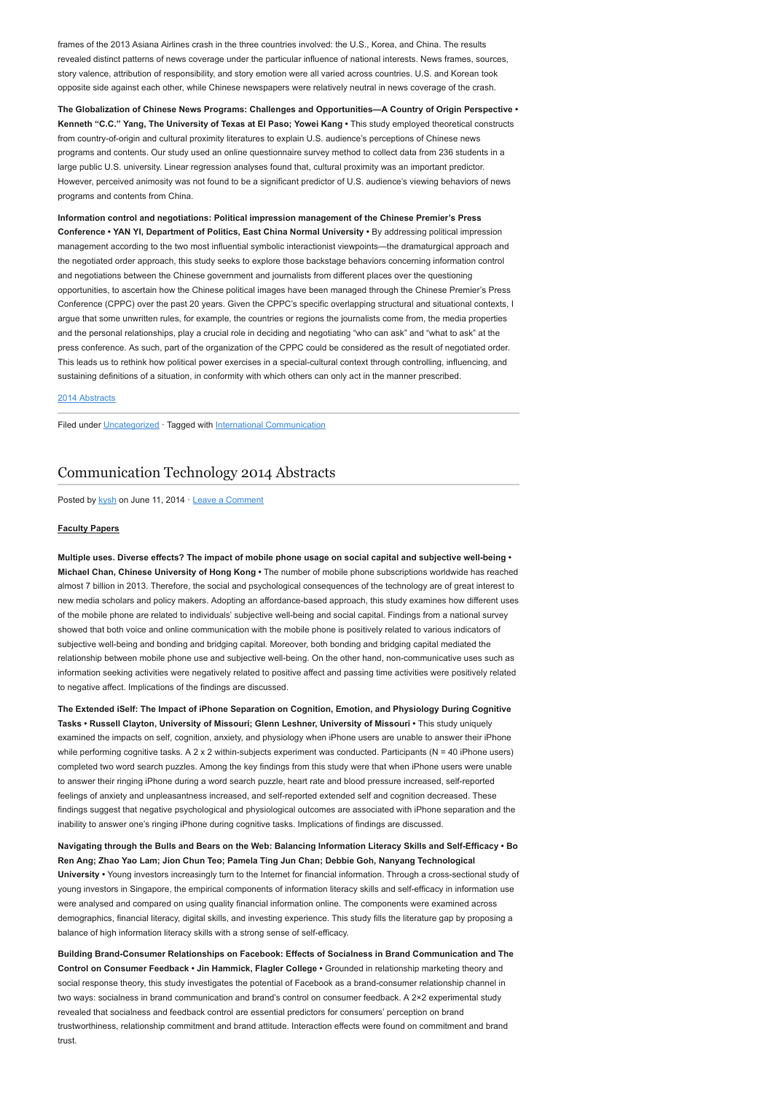frames of the 2013 Asiana Airlines crash in the three countries involved: the U.S., Korea, and China. The results revealed distinct patterns of news coverage under the particular influence of national interests. News frames, sources, story valence, attribution of responsibility, and story emotion were all varied across countries. U.S. and Korean took opposite side against each other, while Chinese newspapers were relatively neutral in news coverage of the crash.

The Globalization of Chinese News Programs: Challenges and Opportunities-A Country of Origin Perspective • Kenneth "C.C." Yang, The University of Texas at El Paso; Yowei Kang • This study employed theoretical constructs from country-of-origin and cultural proximity literatures to explain U.S. audience's perceptions of Chinese news programs and contents. Our study used an online questionnaire survey method to collect data from 236 students in a large public U.S. university. Linear regression analyses found that, cultural proximity was an important predictor. However, perceived animosity was not found to be a significant predictor of U.S. audience's viewing behaviors of news programs and contents from China.

Information control and negotiations: Political impression management of the Chinese Premier's Press Conference • YAN YI, Department of Politics, East China Normal University • By addressing political impression management according to the two most influential symbolic interactionist viewpoints—the dramaturgical approach and the negotiated order approach, this study seeks to explore those backstage behaviors concerning information control and negotiations between the Chinese government and journalists from different places over the questioning opportunities, to ascertain how the Chinese political images have been managed through the Chinese Premier's Press Conference (CPPC) over the past 20 years. Given the CPPC's specific overlapping structural and situational contexts, I argue that some unwritten rules, for example, the countries or regions the journalists come from, the media properties and the personal relationships, play a crucial role in deciding and negotiating "who can ask" and "what to ask" at the press conference. As such, part of the organization of the CPPC could be considered as the result of negotiated order. This leads us to rethink how political power exercises in a special-cultural context through controlling, influencing, and sustaining definitions of a situation, in conformity with which others can only act in the manner prescribed.

### [2014 Abstracts](http://www.aejmc.org/home/2014/06/2014-abstracts/)

Filed under [Uncategorized](http://www.aejmc.org/home/category/uncategorized/) · Tagged with [International Communication](http://www.aejmc.org/home/tag/international-communication/)

# [Communication Technology 2014 Abstracts](http://www.aejmc.org/home/2014/06/ctec-2014-abstracts/)

Posted by [kysh](http://www.aejmc.org/home/author/kyshiab/) on June 11, 2014 · [Leave a Comment](http://www.aejmc.org/home/2014/06/ctec-2014-abstracts/#respond)

### Faculty Papers

Multiple uses. Diverse effects? The impact of mobile phone usage on social capital and subjective well-being • Michael Chan, Chinese University of Hong Kong • The number of mobile phone subscriptions worldwide has reached almost 7 billion in 2013. Therefore, the social and psychological consequences of the technology are of great interest to new media scholars and policy makers. Adopting an affordance-based approach, this study examines how different uses of the mobile phone are related to individuals' subjective well-being and social capital. Findings from a national survey showed that both voice and online communication with the mobile phone is positively related to various indicators of subjective well-being and bonding and bridging capital. Moreover, both bonding and bridging capital mediated the relationship between mobile phone use and subjective well-being. On the other hand, non-communicative uses such as information seeking activities were negatively related to positive affect and passing time activities were positively related to negative affect. Implications of the findings are discussed.

The Extended iSelf: The Impact of iPhone Separation on Cognition, Emotion, and Physiology During Cognitive Tasks • Russell Clayton, University of Missouri; Glenn Leshner, University of Missouri • This study uniquely examined the impacts on self, cognition, anxiety, and physiology when iPhone users are unable to answer their iPhone while performing cognitive tasks. A  $2 \times 2$  within-subjects experiment was conducted. Participants (N = 40 iPhone users) completed two word search puzzles. Among the key findings from this study were that when iPhone users were unable to answer their ringing iPhone during a word search puzzle, heart rate and blood pressure increased, self-reported feelings of anxiety and unpleasantness increased, and self-reported extended self and cognition decreased. These findings suggest that negative psychological and physiological outcomes are associated with iPhone separation and the inability to answer one's ringing iPhone during cognitive tasks. Implications of findings are discussed.

Navigating through the Bulls and Bears on the Web: Balancing Information Literacy Skills and Self-Efficacy • Bo Ren Ang; Zhao Yao Lam; Jion Chun Teo; Pamela Ting Jun Chan; Debbie Goh, Nanyang Technological University • Young investors increasingly turn to the Internet for financial information. Through a cross-sectional study of young investors in Singapore, the empirical components of information literacy skills and self-efficacy in information use were analysed and compared on using quality financial information online. The components were examined across demographics, financial literacy, digital skills, and investing experience. This study fills the literature gap by proposing a balance of high information literacy skills with a strong sense of self-efficacy.

Building Brand-Consumer Relationships on Facebook: Effects of Socialness in Brand Communication and The Control on Consumer Feedback • Jin Hammick, Flagler College • Grounded in relationship marketing theory and social response theory, this study investigates the potential of Facebook as a brand-consumer relationship channel in two ways: socialness in brand communication and brand's control on consumer feedback. A 2×2 experimental study revealed that socialness and feedback control are essential predictors for consumers' perception on brand trustworthiness, relationship commitment and brand attitude. Interaction effects were found on commitment and brand trust.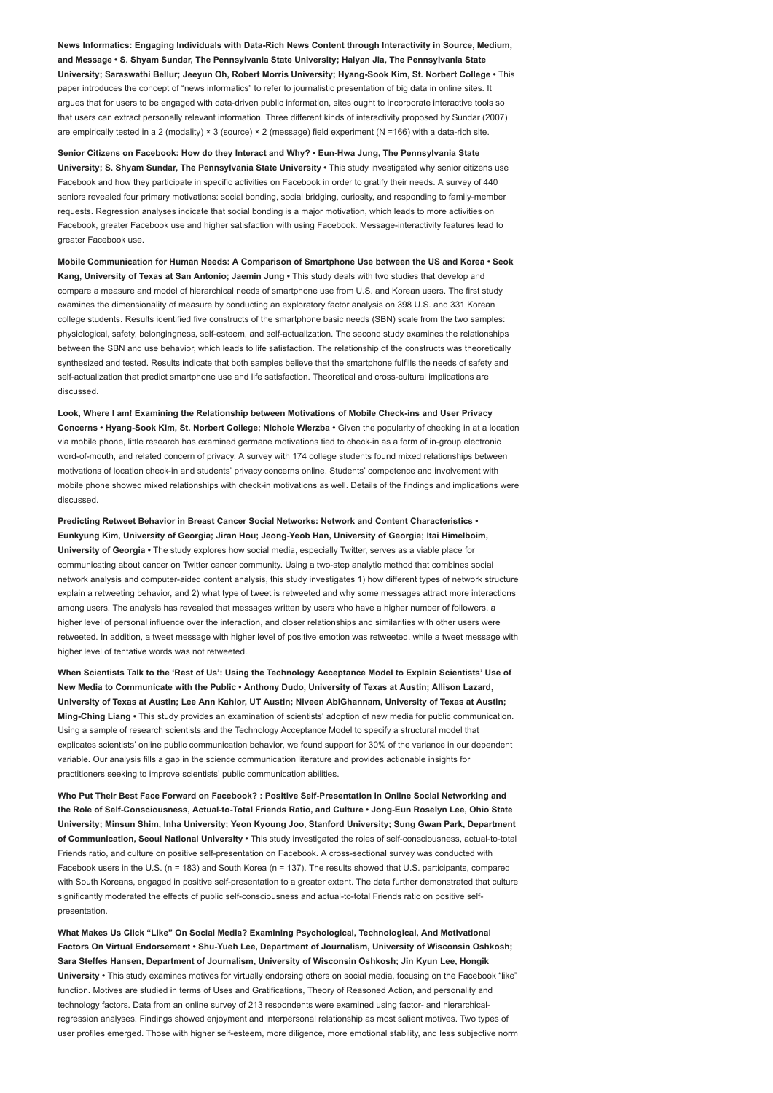News Informatics: Engaging Individuals with Data-Rich News Content through Interactivity in Source, Medium, and Message • S. Shyam Sundar, The Pennsylvania State University; Haiyan Jia, The Pennsylvania State University; Saraswathi Bellur; Jeeyun Oh, Robert Morris University; Hyang-Sook Kim, St. Norbert College • This paper introduces the concept of "news informatics" to refer to journalistic presentation of big data in online sites. It argues that for users to be engaged with data-driven public information, sites ought to incorporate interactive tools so that users can extract personally relevant information. Three different kinds of interactivity proposed by Sundar (2007) are empirically tested in a 2 (modality) × 3 (source) × 2 (message) field experiment (N =166) with a data-rich site.

Senior Citizens on Facebook: How do they Interact and Why? • Eun-Hwa Jung, The Pennsylvania State University; S. Shyam Sundar, The Pennsylvania State University • This study investigated why senior citizens use Facebook and how they participate in specific activities on Facebook in order to gratify their needs. A survey of 440 seniors revealed four primary motivations: social bonding, social bridging, curiosity, and responding to family-member requests. Regression analyses indicate that social bonding is a major motivation, which leads to more activities on Facebook, greater Facebook use and higher satisfaction with using Facebook. Message-interactivity features lead to greater Facebook use.

Mobile Communication for Human Needs: A Comparison of Smartphone Use between the US and Korea • Seok Kang, University of Texas at San Antonio; Jaemin Jung • This study deals with two studies that develop and compare a measure and model of hierarchical needs of smartphone use from U.S. and Korean users. The first study examines the dimensionality of measure by conducting an exploratory factor analysis on 398 U.S. and 331 Korean college students. Results identified five constructs of the smartphone basic needs (SBN) scale from the two samples: physiological, safety, belongingness, self-esteem, and self-actualization. The second study examines the relationships between the SBN and use behavior, which leads to life satisfaction. The relationship of the constructs was theoretically synthesized and tested. Results indicate that both samples believe that the smartphone fulfills the needs of safety and self-actualization that predict smartphone use and life satisfaction. Theoretical and cross-cultural implications are discussed.

Look, Where I am! Examining the Relationship between Motivations of Mobile Check-ins and User Privacy Concerns • Hyang-Sook Kim, St. Norbert College; Nichole Wierzba • Given the popularity of checking in at a location via mobile phone, little research has examined germane motivations tied to check-in as a form of in-group electronic word-of-mouth, and related concern of privacy. A survey with 174 college students found mixed relationships between motivations of location check-in and students' privacy concerns online. Students' competence and involvement with mobile phone showed mixed relationships with check-in motivations as well. Details of the findings and implications were discussed.

Predicting Retweet Behavior in Breast Cancer Social Networks: Network and Content Characteristics • Eunkyung Kim, University of Georgia; Jiran Hou; Jeong-Yeob Han, University of Georgia; Itai Himelboim, University of Georgia • The study explores how social media, especially Twitter, serves as a viable place for communicating about cancer on Twitter cancer community. Using a two-step analytic method that combines social network analysis and computer-aided content analysis, this study investigates 1) how different types of network structure explain a retweeting behavior, and 2) what type of tweet is retweeted and why some messages attract more interactions among users. The analysis has revealed that messages written by users who have a higher number of followers, a higher level of personal influence over the interaction, and closer relationships and similarities with other users were retweeted. In addition, a tweet message with higher level of positive emotion was retweeted, while a tweet message with higher level of tentative words was not retweeted.

When Scientists Talk to the 'Rest of Us': Using the Technology Acceptance Model to Explain Scientists' Use of New Media to Communicate with the Public • Anthony Dudo, University of Texas at Austin; Allison Lazard, University of Texas at Austin; Lee Ann Kahlor, UT Austin; Niveen AbiGhannam, University of Texas at Austin; Ming-Ching Liang • This study provides an examination of scientists' adoption of new media for public communication. Using a sample of research scientists and the Technology Acceptance Model to specify a structural model that explicates scientists' online public communication behavior, we found support for 30% of the variance in our dependent variable. Our analysis fills a gap in the science communication literature and provides actionable insights for practitioners seeking to improve scientists' public communication abilities.

Who Put Their Best Face Forward on Facebook? : Positive Self-Presentation in Online Social Networking and the Role of Self-Consciousness, Actual-to-Total Friends Ratio, and Culture • Jong-Eun Roselyn Lee, Ohio State University; Minsun Shim, Inha University; Yeon Kyoung Joo, Stanford University; Sung Gwan Park, Department of Communication, Seoul National University • This study investigated the roles of self-consciousness, actual-to-total Friends ratio, and culture on positive self-presentation on Facebook. A cross-sectional survey was conducted with Facebook users in the U.S. (n = 183) and South Korea (n = 137). The results showed that U.S. participants, compared with South Koreans, engaged in positive self-presentation to a greater extent. The data further demonstrated that culture significantly moderated the effects of public self-consciousness and actual-to-total Friends ratio on positive selfpresentation.

What Makes Us Click "Like" On Social Media? Examining Psychological, Technological, And Motivational Factors On Virtual Endorsement • Shu-Yueh Lee, Department of Journalism, University of Wisconsin Oshkosh; Sara Steffes Hansen, Department of Journalism, University of Wisconsin Oshkosh; Jin Kyun Lee, Hongik University • This study examines motives for virtually endorsing others on social media, focusing on the Facebook "like" function. Motives are studied in terms of Uses and Gratifications, Theory of Reasoned Action, and personality and technology factors. Data from an online survey of 213 respondents were examined using factor- and hierarchicalregression analyses. Findings showed enjoyment and interpersonal relationship as most salient motives. Two types of user profiles emerged. Those with higher self-esteem, more diligence, more emotional stability, and less subjective norm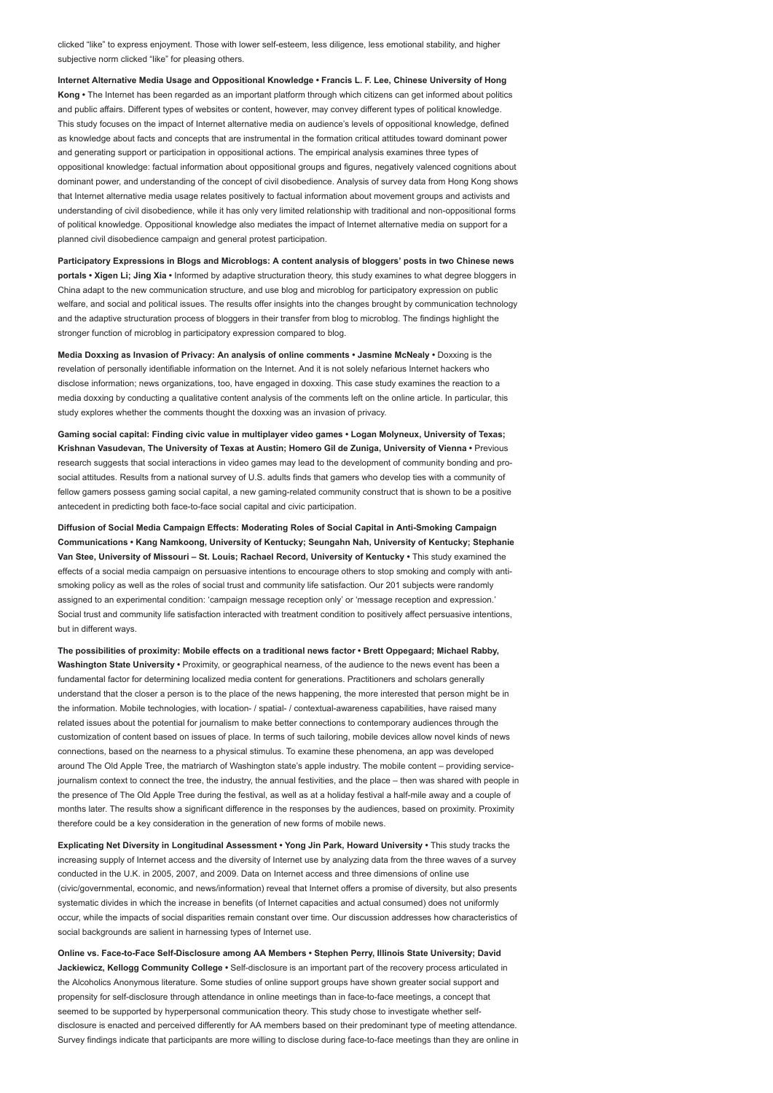clicked "like" to express enjoyment. Those with lower self-esteem, less diligence, less emotional stability, and higher subjective norm clicked "like" for pleasing others.

Internet Alternative Media Usage and Oppositional Knowledge • Francis L. F. Lee, Chinese University of Hong Kong • The Internet has been regarded as an important platform through which citizens can get informed about politics and public affairs. Different types of websites or content, however, may convey different types of political knowledge. This study focuses on the impact of Internet alternative media on audience's levels of oppositional knowledge, defined as knowledge about facts and concepts that are instrumental in the formation critical attitudes toward dominant power and generating support or participation in oppositional actions. The empirical analysis examines three types of oppositional knowledge: factual information about oppositional groups and figures, negatively valenced cognitions about dominant power, and understanding of the concept of civil disobedience. Analysis of survey data from Hong Kong shows that Internet alternative media usage relates positively to factual information about movement groups and activists and understanding of civil disobedience, while it has only very limited relationship with traditional and non-oppositional forms of political knowledge. Oppositional knowledge also mediates the impact of Internet alternative media on support for a planned civil disobedience campaign and general protest participation.

Participatory Expressions in Blogs and Microblogs: A content analysis of bloggers' posts in two Chinese news portals • Xigen Li; Jing Xia • Informed by adaptive structuration theory, this study examines to what degree bloggers in China adapt to the new communication structure, and use blog and microblog for participatory expression on public welfare, and social and political issues. The results offer insights into the changes brought by communication technology and the adaptive structuration process of bloggers in their transfer from blog to microblog. The findings highlight the stronger function of microblog in participatory expression compared to blog.

Media Doxxing as Invasion of Privacy: An analysis of online comments • Jasmine McNealy • Doxxing is the revelation of personally identifiable information on the Internet. And it is not solely nefarious Internet hackers who disclose information; news organizations, too, have engaged in doxxing. This case study examines the reaction to a media doxxing by conducting a qualitative content analysis of the comments left on the online article. In particular, this study explores whether the comments thought the doxxing was an invasion of privacy.

Gaming social capital: Finding civic value in multiplayer video games • Logan Molyneux, University of Texas; Krishnan Vasudevan, The University of Texas at Austin; Homero Gil de Zuniga, University of Vienna • Previous research suggests that social interactions in video games may lead to the development of community bonding and prosocial attitudes. Results from a national survey of U.S. adults finds that gamers who develop ties with a community of fellow gamers possess gaming social capital, a new gaming-related community construct that is shown to be a positive antecedent in predicting both face-to-face social capital and civic participation.

Diffusion of Social Media Campaign Effects: Moderating Roles of Social Capital in Anti-Smoking Campaign Communications • Kang Namkoong, University of Kentucky; Seungahn Nah, University of Kentucky; Stephanie Van Stee, University of Missouri – St. Louis; Rachael Record, University of Kentucky • This study examined the effects of a social media campaign on persuasive intentions to encourage others to stop smoking and comply with antismoking policy as well as the roles of social trust and community life satisfaction. Our 201 subjects were randomly assigned to an experimental condition: 'campaign message reception only' or 'message reception and expression.' Social trust and community life satisfaction interacted with treatment condition to positively affect persuasive intentions, but in different ways.

The possibilities of proximity: Mobile effects on a traditional news factor • Brett Oppegaard; Michael Rabby, Washington State University • Proximity, or geographical nearness, of the audience to the news event has been a fundamental factor for determining localized media content for generations. Practitioners and scholars generally understand that the closer a person is to the place of the news happening, the more interested that person might be in the information. Mobile technologies, with location- / spatial- / contextual-awareness capabilities, have raised many related issues about the potential for journalism to make better connections to contemporary audiences through the customization of content based on issues of place. In terms of such tailoring, mobile devices allow novel kinds of news connections, based on the nearness to a physical stimulus. To examine these phenomena, an app was developed around The Old Apple Tree, the matriarch of Washington state's apple industry. The mobile content – providing servicejournalism context to connect the tree, the industry, the annual festivities, and the place – then was shared with people in the presence of The Old Apple Tree during the festival, as well as at a holiday festival a half-mile away and a couple of months later. The results show a significant difference in the responses by the audiences, based on proximity. Proximity therefore could be a key consideration in the generation of new forms of mobile news.

Explicating Net Diversity in Longitudinal Assessment • Yong Jin Park, Howard University • This study tracks the increasing supply of Internet access and the diversity of Internet use by analyzing data from the three waves of a survey conducted in the U.K. in 2005, 2007, and 2009. Data on Internet access and three dimensions of online use (civic/governmental, economic, and news/information) reveal that Internet offers a promise of diversity, but also presents systematic divides in which the increase in benefits (of Internet capacities and actual consumed) does not uniformly occur, while the impacts of social disparities remain constant over time. Our discussion addresses how characteristics of social backgrounds are salient in harnessing types of Internet use.

Online vs. Face-to-Face Self-Disclosure among AA Members • Stephen Perry, Illinois State University; David Jackiewicz, Kellogg Community College · Self-disclosure is an important part of the recovery process articulated in the Alcoholics Anonymous literature. Some studies of online support groups have shown greater social support and propensity for self-disclosure through attendance in online meetings than in face-to-face meetings, a concept that seemed to be supported by hyperpersonal communication theory. This study chose to investigate whether selfdisclosure is enacted and perceived differently for AA members based on their predominant type of meeting attendance. Survey findings indicate that participants are more willing to disclose during face-to-face meetings than they are online in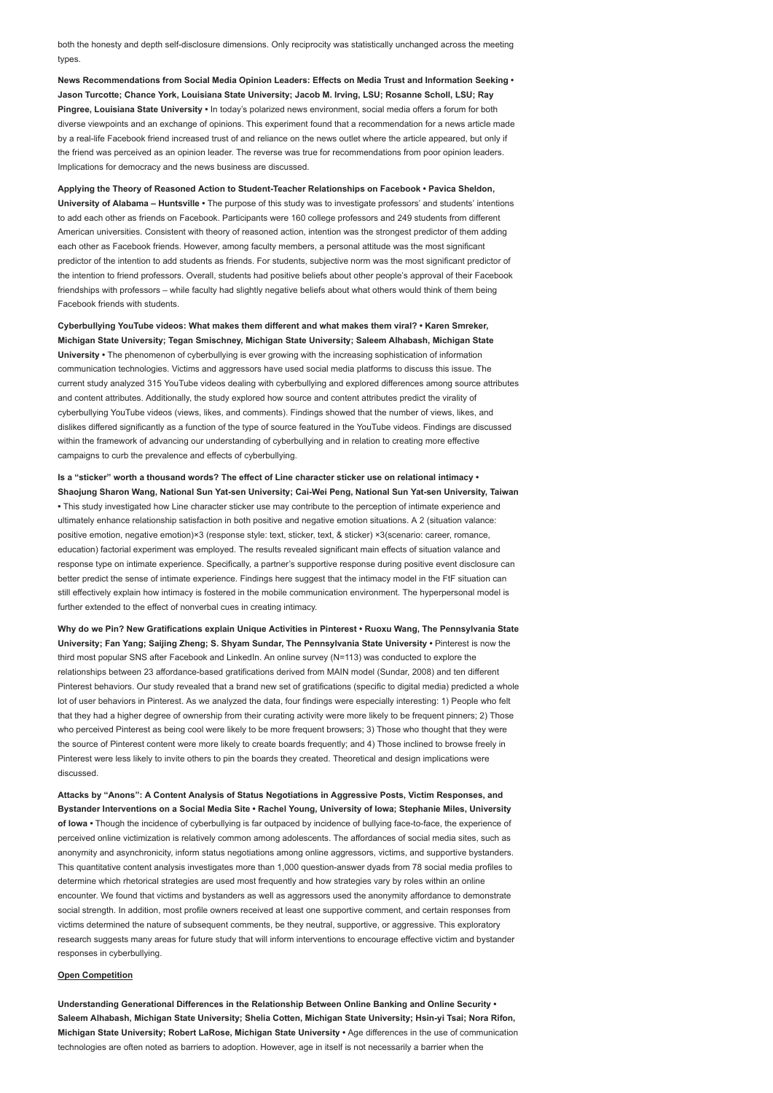both the honesty and depth self-disclosure dimensions. Only reciprocity was statistically unchanged across the meeting types.

News Recommendations from Social Media Opinion Leaders: Effects on Media Trust and Information Seeking • Jason Turcotte; Chance York, Louisiana State University; Jacob M. Irving, LSU; Rosanne Scholl, LSU; Ray Pingree, Louisiana State University • In today's polarized news environment, social media offers a forum for both diverse viewpoints and an exchange of opinions. This experiment found that a recommendation for a news article made by a real-life Facebook friend increased trust of and reliance on the news outlet where the article appeared, but only if the friend was perceived as an opinion leader. The reverse was true for recommendations from poor opinion leaders. Implications for democracy and the news business are discussed.

Applying the Theory of Reasoned Action to Student-Teacher Relationships on Facebook • Pavica Sheldon, University of Alabama – Huntsville • The purpose of this study was to investigate professors' and students' intentions to add each other as friends on Facebook. Participants were 160 college professors and 249 students from different American universities. Consistent with theory of reasoned action, intention was the strongest predictor of them adding each other as Facebook friends. However, among faculty members, a personal attitude was the most significant predictor of the intention to add students as friends. For students, subjective norm was the most significant predictor of the intention to friend professors. Overall, students had positive beliefs about other people's approval of their Facebook friendships with professors – while faculty had slightly negative beliefs about what others would think of them being Facebook friends with students.

Cyberbullying YouTube videos: What makes them different and what makes them viral? • Karen Smreker, Michigan State University; Tegan Smischney, Michigan State University; Saleem Alhabash, Michigan State University • The phenomenon of cyberbullying is ever growing with the increasing sophistication of information communication technologies. Victims and aggressors have used social media platforms to discuss this issue. The current study analyzed 315 YouTube videos dealing with cyberbullying and explored differences among source attributes and content attributes. Additionally, the study explored how source and content attributes predict the virality of cyberbullying YouTube videos (views, likes, and comments). Findings showed that the number of views, likes, and dislikes differed significantly as a function of the type of source featured in the YouTube videos. Findings are discussed within the framework of advancing our understanding of cyberbullying and in relation to creating more effective campaigns to curb the prevalence and effects of cyberbullying.

Is a "sticker" worth a thousand words? The effect of Line character sticker use on relational intimacy • Shaojung Sharon Wang, National Sun Yat-sen University; Cai-Wei Peng, National Sun Yat-sen University, Taiwan • This study investigated how Line character sticker use may contribute to the perception of intimate experience and ultimately enhance relationship satisfaction in both positive and negative emotion situations. A 2 (situation valance: positive emotion, negative emotion)×3 (response style: text, sticker, text, & sticker) ×3(scenario: career, romance, education) factorial experiment was employed. The results revealed significant main effects of situation valance and response type on intimate experience. Specifically, a partner's supportive response during positive event disclosure can better predict the sense of intimate experience. Findings here suggest that the intimacy model in the FtF situation can still effectively explain how intimacy is fostered in the mobile communication environment. The hyperpersonal model is further extended to the effect of nonverbal cues in creating intimacy.

Why do we Pin? New Gratifications explain Unique Activities in Pinterest • Ruoxu Wang, The Pennsylvania State University; Fan Yang; Saijing Zheng; S. Shyam Sundar, The Pennsylvania State University • Pinterest is now the third most popular SNS after Facebook and LinkedIn. An online survey (N=113) was conducted to explore the relationships between 23 affordance-based gratifications derived from MAIN model (Sundar, 2008) and ten different Pinterest behaviors. Our study revealed that a brand new set of gratifications (specific to digital media) predicted a whole lot of user behaviors in Pinterest. As we analyzed the data, four findings were especially interesting: 1) People who felt that they had a higher degree of ownership from their curating activity were more likely to be frequent pinners; 2) Those who perceived Pinterest as being cool were likely to be more frequent browsers; 3) Those who thought that they were the source of Pinterest content were more likely to create boards frequently; and 4) Those inclined to browse freely in Pinterest were less likely to invite others to pin the boards they created. Theoretical and design implications were discussed.

Attacks by "Anons": A Content Analysis of Status Negotiations in Aggressive Posts, Victim Responses, and Bystander Interventions on a Social Media Site • Rachel Young, University of Iowa; Stephanie Miles, University of Iowa • Though the incidence of cyberbullying is far outpaced by incidence of bullying face-to-face, the experience of perceived online victimization is relatively common among adolescents. The affordances of social media sites, such as anonymity and asynchronicity, inform status negotiations among online aggressors, victims, and supportive bystanders. This quantitative content analysis investigates more than 1,000 question-answer dyads from 78 social media profiles to determine which rhetorical strategies are used most frequently and how strategies vary by roles within an online encounter. We found that victims and bystanders as well as aggressors used the anonymity affordance to demonstrate social strength. In addition, most profile owners received at least one supportive comment, and certain responses from victims determined the nature of subsequent comments, be they neutral, supportive, or aggressive. This exploratory research suggests many areas for future study that will inform interventions to encourage effective victim and bystander responses in cyberbullying.

#### Open Competition

Understanding Generational Differences in the Relationship Between Online Banking and Online Security • Saleem Alhabash, Michigan State University; Shelia Cotten, Michigan State University; Hsin-yi Tsai; Nora Rifon, Michigan State University; Robert LaRose, Michigan State University • Age differences in the use of communication technologies are often noted as barriers to adoption. However, age in itself is not necessarily a barrier when the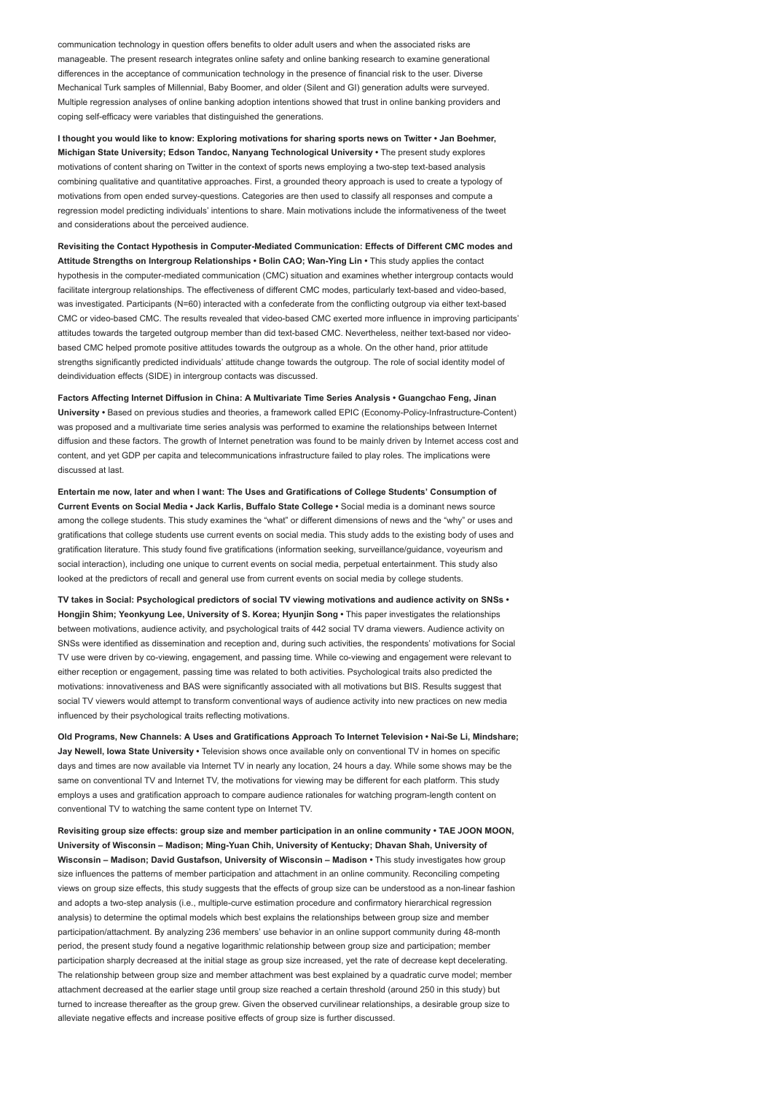communication technology in question offers benefits to older adult users and when the associated risks are manageable. The present research integrates online safety and online banking research to examine generational differences in the acceptance of communication technology in the presence of financial risk to the user. Diverse Mechanical Turk samples of Millennial, Baby Boomer, and older (Silent and GI) generation adults were surveyed. Multiple regression analyses of online banking adoption intentions showed that trust in online banking providers and coping self-efficacy were variables that distinguished the generations.

I thought you would like to know: Exploring motivations for sharing sports news on Twitter • Jan Boehmer, Michigan State University; Edson Tandoc, Nanyang Technological University • The present study explores motivations of content sharing on Twitter in the context of sports news employing a two-step text-based analysis combining qualitative and quantitative approaches. First, a grounded theory approach is used to create a typology of motivations from open ended survey-questions. Categories are then used to classify all responses and compute a regression model predicting individuals' intentions to share. Main motivations include the informativeness of the tweet and considerations about the perceived audience

Revisiting the Contact Hypothesis in Computer-Mediated Communication: Effects of Different CMC modes and Attitude Strengths on Intergroup Relationships • Bolin CAO; Wan-Ying Lin • This study applies the contact hypothesis in the computer-mediated communication (CMC) situation and examines whether intergroup contacts would facilitate intergroup relationships. The effectiveness of different CMC modes, particularly text-based and video-based, was investigated. Participants (N=60) interacted with a confederate from the conflicting outgroup via either text-based CMC or video-based CMC. The results revealed that video-based CMC exerted more influence in improving participants' attitudes towards the targeted outgroup member than did text-based CMC. Nevertheless, neither text-based nor videobased CMC helped promote positive attitudes towards the outgroup as a whole. On the other hand, prior attitude strengths significantly predicted individuals' attitude change towards the outgroup. The role of social identity model of deindividuation effects (SIDE) in intergroup contacts was discussed.

Factors Affecting Internet Diffusion in China: A Multivariate Time Series Analysis • Guangchao Feng, Jinan University • Based on previous studies and theories, a framework called EPIC (Economy-Policy-Infrastructure-Content) was proposed and a multivariate time series analysis was performed to examine the relationships between Internet diffusion and these factors. The growth of Internet penetration was found to be mainly driven by Internet access cost and content, and yet GDP per capita and telecommunications infrastructure failed to play roles. The implications were discussed at last.

Entertain me now, later and when I want: The Uses and Gratifications of College Students' Consumption of Current Events on Social Media • Jack Karlis, Buffalo State College • Social media is a dominant news source among the college students. This study examines the "what" or different dimensions of news and the "why" or uses and gratifications that college students use current events on social media. This study adds to the existing body of uses and gratification literature. This study found five gratifications (information seeking, surveillance/guidance, voyeurism and social interaction), including one unique to current events on social media, perpetual entertainment. This study also looked at the predictors of recall and general use from current events on social media by college students.

TV takes in Social: Psychological predictors of social TV viewing motivations and audience activity on SNSs • Hongjin Shim; Yeonkyung Lee, University of S. Korea; Hyunjin Song • This paper investigates the relationships between motivations, audience activity, and psychological traits of 442 social TV drama viewers. Audience activity on SNSs were identified as dissemination and reception and, during such activities, the respondents' motivations for Social TV use were driven by co-viewing, engagement, and passing time. While co-viewing and engagement were relevant to either reception or engagement, passing time was related to both activities. Psychological traits also predicted the motivations: innovativeness and BAS were significantly associated with all motivations but BIS. Results suggest that social TV viewers would attempt to transform conventional ways of audience activity into new practices on new media influenced by their psychological traits reflecting motivations.

Old Programs, New Channels: A Uses and Gratifications Approach To Internet Television • Nai-Se Li, Mindshare; Jay Newell, Iowa State University • Television shows once available only on conventional TV in homes on specific days and times are now available via Internet TV in nearly any location, 24 hours a day. While some shows may be the same on conventional TV and Internet TV, the motivations for viewing may be different for each platform. This study employs a uses and gratification approach to compare audience rationales for watching program-length content on conventional TV to watching the same content type on Internet TV.

Revisiting group size effects: group size and member participation in an online community • TAE JOON MOON, University of Wisconsin – Madison; Ming-Yuan Chih, University of Kentucky; Dhavan Shah, University of Wisconsin – Madison; David Gustafson, University of Wisconsin – Madison • This study investigates how group size influences the patterns of member participation and attachment in an online community. Reconciling competing views on group size effects, this study suggests that the effects of group size can be understood as a non-linear fashion and adopts a two-step analysis (i.e., multiple-curve estimation procedure and confirmatory hierarchical regression analysis) to determine the optimal models which best explains the relationships between group size and member participation/attachment. By analyzing 236 members' use behavior in an online support community during 48-month period, the present study found a negative logarithmic relationship between group size and participation; member participation sharply decreased at the initial stage as group size increased, yet the rate of decrease kept decelerating. The relationship between group size and member attachment was best explained by a quadratic curve model; member attachment decreased at the earlier stage until group size reached a certain threshold (around 250 in this study) but turned to increase thereafter as the group grew. Given the observed curvilinear relationships, a desirable group size to alleviate negative effects and increase positive effects of group size is further discussed.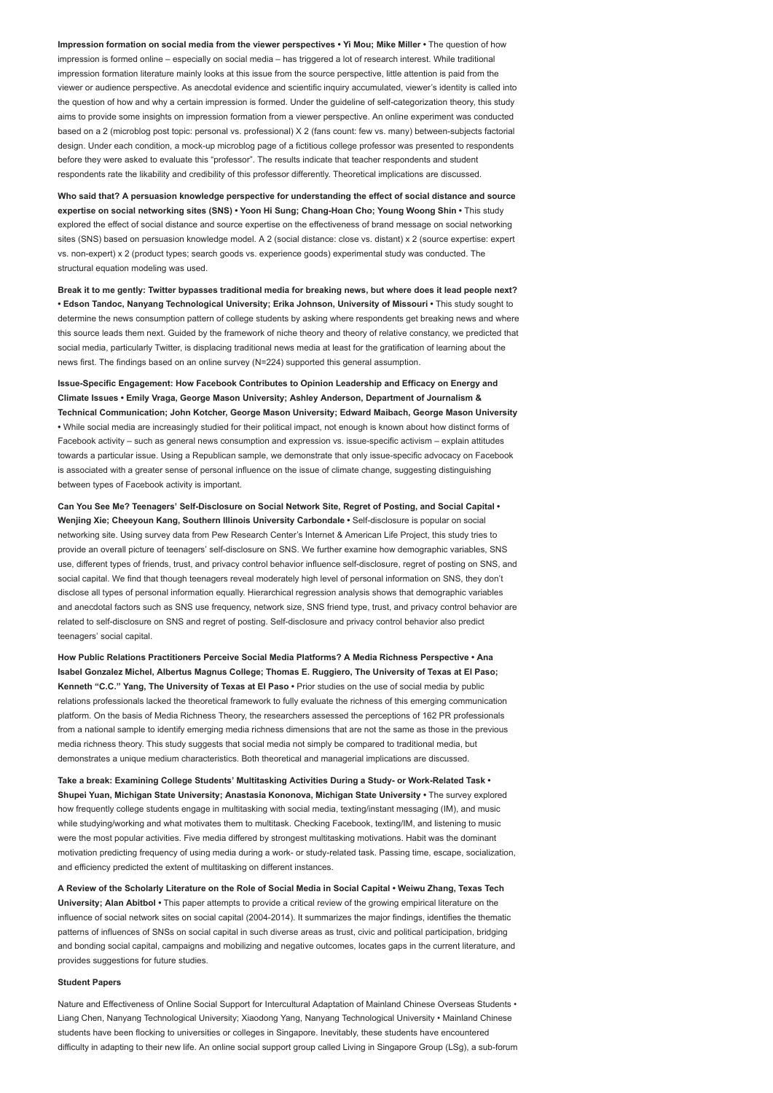Impression formation on social media from the viewer perspectives • Yi Mou; Mike Miller • The question of how impression is formed online – especially on social media – has triggered a lot of research interest. While traditional impression formation literature mainly looks at this issue from the source perspective, little attention is paid from the viewer or audience perspective. As anecdotal evidence and scientific inquiry accumulated, viewer's identity is called into the question of how and why a certain impression is formed. Under the guideline of self-categorization theory, this study aims to provide some insights on impression formation from a viewer perspective. An online experiment was conducted based on a 2 (microblog post topic: personal vs. professional) X 2 (fans count: few vs. many) between-subjects factorial design. Under each condition, a mock-up microblog page of a fictitious college professor was presented to respondents before they were asked to evaluate this "professor". The results indicate that teacher respondents and student respondents rate the likability and credibility of this professor differently. Theoretical implications are discussed.

Who said that? A persuasion knowledge perspective for understanding the effect of social distance and source expertise on social networking sites (SNS) • Yoon Hi Sung; Chang-Hoan Cho; Young Woong Shin • This study explored the effect of social distance and source expertise on the effectiveness of brand message on social networking sites (SNS) based on persuasion knowledge model. A 2 (social distance: close vs. distant) x 2 (source expertise: expert vs. non-expert) x 2 (product types; search goods vs. experience goods) experimental study was conducted. The structural equation modeling was used.

Break it to me gently: Twitter bypasses traditional media for breaking news, but where does it lead people next? • Edson Tandoc, Nanyang Technological University; Erika Johnson, University of Missouri • This study sought to determine the news consumption pattern of college students by asking where respondents get breaking news and where this source leads them next. Guided by the framework of niche theory and theory of relative constancy, we predicted that social media, particularly Twitter, is displacing traditional news media at least for the gratification of learning about the news first. The findings based on an online survey (N=224) supported this general assumption.

Issue-Specific Engagement: How Facebook Contributes to Opinion Leadership and Efficacy on Energy and Climate Issues • Emily Vraga, George Mason University; Ashley Anderson, Department of Journalism & Technical Communication; John Kotcher, George Mason University; Edward Maibach, George Mason University • While social media are increasingly studied for their political impact, not enough is known about how distinct forms of Facebook activity – such as general news consumption and expression vs. issue-specific activism – explain attitudes towards a particular issue. Using a Republican sample, we demonstrate that only issue-specific advocacy on Facebook is associated with a greater sense of personal influence on the issue of climate change, suggesting distinguishing between types of Facebook activity is important.

Can You See Me? Teenagers' Self-Disclosure on Social Network Site, Regret of Posting, and Social Capital • Wenjing Xie; Cheeyoun Kang, Southern Illinois University Carbondale • Self-disclosure is popular on social networking site. Using survey data from Pew Research Center's Internet & American Life Project, this study tries to provide an overall picture of teenagers' self-disclosure on SNS. We further examine how demographic variables, SNS use, different types of friends, trust, and privacy control behavior influence self-disclosure, regret of posting on SNS, and social capital. We find that though teenagers reveal moderately high level of personal information on SNS, they don't disclose all types of personal information equally. Hierarchical regression analysis shows that demographic variables and anecdotal factors such as SNS use frequency, network size, SNS friend type, trust, and privacy control behavior are related to self-disclosure on SNS and regret of posting. Self-disclosure and privacy control behavior also predict teenagers' social capital.

How Public Relations Practitioners Perceive Social Media Platforms? A Media Richness Perspective • Ana Isabel Gonzalez Michel, Albertus Magnus College; Thomas E. Ruggiero, The University of Texas at El Paso; Kenneth "C.C." Yang, The University of Texas at El Paso • Prior studies on the use of social media by public relations professionals lacked the theoretical framework to fully evaluate the richness of this emerging communication platform. On the basis of Media Richness Theory, the researchers assessed the perceptions of 162 PR professionals from a national sample to identify emerging media richness dimensions that are not the same as those in the previous media richness theory. This study suggests that social media not simply be compared to traditional media, but demonstrates a unique medium characteristics. Both theoretical and managerial implications are discussed.

Take a break: Examining College Students' Multitasking Activities During a Study- or Work-Related Task • Shupei Yuan, Michigan State University; Anastasia Kononova, Michigan State University • The survey explored how frequently college students engage in multitasking with social media, texting/instant messaging (IM), and music while studying/working and what motivates them to multitask. Checking Facebook, texting/IM, and listening to music were the most popular activities. Five media differed by strongest multitasking motivations. Habit was the dominant motivation predicting frequency of using media during a work- or study-related task. Passing time, escape, socialization, and efficiency predicted the extent of multitasking on different instances.

A Review of the Scholarly Literature on the Role of Social Media in Social Capital • Weiwu Zhang, Texas Tech University; Alan Abitbol • This paper attempts to provide a critical review of the growing empirical literature on the influence of social network sites on social capital (2004-2014). It summarizes the major findings, identifies the thematic patterns of influences of SNSs on social capital in such diverse areas as trust, civic and political participation, bridging and bonding social capital, campaigns and mobilizing and negative outcomes, locates gaps in the current literature, and provides suggestions for future studies.

#### Student Papers

Nature and Effectiveness of Online Social Support for Intercultural Adaptation of Mainland Chinese Overseas Students • Liang Chen, Nanyang Technological University; Xiaodong Yang, Nanyang Technological University • Mainland Chinese students have been flocking to universities or colleges in Singapore. Inevitably, these students have encountered difficulty in adapting to their new life. An online social support group called Living in Singapore Group (LSg), a sub-forum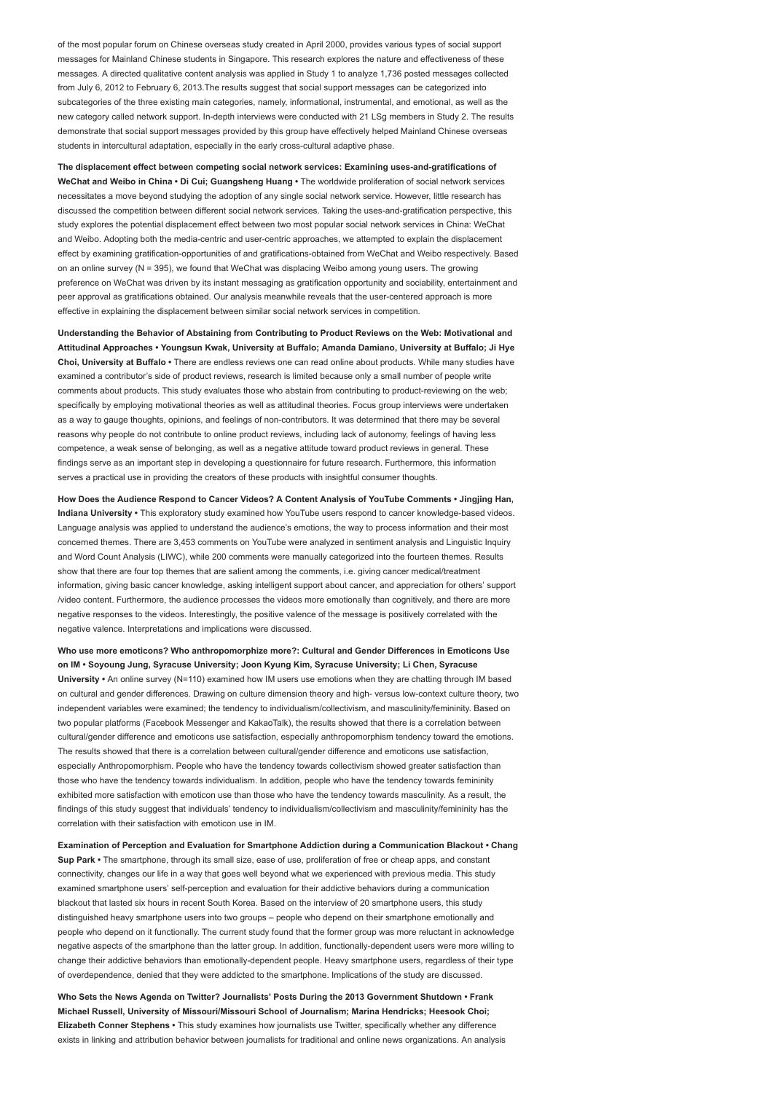of the most popular forum on Chinese overseas study created in April 2000, provides various types of social support messages for Mainland Chinese students in Singapore. This research explores the nature and effectiveness of these messages. A directed qualitative content analysis was applied in Study 1 to analyze 1,736 posted messages collected from July 6, 2012 to February 6, 2013.The results suggest that social support messages can be categorized into subcategories of the three existing main categories, namely, informational, instrumental, and emotional, as well as the new category called network support. In-depth interviews were conducted with 21 LSg members in Study 2. The results demonstrate that social support messages provided by this group have effectively helped Mainland Chinese overseas students in intercultural adaptation, especially in the early cross-cultural adaptive phase.

The displacement effect between competing social network services: Examining uses-and-gratifications of WeChat and Weibo in China • Di Cui; Guangsheng Huang • The worldwide proliferation of social network services necessitates a move beyond studying the adoption of any single social network service. However, little research has discussed the competition between different social network services. Taking the uses-and-gratification perspective, this study explores the potential displacement effect between two most popular social network services in China: WeChat and Weibo. Adopting both the media-centric and user-centric approaches, we attempted to explain the displacement effect by examining gratification-opportunities of and gratifications-obtained from WeChat and Weibo respectively. Based on an online survey (N = 395), we found that WeChat was displacing Weibo among young users. The growing preference on WeChat was driven by its instant messaging as gratification opportunity and sociability, entertainment and peer approval as gratifications obtained. Our analysis meanwhile reveals that the user-centered approach is more effective in explaining the displacement between similar social network services in competition.

Understanding the Behavior of Abstaining from Contributing to Product Reviews on the Web: Motivational and Attitudinal Approaches • Youngsun Kwak, University at Buffalo; Amanda Damiano, University at Buffalo; Ji Hye Choi, University at Buffalo • There are endless reviews one can read online about products. While many studies have examined a contributor's side of product reviews, research is limited because only a small number of people write comments about products. This study evaluates those who abstain from contributing to product-reviewing on the web; specifically by employing motivational theories as well as attitudinal theories. Focus group interviews were undertaken as a way to gauge thoughts, opinions, and feelings of non-contributors. It was determined that there may be several reasons why people do not contribute to online product reviews, including lack of autonomy, feelings of having less competence, a weak sense of belonging, as well as a negative attitude toward product reviews in general. These findings serve as an important step in developing a questionnaire for future research. Furthermore, this information serves a practical use in providing the creators of these products with insightful consumer thoughts.

How Does the Audience Respond to Cancer Videos? A Content Analysis of YouTube Comments • Jingjing Han, Indiana University • This exploratory study examined how YouTube users respond to cancer knowledge-based videos. Language analysis was applied to understand the audience's emotions, the way to process information and their most concerned themes. There are 3,453 comments on YouTube were analyzed in sentiment analysis and Linguistic Inquiry and Word Count Analysis (LIWC), while 200 comments were manually categorized into the fourteen themes. Results show that there are four top themes that are salient among the comments, i.e. giving cancer medical/treatment information, giving basic cancer knowledge, asking intelligent support about cancer, and appreciation for others' support /video content. Furthermore, the audience processes the videos more emotionally than cognitively, and there are more negative responses to the videos. Interestingly, the positive valence of the message is positively correlated with the negative valence. Interpretations and implications were discussed.

Who use more emoticons? Who anthropomorphize more?: Cultural and Gender Differences in Emoticons Use on IM • Soyoung Jung, Syracuse University; Joon Kyung Kim, Syracuse University; Li Chen, Syracuse University • An online survey (N=110) examined how IM users use emotions when they are chatting through IM based on cultural and gender differences. Drawing on culture dimension theory and high- versus low-context culture theory, two independent variables were examined; the tendency to individualism/collectivism, and masculinity/femininity. Based on two popular platforms (Facebook Messenger and KakaoTalk), the results showed that there is a correlation between cultural/gender difference and emoticons use satisfaction, especially anthropomorphism tendency toward the emotions. The results showed that there is a correlation between cultural/gender difference and emoticons use satisfaction, especially Anthropomorphism. People who have the tendency towards collectivism showed greater satisfaction than those who have the tendency towards individualism. In addition, people who have the tendency towards femininity exhibited more satisfaction with emoticon use than those who have the tendency towards masculinity. As a result, the findings of this study suggest that individuals' tendency to individualism/collectivism and masculinity/femininity has the correlation with their satisfaction with emoticon use in IM.

Examination of Perception and Evaluation for Smartphone Addiction during a Communication Blackout • Chang Sup Park • The smartphone, through its small size, ease of use, proliferation of free or cheap apps, and constant connectivity, changes our life in a way that goes well beyond what we experienced with previous media. This study examined smartphone users' self-perception and evaluation for their addictive behaviors during a communication blackout that lasted six hours in recent South Korea. Based on the interview of 20 smartphone users, this study distinguished heavy smartphone users into two groups – people who depend on their smartphone emotionally and people who depend on it functionally. The current study found that the former group was more reluctant in acknowledge negative aspects of the smartphone than the latter group. In addition, functionally-dependent users were more willing to change their addictive behaviors than emotionally-dependent people. Heavy smartphone users, regardless of their type of overdependence, denied that they were addicted to the smartphone. Implications of the study are discussed.

Who Sets the News Agenda on Twitter? Journalists' Posts During the 2013 Government Shutdown • Frank Michael Russell, University of Missouri/Missouri School of Journalism; Marina Hendricks; Heesook Choi; Elizabeth Conner Stephens • This study examines how journalists use Twitter, specifically whether any difference exists in linking and attribution behavior between journalists for traditional and online news organizations. An analysis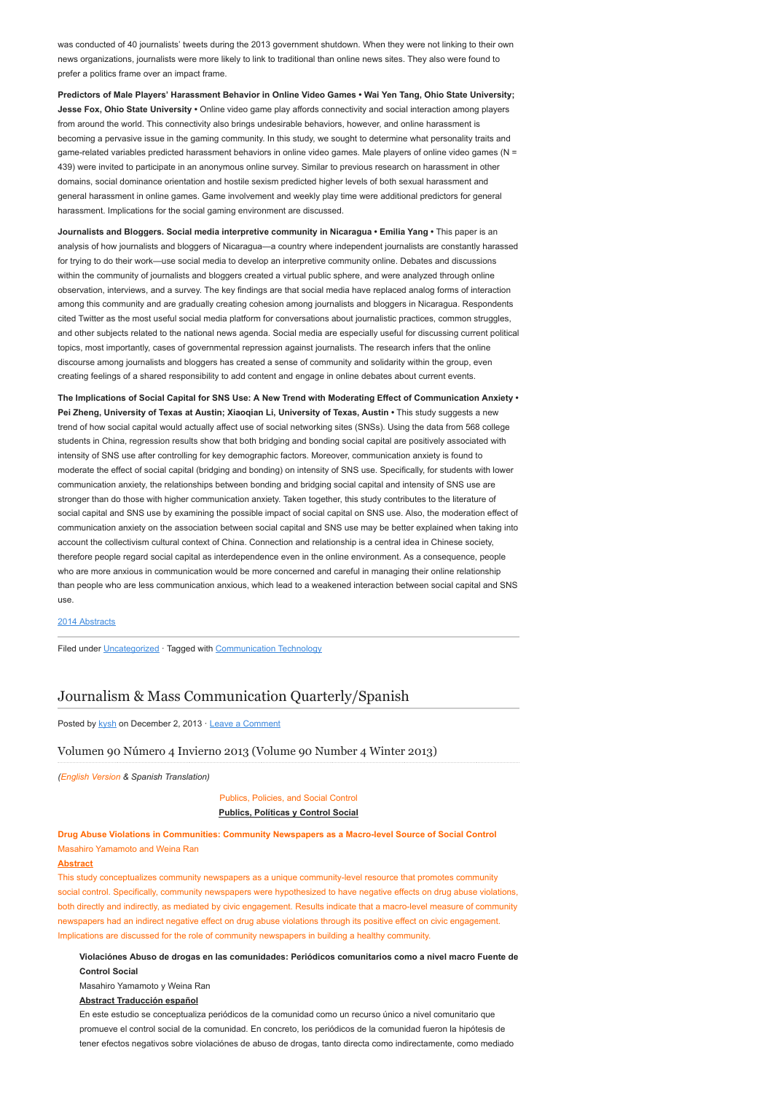was conducted of 40 journalists' tweets during the 2013 government shutdown. When they were not linking to their own news organizations, journalists were more likely to link to traditional than online news sites. They also were found to prefer a politics frame over an impact frame.

Predictors of Male Players' Harassment Behavior in Online Video Games • Wai Yen Tang, Ohio State University; Jesse Fox, Ohio State University · Online video game play affords connectivity and social interaction among players from around the world. This connectivity also brings undesirable behaviors, however, and online harassment is becoming a pervasive issue in the gaming community. In this study, we sought to determine what personality traits and game-related variables predicted harassment behaviors in online video games. Male players of online video games (N = 439) were invited to participate in an anonymous online survey. Similar to previous research on harassment in other domains, social dominance orientation and hostile sexism predicted higher levels of both sexual harassment and general harassment in online games. Game involvement and weekly play time were additional predictors for general harassment. Implications for the social gaming environment are discussed.

Journalists and Bloggers. Social media interpretive community in Nicaragua • Emilia Yang • This paper is an analysis of how journalists and bloggers of Nicaragua—a country where independent journalists are constantly harassed for trying to do their work—use social media to develop an interpretive community online. Debates and discussions within the community of journalists and bloggers created a virtual public sphere, and were analyzed through online observation, interviews, and a survey. The key findings are that social media have replaced analog forms of interaction among this community and are gradually creating cohesion among journalists and bloggers in Nicaragua. Respondents cited Twitter as the most useful social media platform for conversations about journalistic practices, common struggles, and other subjects related to the national news agenda. Social media are especially useful for discussing current political topics, most importantly, cases of governmental repression against journalists. The research infers that the online discourse among journalists and bloggers has created a sense of community and solidarity within the group, even creating feelings of a shared responsibility to add content and engage in online debates about current events.

The Implications of Social Capital for SNS Use: A New Trend with Moderating Effect of Communication Anxiety • Pei Zheng, University of Texas at Austin; Xiaogian Li, University of Texas, Austin • This study suggests a new trend of how social capital would actually affect use of social networking sites (SNSs). Using the data from 568 college students in China, regression results show that both bridging and bonding social capital are positively associated with intensity of SNS use after controlling for key demographic factors. Moreover, communication anxiety is found to moderate the effect of social capital (bridging and bonding) on intensity of SNS use. Specifically, for students with lower communication anxiety, the relationships between bonding and bridging social capital and intensity of SNS use are stronger than do those with higher communication anxiety. Taken together, this study contributes to the literature of social capital and SNS use by examining the possible impact of social capital on SNS use. Also, the moderation effect of communication anxiety on the association between social capital and SNS use may be better explained when taking into account the collectivism cultural context of China. Connection and relationship is a central idea in Chinese society, therefore people regard social capital as interdependence even in the online environment. As a consequence, people who are more anxious in communication would be more concerned and careful in managing their online relationship than people who are less communication anxious, which lead to a weakened interaction between social capital and SNS use.

#### [2014 Abstracts](http://www.aejmc.org/home/2014/06/2014-abstracts/)

Filed under [Uncategorized](http://www.aejmc.org/home/category/uncategorized/) · Tagged with [Communication Technology](http://www.aejmc.org/home/tag/communication-technology/)

# [Journalism & Mass Communication Quarterly/Spanish](http://www.aejmc.org/home/2013/12/jmcq-90-4/)

Posted by [kysh](http://www.aejmc.org/home/author/kyshiab/) on December 2, 2013 · [Leave a Comment](http://www.aejmc.org/home/2013/12/jmcq-90-4/#respond)

#### Volumen 90 Número 4 Invierno 2013 (Volume 90 Number 4 Winter 2013)

(English Version & Spanish Translation)

Publics, Policies, and Social Control Publics, Políticas y Control Social

## Drug Abuse Violations in Communities: Community Newspapers as a Macro-level Source of Social Control Masahiro Yamamoto and Weina Ran

### Abstract

This study conceptualizes community newspapers as a unique community-level resource that promotes community social control. Specifically, community newspapers were hypothesized to have negative effects on drug abuse violations, both directly and indirectly, as mediated by civic engagement. Results indicate that a macro-level measure of community newspapers had an indirect negative effect on drug abuse violations through its positive effect on civic engagement. Implications are discussed for the role of community newspapers in building a healthy community.

Violaciónes Abuso de drogas en las comunidades: Periódicos comunitarios como a nivel macro Fuente de Control Social

Masahiro Yamamoto y Weina Ran

Abstract Traducción español

En este estudio se conceptualiza periódicos de la comunidad como un recurso único a nivel comunitario que promueve el control social de la comunidad. En concreto, los periódicos de la comunidad fueron la hipótesis de tener efectos negativos sobre violaciónes de abuso de drogas, tanto directa como indirectamente, como mediado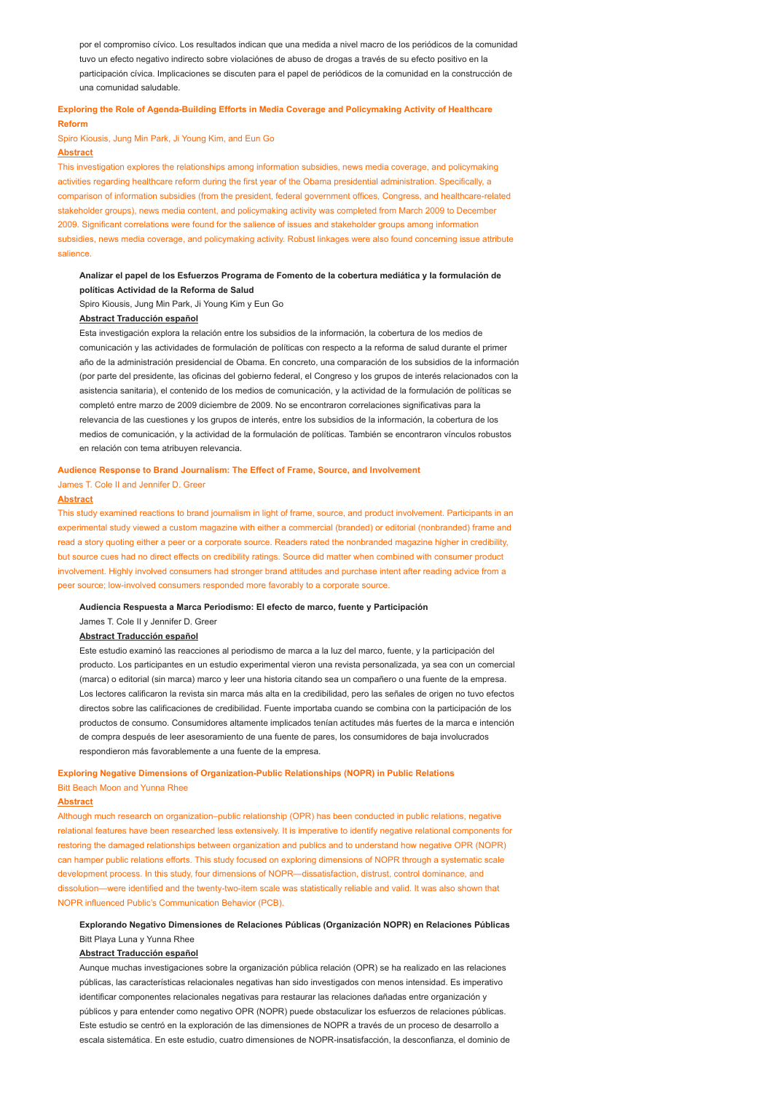por el compromiso cívico. Los resultados indican que una medida a nivel macro de los periódicos de la comunidad tuvo un efecto negativo indirecto sobre violaciónes de abuso de drogas a través de su efecto positivo en la participación cívica. Implicaciones se discuten para el papel de periódicos de la comunidad en la construcción de una comunidad saludable.

### Exploring the Role of Agenda-Building Efforts in Media Coverage and Policymaking Activity of Healthcare Reform

## Spiro Kiousis, Jung Min Park, Ji Young Kim, and Eun Go

### Abstract

This investigation explores the relationships among information subsidies, news media coverage, and policymaking activities regarding healthcare reform during the first year of the Obama presidential administration. Specifically, a comparison of information subsidies (from the president, federal government offices, Congress, and healthcare-related stakeholder groups), news media content, and policymaking activity was completed from March 2009 to December 2009. Significant correlations were found for the salience of issues and stakeholder groups among information subsidies, news media coverage, and policymaking activity. Robust linkages were also found concerning issue attribute salience.

### Analizar el papel de los Esfuerzos Programa de Fomento de la cobertura mediática y la formulación de políticas Actividad de la Reforma de Salud

Spiro Kiousis, Jung Min Park, Ji Young Kim y Eun Go

### Abstract Traducción español

Esta investigación explora la relación entre los subsidios de la información, la cobertura de los medios de comunicación y las actividades de formulación de políticas con respecto a la reforma de salud durante el primer año de la administración presidencial de Obama. En concreto, una comparación de los subsidios de la información (por parte del presidente, las oficinas del gobierno federal, el Congreso y los grupos de interés relacionados con la asistencia sanitaria), el contenido de los medios de comunicación, y la actividad de la formulación de políticas se completó entre marzo de 2009 diciembre de 2009. No se encontraron correlaciones significativas para la relevancia de las cuestiones y los grupos de interés, entre los subsidios de la información, la cobertura de los medios de comunicación, y la actividad de la formulación de políticas. También se encontraron vínculos robustos en relación con tema atribuyen relevancia.

#### Audience Response to Brand Journalism: The Effect of Frame, Source, and Involvement

James T. Cole II and Jennifer D. Greer

### Abstract

This study examined reactions to brand journalism in light of frame, source, and product involvement. Participants in an experimental study viewed a custom magazine with either a commercial (branded) or editorial (nonbranded) frame and read a story quoting either a peer or a corporate source. Readers rated the nonbranded magazine higher in credibility, but source cues had no direct effects on credibility ratings. Source did matter when combined with consumer product involvement. Highly involved consumers had stronger brand attitudes and purchase intent after reading advice from a peer source; low-involved consumers responded more favorably to a corporate source.

#### Audiencia Respuesta a Marca Periodismo: El efecto de marco, fuente y Participación

James T. Cole II y Jennifer D. Greer

#### Abstract Traducción español

Este estudio examinó las reacciones al periodismo de marca a la luz del marco, fuente, y la participación del producto. Los participantes en un estudio experimental vieron una revista personalizada, ya sea con un comercial (marca) o editorial (sin marca) marco y leer una historia citando sea un compañero o una fuente de la empresa. Los lectores calificaron la revista sin marca más alta en la credibilidad, pero las señales de origen no tuvo efectos directos sobre las calificaciones de credibilidad. Fuente importaba cuando se combina con la participación de los productos de consumo. Consumidores altamente implicados tenían actitudes más fuertes de la marca e intención de compra después de leer asesoramiento de una fuente de pares, los consumidores de baja involucrados respondieron más favorablemente a una fuente de la empresa.

### Exploring Negative Dimensions of Organization-Public Relationships (NOPR) in Public Relations Bitt Beach Moon and Yunna Rhee

#### Abstract

Although much research on organization–public relationship (OPR) has been conducted in public relations, negative relational features have been researched less extensively. It is imperative to identify negative relational components for restoring the damaged relationships between organization and publics and to understand how negative OPR (NOPR) can hamper public relations efforts. This study focused on exploring dimensions of NOPR through a systematic scale development process. In this study, four dimensions of NOPR—dissatisfaction, distrust, control dominance, and dissolution—were identified and the twenty-two-item scale was statistically reliable and valid. It was also shown that NOPR influenced Public's Communication Behavior (PCB).

## Explorando Negativo Dimensiones de Relaciones Públicas (Organización NOPR) en Relaciones Públicas Bitt Playa Luna y Yunna Rhee

#### Abstract Traducción español

Aunque muchas investigaciones sobre la organización pública relación (OPR) se ha realizado en las relaciones públicas, las características relacionales negativas han sido investigados con menos intensidad. Es imperativo identificar componentes relacionales negativas para restaurar las relaciones dañadas entre organización y públicos y para entender como negativo OPR (NOPR) puede obstaculizar los esfuerzos de relaciones públicas. Este estudio se centró en la exploración de las dimensiones de NOPR a través de un proceso de desarrollo a escala sistemática. En este estudio, cuatro dimensiones de NOPR-insatisfacción, la desconfianza, el dominio de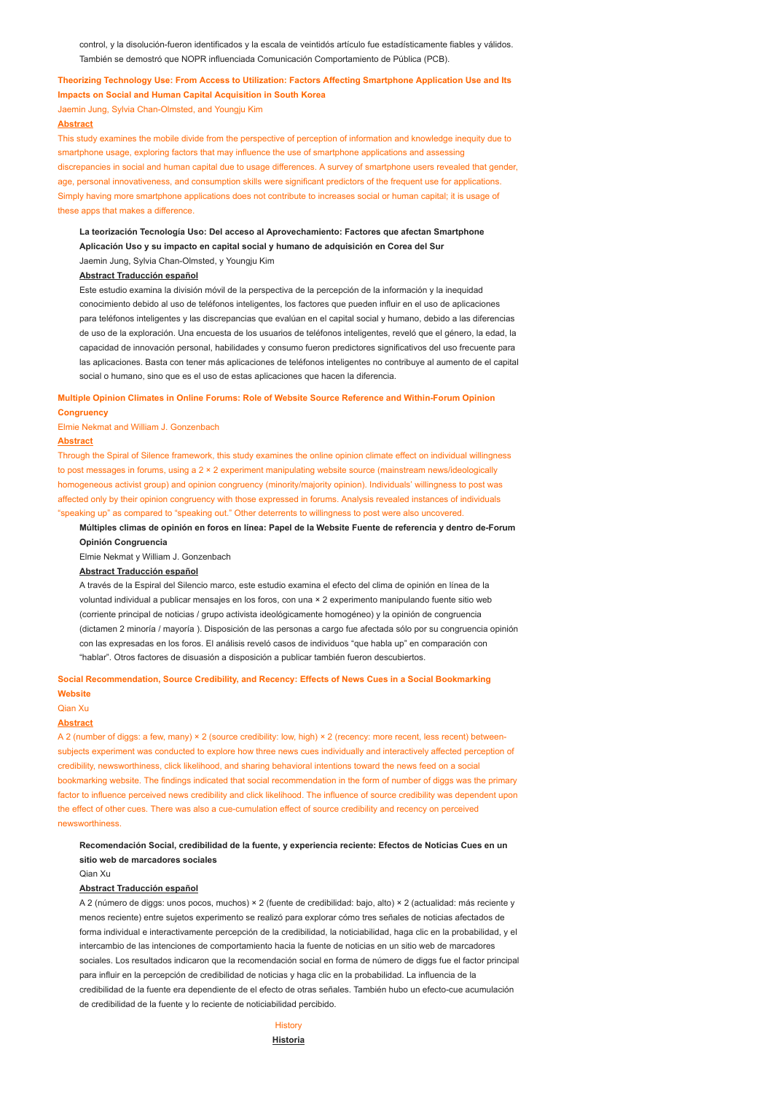control, y la disolución-fueron identificados y la escala de veintidós artículo fue estadísticamente fiables y válidos. También se demostró que NOPR influenciada Comunicación Comportamiento de Pública (PCB).

### Theorizing Technology Use: From Access to Utilization: Factors Affecting Smartphone Application Use and Its

#### Impacts on Social and Human Capital Acquisition in South Korea

Jaemin Jung, Sylvia Chan-Olmsted, and Youngju Kim

### Abstract

This study examines the mobile divide from the perspective of perception of information and knowledge inequity due to smartphone usage, exploring factors that may influence the use of smartphone applications and assessing discrepancies in social and human capital due to usage differences. A survey of smartphone users revealed that gender, age, personal innovativeness, and consumption skills were significant predictors of the frequent use for applications. Simply having more smartphone applications does not contribute to increases social or human capital; it is usage of these apps that makes a difference

## La teorización Tecnología Uso: Del acceso al Aprovechamiento: Factores que afectan Smartphone Aplicación Uso y su impacto en capital social y humano de adquisición en Corea del Sur Jaemin Jung, Sylvia Chan-Olmsted, y Youngju Kim

### Abstract Traducción español

Este estudio examina la división móvil de la perspectiva de la percepción de la información y la inequidad conocimiento debido al uso de teléfonos inteligentes, los factores que pueden influir en el uso de aplicaciones para teléfonos inteligentes y las discrepancias que evalúan en el capital social y humano, debido a las diferencias de uso de la exploración. Una encuesta de los usuarios de teléfonos inteligentes, reveló que el género, la edad, la capacidad de innovación personal, habilidades y consumo fueron predictores significativos del uso frecuente para las aplicaciones. Basta con tener más aplicaciones de teléfonos inteligentes no contribuye al aumento de el capital social o humano, sino que es el uso de estas aplicaciones que hacen la diferencia.

### Multiple Opinion Climates in Online Forums: Role of Website Source Reference and Within-Forum Opinion **Congruency**

Elmie Nekmat and William J. Gonzenbach

#### Abstract

Through the Spiral of Silence framework, this study examines the online opinion climate effect on individual willingness to post messages in forums, using a 2 × 2 experiment manipulating website source (mainstream news/ideologically homogeneous activist group) and opinion congruency (minority/majority opinion). Individuals' willingness to post was affected only by their opinion congruency with those expressed in forums. Analysis revealed instances of individuals "speaking up" as compared to "speaking out." Other deterrents to willingness to post were also uncovered.

### Múltiples climas de opinión en foros en línea: Papel de la Website Fuente de referencia y dentro de-Forum Opinión Congruencia

Elmie Nekmat y William J. Gonzenbach

#### Abstract Traducción español

A través de la Espiral del Silencio marco, este estudio examina el efecto del clima de opinión en línea de la voluntad individual a publicar mensajes en los foros, con una × 2 experimento manipulando fuente sitio web (corriente principal de noticias / grupo activista ideológicamente homogéneo) y la opinión de congruencia (dictamen 2 minoría / mayoría ). Disposición de las personas a cargo fue afectada sólo por su congruencia opinión con las expresadas en los foros. El análisis reveló casos de individuos "que habla up" en comparación con "hablar". Otros factores de disuasión a disposición a publicar también fueron descubiertos.

### Social Recommendation, Source Credibility, and Recency: Effects of News Cues in a Social Bookmarking **Website**

#### Qian Xu

#### Abstract

A 2 (number of diggs: a few, many) × 2 (source credibility: low, high) × 2 (recency: more recent, less recent) betweensubjects experiment was conducted to explore how three news cues individually and interactively affected perception of credibility, newsworthiness, click likelihood, and sharing behavioral intentions toward the news feed on a social bookmarking website. The findings indicated that social recommendation in the form of number of diggs was the primary factor to influence perceived news credibility and click likelihood. The influence of source credibility was dependent upon the effect of other cues. There was also a cue-cumulation effect of source credibility and recency on perceived newsworthiness.

Recomendación Social, credibilidad de la fuente, y experiencia reciente: Efectos de Noticias Cues en un sitio web de marcadores sociales

Qian Xu

#### Abstract Traducción español

A 2 (número de diggs: unos pocos, muchos) × 2 (fuente de credibilidad: bajo, alto) × 2 (actualidad: más reciente y menos reciente) entre sujetos experimento se realizó para explorar cómo tres señales de noticias afectados de forma individual e interactivamente percepción de la credibilidad, la noticiabilidad, haga clic en la probabilidad, y el intercambio de las intenciones de comportamiento hacia la fuente de noticias en un sitio web de marcadores sociales. Los resultados indicaron que la recomendación social en forma de número de diggs fue el factor principal para influir en la percepción de credibilidad de noticias y haga clic en la probabilidad. La influencia de la credibilidad de la fuente era dependiente de el efecto de otras señales. También hubo un efecto-cue acumulación de credibilidad de la fuente y lo reciente de noticiabilidad percibido.